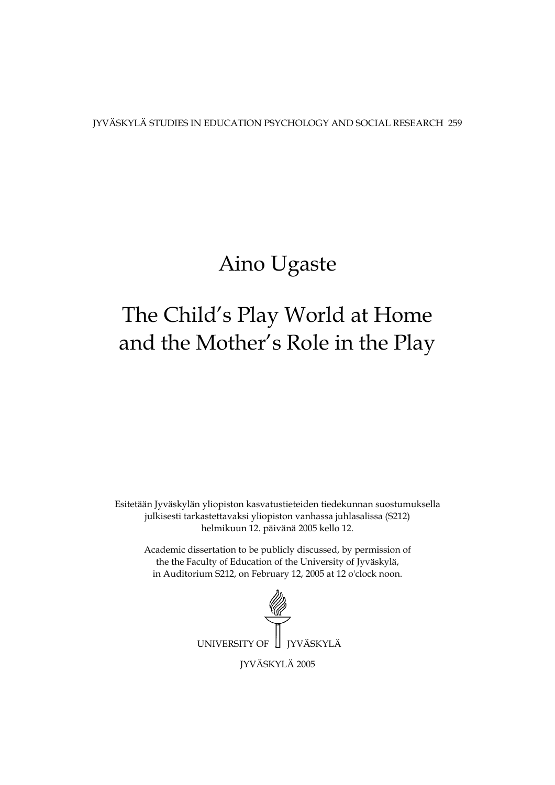JYVÄSKYLÄ STUDIES IN EDUCATION PSYCHOLOGY AND SOCIAL RESEARCH 259

## Aino Ugaste

## The Child's Play World at Home and the Mother's Role in the Play

Esitetään Jyväskylän yliopiston kasvatustieteiden tiedekunnan suostumuksella julkisesti tarkastettavaksi yliopiston vanhassa juhlasalissa (S212) helmikuun 12. päivänä 2005 kello 12.

Academic dissertation to be publicly discussed, by permission of the the Faculty of Education of the University of Jyväskylä, in Auditorium S212, on February 12, 2005 at 12 o'clock noon.

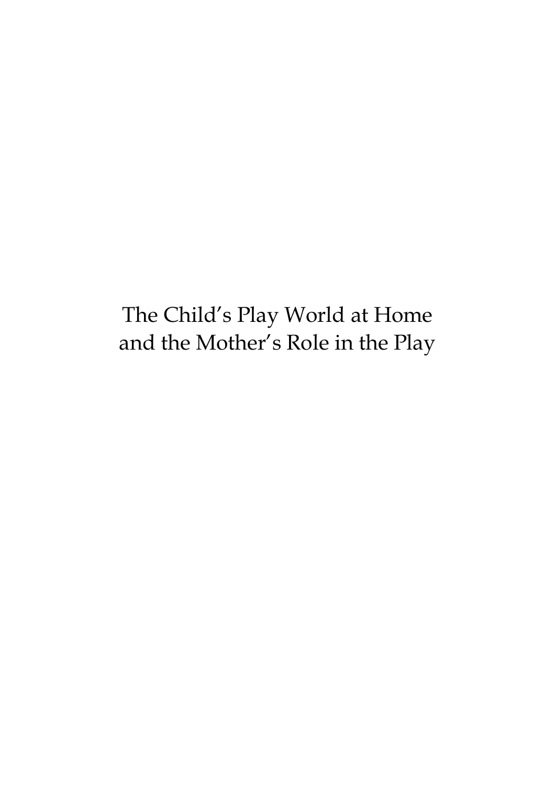The Child's Play World at Home and the Mother's Role in the Play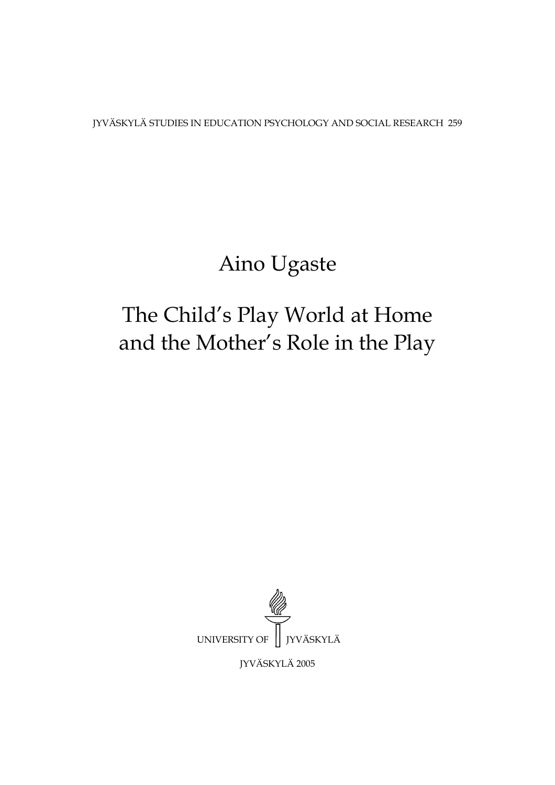JYVÄSKYLÄ STUDIES IN EDUCATION PSYCHOLOGY AND SOCIAL RESEARCH 259

# Aino Ugaste

# The Child's Play World at Home and the Mother's Role in the Play

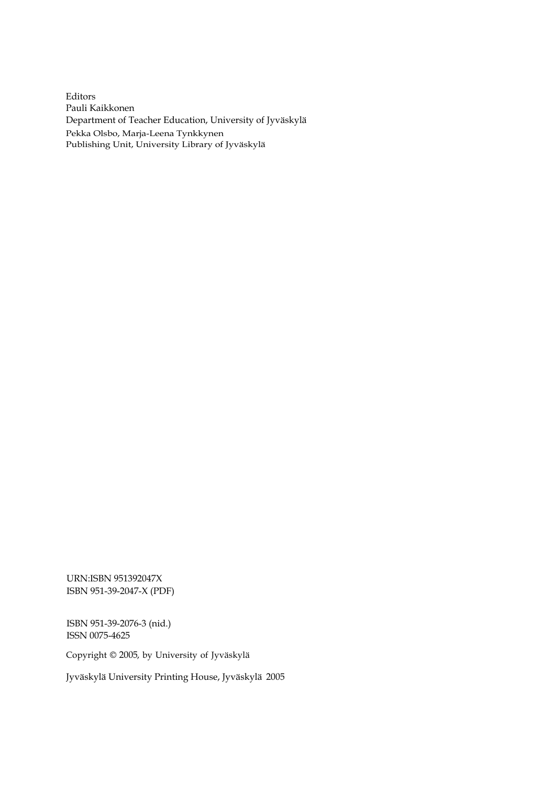Editors Pauli Kaikkonen Department of Teacher Education, University of Jyväskylä Pekka Olsbo, Marja-Leena Tynkkynen Publishing Unit, University Library of Jyväskylä

URN:ISBN 951392047X ISBN 951-39-2047-X (PDF)

ISBN 951-39-2076-3 (nid.) ISSN 0075-4625

Copyright © 2005, by University of Jyväskylä

Jyväskylä University Printing House, Jyväskylä 2005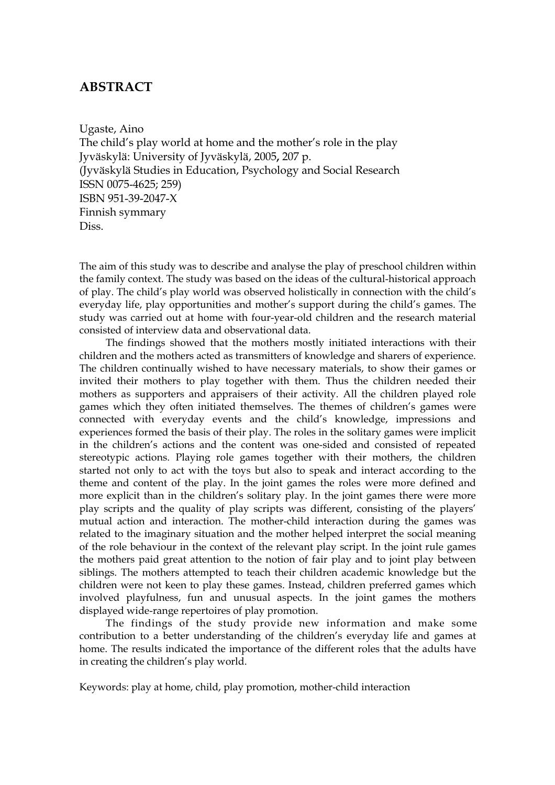## **ABSTRACT**

Ugaste, Aino

The child's play world at home and the mother's role in the play Jyväskylä: University of Jyväskylä, 2005**,** 207 p. (Jyväskylä Studies in Education, Psychology and Social Research ISSN 0075-4625; 259) ISBN 951-39-2047-X Finnish symmary Diss.

The aim of this study was to describe and analyse the play of preschool children within the family context. The study was based on the ideas of the cultural-historical approach of play. The child's play world was observed holistically in connection with the child's everyday life, play opportunities and mother's support during the child's games. The study was carried out at home with four-year-old children and the research material consisted of interview data and observational data.

The findings showed that the mothers mostly initiated interactions with their children and the mothers acted as transmitters of knowledge and sharers of experience. The children continually wished to have necessary materials, to show their games or invited their mothers to play together with them. Thus the children needed their mothers as supporters and appraisers of their activity. All the children played role games which they often initiated themselves. The themes of children's games were connected with everyday events and the child's knowledge, impressions and experiences formed the basis of their play. The roles in the solitary games were implicit in the children's actions and the content was one-sided and consisted of repeated stereotypic actions. Playing role games together with their mothers, the children started not only to act with the toys but also to speak and interact according to the theme and content of the play. In the joint games the roles were more defined and more explicit than in the children's solitary play. In the joint games there were more play scripts and the quality of play scripts was different, consisting of the players' mutual action and interaction. The mother-child interaction during the games was related to the imaginary situation and the mother helped interpret the social meaning of the role behaviour in the context of the relevant play script. In the joint rule games the mothers paid great attention to the notion of fair play and to joint play between siblings. The mothers attempted to teach their children academic knowledge but the children were not keen to play these games. Instead, children preferred games which involved playfulness, fun and unusual aspects. In the joint games the mothers displayed wide-range repertoires of play promotion.

The findings of the study provide new information and make some contribution to a better understanding of the children's everyday life and games at home. The results indicated the importance of the different roles that the adults have in creating the children's play world.

Keywords: play at home, child, play promotion, mother-child interaction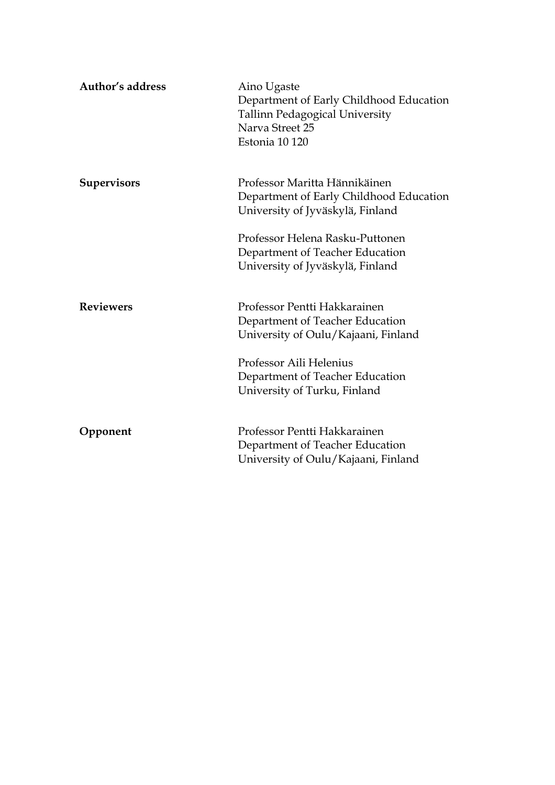| Author's address   | Aino Ugaste<br>Department of Early Childhood Education<br>Tallinn Pedagogical University<br>Narva Street 25<br>Estonia 10 120                                                                        |
|--------------------|------------------------------------------------------------------------------------------------------------------------------------------------------------------------------------------------------|
| <b>Supervisors</b> | Professor Maritta Hännikäinen<br>Department of Early Childhood Education<br>University of Jyväskylä, Finland                                                                                         |
|                    | Professor Helena Rasku-Puttonen<br>Department of Teacher Education<br>University of Jyväskylä, Finland                                                                                               |
| <b>Reviewers</b>   | Professor Pentti Hakkarainen<br>Department of Teacher Education<br>University of Oulu/Kajaani, Finland<br>Professor Aili Helenius<br>Department of Teacher Education<br>University of Turku, Finland |
| Opponent           | Professor Pentti Hakkarainen<br>Department of Teacher Education<br>University of Oulu/Kajaani, Finland                                                                                               |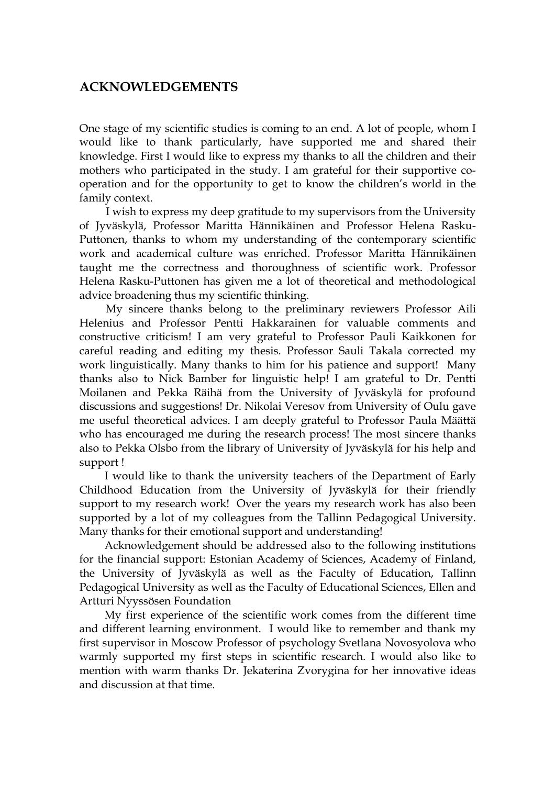### **ACKNOWLEDGEMENTS**

One stage of my scientific studies is coming to an end. A lot of people, whom I would like to thank particularly, have supported me and shared their knowledge. First I would like to express my thanks to all the children and their mothers who participated in the study. I am grateful for their supportive cooperation and for the opportunity to get to know the children's world in the family context.

 I wish to express my deep gratitude to my supervisors from the University of Jyväskylä, Professor Maritta Hännikäinen and Professor Helena Rasku-Puttonen, thanks to whom my understanding of the contemporary scientific work and academical culture was enriched. Professor Maritta Hännikäinen taught me the correctness and thoroughness of scientific work. Professor Helena Rasku-Puttonen has given me a lot of theoretical and methodological advice broadening thus my scientific thinking.

 My sincere thanks belong to the preliminary reviewers Professor Aili Helenius and Professor Pentti Hakkarainen for valuable comments and constructive criticism! I am very grateful to Professor Pauli Kaikkonen for careful reading and editing my thesis. Professor Sauli Takala corrected my work linguistically. Many thanks to him for his patience and support! Many thanks also to Nick Bamber for linguistic help! I am grateful to Dr. Pentti Moilanen and Pekka Räihä from the University of Jyväskylä for profound discussions and suggestions! Dr. Nikolai Veresov from University of Oulu gave me useful theoretical advices. I am deeply grateful to Professor Paula Määttä who has encouraged me during the research process! The most sincere thanks also to Pekka Olsbo from the library of University of Jyväskylä for his help and support !

 I would like to thank the university teachers of the Department of Early Childhood Education from the University of Jyväskylä for their friendly support to my research work! Over the years my research work has also been supported by a lot of my colleagues from the Tallinn Pedagogical University. Many thanks for their emotional support and understanding!

 Acknowledgement should be addressed also to the following institutions for the financial support: Estonian Academy of Sciences, Academy of Finland, the University of Jyväskylä as well as the Faculty of Education, Tallinn Pedagogical University as well as the Faculty of Educational Sciences, Ellen and Artturi Nyyssösen Foundation

 My first experience of the scientific work comes from the different time and different learning environment. I would like to remember and thank my first supervisor in Moscow Professor of psychology Svetlana Novosyolova who warmly supported my first steps in scientific research. I would also like to mention with warm thanks Dr. Jekaterina Zvorygina for her innovative ideas and discussion at that time.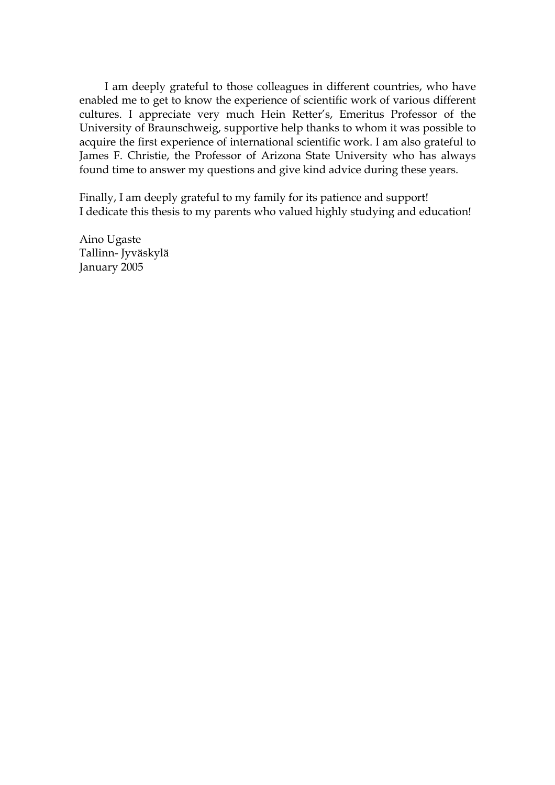I am deeply grateful to those colleagues in different countries, who have enabled me to get to know the experience of scientific work of various different cultures. I appreciate very much Hein Retter's, Emeritus Professor of the University of Braunschweig, supportive help thanks to whom it was possible to acquire the first experience of international scientific work. I am also grateful to James F. Christie, the Professor of Arizona State University who has always found time to answer my questions and give kind advice during these years.

Finally, I am deeply grateful to my family for its patience and support! I dedicate this thesis to my parents who valued highly studying and education!

Aino Ugaste Tallinn- Jyväskylä January 2005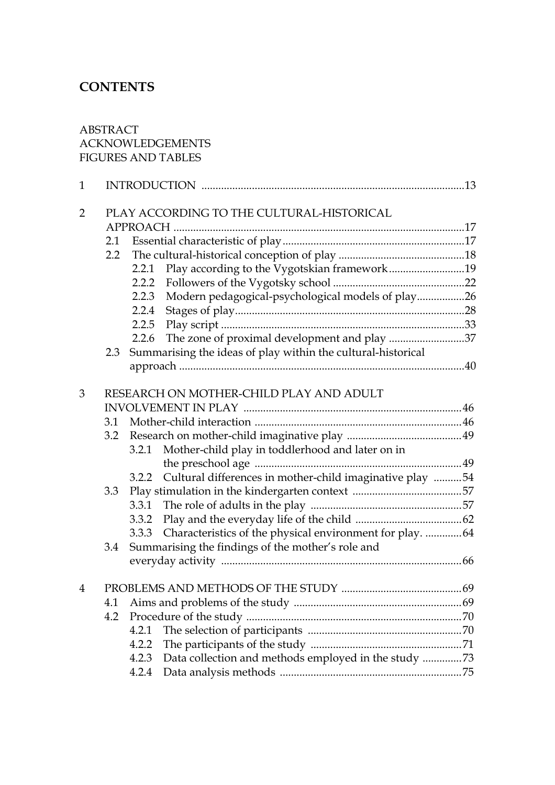## **CONTENTS**

#### ABSTRACT ACKNOWLEDGEMENTS FIGURES AND TABLES

| $\mathbf{1}$   |                                           |                                         |                                                                  |  |  |
|----------------|-------------------------------------------|-----------------------------------------|------------------------------------------------------------------|--|--|
| $\overline{2}$ | PLAY ACCORDING TO THE CULTURAL-HISTORICAL |                                         |                                                                  |  |  |
|                |                                           |                                         |                                                                  |  |  |
|                | 2.1                                       |                                         |                                                                  |  |  |
|                | 2.2                                       |                                         |                                                                  |  |  |
|                |                                           |                                         | 2.2.1 Play according to the Vygotskian framework19               |  |  |
|                |                                           | 2.2.2                                   |                                                                  |  |  |
|                |                                           | 2.2.3                                   | Modern pedagogical-psychological models of play26                |  |  |
|                |                                           | 2.2.4                                   |                                                                  |  |  |
|                |                                           | 2.2.5                                   |                                                                  |  |  |
|                |                                           | 2.2.6                                   | The zone of proximal development and play 37                     |  |  |
|                |                                           |                                         | 2.3 Summarising the ideas of play within the cultural-historical |  |  |
|                |                                           |                                         |                                                                  |  |  |
|                |                                           |                                         |                                                                  |  |  |
| 3              |                                           | RESEARCH ON MOTHER-CHILD PLAY AND ADULT |                                                                  |  |  |
|                |                                           |                                         |                                                                  |  |  |
|                | 3.1                                       |                                         |                                                                  |  |  |
|                | 3.2                                       |                                         |                                                                  |  |  |
|                |                                           |                                         | 3.2.1 Mother-child play in toddlerhood and later on in           |  |  |
|                |                                           |                                         |                                                                  |  |  |
|                |                                           | 3.2.2                                   | Cultural differences in mother-child imaginative play 54         |  |  |
|                | 3.3                                       |                                         |                                                                  |  |  |
|                |                                           | 3.3.1                                   |                                                                  |  |  |
|                |                                           | 3.3.2                                   |                                                                  |  |  |
|                |                                           | 3.3.3                                   | Characteristics of the physical environment for play.  64        |  |  |
|                | 3.4                                       |                                         | Summarising the findings of the mother's role and                |  |  |
|                |                                           |                                         |                                                                  |  |  |
| $\overline{4}$ |                                           |                                         |                                                                  |  |  |
|                | 4.1                                       |                                         |                                                                  |  |  |
|                | 4.2                                       |                                         |                                                                  |  |  |
|                |                                           | 4.2.1                                   |                                                                  |  |  |
|                |                                           | 4.2.2                                   |                                                                  |  |  |
|                |                                           | 4.2.3                                   | Data collection and methods employed in the study 73             |  |  |
|                |                                           | 4.2.4                                   |                                                                  |  |  |
|                |                                           |                                         |                                                                  |  |  |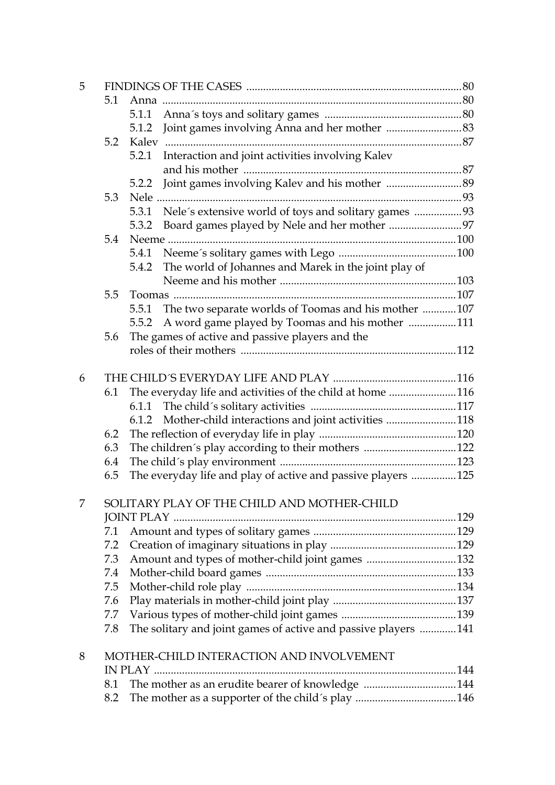| 5 |     |                                                                |  |  |  |
|---|-----|----------------------------------------------------------------|--|--|--|
|   | 5.1 |                                                                |  |  |  |
|   |     | 5.1.1                                                          |  |  |  |
|   |     | 5.1.2                                                          |  |  |  |
|   | 5.2 |                                                                |  |  |  |
|   |     | Interaction and joint activities involving Kalev<br>5.2.1      |  |  |  |
|   |     |                                                                |  |  |  |
|   |     | 5.2.2                                                          |  |  |  |
|   | 5.3 |                                                                |  |  |  |
|   |     | Nele's extensive world of toys and solitary games 93<br>5.3.1  |  |  |  |
|   |     | 5.3.2 Board games played by Nele and her mother 97             |  |  |  |
|   | 5.4 |                                                                |  |  |  |
|   |     | 5.4.1                                                          |  |  |  |
|   |     | The world of Johannes and Marek in the joint play of<br>5.4.2  |  |  |  |
|   |     |                                                                |  |  |  |
|   | 5.5 |                                                                |  |  |  |
|   |     | The two separate worlds of Toomas and his mother 107<br>5.5.1  |  |  |  |
|   |     | A word game played by Toomas and his mother 111<br>5.5.2       |  |  |  |
|   | 5.6 | The games of active and passive players and the                |  |  |  |
|   |     |                                                                |  |  |  |
| 6 |     |                                                                |  |  |  |
|   | 6.1 | The everyday life and activities of the child at home 116      |  |  |  |
|   |     | 6.1.1                                                          |  |  |  |
|   |     | Mother-child interactions and joint activities 118<br>6.1.2    |  |  |  |
|   | 6.2 |                                                                |  |  |  |
|   | 6.3 | The children's play according to their mothers 122             |  |  |  |
|   | 6.4 |                                                                |  |  |  |
|   | 6.5 | The everyday life and play of active and passive players 125   |  |  |  |
|   |     |                                                                |  |  |  |
| 7 |     | SOLITARY PLAY OF THE CHILD AND MOTHER-CHILD                    |  |  |  |
|   |     |                                                                |  |  |  |
|   | 7.1 |                                                                |  |  |  |
|   | 7.2 |                                                                |  |  |  |
|   | 7.3 | Amount and types of mother-child joint games 132               |  |  |  |
|   | 7.4 |                                                                |  |  |  |
|   | 7.5 |                                                                |  |  |  |
|   | 7.6 |                                                                |  |  |  |
|   | 7.7 |                                                                |  |  |  |
|   | 7.8 | The solitary and joint games of active and passive players 141 |  |  |  |
| 8 |     | MOTHER-CHILD INTERACTION AND INVOLVEMENT                       |  |  |  |
|   |     |                                                                |  |  |  |
|   | 8.1 | The mother as an erudite bearer of knowledge 144               |  |  |  |
|   | 8.2 | The mother as a supporter of the child's play 146              |  |  |  |
|   |     |                                                                |  |  |  |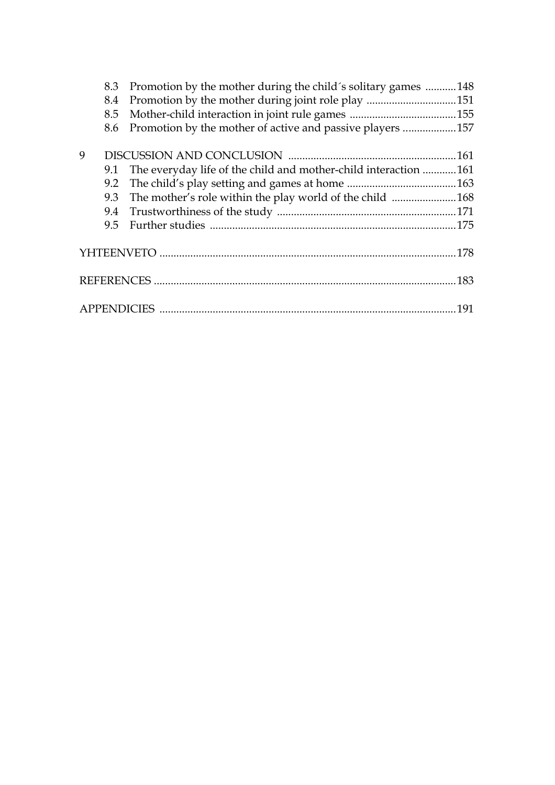|   | 8.3 | Promotion by the mother during the child's solitary games       | .148 |
|---|-----|-----------------------------------------------------------------|------|
|   | 8.4 | Promotion by the mother during joint role play 151              |      |
|   | 8.5 |                                                                 |      |
|   | 8.6 | Promotion by the mother of active and passive players 157       |      |
| 9 |     |                                                                 |      |
|   | 9.1 | The everyday life of the child and mother-child interaction 161 |      |
|   | 9.2 |                                                                 |      |
|   | 9.3 | The mother's role within the play world of the child 168        |      |
|   |     |                                                                 |      |
|   | 9.5 |                                                                 |      |
|   |     |                                                                 |      |
|   |     |                                                                 |      |
|   |     |                                                                 |      |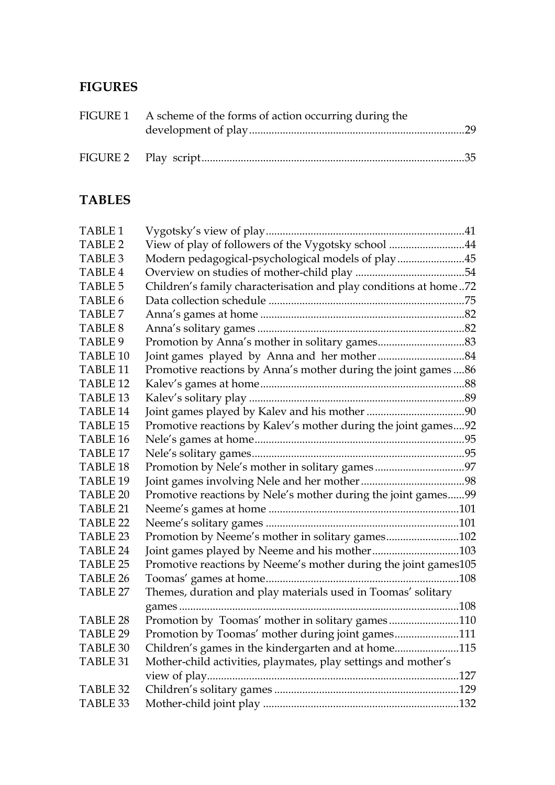## **FIGURES**

| FIGURE 1 A scheme of the forms of action occurring during the |  |
|---------------------------------------------------------------|--|
|                                                               |  |

## **TABLES**

| TABLE 1             |                                                                  |  |
|---------------------|------------------------------------------------------------------|--|
| TABLE 2             | View of play of followers of the Vygotsky school 44              |  |
| TABLE <sub>3</sub>  | Modern pedagogical-psychological models of play45                |  |
| <b>TABLE 4</b>      |                                                                  |  |
| <b>TABLE 5</b>      | Children's family characterisation and play conditions at home72 |  |
| TABLE 6             |                                                                  |  |
| <b>TABLE 7</b>      |                                                                  |  |
| TABLE 8             |                                                                  |  |
| TABLE 9             |                                                                  |  |
| TABLE <sub>10</sub> |                                                                  |  |
| TABLE <sub>11</sub> | Promotive reactions by Anna's mother during the joint games86    |  |
| TABLE <sub>12</sub> |                                                                  |  |
| TABLE <sub>13</sub> |                                                                  |  |
| TABLE <sub>14</sub> |                                                                  |  |
| TABLE <sub>15</sub> | Promotive reactions by Kalev's mother during the joint games92   |  |
| TABLE <sub>16</sub> |                                                                  |  |
| TABLE <sub>17</sub> |                                                                  |  |
| TABLE <sub>18</sub> |                                                                  |  |
| TABLE <sub>19</sub> |                                                                  |  |
| TABLE <sub>20</sub> | Promotive reactions by Nele's mother during the joint games99    |  |
| TABLE 21            |                                                                  |  |
| <b>TABLE 22</b>     |                                                                  |  |
| TABLE 23            | Promotion by Neeme's mother in solitary games102                 |  |
| TABLE 24            | Joint games played by Neeme and his mother103                    |  |
| <b>TABLE 25</b>     | Promotive reactions by Neeme's mother during the joint games105  |  |
| TABLE 26            |                                                                  |  |
| <b>TABLE 27</b>     | Themes, duration and play materials used in Toomas' solitary     |  |
|                     |                                                                  |  |
| TABLE 28            | Promotion by Toomas' mother in solitary games110                 |  |
| TABLE 29            | Promotion by Toomas' mother during joint games111                |  |
| TABLE 30            | Children's games in the kindergarten and at home115              |  |
| TABLE 31            | Mother-child activities, playmates, play settings and mother's   |  |
|                     |                                                                  |  |
| TABLE 32            |                                                                  |  |
| TABLE 33            |                                                                  |  |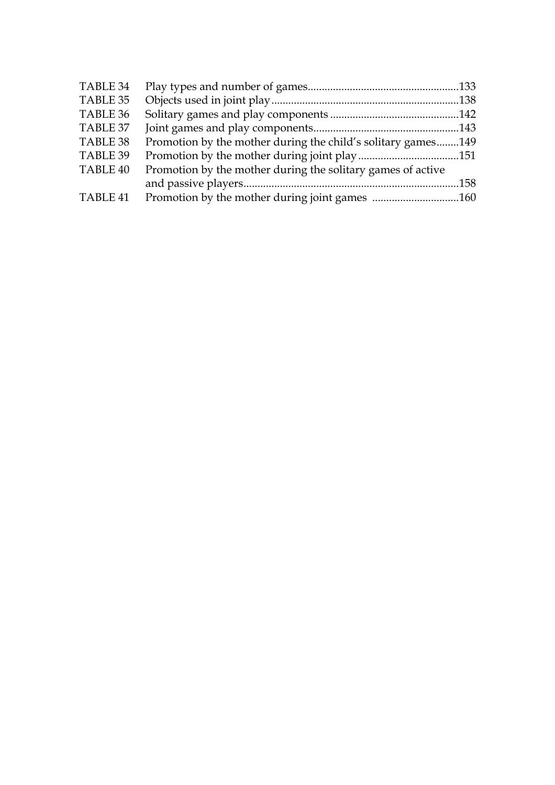| TABLE 34 |                                                              |  |
|----------|--------------------------------------------------------------|--|
| TABLE 35 |                                                              |  |
| TABLE 36 |                                                              |  |
| TABLE 37 |                                                              |  |
| TABLE 38 | Promotion by the mother during the child's solitary games149 |  |
| TABLE 39 |                                                              |  |
| TABLE 40 | Promotion by the mother during the solitary games of active  |  |
|          |                                                              |  |
| TABLE 41 | Promotion by the mother during joint games 160               |  |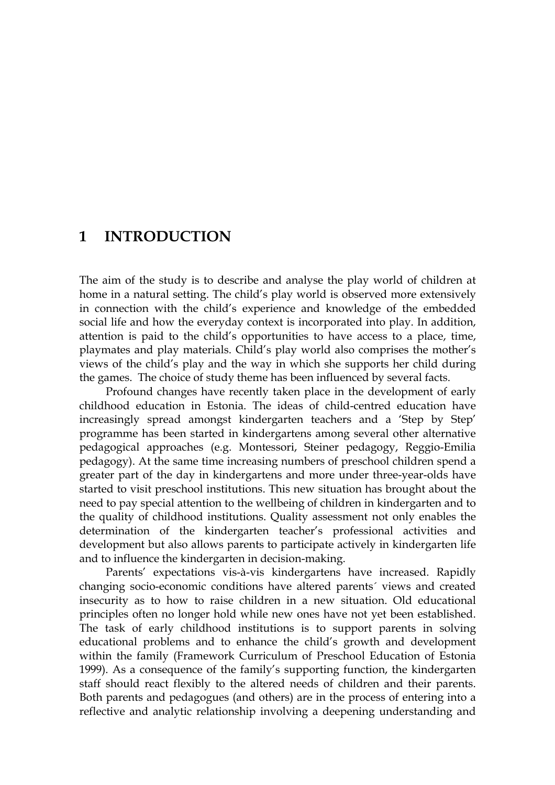## **1 INTRODUCTION**

The aim of the study is to describe and analyse the play world of children at home in a natural setting. The child's play world is observed more extensively in connection with the child's experience and knowledge of the embedded social life and how the everyday context is incorporated into play. In addition, attention is paid to the child's opportunities to have access to a place, time, playmates and play materials. Child's play world also comprises the mother's views of the child's play and the way in which she supports her child during the games. The choice of study theme has been influenced by several facts.

Profound changes have recently taken place in the development of early childhood education in Estonia. The ideas of child-centred education have increasingly spread amongst kindergarten teachers and a 'Step by Step' programme has been started in kindergartens among several other alternative pedagogical approaches (e.g. Montessori, Steiner pedagogy, Reggio-Emilia pedagogy). At the same time increasing numbers of preschool children spend a greater part of the day in kindergartens and more under three-year-olds have started to visit preschool institutions. This new situation has brought about the need to pay special attention to the wellbeing of children in kindergarten and to the quality of childhood institutions. Quality assessment not only enables the determination of the kindergarten teacher's professional activities and development but also allows parents to participate actively in kindergarten life and to influence the kindergarten in decision-making.

 Parents' expectations vis-à-vis kindergartens have increased. Rapidly changing socio-economic conditions have altered parents´ views and created insecurity as to how to raise children in a new situation. Old educational principles often no longer hold while new ones have not yet been established. The task of early childhood institutions is to support parents in solving educational problems and to enhance the child's growth and development within the family (Framework Curriculum of Preschool Education of Estonia 1999). As a consequence of the family's supporting function, the kindergarten staff should react flexibly to the altered needs of children and their parents. Both parents and pedagogues (and others) are in the process of entering into a reflective and analytic relationship involving a deepening understanding and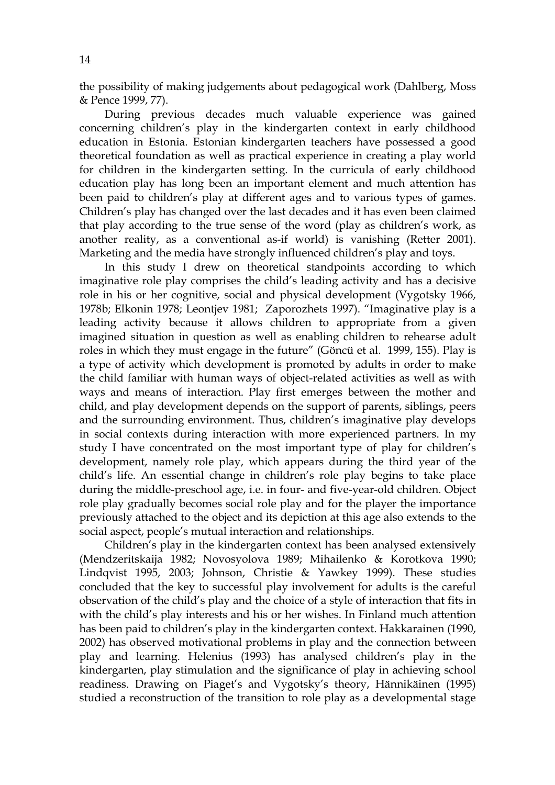the possibility of making judgements about pedagogical work (Dahlberg, Moss & Pence 1999, 77).

 During previous decades much valuable experience was gained concerning children's play in the kindergarten context in early childhood education in Estonia. Estonian kindergarten teachers have possessed a good theoretical foundation as well as practical experience in creating a play world for children in the kindergarten setting. In the curricula of early childhood education play has long been an important element and much attention has been paid to children's play at different ages and to various types of games. Children's play has changed over the last decades and it has even been claimed that play according to the true sense of the word (play as children's work, as another reality, as a conventional as-if world) is vanishing (Retter 2001). Marketing and the media have strongly influenced children's play and toys.

 In this study I drew on theoretical standpoints according to which imaginative role play comprises the child's leading activity and has a decisive role in his or her cognitive, social and physical development (Vygotsky 1966, 1978b; Elkonin 1978; Leontjev 1981; Zaporozhets 1997). "Imaginative play is a leading activity because it allows children to appropriate from a given imagined situation in question as well as enabling children to rehearse adult roles in which they must engage in the future" (Göncü et al. 1999, 155). Play is a type of activity which development is promoted by adults in order to make the child familiar with human ways of object-related activities as well as with ways and means of interaction. Play first emerges between the mother and child, and play development depends on the support of parents, siblings, peers and the surrounding environment. Thus, children's imaginative play develops in social contexts during interaction with more experienced partners. In my study I have concentrated on the most important type of play for children's development, namely role play, which appears during the third year of the child's life. An essential change in children's role play begins to take place during the middle-preschool age, i.e. in four- and five-year-old children. Object role play gradually becomes social role play and for the player the importance previously attached to the object and its depiction at this age also extends to the social aspect, people's mutual interaction and relationships.

Children's play in the kindergarten context has been analysed extensively (Mendzeritskaija 1982; Novosyolova 1989; Mihailenko & Korotkova 1990; Lindqvist 1995, 2003; Johnson, Christie & Yawkey 1999). These studies concluded that the key to successful play involvement for adults is the careful observation of the child's play and the choice of a style of interaction that fits in with the child's play interests and his or her wishes. In Finland much attention has been paid to children's play in the kindergarten context. Hakkarainen (1990, 2002) has observed motivational problems in play and the connection between play and learning. Helenius (1993) has analysed children's play in the kindergarten, play stimulation and the significance of play in achieving school readiness. Drawing on Piaget's and Vygotsky's theory, Hännikäinen (1995) studied a reconstruction of the transition to role play as a developmental stage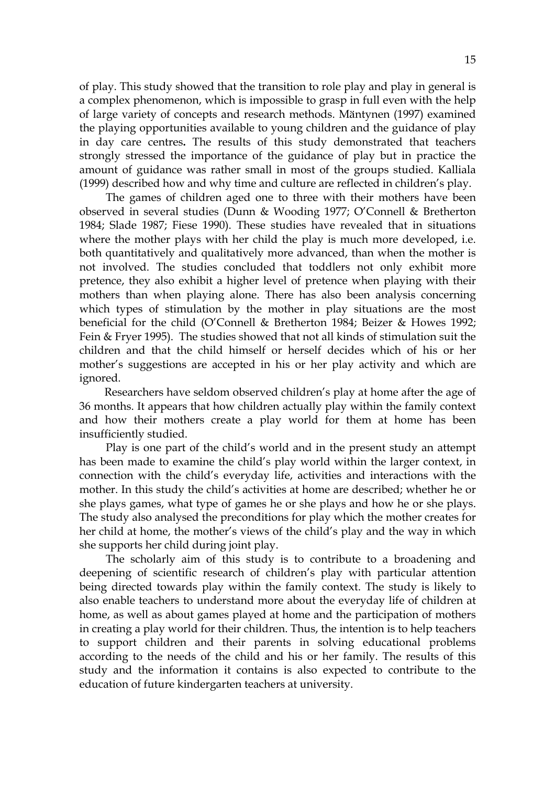of play. This study showed that the transition to role play and play in general is a complex phenomenon, which is impossible to grasp in full even with the help of large variety of concepts and research methods. Mäntynen (1997) examined the playing opportunities available to young children and the guidance of play in day care centres**.** The results of this study demonstrated that teachers strongly stressed the importance of the guidance of play but in practice the amount of guidance was rather small in most of the groups studied. Kalliala (1999) described how and why time and culture are reflected in children's play.

 The games of children aged one to three with their mothers have been observed in several studies (Dunn & Wooding 1977; O'Connell & Bretherton 1984; Slade 1987; Fiese 1990). These studies have revealed that in situations where the mother plays with her child the play is much more developed, i.e. both quantitatively and qualitatively more advanced, than when the mother is not involved. The studies concluded that toddlers not only exhibit more pretence, they also exhibit a higher level of pretence when playing with their mothers than when playing alone. There has also been analysis concerning which types of stimulation by the mother in play situations are the most beneficial for the child (O'Connell & Bretherton 1984; Beizer & Howes 1992; Fein & Fryer 1995). The studies showed that not all kinds of stimulation suit the children and that the child himself or herself decides which of his or her mother's suggestions are accepted in his or her play activity and which are ignored.

 Researchers have seldom observed children's play at home after the age of 36 months. It appears that how children actually play within the family context and how their mothers create a play world for them at home has been insufficiently studied.

 Play is one part of the child's world and in the present study an attempt has been made to examine the child's play world within the larger context, in connection with the child's everyday life, activities and interactions with the mother. In this study the child's activities at home are described; whether he or she plays games, what type of games he or she plays and how he or she plays. The study also analysed the preconditions for play which the mother creates for her child at home, the mother's views of the child's play and the way in which she supports her child during joint play.

The scholarly aim of this study is to contribute to a broadening and deepening of scientific research of children's play with particular attention being directed towards play within the family context. The study is likely to also enable teachers to understand more about the everyday life of children at home, as well as about games played at home and the participation of mothers in creating a play world for their children. Thus, the intention is to help teachers to support children and their parents in solving educational problems according to the needs of the child and his or her family. The results of this study and the information it contains is also expected to contribute to the education of future kindergarten teachers at university.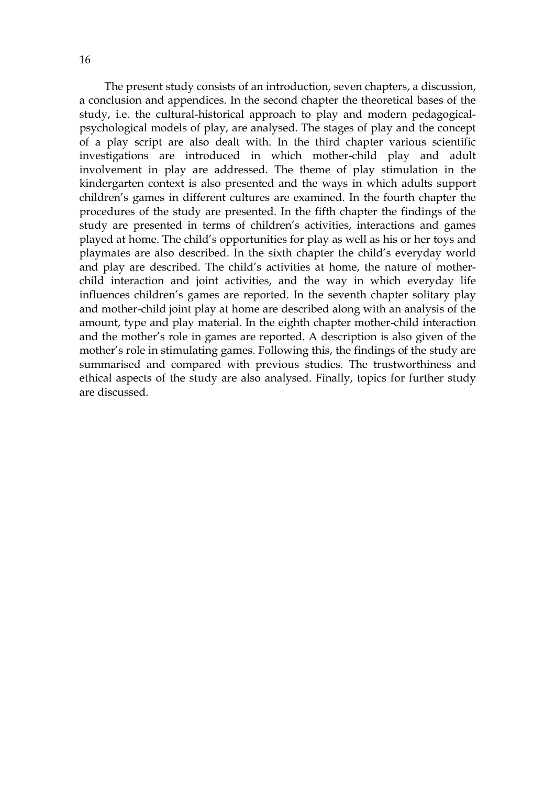The present study consists of an introduction, seven chapters, a discussion, a conclusion and appendices. In the second chapter the theoretical bases of the study, i.e. the cultural-historical approach to play and modern pedagogicalpsychological models of play, are analysed. The stages of play and the concept of a play script are also dealt with. In the third chapter various scientific investigations are introduced in which mother-child play and adult involvement in play are addressed. The theme of play stimulation in the kindergarten context is also presented and the ways in which adults support children's games in different cultures are examined. In the fourth chapter the procedures of the study are presented. In the fifth chapter the findings of the study are presented in terms of children's activities, interactions and games played at home. The child's opportunities for play as well as his or her toys and playmates are also described. In the sixth chapter the child's everyday world and play are described. The child's activities at home, the nature of motherchild interaction and joint activities, and the way in which everyday life influences children's games are reported. In the seventh chapter solitary play and mother-child joint play at home are described along with an analysis of the amount, type and play material. In the eighth chapter mother-child interaction and the mother's role in games are reported. A description is also given of the mother's role in stimulating games. Following this, the findings of the study are summarised and compared with previous studies. The trustworthiness and ethical aspects of the study are also analysed. Finally, topics for further study are discussed.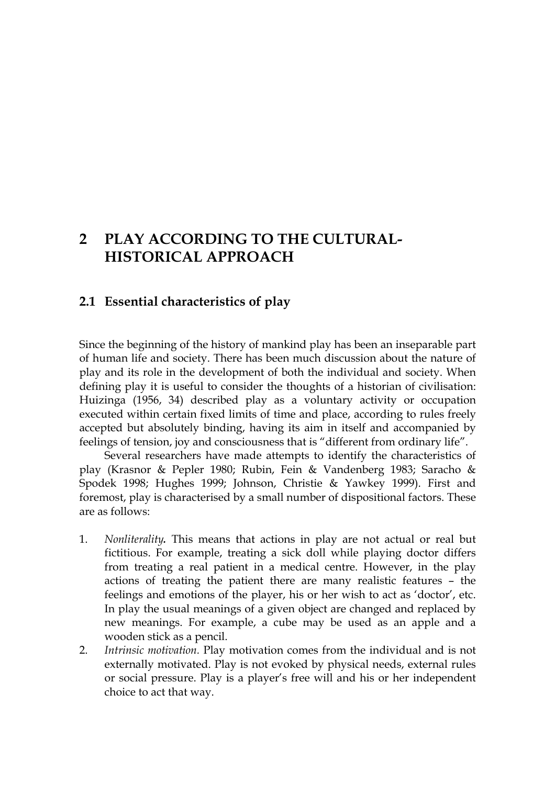## **2 PLAY ACCORDING TO THE CULTURAL-HISTORICAL APPROACH**

### **2.1 Essential characteristics of play**

Since the beginning of the history of mankind play has been an inseparable part of human life and society. There has been much discussion about the nature of play and its role in the development of both the individual and society. When defining play it is useful to consider the thoughts of a historian of civilisation: Huizinga (1956, 34) described play as a voluntary activity or occupation executed within certain fixed limits of time and place, according to rules freely accepted but absolutely binding, having its aim in itself and accompanied by feelings of tension, joy and consciousness that is "different from ordinary life".

 Several researchers have made attempts to identify the characteristics of play (Krasnor & Pepler 1980; Rubin, Fein & Vandenberg 1983; Saracho & Spodek 1998; Hughes 1999; Johnson, Christie & Yawkey 1999). First and foremost, play is characterised by a small number of dispositional factors. These are as follows:

- 1. *Nonliterality.* This means that actions in play are not actual or real but fictitious. For example, treating a sick doll while playing doctor differs from treating a real patient in a medical centre. However, in the play actions of treating the patient there are many realistic features – the feelings and emotions of the player, his or her wish to act as 'doctor', etc. In play the usual meanings of a given object are changed and replaced by new meanings. For example, a cube may be used as an apple and a wooden stick as a pencil.
- 2. *Intrinsic motivation.* Play motivation comes from the individual and is not externally motivated. Play is not evoked by physical needs, external rules or social pressure. Play is a player's free will and his or her independent choice to act that way.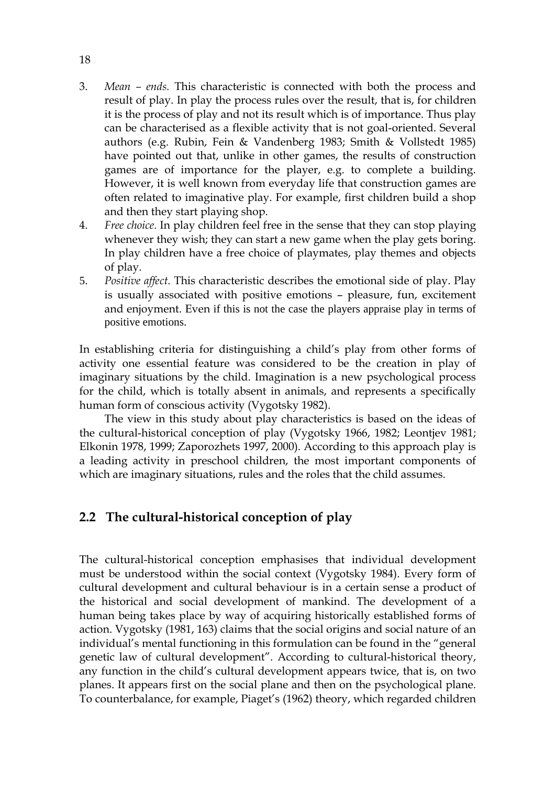- 3. *Mean ends.* This characteristic is connected with both the process and result of play. In play the process rules over the result, that is, for children it is the process of play and not its result which is of importance. Thus play can be characterised as a flexible activity that is not goal-oriented. Several authors (e.g. Rubin, Fein & Vandenberg 1983; Smith & Vollstedt 1985) have pointed out that, unlike in other games, the results of construction games are of importance for the player, e.g. to complete a building. However, it is well known from everyday life that construction games are often related to imaginative play. For example, first children build a shop and then they start playing shop.
- 4. *Free choice.* In play children feel free in the sense that they can stop playing whenever they wish; they can start a new game when the play gets boring. In play children have a free choice of playmates, play themes and objects of play.
- 5. *Positive affect.* This characteristic describes the emotional side of play. Play is usually associated with positive emotions – pleasure, fun, excitement and enjoyment. Even if this is not the case the players appraise play in terms of positive emotions.

In establishing criteria for distinguishing a child's play from other forms of activity one essential feature was considered to be the creation in play of imaginary situations by the child. Imagination is a new psychological process for the child, which is totally absent in animals, and represents a specifically human form of conscious activity (Vygotsky 1982).

 The view in this study about play characteristics is based on the ideas of the cultural-historical conception of play (Vygotsky 1966, 1982; Leontjev 1981; Elkonin 1978, 1999; Zaporozhets 1997, 2000). According to this approach play is a leading activity in preschool children, the most important components of which are imaginary situations, rules and the roles that the child assumes.

## **2.2 The cultural-historical conception of play**

The cultural-historical conception emphasises that individual development must be understood within the social context (Vygotsky 1984). Every form of cultural development and cultural behaviour is in a certain sense a product of the historical and social development of mankind. The development of a human being takes place by way of acquiring historically established forms of action. Vygotsky (1981, 163) claims that the social origins and social nature of an individual's mental functioning in this formulation can be found in the "general genetic law of cultural development". According to cultural-historical theory, any function in the child's cultural development appears twice, that is, on two planes. It appears first on the social plane and then on the psychological plane. To counterbalance, for example, Piaget's (1962) theory, which regarded children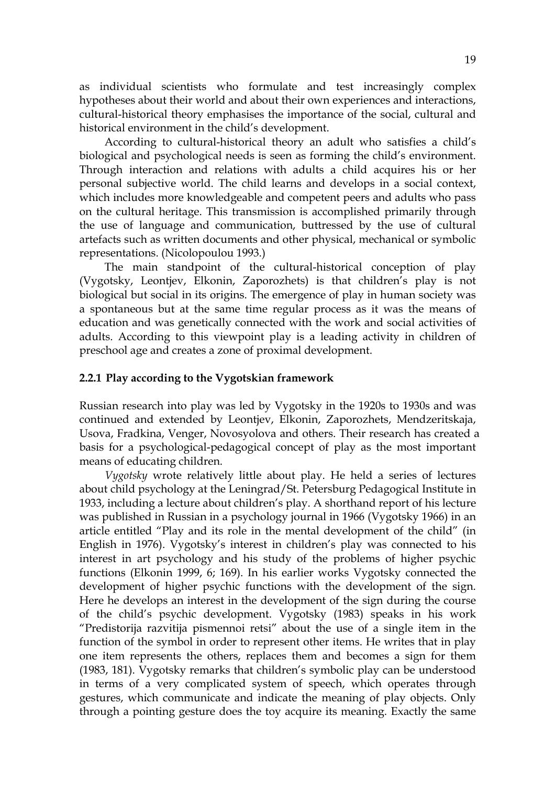as individual scientists who formulate and test increasingly complex hypotheses about their world and about their own experiences and interactions, cultural-historical theory emphasises the importance of the social, cultural and historical environment in the child's development.

 According to cultural-historical theory an adult who satisfies a child's biological and psychological needs is seen as forming the child's environment. Through interaction and relations with adults a child acquires his or her personal subjective world. The child learns and develops in a social context, which includes more knowledgeable and competent peers and adults who pass on the cultural heritage. This transmission is accomplished primarily through the use of language and communication, buttressed by the use of cultural artefacts such as written documents and other physical, mechanical or symbolic representations. (Nicolopoulou 1993.)

 The main standpoint of the cultural-historical conception of play (Vygotsky, Leontjev, Elkonin, Zaporozhets) is that children's play is not biological but social in its origins. The emergence of play in human society was a spontaneous but at the same time regular process as it was the means of education and was genetically connected with the work and social activities of adults. According to this viewpoint play is a leading activity in children of preschool age and creates a zone of proximal development.

#### **2.2.1 Play according to the Vygotskian framework**

Russian research into play was led by Vygotsky in the 1920s to 1930s and was continued and extended by Leontjev, Elkonin, Zaporozhets, Mendzeritskaja, Usova, Fradkina, Venger, Novosyolova and others. Their research has created a basis for a psychological-pedagogical concept of play as the most important means of educating children.

 *Vygotsky* wrote relatively little about play. He held a series of lectures about child psychology at the Leningrad/St. Petersburg Pedagogical Institute in 1933, including a lecture about children's play. A shorthand report of his lecture was published in Russian in a psychology journal in 1966 (Vygotsky 1966) in an article entitled "Play and its role in the mental development of the child" (in English in 1976). Vygotsky's interest in children's play was connected to his interest in art psychology and his study of the problems of higher psychic functions (Elkonin 1999, 6; 169). In his earlier works Vygotsky connected the development of higher psychic functions with the development of the sign. Here he develops an interest in the development of the sign during the course of the child's psychic development. Vygotsky (1983) speaks in his work "Predistorija razvitija pismennoi retsi" about the use of a single item in the function of the symbol in order to represent other items. He writes that in play one item represents the others, replaces them and becomes a sign for them (1983, 181). Vygotsky remarks that children's symbolic play can be understood in terms of a very complicated system of speech, which operates through gestures, which communicate and indicate the meaning of play objects. Only through a pointing gesture does the toy acquire its meaning. Exactly the same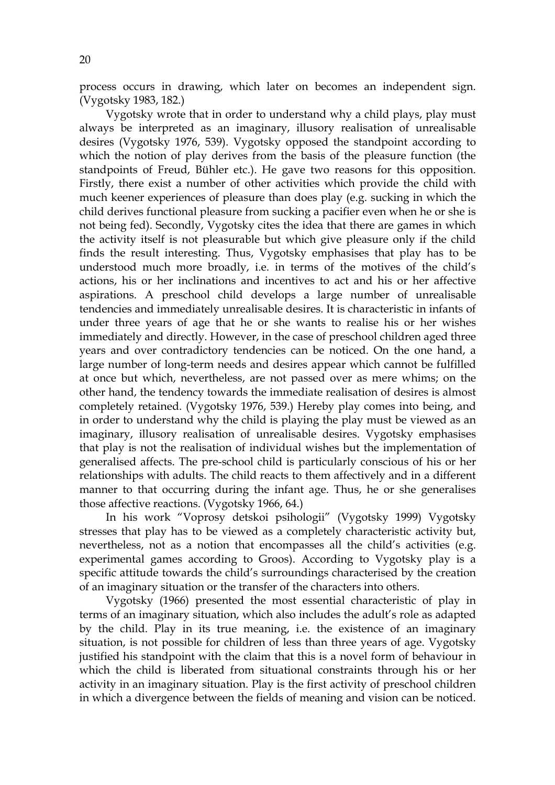process occurs in drawing, which later on becomes an independent sign. (Vygotsky 1983, 182.)

Vygotsky wrote that in order to understand why a child plays, play must always be interpreted as an imaginary, illusory realisation of unrealisable desires (Vygotsky 1976, 539). Vygotsky opposed the standpoint according to which the notion of play derives from the basis of the pleasure function (the standpoints of Freud, Bühler etc.). He gave two reasons for this opposition. Firstly, there exist a number of other activities which provide the child with much keener experiences of pleasure than does play (e.g. sucking in which the child derives functional pleasure from sucking a pacifier even when he or she is not being fed). Secondly, Vygotsky cites the idea that there are games in which the activity itself is not pleasurable but which give pleasure only if the child finds the result interesting. Thus, Vygotsky emphasises that play has to be understood much more broadly, i.e. in terms of the motives of the child's actions, his or her inclinations and incentives to act and his or her affective aspirations. A preschool child develops a large number of unrealisable tendencies and immediately unrealisable desires. It is characteristic in infants of under three years of age that he or she wants to realise his or her wishes immediately and directly. However, in the case of preschool children aged three years and over contradictory tendencies can be noticed. On the one hand, a large number of long-term needs and desires appear which cannot be fulfilled at once but which, nevertheless, are not passed over as mere whims; on the other hand, the tendency towards the immediate realisation of desires is almost completely retained. (Vygotsky 1976, 539.) Hereby play comes into being, and in order to understand why the child is playing the play must be viewed as an imaginary, illusory realisation of unrealisable desires. Vygotsky emphasises that play is not the realisation of individual wishes but the implementation of generalised affects. The pre-school child is particularly conscious of his or her relationships with adults. The child reacts to them affectively and in a different manner to that occurring during the infant age. Thus, he or she generalises those affective reactions. (Vygotsky 1966, 64.)

 In his work "Voprosy detskoi psihologii" (Vygotsky 1999) Vygotsky stresses that play has to be viewed as a completely characteristic activity but, nevertheless, not as a notion that encompasses all the child's activities (e.g. experimental games according to Groos). According to Vygotsky play is a specific attitude towards the child's surroundings characterised by the creation of an imaginary situation or the transfer of the characters into others.

 Vygotsky (1966) presented the most essential characteristic of play in terms of an imaginary situation, which also includes the adult's role as adapted by the child. Play in its true meaning, i.e. the existence of an imaginary situation, is not possible for children of less than three years of age. Vygotsky justified his standpoint with the claim that this is a novel form of behaviour in which the child is liberated from situational constraints through his or her activity in an imaginary situation. Play is the first activity of preschool children in which a divergence between the fields of meaning and vision can be noticed.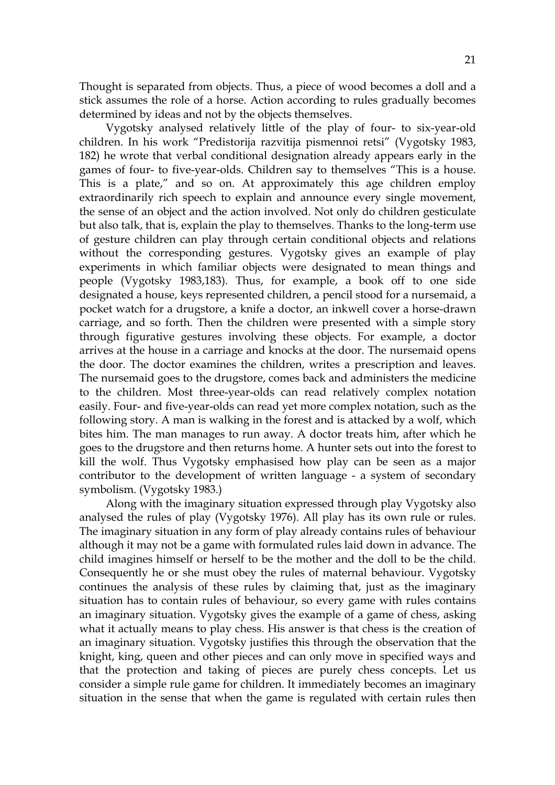Thought is separated from objects. Thus, a piece of wood becomes a doll and a stick assumes the role of a horse. Action according to rules gradually becomes determined by ideas and not by the objects themselves.

 Vygotsky analysed relatively little of the play of four- to six-year-old children. In his work "Predistorija razvitija pismennoi retsi" (Vygotsky 1983, 182) he wrote that verbal conditional designation already appears early in the games of four- to five-year-olds. Children say to themselves "This is a house. This is a plate," and so on. At approximately this age children employ extraordinarily rich speech to explain and announce every single movement, the sense of an object and the action involved. Not only do children gesticulate but also talk, that is, explain the play to themselves. Thanks to the long-term use of gesture children can play through certain conditional objects and relations without the corresponding gestures. Vygotsky gives an example of play experiments in which familiar objects were designated to mean things and people (Vygotsky 1983,183). Thus, for example, a book off to one side designated a house, keys represented children, a pencil stood for a nursemaid, a pocket watch for a drugstore, a knife a doctor, an inkwell cover a horse-drawn carriage, and so forth. Then the children were presented with a simple story through figurative gestures involving these objects. For example, a doctor arrives at the house in a carriage and knocks at the door. The nursemaid opens the door. The doctor examines the children, writes a prescription and leaves. The nursemaid goes to the drugstore, comes back and administers the medicine to the children. Most three-year-olds can read relatively complex notation easily. Four- and five-year-olds can read yet more complex notation, such as the following story. A man is walking in the forest and is attacked by a wolf, which bites him. The man manages to run away. A doctor treats him, after which he goes to the drugstore and then returns home. A hunter sets out into the forest to kill the wolf. Thus Vygotsky emphasised how play can be seen as a major contributor to the development of written language - a system of secondary symbolism. (Vygotsky 1983.)

 Along with the imaginary situation expressed through play Vygotsky also analysed the rules of play (Vygotsky 1976). All play has its own rule or rules. The imaginary situation in any form of play already contains rules of behaviour although it may not be a game with formulated rules laid down in advance. The child imagines himself or herself to be the mother and the doll to be the child. Consequently he or she must obey the rules of maternal behaviour. Vygotsky continues the analysis of these rules by claiming that, just as the imaginary situation has to contain rules of behaviour, so every game with rules contains an imaginary situation. Vygotsky gives the example of a game of chess, asking what it actually means to play chess. His answer is that chess is the creation of an imaginary situation. Vygotsky justifies this through the observation that the knight, king, queen and other pieces and can only move in specified ways and that the protection and taking of pieces are purely chess concepts. Let us consider a simple rule game for children. It immediately becomes an imaginary situation in the sense that when the game is regulated with certain rules then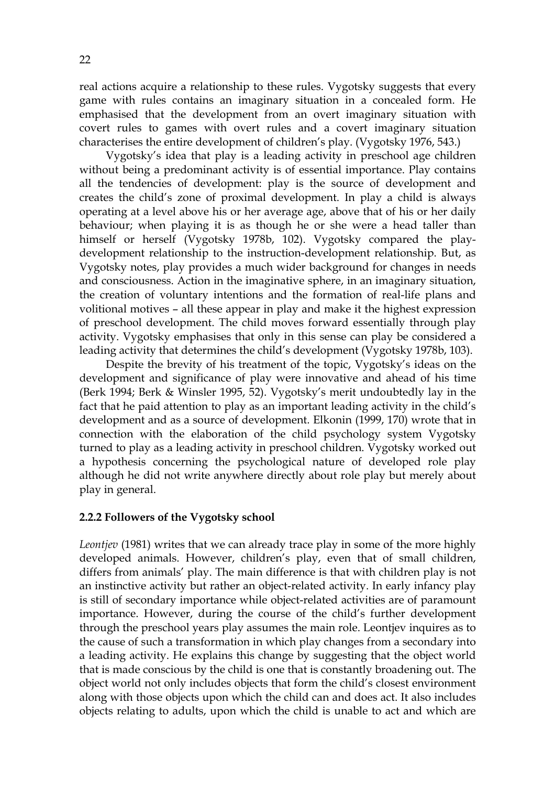real actions acquire a relationship to these rules. Vygotsky suggests that every game with rules contains an imaginary situation in a concealed form. He emphasised that the development from an overt imaginary situation with covert rules to games with overt rules and a covert imaginary situation characterises the entire development of children's play. (Vygotsky 1976, 543.)

 Vygotsky's idea that play is a leading activity in preschool age children without being a predominant activity is of essential importance. Play contains all the tendencies of development: play is the source of development and creates the child's zone of proximal development. In play a child is always operating at a level above his or her average age, above that of his or her daily behaviour; when playing it is as though he or she were a head taller than himself or herself (Vygotsky 1978b, 102). Vygotsky compared the playdevelopment relationship to the instruction-development relationship. But, as Vygotsky notes, play provides a much wider background for changes in needs and consciousness. Action in the imaginative sphere, in an imaginary situation, the creation of voluntary intentions and the formation of real-life plans and volitional motives – all these appear in play and make it the highest expression of preschool development. The child moves forward essentially through play activity. Vygotsky emphasises that only in this sense can play be considered a leading activity that determines the child's development (Vygotsky 1978b, 103).

 Despite the brevity of his treatment of the topic, Vygotsky's ideas on the development and significance of play were innovative and ahead of his time (Berk 1994; Berk & Winsler 1995, 52). Vygotsky's merit undoubtedly lay in the fact that he paid attention to play as an important leading activity in the child's development and as a source of development. Elkonin (1999, 170) wrote that in connection with the elaboration of the child psychology system Vygotsky turned to play as a leading activity in preschool children. Vygotsky worked out a hypothesis concerning the psychological nature of developed role play although he did not write anywhere directly about role play but merely about play in general.

#### **2.2.2 Followers of the Vygotsky school**

*Leontjev* (1981) writes that we can already trace play in some of the more highly developed animals. However, children's play, even that of small children, differs from animals' play. The main difference is that with children play is not an instinctive activity but rather an object-related activity. In early infancy play is still of secondary importance while object-related activities are of paramount importance. However, during the course of the child's further development through the preschool years play assumes the main role. Leontjev inquires as to the cause of such a transformation in which play changes from a secondary into a leading activity. He explains this change by suggesting that the object world that is made conscious by the child is one that is constantly broadening out. The object world not only includes objects that form the child's closest environment along with those objects upon which the child can and does act. It also includes objects relating to adults, upon which the child is unable to act and which are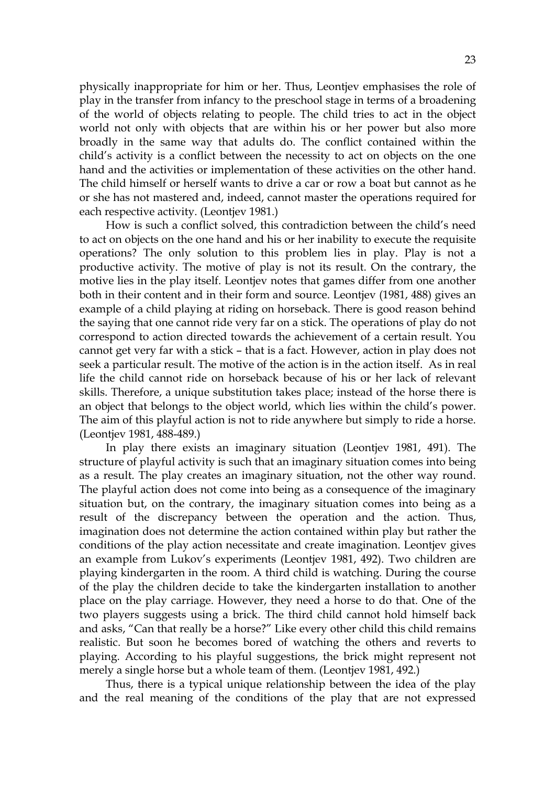physically inappropriate for him or her. Thus, Leontjev emphasises the role of play in the transfer from infancy to the preschool stage in terms of a broadening of the world of objects relating to people. The child tries to act in the object world not only with objects that are within his or her power but also more broadly in the same way that adults do. The conflict contained within the child's activity is a conflict between the necessity to act on objects on the one hand and the activities or implementation of these activities on the other hand. The child himself or herself wants to drive a car or row a boat but cannot as he or she has not mastered and, indeed, cannot master the operations required for each respective activity. (Leontjev 1981.)

 How is such a conflict solved, this contradiction between the child's need to act on objects on the one hand and his or her inability to execute the requisite operations? The only solution to this problem lies in play. Play is not a productive activity. The motive of play is not its result. On the contrary, the motive lies in the play itself. Leontjev notes that games differ from one another both in their content and in their form and source. Leontjev (1981, 488) gives an example of a child playing at riding on horseback. There is good reason behind the saying that one cannot ride very far on a stick. The operations of play do not correspond to action directed towards the achievement of a certain result. You cannot get very far with a stick – that is a fact. However, action in play does not seek a particular result. The motive of the action is in the action itself. As in real life the child cannot ride on horseback because of his or her lack of relevant skills. Therefore, a unique substitution takes place; instead of the horse there is an object that belongs to the object world, which lies within the child's power. The aim of this playful action is not to ride anywhere but simply to ride a horse. (Leontjev 1981, 488-489.)

 In play there exists an imaginary situation (Leontjev 1981, 491). The structure of playful activity is such that an imaginary situation comes into being as a result. The play creates an imaginary situation, not the other way round. The playful action does not come into being as a consequence of the imaginary situation but, on the contrary, the imaginary situation comes into being as a result of the discrepancy between the operation and the action. Thus, imagination does not determine the action contained within play but rather the conditions of the play action necessitate and create imagination. Leontjev gives an example from Lukov's experiments (Leontjev 1981, 492). Two children are playing kindergarten in the room. A third child is watching. During the course of the play the children decide to take the kindergarten installation to another place on the play carriage. However, they need a horse to do that. One of the two players suggests using a brick. The third child cannot hold himself back and asks, "Can that really be a horse?" Like every other child this child remains realistic. But soon he becomes bored of watching the others and reverts to playing. According to his playful suggestions, the brick might represent not merely a single horse but a whole team of them. (Leontjev 1981, 492.)

 Thus, there is a typical unique relationship between the idea of the play and the real meaning of the conditions of the play that are not expressed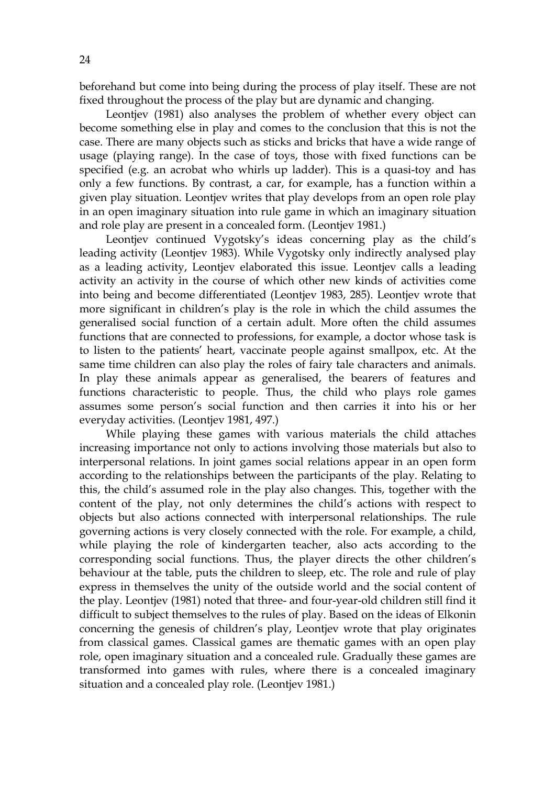beforehand but come into being during the process of play itself. These are not fixed throughout the process of the play but are dynamic and changing.

 Leontjev (1981) also analyses the problem of whether every object can become something else in play and comes to the conclusion that this is not the case. There are many objects such as sticks and bricks that have a wide range of usage (playing range). In the case of toys, those with fixed functions can be specified (e.g. an acrobat who whirls up ladder). This is a quasi-toy and has only a few functions. By contrast, a car, for example, has a function within a given play situation. Leontjev writes that play develops from an open role play in an open imaginary situation into rule game in which an imaginary situation and role play are present in a concealed form. (Leontjev 1981.)

 Leontjev continued Vygotsky's ideas concerning play as the child's leading activity (Leontjev 1983). While Vygotsky only indirectly analysed play as a leading activity, Leontjev elaborated this issue. Leontjev calls a leading activity an activity in the course of which other new kinds of activities come into being and become differentiated (Leontjev 1983, 285). Leontjev wrote that more significant in children's play is the role in which the child assumes the generalised social function of a certain adult. More often the child assumes functions that are connected to professions, for example, a doctor whose task is to listen to the patients' heart, vaccinate people against smallpox, etc. At the same time children can also play the roles of fairy tale characters and animals. In play these animals appear as generalised, the bearers of features and functions characteristic to people. Thus, the child who plays role games assumes some person's social function and then carries it into his or her everyday activities. (Leontjev 1981, 497.)

 While playing these games with various materials the child attaches increasing importance not only to actions involving those materials but also to interpersonal relations. In joint games social relations appear in an open form according to the relationships between the participants of the play. Relating to this, the child's assumed role in the play also changes. This, together with the content of the play, not only determines the child's actions with respect to objects but also actions connected with interpersonal relationships. The rule governing actions is very closely connected with the role. For example, a child, while playing the role of kindergarten teacher, also acts according to the corresponding social functions. Thus, the player directs the other children's behaviour at the table, puts the children to sleep, etc. The role and rule of play express in themselves the unity of the outside world and the social content of the play. Leontjev (1981) noted that three- and four-year-old children still find it difficult to subject themselves to the rules of play. Based on the ideas of Elkonin concerning the genesis of children's play, Leontjev wrote that play originates from classical games. Classical games are thematic games with an open play role, open imaginary situation and a concealed rule. Gradually these games are transformed into games with rules, where there is a concealed imaginary situation and a concealed play role. (Leontjev 1981.)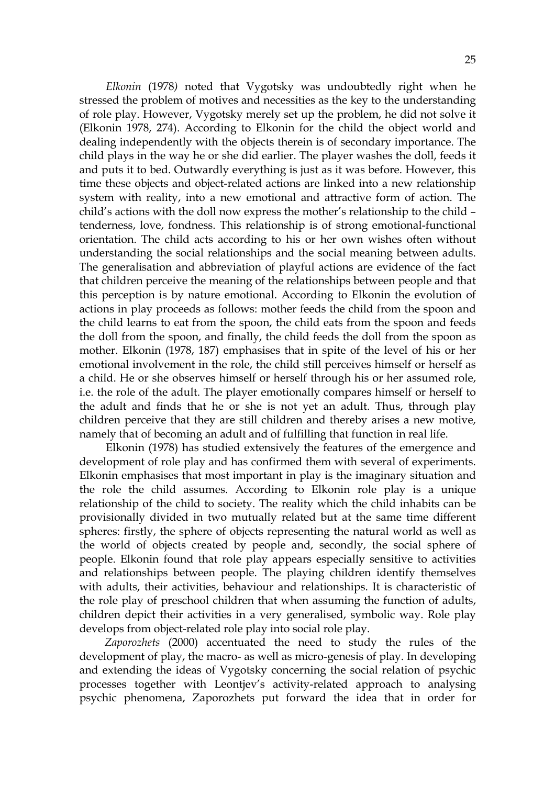*Elkonin* (1978*)* noted that Vygotsky was undoubtedly right when he stressed the problem of motives and necessities as the key to the understanding of role play. However, Vygotsky merely set up the problem, he did not solve it (Elkonin 1978, 274). According to Elkonin for the child the object world and dealing independently with the objects therein is of secondary importance. The child plays in the way he or she did earlier. The player washes the doll, feeds it and puts it to bed. Outwardly everything is just as it was before. However, this time these objects and object-related actions are linked into a new relationship system with reality, into a new emotional and attractive form of action. The child's actions with the doll now express the mother's relationship to the child – tenderness, love, fondness. This relationship is of strong emotional-functional orientation. The child acts according to his or her own wishes often without understanding the social relationships and the social meaning between adults. The generalisation and abbreviation of playful actions are evidence of the fact that children perceive the meaning of the relationships between people and that this perception is by nature emotional. According to Elkonin the evolution of actions in play proceeds as follows: mother feeds the child from the spoon and the child learns to eat from the spoon, the child eats from the spoon and feeds the doll from the spoon, and finally, the child feeds the doll from the spoon as mother. Elkonin (1978, 187) emphasises that in spite of the level of his or her emotional involvement in the role, the child still perceives himself or herself as a child. He or she observes himself or herself through his or her assumed role, i.e. the role of the adult. The player emotionally compares himself or herself to the adult and finds that he or she is not yet an adult. Thus, through play children perceive that they are still children and thereby arises a new motive, namely that of becoming an adult and of fulfilling that function in real life.

Elkonin (1978) has studied extensively the features of the emergence and development of role play and has confirmed them with several of experiments. Elkonin emphasises that most important in play is the imaginary situation and the role the child assumes. According to Elkonin role play is a unique relationship of the child to society. The reality which the child inhabits can be provisionally divided in two mutually related but at the same time different spheres: firstly, the sphere of objects representing the natural world as well as the world of objects created by people and, secondly, the social sphere of people. Elkonin found that role play appears especially sensitive to activities and relationships between people. The playing children identify themselves with adults, their activities, behaviour and relationships. It is characteristic of the role play of preschool children that when assuming the function of adults, children depict their activities in a very generalised, symbolic way. Role play develops from object-related role play into social role play.

 *Zaporozhets* (2000) accentuated the need to study the rules of the development of play, the macro- as well as micro-genesis of play. In developing and extending the ideas of Vygotsky concerning the social relation of psychic processes together with Leontjev's activity-related approach to analysing psychic phenomena, Zaporozhets put forward the idea that in order for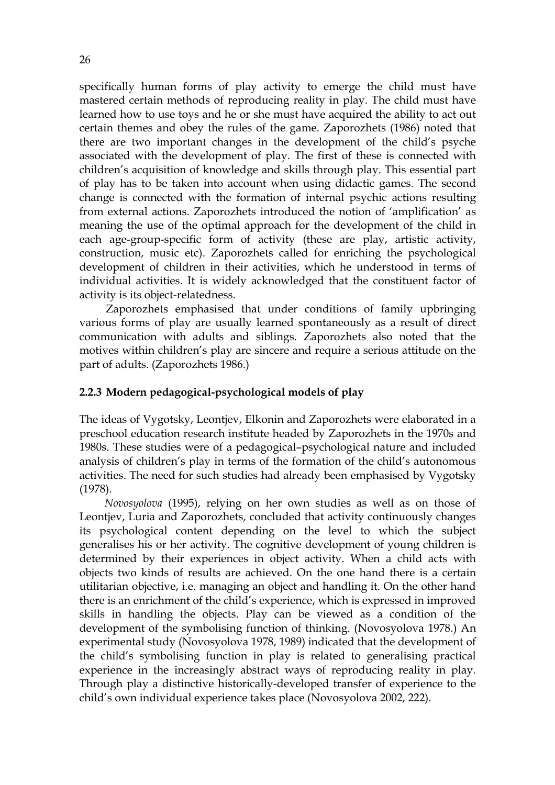specifically human forms of play activity to emerge the child must have mastered certain methods of reproducing reality in play. The child must have learned how to use toys and he or she must have acquired the ability to act out certain themes and obey the rules of the game. Zaporozhets (1986) noted that there are two important changes in the development of the child's psyche associated with the development of play. The first of these is connected with children's acquisition of knowledge and skills through play. This essential part of play has to be taken into account when using didactic games. The second change is connected with the formation of internal psychic actions resulting from external actions. Zaporozhets introduced the notion of 'amplification' as meaning the use of the optimal approach for the development of the child in each age-group-specific form of activity (these are play, artistic activity, construction, music etc). Zaporozhets called for enriching the psychological development of children in their activities, which he understood in terms of individual activities. It is widely acknowledged that the constituent factor of activity is its object-relatedness.

 Zaporozhets emphasised that under conditions of family upbringing various forms of play are usually learned spontaneously as a result of direct communication with adults and siblings. Zaporozhets also noted that the motives within children's play are sincere and require a serious attitude on the part of adults. (Zaporozhets 1986.)

#### **2.2.3 Modern pedagogical-psychological models of play**

The ideas of Vygotsky, Leontjev, Elkonin and Zaporozhets were elaborated in a preschool education research institute headed by Zaporozhets in the 1970s and 1980s. These studies were of a pedagogical–psychological nature and included analysis of children's play in terms of the formation of the child's autonomous activities. The need for such studies had already been emphasised by Vygotsky (1978).

 *Novosyolova* (1995), relying on her own studies as well as on those of Leontjev, Luria and Zaporozhets, concluded that activity continuously changes its psychological content depending on the level to which the subject generalises his or her activity. The cognitive development of young children is determined by their experiences in object activity. When a child acts with objects two kinds of results are achieved. On the one hand there is a certain utilitarian objective, i.e. managing an object and handling it. On the other hand there is an enrichment of the child's experience, which is expressed in improved skills in handling the objects. Play can be viewed as a condition of the development of the symbolising function of thinking. (Novosyolova 1978.) An experimental study (Novosyolova 1978, 1989) indicated that the development of the child's symbolising function in play is related to generalising practical experience in the increasingly abstract ways of reproducing reality in play. Through play a distinctive historically-developed transfer of experience to the child's own individual experience takes place (Novosyolova 2002, 222).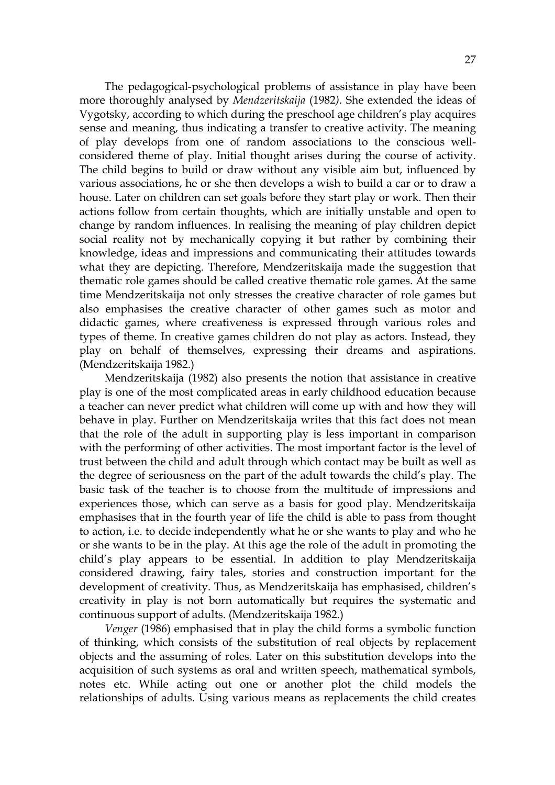The pedagogical-psychological problems of assistance in play have been more thoroughly analysed by *Mendzeritskaija* (1982*).* She extended the ideas of Vygotsky, according to which during the preschool age children's play acquires sense and meaning, thus indicating a transfer to creative activity. The meaning of play develops from one of random associations to the conscious wellconsidered theme of play. Initial thought arises during the course of activity. The child begins to build or draw without any visible aim but, influenced by various associations, he or she then develops a wish to build a car or to draw a house. Later on children can set goals before they start play or work. Then their actions follow from certain thoughts, which are initially unstable and open to change by random influences. In realising the meaning of play children depict social reality not by mechanically copying it but rather by combining their knowledge, ideas and impressions and communicating their attitudes towards what they are depicting. Therefore, Mendzeritskaija made the suggestion that thematic role games should be called creative thematic role games. At the same time Mendzeritskaija not only stresses the creative character of role games but also emphasises the creative character of other games such as motor and didactic games, where creativeness is expressed through various roles and types of theme. In creative games children do not play as actors. Instead, they play on behalf of themselves, expressing their dreams and aspirations. (Mendzeritskaija 1982.)

 Mendzeritskaija (1982) also presents the notion that assistance in creative play is one of the most complicated areas in early childhood education because a teacher can never predict what children will come up with and how they will behave in play. Further on Mendzeritskaija writes that this fact does not mean that the role of the adult in supporting play is less important in comparison with the performing of other activities. The most important factor is the level of trust between the child and adult through which contact may be built as well as the degree of seriousness on the part of the adult towards the child's play. The basic task of the teacher is to choose from the multitude of impressions and experiences those, which can serve as a basis for good play. Mendzeritskaija emphasises that in the fourth year of life the child is able to pass from thought to action, i.e. to decide independently what he or she wants to play and who he or she wants to be in the play. At this age the role of the adult in promoting the child's play appears to be essential. In addition to play Mendzeritskaija considered drawing, fairy tales, stories and construction important for the development of creativity. Thus, as Mendzeritskaija has emphasised, children's creativity in play is not born automatically but requires the systematic and continuous support of adults. (Mendzeritskaija 1982.)

 *Venger* (1986) emphasised that in play the child forms a symbolic function of thinking, which consists of the substitution of real objects by replacement objects and the assuming of roles. Later on this substitution develops into the acquisition of such systems as oral and written speech, mathematical symbols, notes etc. While acting out one or another plot the child models the relationships of adults. Using various means as replacements the child creates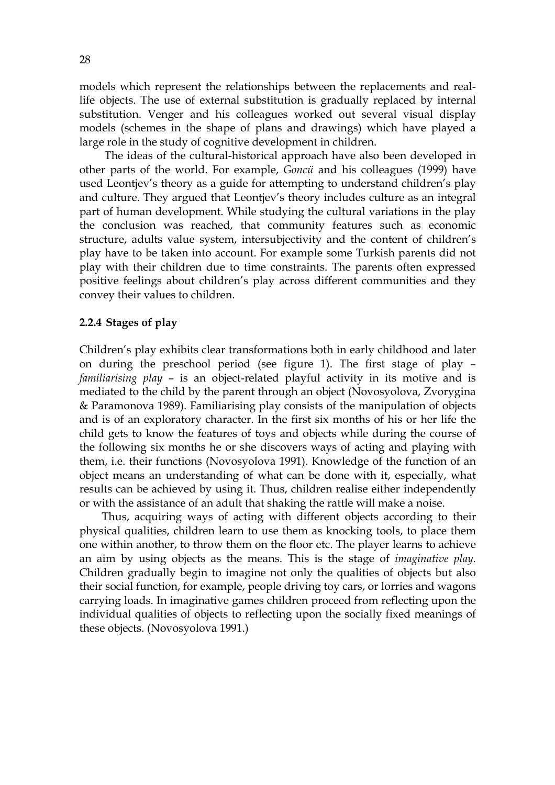models which represent the relationships between the replacements and reallife objects. The use of external substitution is gradually replaced by internal substitution. Venger and his colleagues worked out several visual display models (schemes in the shape of plans and drawings) which have played a large role in the study of cognitive development in children.

 The ideas of the cultural-historical approach have also been developed in other parts of the world. For example, *Goncü* and his colleagues (1999) have used Leontjev's theory as a guide for attempting to understand children's play and culture. They argued that Leontjev's theory includes culture as an integral part of human development. While studying the cultural variations in the play the conclusion was reached, that community features such as economic structure, adults value system, intersubjectivity and the content of children's play have to be taken into account. For example some Turkish parents did not play with their children due to time constraints. The parents often expressed positive feelings about children's play across different communities and they convey their values to children.

#### **2.2.4 Stages of play**

Children's play exhibits clear transformations both in early childhood and later on during the preschool period (see figure 1). The first stage of play – *familiarising play* – is an object-related playful activity in its motive and is mediated to the child by the parent through an object (Novosyolova, Zvorygina & Paramonova 1989). Familiarising play consists of the manipulation of objects and is of an exploratory character. In the first six months of his or her life the child gets to know the features of toys and objects while during the course of the following six months he or she discovers ways of acting and playing with them, i.e. their functions (Novosyolova 1991). Knowledge of the function of an object means an understanding of what can be done with it, especially, what results can be achieved by using it. Thus, children realise either independently or with the assistance of an adult that shaking the rattle will make a noise.

 Thus, acquiring ways of acting with different objects according to their physical qualities, children learn to use them as knocking tools, to place them one within another, to throw them on the floor etc. The player learns to achieve an aim by using objects as the means. This is the stage of *imaginative play.* Children gradually begin to imagine not only the qualities of objects but also their social function, for example, people driving toy cars, or lorries and wagons carrying loads. In imaginative games children proceed from reflecting upon the individual qualities of objects to reflecting upon the socially fixed meanings of these objects. (Novosyolova 1991.)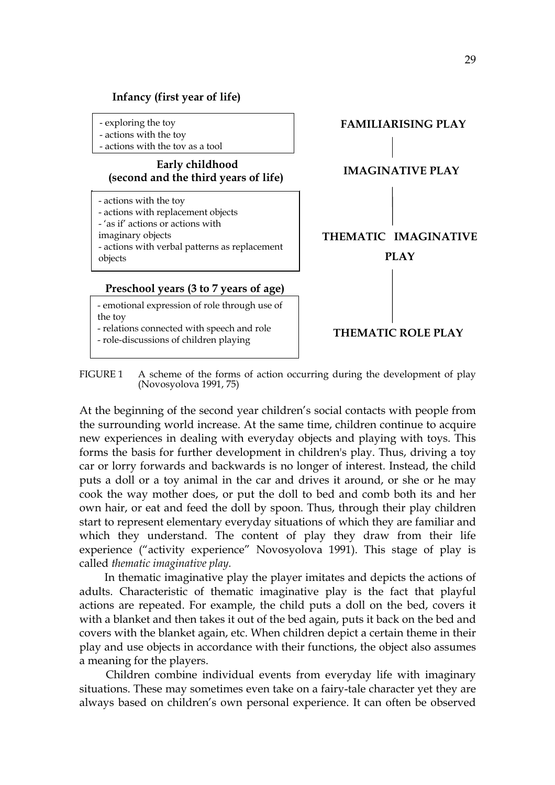

FIGURE 1 A scheme of the forms of action occurring during the development of play (Novosyolova 1991, 75)

At the beginning of the second year children's social contacts with people from the surrounding world increase. At the same time, children continue to acquire new experiences in dealing with everyday objects and playing with toys. This forms the basis for further development in children's play. Thus, driving a toy car or lorry forwards and backwards is no longer of interest. Instead, the child puts a doll or a toy animal in the car and drives it around, or she or he may cook the way mother does, or put the doll to bed and comb both its and her own hair, or eat and feed the doll by spoon. Thus, through their play children start to represent elementary everyday situations of which they are familiar and which they understand. The content of play they draw from their life experience ("activity experience" Novosyolova 1991). This stage of play is called *thematic imaginative play.*

In thematic imaginative play the player imitates and depicts the actions of adults. Characteristic of thematic imaginative play is the fact that playful actions are repeated. For example, the child puts a doll on the bed, covers it with a blanket and then takes it out of the bed again, puts it back on the bed and covers with the blanket again, etc. When children depict a certain theme in their play and use objects in accordance with their functions, the object also assumes a meaning for the players.

 Children combine individual events from everyday life with imaginary situations. These may sometimes even take on a fairy-tale character yet they are always based on children's own personal experience. It can often be observed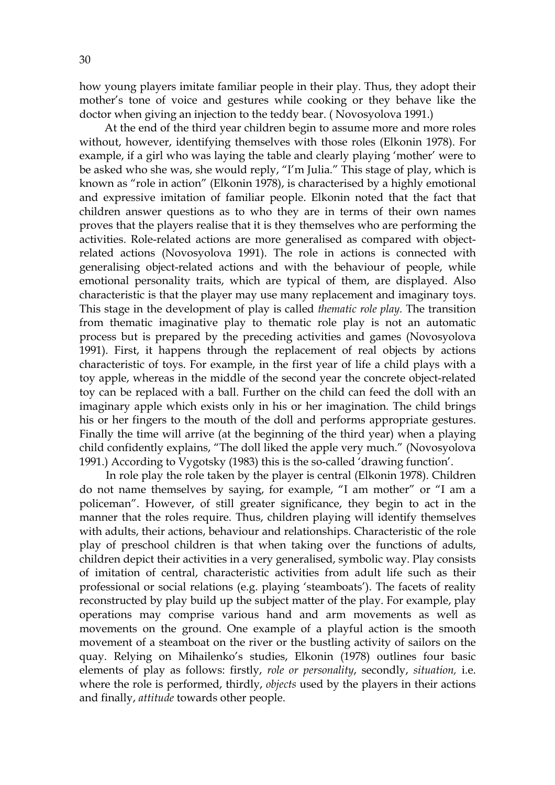30

how young players imitate familiar people in their play. Thus, they adopt their mother's tone of voice and gestures while cooking or they behave like the doctor when giving an injection to the teddy bear. ( Novosyolova 1991.)

 At the end of the third year children begin to assume more and more roles without, however, identifying themselves with those roles (Elkonin 1978). For example, if a girl who was laying the table and clearly playing 'mother' were to be asked who she was, she would reply, "I'm Julia." This stage of play, which is known as "role in action" (Elkonin 1978), is characterised by a highly emotional and expressive imitation of familiar people. Elkonin noted that the fact that children answer questions as to who they are in terms of their own names proves that the players realise that it is they themselves who are performing the activities. Role-related actions are more generalised as compared with objectrelated actions (Novosyolova 1991). The role in actions is connected with generalising object-related actions and with the behaviour of people, while emotional personality traits, which are typical of them, are displayed. Also characteristic is that the player may use many replacement and imaginary toys. This stage in the development of play is called *thematic role play.* The transition from thematic imaginative play to thematic role play is not an automatic process but is prepared by the preceding activities and games (Novosyolova 1991). First, it happens through the replacement of real objects by actions characteristic of toys. For example, in the first year of life a child plays with a toy apple, whereas in the middle of the second year the concrete object-related toy can be replaced with a ball. Further on the child can feed the doll with an imaginary apple which exists only in his or her imagination. The child brings his or her fingers to the mouth of the doll and performs appropriate gestures. Finally the time will arrive (at the beginning of the third year) when a playing child confidently explains, "The doll liked the apple very much." (Novosyolova 1991.) According to Vygotsky (1983) this is the so-called 'drawing function'.

 In role play the role taken by the player is central (Elkonin 1978). Children do not name themselves by saying, for example, "I am mother" or "I am a policeman". However, of still greater significance, they begin to act in the manner that the roles require. Thus, children playing will identify themselves with adults, their actions, behaviour and relationships. Characteristic of the role play of preschool children is that when taking over the functions of adults, children depict their activities in a very generalised, symbolic way. Play consists of imitation of central, characteristic activities from adult life such as their professional or social relations (e.g. playing 'steamboats'). The facets of reality reconstructed by play build up the subject matter of the play. For example, play operations may comprise various hand and arm movements as well as movements on the ground. One example of a playful action is the smooth movement of a steamboat on the river or the bustling activity of sailors on the quay. Relying on Mihailenko's studies, Elkonin (1978) outlines four basic elements of play as follows: firstly, *role or personality*, secondly, *situation,* i.e. where the role is performed, thirdly, *objects* used by the players in their actions and finally, *attitude* towards other people.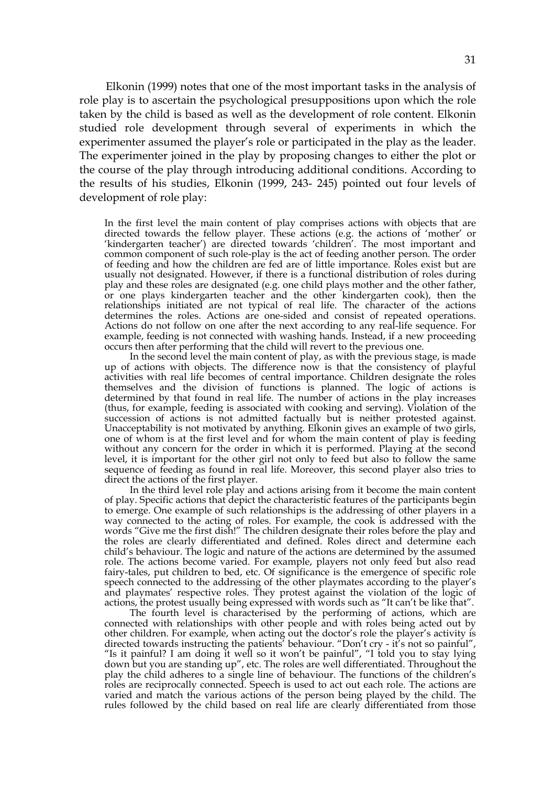Elkonin (1999) notes that one of the most important tasks in the analysis of role play is to ascertain the psychological presuppositions upon which the role taken by the child is based as well as the development of role content. Elkonin studied role development through several of experiments in which the experimenter assumed the player's role or participated in the play as the leader. The experimenter joined in the play by proposing changes to either the plot or the course of the play through introducing additional conditions. According to the results of his studies, Elkonin (1999, 243- 245) pointed out four levels of development of role play:

In the first level the main content of play comprises actions with objects that are directed towards the fellow player. These actions (e.g. the actions of 'mother' or 'kindergarten teacher') are directed towards 'children'. The most important and common component of such role-play is the act of feeding another person. The order of feeding and how the children are fed are of little importance. Roles exist but are usually not designated. However, if there is a functional distribution of roles during play and these roles are designated (e.g. one child plays mother and the other father, or one plays kindergarten teacher and the other kindergarten cook), then the relationships initiated are not typical of real life. The character of the actions determines the roles. Actions are one-sided and consist of repeated operations. Actions do not follow on one after the next according to any real-life sequence. For example, feeding is not connected with washing hands. Instead, if a new proceeding occurs then after performing that the child will revert to the previous one.

 In the second level the main content of play, as with the previous stage, is made up of actions with objects. The difference now is that the consistency of playful activities with real life becomes of central importance. Children designate the roles themselves and the division of functions is planned. The logic of actions is determined by that found in real life. The number of actions in the play increases (thus, for example, feeding is associated with cooking and serving). Violation of the succession of actions is not admitted factually but is neither protested against. Unacceptability is not motivated by anything. Elkonin gives an example of two girls, one of whom is at the first level and for whom the main content of play is feeding without any concern for the order in which it is performed. Playing at the second level, it is important for the other girl not only to feed but also to follow the same sequence of feeding as found in real life. Moreover, this second player also tries to direct the actions of the first player.

 In the third level role play and actions arising from it become the main content of play. Specific actions that depict the characteristic features of the participants begin to emerge. One example of such relationships is the addressing of other players in a way connected to the acting of roles. For example, the cook is addressed with the words "Give me the first dish!" The children designate their roles before the play and the roles are clearly differentiated and defined. Roles direct and determine each child's behaviour. The logic and nature of the actions are determined by the assumed role. The actions become varied. For example, players not only feed but also read fairy-tales, put children to bed, etc. Of significance is the emergence of specific role speech connected to the addressing of the other playmates according to the player's and playmates' respective roles. They protest against the violation of the logic of actions, the protest usually being expressed with words such as "It can't be like that".

 The fourth level is characterised by the performing of actions, which are connected with relationships with other people and with roles being acted out by other children. For example, when acting out the doctor's role the player's activity is directed towards instructing the patients' behaviour. "Don't cry - it's not so painful", "Is it painful? I am doing it well so it won't be painful", "I told you to stay lying down but you are standing up", etc. The roles are well differentiated. Throughout the play the child adheres to a single line of behaviour. The functions of the children's roles are reciprocally connected. Speech is used to act out each role. The actions are varied and match the various actions of the person being played by the child. The rules followed by the child based on real life are clearly differentiated from those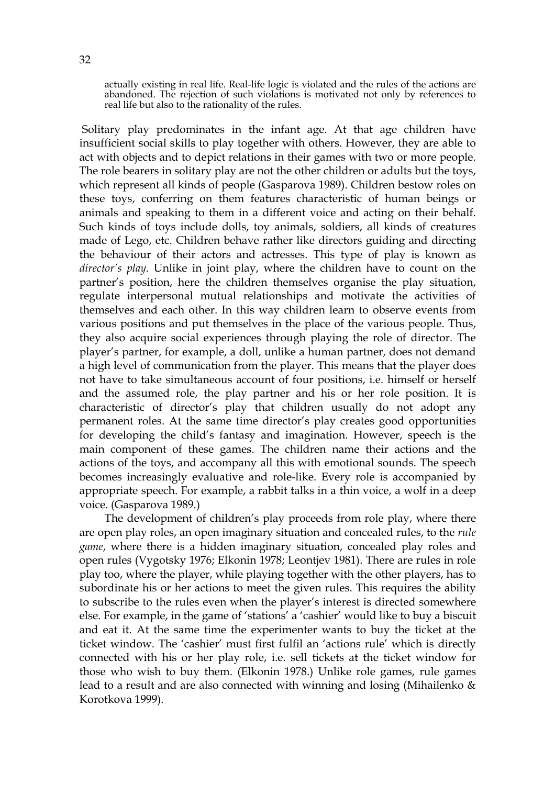actually existing in real life. Real-life logic is violated and the rules of the actions are abandoned. The rejection of such violations is motivated not only by references to real life but also to the rationality of the rules.

 Solitary play predominates in the infant age. At that age children have insufficient social skills to play together with others. However, they are able to act with objects and to depict relations in their games with two or more people. The role bearers in solitary play are not the other children or adults but the toys, which represent all kinds of people (Gasparova 1989). Children bestow roles on these toys, conferring on them features characteristic of human beings or animals and speaking to them in a different voice and acting on their behalf. Such kinds of toys include dolls, toy animals, soldiers, all kinds of creatures made of Lego, etc. Children behave rather like directors guiding and directing the behaviour of their actors and actresses. This type of play is known as *director's play.* Unlike in joint play, where the children have to count on the partner's position, here the children themselves organise the play situation, regulate interpersonal mutual relationships and motivate the activities of themselves and each other. In this way children learn to observe events from various positions and put themselves in the place of the various people. Thus, they also acquire social experiences through playing the role of director. The player's partner, for example, a doll, unlike a human partner, does not demand a high level of communication from the player. This means that the player does not have to take simultaneous account of four positions, i.e. himself or herself and the assumed role, the play partner and his or her role position. It is characteristic of director's play that children usually do not adopt any permanent roles. At the same time director's play creates good opportunities for developing the child's fantasy and imagination. However, speech is the main component of these games. The children name their actions and the actions of the toys, and accompany all this with emotional sounds. The speech becomes increasingly evaluative and role-like. Every role is accompanied by appropriate speech. For example, a rabbit talks in a thin voice, a wolf in a deep voice. (Gasparova 1989.)

The development of children's play proceeds from role play, where there are open play roles, an open imaginary situation and concealed rules, to the *rule game*, where there is a hidden imaginary situation, concealed play roles and open rules (Vygotsky 1976; Elkonin 1978; Leontjev 1981). There are rules in role play too, where the player, while playing together with the other players, has to subordinate his or her actions to meet the given rules. This requires the ability to subscribe to the rules even when the player's interest is directed somewhere else. For example, in the game of 'stations' a 'cashier' would like to buy a biscuit and eat it. At the same time the experimenter wants to buy the ticket at the ticket window. The 'cashier' must first fulfil an 'actions rule' which is directly connected with his or her play role, i.e. sell tickets at the ticket window for those who wish to buy them. (Elkonin 1978.) Unlike role games, rule games lead to a result and are also connected with winning and losing (Mihailenko & Korotkova 1999).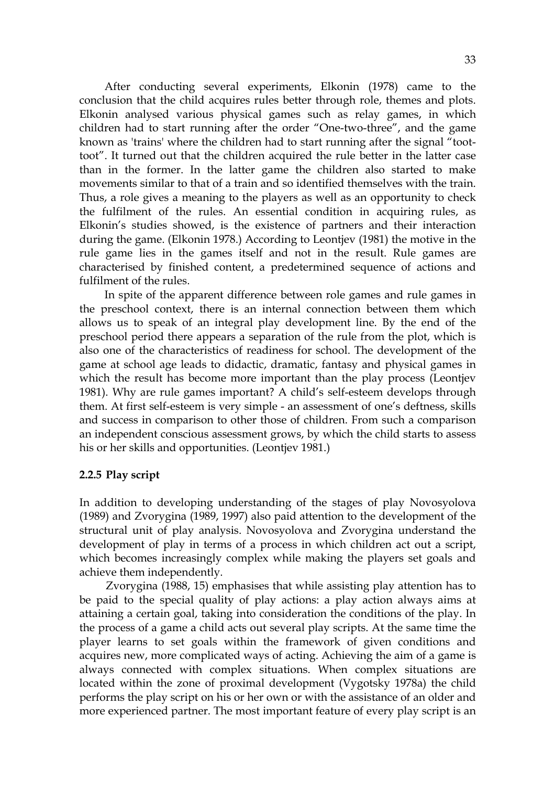After conducting several experiments, Elkonin (1978) came to the conclusion that the child acquires rules better through role, themes and plots. Elkonin analysed various physical games such as relay games, in which children had to start running after the order "One-two-three", and the game known as 'trains' where the children had to start running after the signal "toottoot". It turned out that the children acquired the rule better in the latter case than in the former. In the latter game the children also started to make movements similar to that of a train and so identified themselves with the train. Thus, a role gives a meaning to the players as well as an opportunity to check the fulfilment of the rules. An essential condition in acquiring rules, as Elkonin's studies showed, is the existence of partners and their interaction during the game. (Elkonin 1978.) According to Leontjev (1981) the motive in the rule game lies in the games itself and not in the result. Rule games are characterised by finished content, a predetermined sequence of actions and fulfilment of the rules.

In spite of the apparent difference between role games and rule games in the preschool context, there is an internal connection between them which allows us to speak of an integral play development line. By the end of the preschool period there appears a separation of the rule from the plot, which is also one of the characteristics of readiness for school. The development of the game at school age leads to didactic, dramatic, fantasy and physical games in which the result has become more important than the play process (Leontjev 1981). Why are rule games important? A child's self-esteem develops through them. At first self-esteem is very simple - an assessment of one's deftness, skills and success in comparison to other those of children. From such a comparison an independent conscious assessment grows, by which the child starts to assess his or her skills and opportunities. (Leontjev 1981.)

#### **2.2.5 Play script**

In addition to developing understanding of the stages of play Novosyolova (1989) and Zvorygina (1989, 1997) also paid attention to the development of the structural unit of play analysis. Novosyolova and Zvorygina understand the development of play in terms of a process in which children act out a script, which becomes increasingly complex while making the players set goals and achieve them independently.

 Zvorygina (1988, 15) emphasises that while assisting play attention has to be paid to the special quality of play actions: a play action always aims at attaining a certain goal, taking into consideration the conditions of the play. In the process of a game a child acts out several play scripts. At the same time the player learns to set goals within the framework of given conditions and acquires new, more complicated ways of acting. Achieving the aim of a game is always connected with complex situations. When complex situations are located within the zone of proximal development (Vygotsky 1978a) the child performs the play script on his or her own or with the assistance of an older and more experienced partner. The most important feature of every play script is an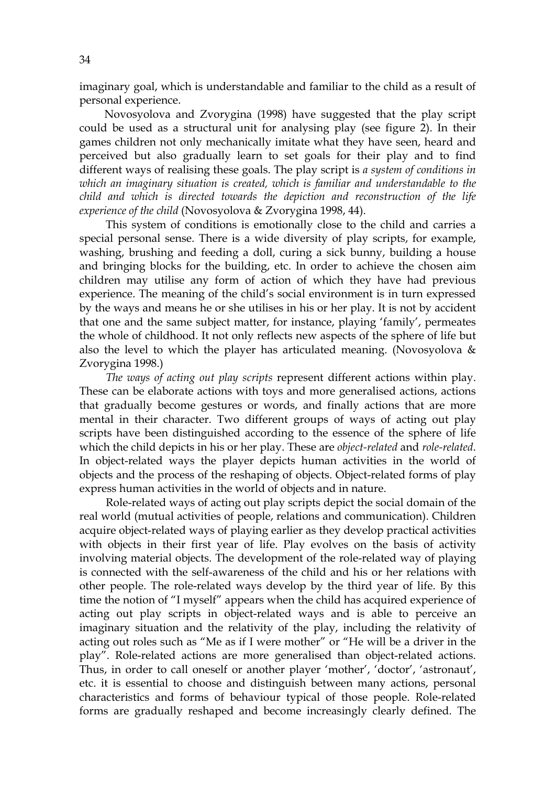imaginary goal, which is understandable and familiar to the child as a result of personal experience.

 Novosyolova and Zvorygina (1998) have suggested that the play script could be used as a structural unit for analysing play (see figure 2). In their games children not only mechanically imitate what they have seen, heard and perceived but also gradually learn to set goals for their play and to find different ways of realising these goals. The play script is *a system of conditions in which an imaginary situation is created, which is familiar and understandable to the child and which is directed towards the depiction and reconstruction of the life experience of the child* (Novosyolova & Zvorygina 1998, 44).

This system of conditions is emotionally close to the child and carries a special personal sense. There is a wide diversity of play scripts, for example, washing, brushing and feeding a doll, curing a sick bunny, building a house and bringing blocks for the building, etc. In order to achieve the chosen aim children may utilise any form of action of which they have had previous experience. The meaning of the child's social environment is in turn expressed by the ways and means he or she utilises in his or her play. It is not by accident that one and the same subject matter, for instance, playing 'family', permeates the whole of childhood. It not only reflects new aspects of the sphere of life but also the level to which the player has articulated meaning. (Novosyolova  $\&$ Zvorygina 1998.)

 *The ways of acting out play scripts* represent different actions within play. These can be elaborate actions with toys and more generalised actions, actions that gradually become gestures or words, and finally actions that are more mental in their character. Two different groups of ways of acting out play scripts have been distinguished according to the essence of the sphere of life which the child depicts in his or her play. These are *object-related* and *role-related*. In object-related ways the player depicts human activities in the world of objects and the process of the reshaping of objects. Object-related forms of play express human activities in the world of objects and in nature.

Role-related ways of acting out play scripts depict the social domain of the real world (mutual activities of people, relations and communication). Children acquire object-related ways of playing earlier as they develop practical activities with objects in their first year of life. Play evolves on the basis of activity involving material objects. The development of the role-related way of playing is connected with the self-awareness of the child and his or her relations with other people. The role-related ways develop by the third year of life. By this time the notion of "I myself" appears when the child has acquired experience of acting out play scripts in object-related ways and is able to perceive an imaginary situation and the relativity of the play, including the relativity of acting out roles such as "Me as if I were mother" or "He will be a driver in the play". Role-related actions are more generalised than object-related actions. Thus, in order to call oneself or another player 'mother', 'doctor', 'astronaut', etc. it is essential to choose and distinguish between many actions, personal characteristics and forms of behaviour typical of those people. Role-related forms are gradually reshaped and become increasingly clearly defined. The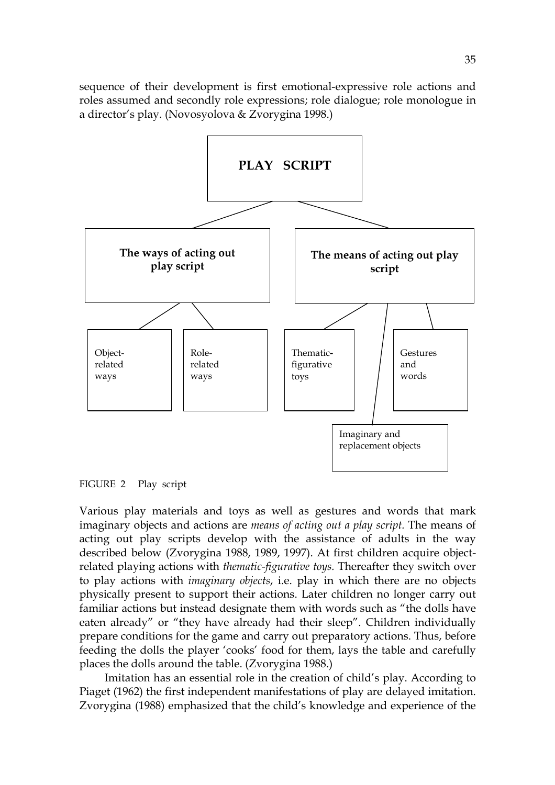sequence of their development is first emotional-expressive role actions and roles assumed and secondly role expressions; role dialogue; role monologue in a director's play. (Novosyolova & Zvorygina 1998.)



FIGURE 2 Play script

Various play materials and toys as well as gestures and words that mark imaginary objects and actions are *means of acting out a play script.* The means of acting out play scripts develop with the assistance of adults in the way described below (Zvorygina 1988, 1989, 1997). At first children acquire objectrelated playing actions with *thematic-figurative toys.* Thereafter they switch over to play actions with *imaginary objects*, i.e. play in which there are no objects physically present to support their actions. Later children no longer carry out familiar actions but instead designate them with words such as "the dolls have eaten already" or "they have already had their sleep". Children individually prepare conditions for the game and carry out preparatory actions. Thus, before feeding the dolls the player 'cooks' food for them, lays the table and carefully places the dolls around the table. (Zvorygina 1988.)

 Imitation has an essential role in the creation of child's play. According to Piaget (1962) the first independent manifestations of play are delayed imitation. Zvorygina (1988) emphasized that the child's knowledge and experience of the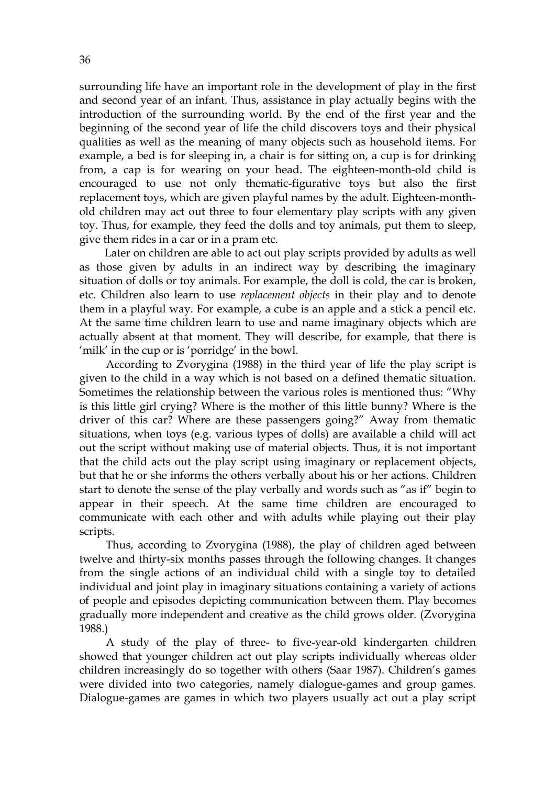surrounding life have an important role in the development of play in the first and second year of an infant. Thus, assistance in play actually begins with the introduction of the surrounding world. By the end of the first year and the beginning of the second year of life the child discovers toys and their physical qualities as well as the meaning of many objects such as household items. For example, a bed is for sleeping in, a chair is for sitting on, a cup is for drinking from, a cap is for wearing on your head. The eighteen-month*-*old child is encouraged to use not only thematic-figurative toys but also the first replacement toys, which are given playful names by the adult. Eighteen-monthold children may act out three to four elementary play scripts with any given toy. Thus, for example, they feed the dolls and toy animals, put them to sleep, give them rides in a car or in a pram etc.

 Later on children are able to act out play scripts provided by adults as well as those given by adults in an indirect way by describing the imaginary situation of dolls or toy animals. For example, the doll is cold, the car is broken, etc. Children also learn to use *replacement objects* in their play and to denote them in a playful way. For example, a cube is an apple and a stick a pencil etc. At the same time children learn to use and name imaginary objects which are actually absent at that moment. They will describe, for example, that there is 'milk' in the cup or is 'porridge' in the bowl.

According to Zvorygina (1988) in the third year of life the play script is given to the child in a way which is not based on a defined thematic situation. Sometimes the relationship between the various roles is mentioned thus: "Why is this little girl crying? Where is the mother of this little bunny? Where is the driver of this car? Where are these passengers going?" Away from thematic situations, when toys (e.g. various types of dolls) are available a child will act out the script without making use of material objects. Thus, it is not important that the child acts out the play script using imaginary or replacement objects, but that he or she informs the others verbally about his or her actions. Children start to denote the sense of the play verbally and words such as "as if" begin to appear in their speech. At the same time children are encouraged to communicate with each other and with adults while playing out their play scripts.

Thus, according to Zvorygina (1988), the play of children aged between twelve and thirty-six months passes through the following changes. It changes from the single actions of an individual child with a single toy to detailed individual and joint play in imaginary situations containing a variety of actions of people and episodes depicting communication between them. Play becomes gradually more independent and creative as the child grows older. (Zvorygina 1988.)

A study of the play of three- to five-year-old kindergarten children showed that younger children act out play scripts individually whereas older children increasingly do so together with others (Saar 1987). Children's games were divided into two categories, namely dialogue-games and group games. Dialogue-games are games in which two players usually act out a play script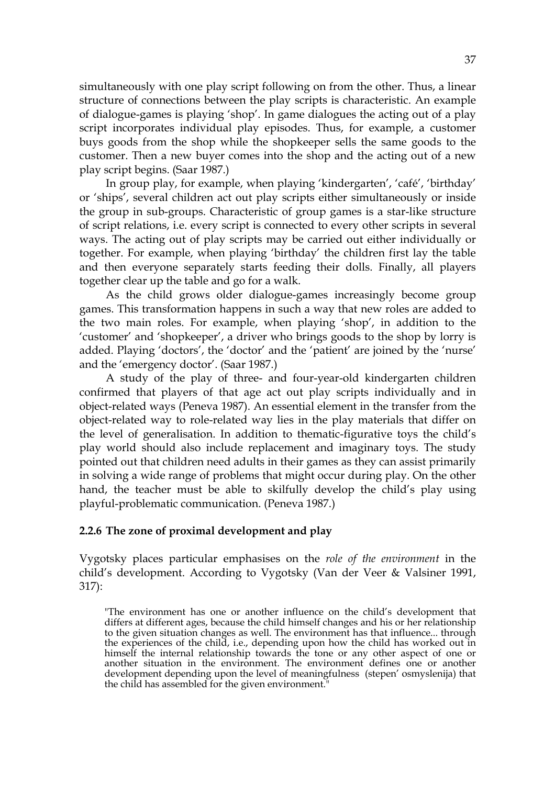simultaneously with one play script following on from the other. Thus, a linear structure of connections between the play scripts is characteristic. An example of dialogue-games is playing 'shop'. In game dialogues the acting out of a play script incorporates individual play episodes. Thus, for example, a customer buys goods from the shop while the shopkeeper sells the same goods to the customer. Then a new buyer comes into the shop and the acting out of a new play script begins. (Saar 1987.)

 In group play, for example, when playing 'kindergarten', 'café', 'birthday' or 'ships', several children act out play scripts either simultaneously or inside the group in sub-groups. Characteristic of group games is a star-like structure of script relations, i.e. every script is connected to every other scripts in several ways. The acting out of play scripts may be carried out either individually or together. For example, when playing 'birthday' the children first lay the table and then everyone separately starts feeding their dolls. Finally, all players together clear up the table and go for a walk.

 As the child grows older dialogue-games increasingly become group games. This transformation happens in such a way that new roles are added to the two main roles. For example, when playing 'shop', in addition to the 'customer' and 'shopkeeper', a driver who brings goods to the shop by lorry is added. Playing 'doctors', the 'doctor' and the 'patient' are joined by the 'nurse' and the 'emergency doctor'. (Saar 1987.)

 A study of the play of three- and four-year-old kindergarten children confirmed that players of that age act out play scripts individually and in object-related ways (Peneva 1987). An essential element in the transfer from the object-related way to role-related way lies in the play materials that differ on the level of generalisation. In addition to thematic-figurative toys the child's play world should also include replacement and imaginary toys. The study pointed out that children need adults in their games as they can assist primarily in solving a wide range of problems that might occur during play. On the other hand, the teacher must be able to skilfully develop the child's play using playful-problematic communication. (Peneva 1987.)

#### **2.2.6 The zone of proximal development and play**

Vygotsky places particular emphasises on the *role of the environment* in the child's development. According to Vygotsky (Van der Veer & Valsiner 1991, 317):

<sup>&</sup>quot;The environment has one or another influence on the child's development that differs at different ages, because the child himself changes and his or her relationship to the given situation changes as well. The environment has that influence... through the experiences of the child, i.e., depending upon how the child has worked out in himself the internal relationship towards the tone or any other aspect of one or another situation in the environment. The environment defines one or another development depending upon the level of meaningfulness (stepen' osmyslenija) that the child has assembled for the given environment."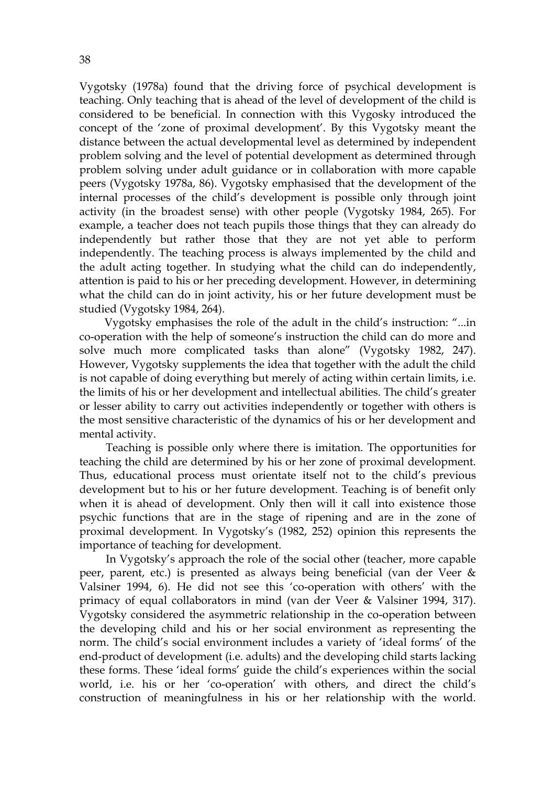Vygotsky (1978a) found that the driving force of psychical development is teaching. Only teaching that is ahead of the level of development of the child is considered to be beneficial. In connection with this Vygosky introduced the concept of the 'zone of proximal development'. By this Vygotsky meant the distance between the actual developmental level as determined by independent problem solving and the level of potential development as determined through problem solving under adult guidance or in collaboration with more capable peers (Vygotsky 1978a, 86). Vygotsky emphasised that the development of the internal processes of the child's development is possible only through joint activity (in the broadest sense) with other people (Vygotsky 1984, 265). For example, a teacher does not teach pupils those things that they can already do independently but rather those that they are not yet able to perform independently. The teaching process is always implemented by the child and the adult acting together. In studying what the child can do independently, attention is paid to his or her preceding development. However, in determining what the child can do in joint activity, his or her future development must be studied (Vygotsky 1984, 264).

 Vygotsky emphasises the role of the adult in the child's instruction: "...in co-operation with the help of someone's instruction the child can do more and solve much more complicated tasks than alone" (Vygotsky 1982, 247). However, Vygotsky supplements the idea that together with the adult the child is not capable of doing everything but merely of acting within certain limits, i.e. the limits of his or her development and intellectual abilities. The child's greater or lesser ability to carry out activities independently or together with others is the most sensitive characteristic of the dynamics of his or her development and mental activity.

Teaching is possible only where there is imitation. The opportunities for teaching the child are determined by his or her zone of proximal development. Thus, educational process must orientate itself not to the child's previous development but to his or her future development. Teaching is of benefit only when it is ahead of development. Only then will it call into existence those psychic functions that are in the stage of ripening and are in the zone of proximal development. In Vygotsky's (1982, 252) opinion this represents the importance of teaching for development.

 In Vygotsky's approach the role of the social other (teacher, more capable peer, parent, etc.) is presented as always being beneficial (van der Veer & Valsiner 1994, 6). He did not see this 'co-operation with others' with the primacy of equal collaborators in mind (van der Veer & Valsiner 1994, 317). Vygotsky considered the asymmetric relationship in the co-operation between the developing child and his or her social environment as representing the norm. The child's social environment includes a variety of 'ideal forms' of the end-product of development (i.e. adults) and the developing child starts lacking these forms. These 'ideal forms' guide the child's experiences within the social world, i.e. his or her 'co-operation' with others, and direct the child's construction of meaningfulness in his or her relationship with the world.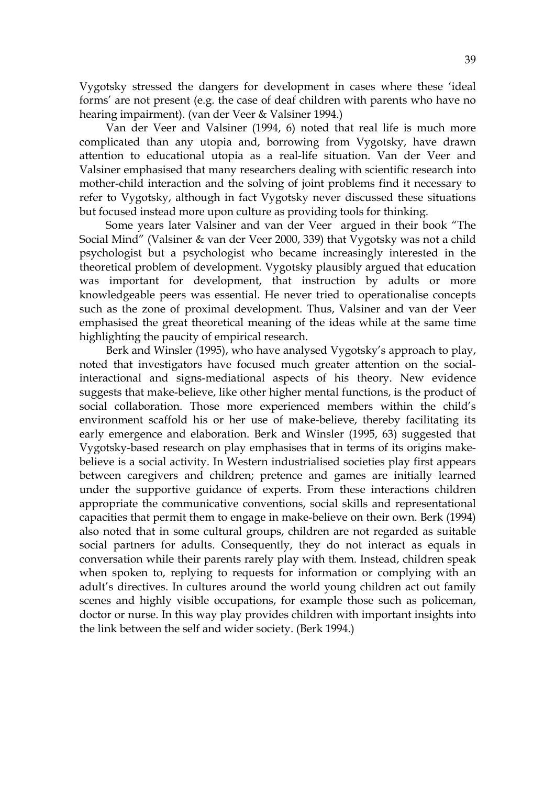Vygotsky stressed the dangers for development in cases where these 'ideal forms' are not present (e.g. the case of deaf children with parents who have no hearing impairment). (van der Veer & Valsiner 1994.)

 Van der Veer and Valsiner (1994, 6) noted that real life is much more complicated than any utopia and, borrowing from Vygotsky, have drawn attention to educational utopia as a real-life situation. Van der Veer and Valsiner emphasised that many researchers dealing with scientific research into mother-child interaction and the solving of joint problems find it necessary to refer to Vygotsky, although in fact Vygotsky never discussed these situations but focused instead more upon culture as providing tools for thinking.

 Some years later Valsiner and van der Veer argued in their book "The Social Mind" (Valsiner & van der Veer 2000, 339) that Vygotsky was not a child psychologist but a psychologist who became increasingly interested in the theoretical problem of development. Vygotsky plausibly argued that education was important for development, that instruction by adults or more knowledgeable peers was essential. He never tried to operationalise concepts such as the zone of proximal development. Thus, Valsiner and van der Veer emphasised the great theoretical meaning of the ideas while at the same time highlighting the paucity of empirical research.

 Berk and Winsler (1995), who have analysed Vygotsky's approach to play, noted that investigators have focused much greater attention on the socialinteractional and signs-mediational aspects of his theory. New evidence suggests that make-believe, like other higher mental functions, is the product of social collaboration. Those more experienced members within the child's environment scaffold his or her use of make-believe, thereby facilitating its early emergence and elaboration. Berk and Winsler (1995, 63) suggested that Vygotsky-based research on play emphasises that in terms of its origins makebelieve is a social activity. In Western industrialised societies play first appears between caregivers and children; pretence and games are initially learned under the supportive guidance of experts. From these interactions children appropriate the communicative conventions, social skills and representational capacities that permit them to engage in make-believe on their own. Berk (1994) also noted that in some cultural groups, children are not regarded as suitable social partners for adults. Consequently, they do not interact as equals in conversation while their parents rarely play with them. Instead, children speak when spoken to, replying to requests for information or complying with an adult's directives. In cultures around the world young children act out family scenes and highly visible occupations, for example those such as policeman, doctor or nurse. In this way play provides children with important insights into the link between the self and wider society. (Berk 1994.)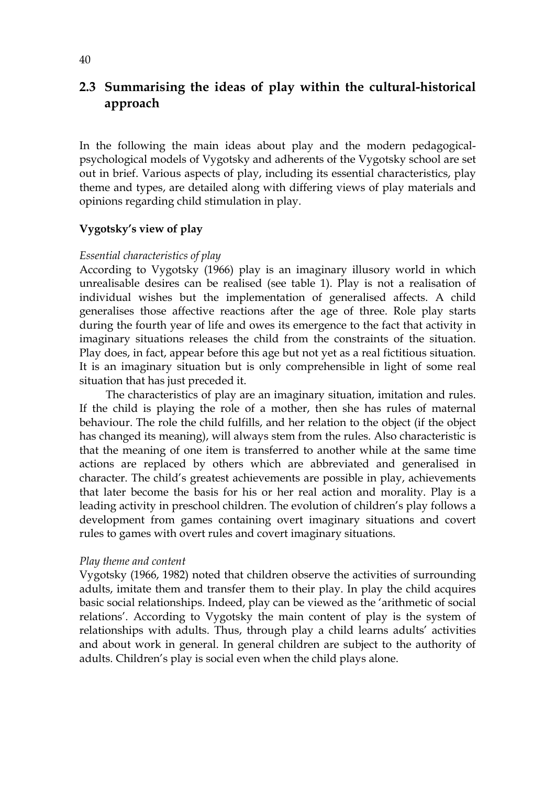## **2.3 Summarising the ideas of play within the cultural-historical approach**

In the following the main ideas about play and the modern pedagogicalpsychological models of Vygotsky and adherents of the Vygotsky school are set out in brief. Various aspects of play, including its essential characteristics, play theme and types, are detailed along with differing views of play materials and opinions regarding child stimulation in play.

## **Vygotsky's view of play**

## *Essential characteristics of play*

According to Vygotsky (1966) play is an imaginary illusory world in which unrealisable desires can be realised (see table 1). Play is not a realisation of individual wishes but the implementation of generalised affects. A child generalises those affective reactions after the age of three. Role play starts during the fourth year of life and owes its emergence to the fact that activity in imaginary situations releases the child from the constraints of the situation. Play does, in fact, appear before this age but not yet as a real fictitious situation. It is an imaginary situation but is only comprehensible in light of some real situation that has just preceded it.

The characteristics of play are an imaginary situation, imitation and rules. If the child is playing the role of a mother, then she has rules of maternal behaviour. The role the child fulfills, and her relation to the object (if the object has changed its meaning), will always stem from the rules. Also characteristic is that the meaning of one item is transferred to another while at the same time actions are replaced by others which are abbreviated and generalised in character. The child's greatest achievements are possible in play, achievements that later become the basis for his or her real action and morality. Play is a leading activity in preschool children. The evolution of children's play follows a development from games containing overt imaginary situations and covert rules to games with overt rules and covert imaginary situations.

## *Play theme and content*

Vygotsky (1966, 1982) noted that children observe the activities of surrounding adults, imitate them and transfer them to their play. In play the child acquires basic social relationships. Indeed, play can be viewed as the 'arithmetic of social relations'. According to Vygotsky the main content of play is the system of relationships with adults. Thus, through play a child learns adults' activities and about work in general. In general children are subject to the authority of adults. Children's play is social even when the child plays alone.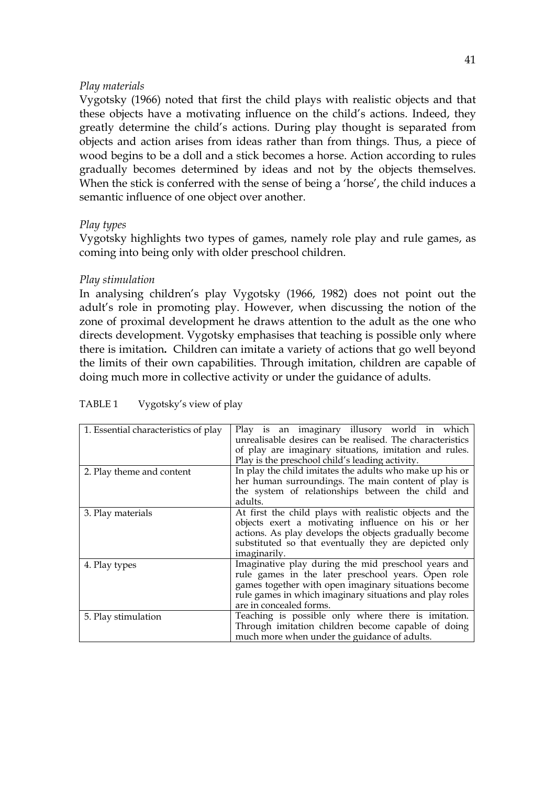### *Play materials*

Vygotsky (1966) noted that first the child plays with realistic objects and that these objects have a motivating influence on the child's actions. Indeed, they greatly determine the child's actions. During play thought is separated from objects and action arises from ideas rather than from things. Thus, a piece of wood begins to be a doll and a stick becomes a horse. Action according to rules gradually becomes determined by ideas and not by the objects themselves. When the stick is conferred with the sense of being a 'horse', the child induces a semantic influence of one object over another.

## *Play types*

Vygotsky highlights two types of games, namely role play and rule games, as coming into being only with older preschool children.

### *Play stimulation*

In analysing children's play Vygotsky (1966, 1982) does not point out the adult's role in promoting play. However, when discussing the notion of the zone of proximal development he draws attention to the adult as the one who directs development. Vygotsky emphasises that teaching is possible only where there is imitation**.** Children can imitate a variety of actions that go well beyond the limits of their own capabilities. Through imitation, children are capable of doing much more in collective activity or under the guidance of adults.

| 1. Essential characteristics of play | Play is an imaginary illusory world in which<br>unrealisable desires can be realised. The characteristics<br>of play are imaginary situations, imitation and rules.<br>Play is the preschool child's leading activity.                                  |  |  |  |
|--------------------------------------|---------------------------------------------------------------------------------------------------------------------------------------------------------------------------------------------------------------------------------------------------------|--|--|--|
| 2. Play theme and content            | In play the child imitates the adults who make up his or<br>her human surroundings. The main content of play is                                                                                                                                         |  |  |  |
|                                      | the system of relationships between the child and<br>adults.                                                                                                                                                                                            |  |  |  |
| 3. Play materials                    | At first the child plays with realistic objects and the<br>objects exert a motivating influence on his or her<br>actions. As play develops the objects gradually become<br>substituted so that eventually they are depicted only<br><i>imaginarily.</i> |  |  |  |
| 4. Play types                        | Imaginative play during the mid preschool years and<br>rule games in the later preschool years. Open role<br>games together with open imaginary situations become<br>rule games in which imaginary situations and play roles<br>are in concealed forms. |  |  |  |
| 5. Play stimulation                  | Teaching is possible only where there is imitation.<br>Through imitation children become capable of doing<br>much more when under the guidance of adults.                                                                                               |  |  |  |

TABLE 1 Vygotsky's view of play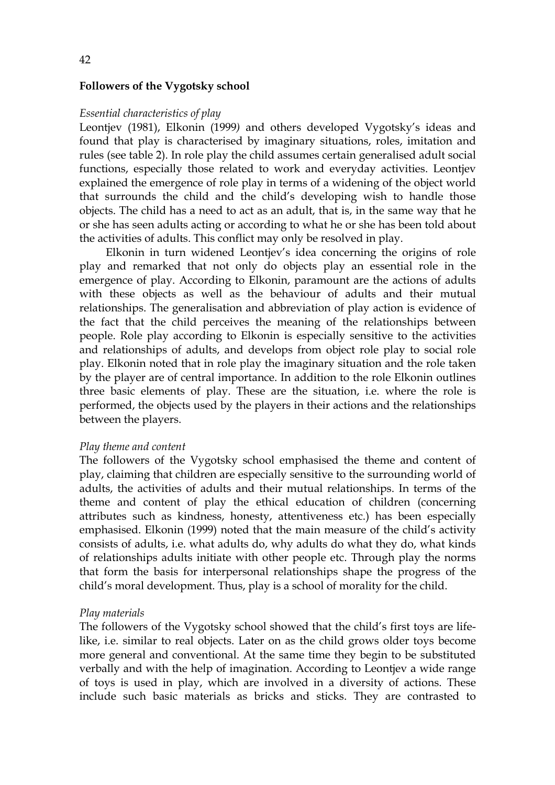#### **Followers of the Vygotsky school**

#### *Essential characteristics of play*

Leontjev (1981), Elkonin (1999*)* and others developed Vygotsky's ideas and found that play is characterised by imaginary situations, roles, imitation and rules (see table 2). In role play the child assumes certain generalised adult social functions, especially those related to work and everyday activities. Leontjev explained the emergence of role play in terms of a widening of the object world that surrounds the child and the child's developing wish to handle those objects. The child has a need to act as an adult, that is, in the same way that he or she has seen adults acting or according to what he or she has been told about the activities of adults. This conflict may only be resolved in play.

 Elkonin in turn widened Leontjev's idea concerning the origins of role play and remarked that not only do objects play an essential role in the emergence of play. According to Elkonin, paramount are the actions of adults with these objects as well as the behaviour of adults and their mutual relationships. The generalisation and abbreviation of play action is evidence of the fact that the child perceives the meaning of the relationships between people. Role play according to Elkonin is especially sensitive to the activities and relationships of adults, and develops from object role play to social role play. Elkonin noted that in role play the imaginary situation and the role taken by the player are of central importance. In addition to the role Elkonin outlines three basic elements of play. These are the situation, i.e. where the role is performed, the objects used by the players in their actions and the relationships between the players.

#### *Play theme and content*

The followers of the Vygotsky school emphasised the theme and content of play, claiming that children are especially sensitive to the surrounding world of adults, the activities of adults and their mutual relationships. In terms of the theme and content of play the ethical education of children (concerning attributes such as kindness, honesty, attentiveness etc.) has been especially emphasised. Elkonin (1999) noted that the main measure of the child's activity consists of adults, i.e. what adults do, why adults do what they do, what kinds of relationships adults initiate with other people etc. Through play the norms that form the basis for interpersonal relationships shape the progress of the child's moral development. Thus, play is a school of morality for the child.

#### *Play materials*

The followers of the Vygotsky school showed that the child's first toys are lifelike, i.e. similar to real objects. Later on as the child grows older toys become more general and conventional. At the same time they begin to be substituted verbally and with the help of imagination. According to Leontjev a wide range of toys is used in play, which are involved in a diversity of actions. These include such basic materials as bricks and sticks. They are contrasted to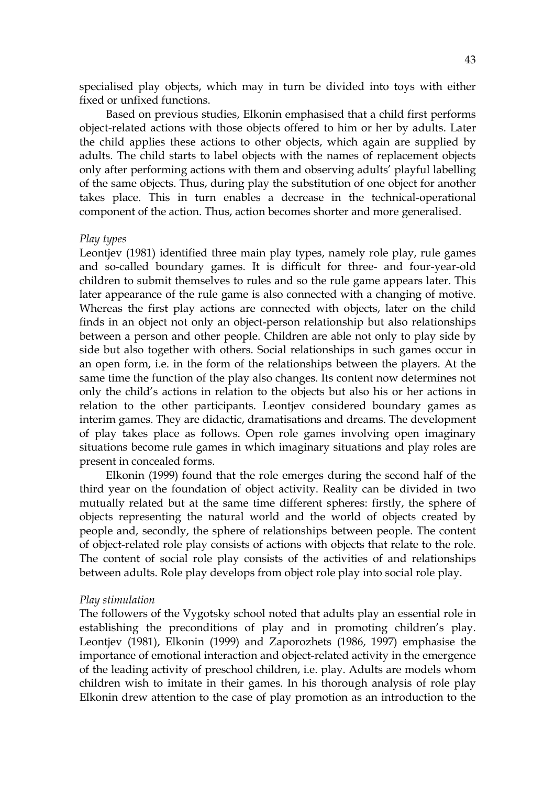specialised play objects, which may in turn be divided into toys with either fixed or unfixed functions.

 Based on previous studies, Elkonin emphasised that a child first performs object-related actions with those objects offered to him or her by adults. Later the child applies these actions to other objects, which again are supplied by adults. The child starts to label objects with the names of replacement objects only after performing actions with them and observing adults' playful labelling of the same objects. Thus, during play the substitution of one object for another takes place. This in turn enables a decrease in the technical-operational component of the action. Thus, action becomes shorter and more generalised.

#### *Play types*

Leontjev (1981) identified three main play types, namely role play, rule games and so-called boundary games. It is difficult for three- and four-year-old children to submit themselves to rules and so the rule game appears later. This later appearance of the rule game is also connected with a changing of motive. Whereas the first play actions are connected with objects, later on the child finds in an object not only an object-person relationship but also relationships between a person and other people. Children are able not only to play side by side but also together with others. Social relationships in such games occur in an open form, i.e. in the form of the relationships between the players. At the same time the function of the play also changes. Its content now determines not only the child's actions in relation to the objects but also his or her actions in relation to the other participants. Leontjev considered boundary games as interim games. They are didactic, dramatisations and dreams. The development of play takes place as follows. Open role games involving open imaginary situations become rule games in which imaginary situations and play roles are present in concealed forms.

 Elkonin (1999) found that the role emerges during the second half of the third year on the foundation of object activity. Reality can be divided in two mutually related but at the same time different spheres: firstly, the sphere of objects representing the natural world and the world of objects created by people and, secondly, the sphere of relationships between people. The content of object-related role play consists of actions with objects that relate to the role. The content of social role play consists of the activities of and relationships between adults. Role play develops from object role play into social role play.

#### *Play stimulation*

The followers of the Vygotsky school noted that adults play an essential role in establishing the preconditions of play and in promoting children's play. Leontjev (1981), Elkonin (1999) and Zaporozhets (1986, 1997) emphasise the importance of emotional interaction and object-related activity in the emergence of the leading activity of preschool children, i.e. play. Adults are models whom children wish to imitate in their games. In his thorough analysis of role play Elkonin drew attention to the case of play promotion as an introduction to the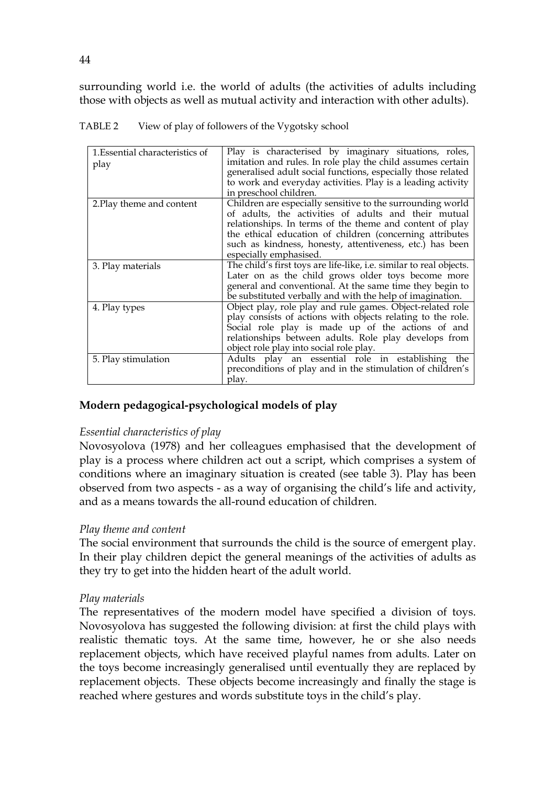surrounding world i.e. the world of adults (the activities of adults including those with objects as well as mutual activity and interaction with other adults).

| 1. Essential characteristics of<br>play | Play is characterised by imaginary situations, roles,<br>imitation and rules. In role play the child assumes certain<br>generalised adult social functions, especially those related<br>to work and everyday activities. Play is a leading activity<br>in preschool children.                                                    |
|-----------------------------------------|----------------------------------------------------------------------------------------------------------------------------------------------------------------------------------------------------------------------------------------------------------------------------------------------------------------------------------|
| 2. Play theme and content               | Children are especially sensitive to the surrounding world<br>of adults, the activities of adults and their mutual<br>relationships. In terms of the theme and content of play<br>the ethical education of children (concerning attributes<br>such as kindness, honesty, attentiveness, etc.) has been<br>especially emphasised. |
| 3. Play materials                       | The child's first toys are life-like, i.e. similar to real objects.<br>Later on as the child grows older toys become more<br>general and conventional. At the same time they begin to<br>be substituted verbally and with the help of imagination.                                                                               |
| 4. Play types                           | Object play, role play and rule games. Object-related role<br>play consists of actions with objects relating to the role.<br>Social role play is made up of the actions of and<br>relationships between adults. Role play develops from<br>object role play into social role play.                                               |
| 5. Play stimulation                     | Adults play an essential role in establishing the<br>preconditions of play and in the stimulation of children's<br>play.                                                                                                                                                                                                         |

TABLE 2 View of play of followers of the Vygotsky school

## **Modern pedagogical-psychological models of play**

## *Essential characteristics of play*

Novosyolova (1978) and her colleagues emphasised that the development of play is a process where children act out a script, which comprises a system of conditions where an imaginary situation is created (see table 3). Play has been observed from two aspects - as a way of organising the child's life and activity, and as a means towards the all-round education of children.

## *Play theme and content*

The social environment that surrounds the child is the source of emergent play. In their play children depict the general meanings of the activities of adults as they try to get into the hidden heart of the adult world.

## *Play materials*

The representatives of the modern model have specified a division of toys. Novosyolova has suggested the following division: at first the child plays with realistic thematic toys. At the same time, however, he or she also needs replacement objects, which have received playful names from adults. Later on the toys become increasingly generalised until eventually they are replaced by replacement objects. These objects become increasingly and finally the stage is reached where gestures and words substitute toys in the child's play.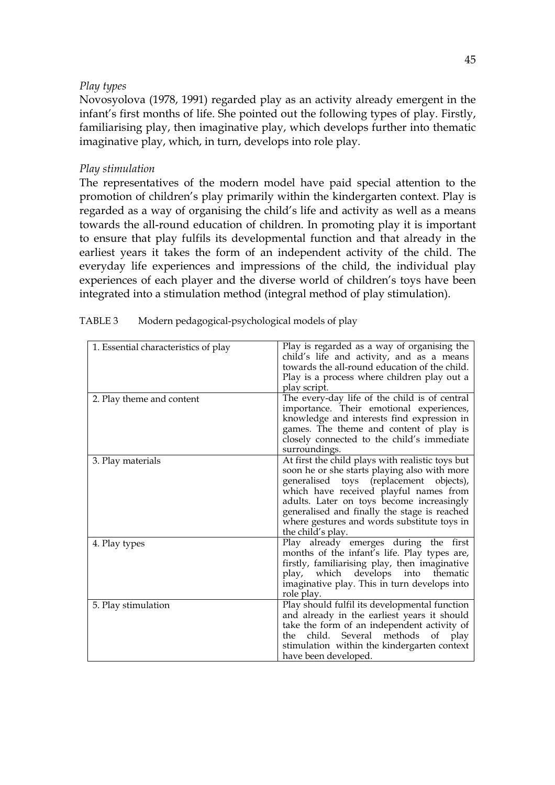### *Play types*

Novosyolova (1978, 1991) regarded play as an activity already emergent in the infant's first months of life. She pointed out the following types of play. Firstly, familiarising play, then imaginative play, which develops further into thematic imaginative play, which, in turn, develops into role play.

## *Play stimulation*

The representatives of the modern model have paid special attention to the promotion of children's play primarily within the kindergarten context. Play is regarded as a way of organising the child's life and activity as well as a means towards the all-round education of children. In promoting play it is important to ensure that play fulfils its developmental function and that already in the earliest years it takes the form of an independent activity of the child. The everyday life experiences and impressions of the child, the individual play experiences of each player and the diverse world of children's toys have been integrated into a stimulation method (integral method of play stimulation).

| 1. Essential characteristics of play | Play is regarded as a way of organising the<br>child's life and activity, and as a means<br>towards the all-round education of the child.<br>Play is a process where children play out a<br>play script.                                                                                                                                               |
|--------------------------------------|--------------------------------------------------------------------------------------------------------------------------------------------------------------------------------------------------------------------------------------------------------------------------------------------------------------------------------------------------------|
| 2. Play theme and content            | The every-day life of the child is of central<br>importance. Their emotional experiences,<br>knowledge and interests find expression in<br>games. The theme and content of play is<br>closely connected to the child's immediate<br>surroundings.                                                                                                      |
| 3. Play materials                    | At first the child plays with realistic toys but<br>soon he or she starts playing also with more<br>generalised toys (replacement objects),<br>which have received playful names from<br>adults. Later on toys become increasingly<br>generalised and finally the stage is reached<br>where gestures and words substitute toys in<br>the child's play. |
| 4. Play types                        | Play already emerges during the first<br>months of the infant's life. Play types are,<br>firstly, familiarising play, then imaginative<br>play, which develops into<br>thematic<br>imaginative play. This in turn develops into<br>role play.                                                                                                          |
| 5. Play stimulation                  | Play should fulfil its developmental function<br>and already in the earliest years it should<br>take the form of an independent activity of<br>methods<br>of<br>Several<br>child.<br>the<br>play<br>stimulation within the kindergarten context<br>have been developed.                                                                                |

| Modern pedagogical-psychological models of play |
|-------------------------------------------------|
|                                                 |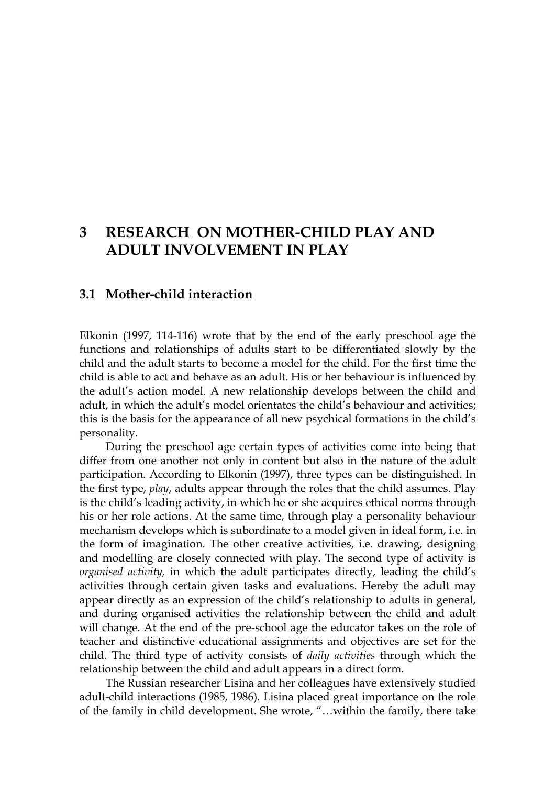# **3 RESEARCH ON MOTHER-CHILD PLAY AND ADULT INVOLVEMENT IN PLAY**

## **3.1 Mother-child interaction**

Elkonin (1997, 114-116) wrote that by the end of the early preschool age the functions and relationships of adults start to be differentiated slowly by the child and the adult starts to become a model for the child. For the first time the child is able to act and behave as an adult. His or her behaviour is influenced by the adult's action model. A new relationship develops between the child and adult, in which the adult's model orientates the child's behaviour and activities; this is the basis for the appearance of all new psychical formations in the child's personality.

During the preschool age certain types of activities come into being that differ from one another not only in content but also in the nature of the adult participation. According to Elkonin (1997), three types can be distinguished. In the first type, *play*, adults appear through the roles that the child assumes. Play is the child's leading activity, in which he or she acquires ethical norms through his or her role actions. At the same time, through play a personality behaviour mechanism develops which is subordinate to a model given in ideal form, i.e. in the form of imagination. The other creative activities, i.e. drawing, designing and modelling are closely connected with play. The second type of activity is *organised activity,* in which the adult participates directly, leading the child's activities through certain given tasks and evaluations. Hereby the adult may appear directly as an expression of the child's relationship to adults in general, and during organised activities the relationship between the child and adult will change. At the end of the pre-school age the educator takes on the role of teacher and distinctive educational assignments and objectives are set for the child. The third type of activity consists of *daily activities* through which the relationship between the child and adult appears in a direct form.

 The Russian researcher Lisina and her colleagues have extensively studied adult-child interactions (1985, 1986). Lisina placed great importance on the role of the family in child development. She wrote, "…within the family, there take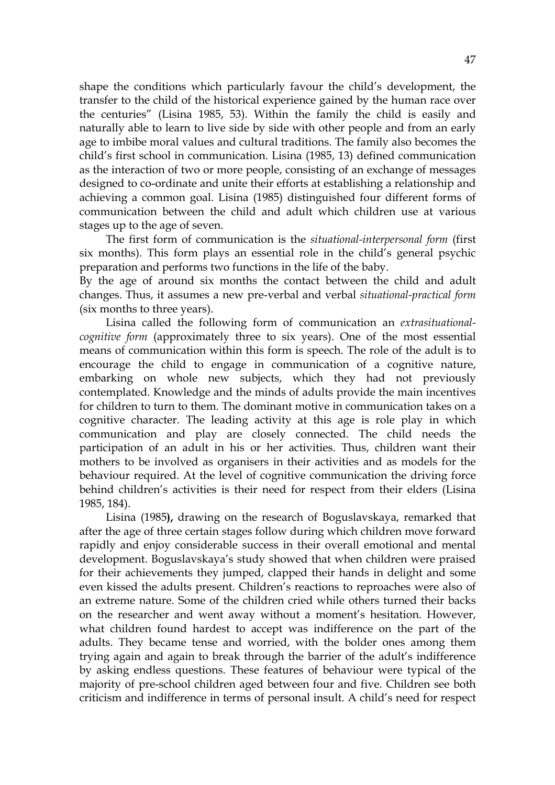shape the conditions which particularly favour the child's development, the transfer to the child of the historical experience gained by the human race over the centuries" (Lisina 1985, 53). Within the family the child is easily and naturally able to learn to live side by side with other people and from an early age to imbibe moral values and cultural traditions. The family also becomes the child's first school in communication. Lisina (1985, 13) defined communication as the interaction of two or more people, consisting of an exchange of messages designed to co-ordinate and unite their efforts at establishing a relationship and achieving a common goal. Lisina (1985) distinguished four different forms of communication between the child and adult which children use at various stages up to the age of seven.

The first form of communication is the *situational-interpersonal form* (first six months). This form plays an essential role in the child's general psychic preparation and performs two functions in the life of the baby.

By the age of around six months the contact between the child and adult changes. Thus, it assumes a new pre-verbal and verbal *situational-practical form* (six months to three years).

Lisina called the following form of communication an *extrasituationalcognitive form* (approximately three to six years). One of the most essential means of communication within this form is speech. The role of the adult is to encourage the child to engage in communication of a cognitive nature, embarking on whole new subjects, which they had not previously contemplated. Knowledge and the minds of adults provide the main incentives for children to turn to them. The dominant motive in communication takes on a cognitive character. The leading activity at this age is role play in which communication and play are closely connected. The child needs the participation of an adult in his or her activities. Thus, children want their mothers to be involved as organisers in their activities and as models for the behaviour required. At the level of cognitive communication the driving force behind children's activities is their need for respect from their elders (Lisina 1985, 184).

Lisina (1985**),** drawing on the research of Boguslavskaya, remarked that after the age of three certain stages follow during which children move forward rapidly and enjoy considerable success in their overall emotional and mental development. Boguslavskaya's study showed that when children were praised for their achievements they jumped, clapped their hands in delight and some even kissed the adults present. Children's reactions to reproaches were also of an extreme nature. Some of the children cried while others turned their backs on the researcher and went away without a moment's hesitation. However, what children found hardest to accept was indifference on the part of the adults. They became tense and worried, with the bolder ones among them trying again and again to break through the barrier of the adult's indifference by asking endless questions. These features of behaviour were typical of the majority of pre-school children aged between four and five. Children see both criticism and indifference in terms of personal insult. A child's need for respect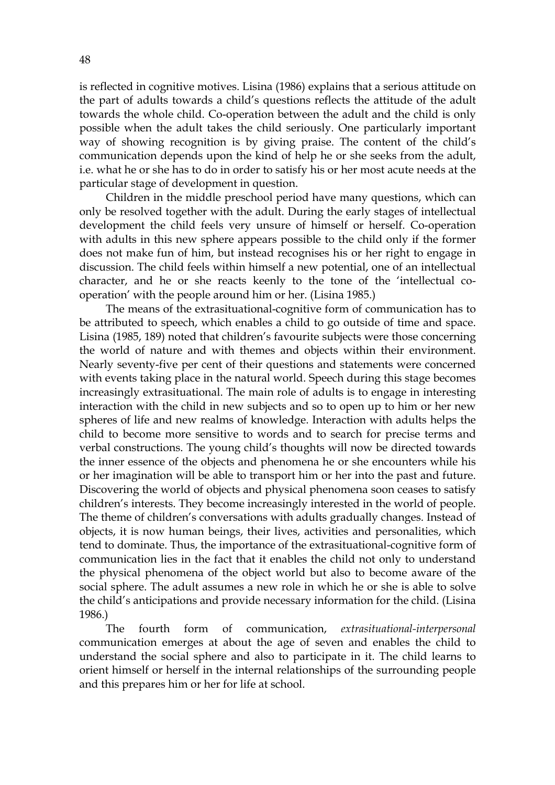is reflected in cognitive motives. Lisina (1986) explains that a serious attitude on the part of adults towards a child's questions reflects the attitude of the adult towards the whole child. Co-operation between the adult and the child is only possible when the adult takes the child seriously. One particularly important way of showing recognition is by giving praise. The content of the child's communication depends upon the kind of help he or she seeks from the adult, i.e. what he or she has to do in order to satisfy his or her most acute needs at the particular stage of development in question.

 Children in the middle preschool period have many questions, which can only be resolved together with the adult. During the early stages of intellectual development the child feels very unsure of himself or herself. Co-operation with adults in this new sphere appears possible to the child only if the former does not make fun of him, but instead recognises his or her right to engage in discussion. The child feels within himself a new potential, one of an intellectual character, and he or she reacts keenly to the tone of the 'intellectual cooperation' with the people around him or her. (Lisina 1985.)

The means of the extrasituational-cognitive form of communication has to be attributed to speech, which enables a child to go outside of time and space. Lisina (1985, 189) noted that children's favourite subjects were those concerning the world of nature and with themes and objects within their environment. Nearly seventy-five per cent of their questions and statements were concerned with events taking place in the natural world. Speech during this stage becomes increasingly extrasituational. The main role of adults is to engage in interesting interaction with the child in new subjects and so to open up to him or her new spheres of life and new realms of knowledge. Interaction with adults helps the child to become more sensitive to words and to search for precise terms and verbal constructions. The young child's thoughts will now be directed towards the inner essence of the objects and phenomena he or she encounters while his or her imagination will be able to transport him or her into the past and future. Discovering the world of objects and physical phenomena soon ceases to satisfy children's interests. They become increasingly interested in the world of people. The theme of children's conversations with adults gradually changes. Instead of objects, it is now human beings, their lives, activities and personalities, which tend to dominate. Thus, the importance of the extrasituational-cognitive form of communication lies in the fact that it enables the child not only to understand the physical phenomena of the object world but also to become aware of the social sphere. The adult assumes a new role in which he or she is able to solve the child's anticipations and provide necessary information for the child. (Lisina 1986.)

The fourth form of communication, *extrasituational-interpersonal*  communication emerges at about the age of seven and enables the child to understand the social sphere and also to participate in it. The child learns to orient himself or herself in the internal relationships of the surrounding people and this prepares him or her for life at school.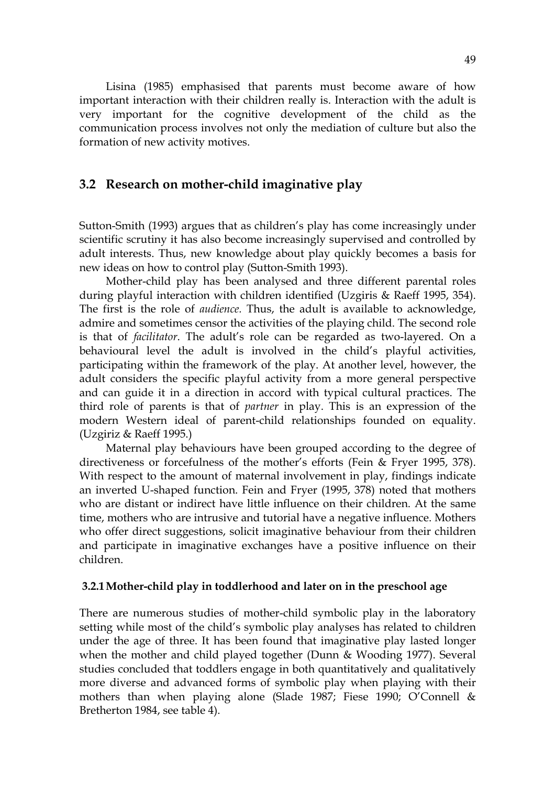Lisina (1985) emphasised that parents must become aware of how important interaction with their children really is. Interaction with the adult is very important for the cognitive development of the child as the communication process involves not only the mediation of culture but also the formation of new activity motives.

## **3.2 Research on mother-child imaginative play**

Sutton-Smith (1993) argues that as children's play has come increasingly under scientific scrutiny it has also become increasingly supervised and controlled by adult interests. Thus, new knowledge about play quickly becomes a basis for new ideas on how to control play (Sutton-Smith 1993).

Mother-child play has been analysed and three different parental roles during playful interaction with children identified (Uzgiris & Raeff 1995, 354). The first is the role of *audience.* Thus, the adult is available to acknowledge, admire and sometimes censor the activities of the playing child. The second role is that of *facilitator*. The adult's role can be regarded as two-layered. On a behavioural level the adult is involved in the child's playful activities, participating within the framework of the play. At another level, however, the adult considers the specific playful activity from a more general perspective and can guide it in a direction in accord with typical cultural practices. The third role of parents is that of *partner* in play. This is an expression of the modern Western ideal of parent-child relationships founded on equality. (Uzgiriz & Raeff 1995.)

 Maternal play behaviours have been grouped according to the degree of directiveness or forcefulness of the mother's efforts (Fein & Fryer 1995, 378). With respect to the amount of maternal involvement in play, findings indicate an inverted U-shaped function. Fein and Fryer (1995, 378) noted that mothers who are distant or indirect have little influence on their children. At the same time, mothers who are intrusive and tutorial have a negative influence. Mothers who offer direct suggestions, solicit imaginative behaviour from their children and participate in imaginative exchanges have a positive influence on their children.

#### **3.2.1 Mother-child play in toddlerhood and later on in the preschool age**

There are numerous studies of mother-child symbolic play in the laboratory setting while most of the child's symbolic play analyses has related to children under the age of three. It has been found that imaginative play lasted longer when the mother and child played together (Dunn & Wooding 1977). Several studies concluded that toddlers engage in both quantitatively and qualitatively more diverse and advanced forms of symbolic play when playing with their mothers than when playing alone (Slade 1987; Fiese 1990; O'Connell & Bretherton 1984, see table 4).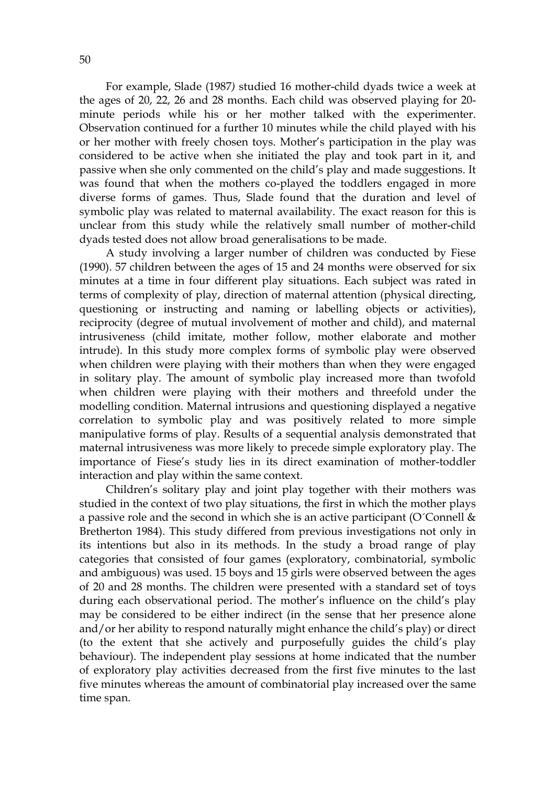For example, Slade (1987*)* studied 16 mother-child dyads twice a week at the ages of 20, 22, 26 and 28 months. Each child was observed playing for 20 minute periods while his or her mother talked with the experimenter. Observation continued for a further 10 minutes while the child played with his or her mother with freely chosen toys. Mother's participation in the play was considered to be active when she initiated the play and took part in it, and passive when she only commented on the child's play and made suggestions. It was found that when the mothers co-played the toddlers engaged in more diverse forms of games. Thus, Slade found that the duration and level of symbolic play was related to maternal availability. The exact reason for this is unclear from this study while the relatively small number of mother-child dyads tested does not allow broad generalisations to be made.

A study involving a larger number of children was conducted by Fiese (1990). 57 children between the ages of 15 and 24 months were observed for six minutes at a time in four different play situations. Each subject was rated in terms of complexity of play, direction of maternal attention (physical directing, questioning or instructing and naming or labelling objects or activities), reciprocity (degree of mutual involvement of mother and child), and maternal intrusiveness (child imitate, mother follow, mother elaborate and mother intrude). In this study more complex forms of symbolic play were observed when children were playing with their mothers than when they were engaged in solitary play. The amount of symbolic play increased more than twofold when children were playing with their mothers and threefold under the modelling condition. Maternal intrusions and questioning displayed a negative correlation to symbolic play and was positively related to more simple manipulative forms of play. Results of a sequential analysis demonstrated that maternal intrusiveness was more likely to precede simple exploratory play. The importance of Fiese's study lies in its direct examination of mother-toddler interaction and play within the same context.

 Children's solitary play and joint play together with their mothers was studied in the context of two play situations, the first in which the mother plays a passive role and the second in which she is an active participant (O'Connell  $\&$ Bretherton 1984). This study differed from previous investigations not only in its intentions but also in its methods. In the study a broad range of play categories that consisted of four games (exploratory, combinatorial, symbolic and ambiguous) was used. 15 boys and 15 girls were observed between the ages of 20 and 28 months. The children were presented with a standard set of toys during each observational period. The mother's influence on the child's play may be considered to be either indirect (in the sense that her presence alone and/or her ability to respond naturally might enhance the child's play) or direct (to the extent that she actively and purposefully guides the child's play behaviour). The independent play sessions at home indicated that the number of exploratory play activities decreased from the first five minutes to the last five minutes whereas the amount of combinatorial play increased over the same time span.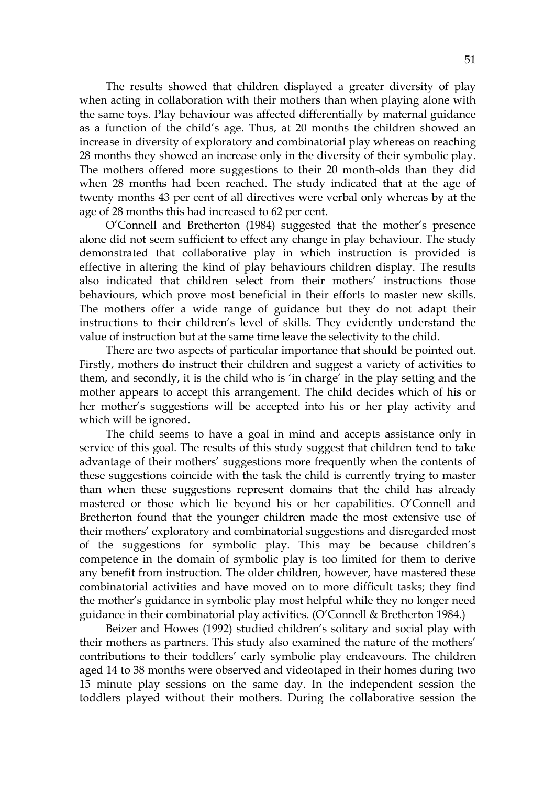The results showed that children displayed a greater diversity of play when acting in collaboration with their mothers than when playing alone with the same toys. Play behaviour was affected differentially by maternal guidance as a function of the child's age. Thus, at 20 months the children showed an increase in diversity of exploratory and combinatorial play whereas on reaching 28 months they showed an increase only in the diversity of their symbolic play. The mothers offered more suggestions to their 20 month-olds than they did when 28 months had been reached. The study indicated that at the age of twenty months 43 per cent of all directives were verbal only whereas by at the age of 28 months this had increased to 62 per cent.

O'Connell and Bretherton (1984) suggested that the mother's presence alone did not seem sufficient to effect any change in play behaviour. The study demonstrated that collaborative play in which instruction is provided is effective in altering the kind of play behaviours children display. The results also indicated that children select from their mothers' instructions those behaviours, which prove most beneficial in their efforts to master new skills. The mothers offer a wide range of guidance but they do not adapt their instructions to their children's level of skills. They evidently understand the value of instruction but at the same time leave the selectivity to the child.

 There are two aspects of particular importance that should be pointed out. Firstly, mothers do instruct their children and suggest a variety of activities to them, and secondly, it is the child who is 'in charge' in the play setting and the mother appears to accept this arrangement. The child decides which of his or her mother's suggestions will be accepted into his or her play activity and which will be ignored.

 The child seems to have a goal in mind and accepts assistance only in service of this goal. The results of this study suggest that children tend to take advantage of their mothers' suggestions more frequently when the contents of these suggestions coincide with the task the child is currently trying to master than when these suggestions represent domains that the child has already mastered or those which lie beyond his or her capabilities. O'Connell and Bretherton found that the younger children made the most extensive use of their mothers' exploratory and combinatorial suggestions and disregarded most of the suggestions for symbolic play. This may be because children's competence in the domain of symbolic play is too limited for them to derive any benefit from instruction. The older children, however, have mastered these combinatorial activities and have moved on to more difficult tasks; they find the mother's guidance in symbolic play most helpful while they no longer need guidance in their combinatorial play activities. (O'Connell & Bretherton 1984.)

 Beizer and Howes (1992) studied children's solitary and social play with their mothers as partners. This study also examined the nature of the mothers' contributions to their toddlers' early symbolic play endeavours. The children aged 14 to 38 months were observed and videotaped in their homes during two 15 minute play sessions on the same day. In the independent session the toddlers played without their mothers. During the collaborative session the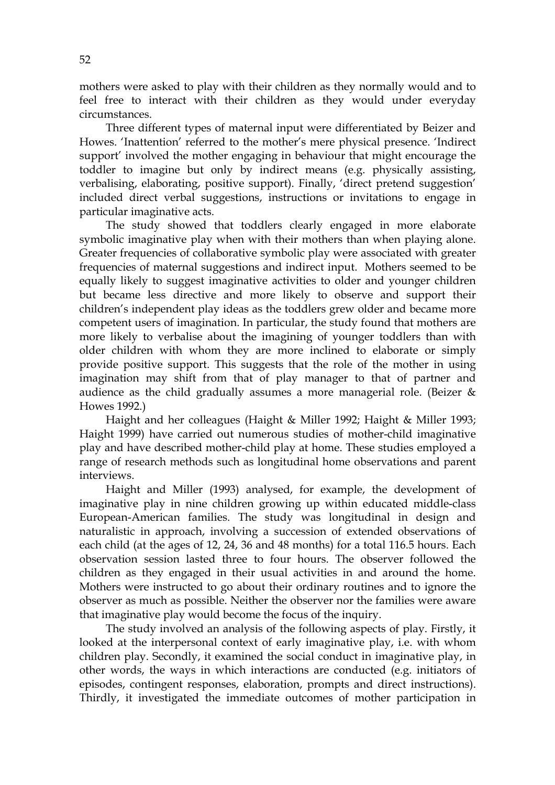mothers were asked to play with their children as they normally would and to feel free to interact with their children as they would under everyday circumstances.

 Three different types of maternal input were differentiated by Beizer and Howes. 'Inattention' referred to the mother's mere physical presence. 'Indirect support' involved the mother engaging in behaviour that might encourage the toddler to imagine but only by indirect means (e.g. physically assisting, verbalising, elaborating, positive support). Finally, 'direct pretend suggestion' included direct verbal suggestions, instructions or invitations to engage in particular imaginative acts.

 The study showed that toddlers clearly engaged in more elaborate symbolic imaginative play when with their mothers than when playing alone. Greater frequencies of collaborative symbolic play were associated with greater frequencies of maternal suggestions and indirect input. Mothers seemed to be equally likely to suggest imaginative activities to older and younger children but became less directive and more likely to observe and support their children's independent play ideas as the toddlers grew older and became more competent users of imagination. In particular, the study found that mothers are more likely to verbalise about the imagining of younger toddlers than with older children with whom they are more inclined to elaborate or simply provide positive support. This suggests that the role of the mother in using imagination may shift from that of play manager to that of partner and audience as the child gradually assumes a more managerial role. (Beizer & Howes 1992.)

 Haight and her colleagues (Haight & Miller 1992; Haight & Miller 1993; Haight 1999) have carried out numerous studies of mother-child imaginative play and have described mother-child play at home. These studies employed a range of research methods such as longitudinal home observations and parent interviews.

 Haight and Miller (1993) analysed, for example, the development of imaginative play in nine children growing up within educated middle-class European-American families. The study was longitudinal in design and naturalistic in approach, involving a succession of extended observations of each child (at the ages of 12, 24, 36 and 48 months) for a total 116.5 hours. Each observation session lasted three to four hours. The observer followed the children as they engaged in their usual activities in and around the home. Mothers were instructed to go about their ordinary routines and to ignore the observer as much as possible. Neither the observer nor the families were aware that imaginative play would become the focus of the inquiry.

 The study involved an analysis of the following aspects of play. Firstly, it looked at the interpersonal context of early imaginative play, i.e. with whom children play. Secondly, it examined the social conduct in imaginative play, in other words, the ways in which interactions are conducted (e.g. initiators of episodes, contingent responses, elaboration, prompts and direct instructions). Thirdly, it investigated the immediate outcomes of mother participation in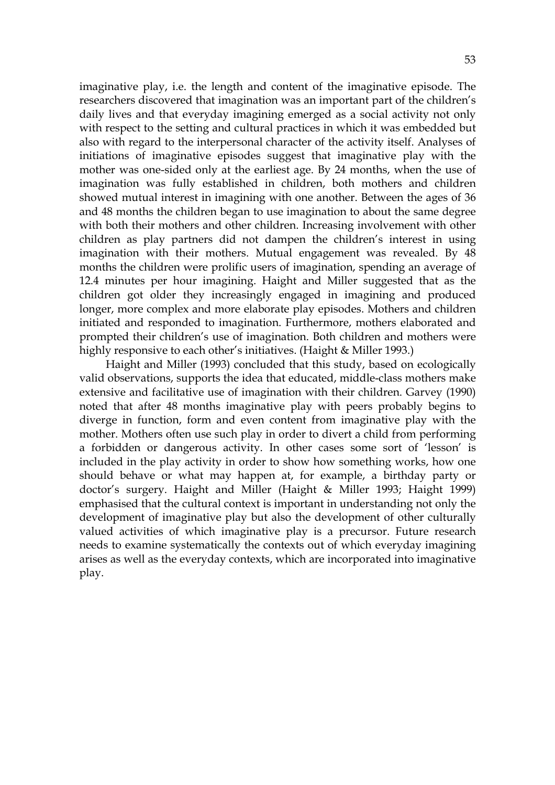imaginative play, i.e. the length and content of the imaginative episode. The researchers discovered that imagination was an important part of the children's daily lives and that everyday imagining emerged as a social activity not only with respect to the setting and cultural practices in which it was embedded but also with regard to the interpersonal character of the activity itself. Analyses of initiations of imaginative episodes suggest that imaginative play with the mother was one-sided only at the earliest age. By 24 months, when the use of imagination was fully established in children, both mothers and children showed mutual interest in imagining with one another. Between the ages of 36 and 48 months the children began to use imagination to about the same degree with both their mothers and other children. Increasing involvement with other children as play partners did not dampen the children's interest in using imagination with their mothers. Mutual engagement was revealed. By 48 months the children were prolific users of imagination, spending an average of 12.4 minutes per hour imagining. Haight and Miller suggested that as the children got older they increasingly engaged in imagining and produced longer, more complex and more elaborate play episodes. Mothers and children initiated and responded to imagination. Furthermore, mothers elaborated and prompted their children's use of imagination. Both children and mothers were highly responsive to each other's initiatives. (Haight & Miller 1993.)

Haight and Miller (1993) concluded that this study, based on ecologically valid observations, supports the idea that educated, middle-class mothers make extensive and facilitative use of imagination with their children. Garvey (1990) noted that after 48 months imaginative play with peers probably begins to diverge in function, form and even content from imaginative play with the mother. Mothers often use such play in order to divert a child from performing a forbidden or dangerous activity. In other cases some sort of 'lesson' is included in the play activity in order to show how something works, how one should behave or what may happen at, for example, a birthday party or doctor's surgery. Haight and Miller (Haight & Miller 1993; Haight 1999) emphasised that the cultural context is important in understanding not only the development of imaginative play but also the development of other culturally valued activities of which imaginative play is a precursor. Future research needs to examine systematically the contexts out of which everyday imagining arises as well as the everyday contexts, which are incorporated into imaginative play.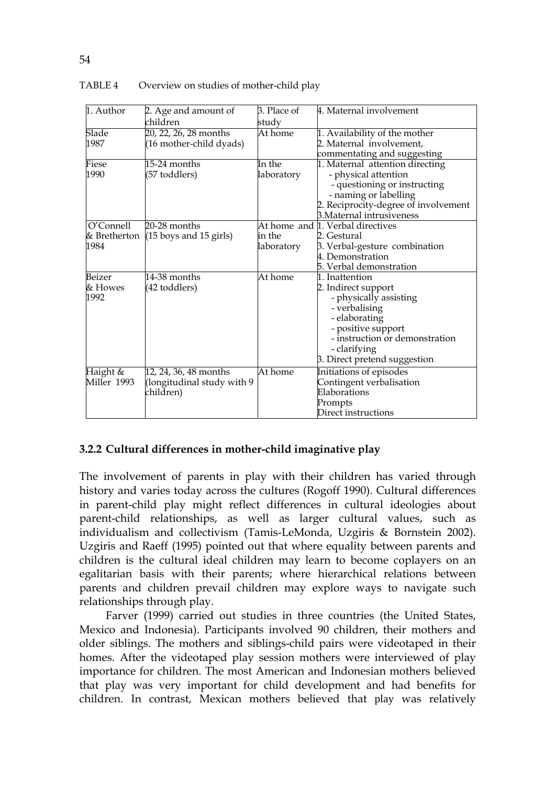| 1. Author    | 2. Age and amount of                      | 3. Place of | 4. Maternal involvement              |
|--------------|-------------------------------------------|-------------|--------------------------------------|
|              | children                                  | study       |                                      |
| Slade        | 20, 22, 26, 28 months                     | At home     | 1. Availability of the mother        |
| 1987         | (16 mother-child dyads)                   |             | 2. Maternal involvement,             |
|              |                                           |             | commentating and suggesting          |
| Fiese        | 15-24 months                              | In the      | 1. Maternal attention directing      |
| 1990         | (57 toddlers)                             | laboratory  | - physical attention                 |
|              |                                           |             | - questioning or instructing         |
|              |                                           |             | - naming or labelling                |
|              |                                           |             | 2. Reciprocity-degree of involvement |
|              |                                           |             | 3. Maternal intrusiveness            |
| O'Connell    | $20-28$ months                            |             | At home and 1. Verbal directives     |
| & Bretherton | $(15 \text{ boys and } 15 \text{ girls})$ | in the      | 2. Gestural                          |
| 1984         |                                           | laboratory  | 3. Verbal-gesture combination        |
|              |                                           |             | 4. Demonstration                     |
|              |                                           |             | 5. Verbal demonstration              |
| Beizer       | 14-38 months                              | At home     | 1. Inattention                       |
| & Howes      | (42 toddlers)                             |             | 2. Indirect support                  |
| 1992         |                                           |             | - physically assisting               |
|              |                                           |             | - verbalising                        |
|              |                                           |             | - elaborating                        |
|              |                                           |             | - positive support                   |
|              |                                           |             | - instruction or demonstration       |
|              |                                           |             | - clarifying                         |
|              |                                           |             | 3. Direct pretend suggestion         |
| Haight &     | 12, 24, 36, 48 months                     | At home     | Initiations of episodes              |
| Miller 1993  | (longitudinal study with 9)               |             | Contingent verbalisation             |
|              | children)                                 |             | Elaborations                         |
|              |                                           |             | Prompts                              |
|              |                                           |             | Direct instructions                  |

#### TABLE 4 Overview on studies of mother-child play

## **3.2.2 Cultural differences in mother-child imaginative play**

The involvement of parents in play with their children has varied through history and varies today across the cultures (Rogoff 1990). Cultural differences in parent-child play might reflect differences in cultural ideologies about parent-child relationships, as well as larger cultural values, such as individualism and collectivism (Tamis-LeMonda, Uzgiris & Bornstein 2002). Uzgiris and Raeff (1995) pointed out that where equality between parents and children is the cultural ideal children may learn to become coplayers on an egalitarian basis with their parents; where hierarchical relations between parents and children prevail children may explore ways to navigate such relationships through play.

Farver (1999) carried out studies in three countries (the United States, Mexico and Indonesia). Participants involved 90 children, their mothers and older siblings. The mothers and siblings-child pairs were videotaped in their homes. After the videotaped play session mothers were interviewed of play importance for children. The most American and Indonesian mothers believed that play was very important for child development and had benefits for children. In contrast, Mexican mothers believed that play was relatively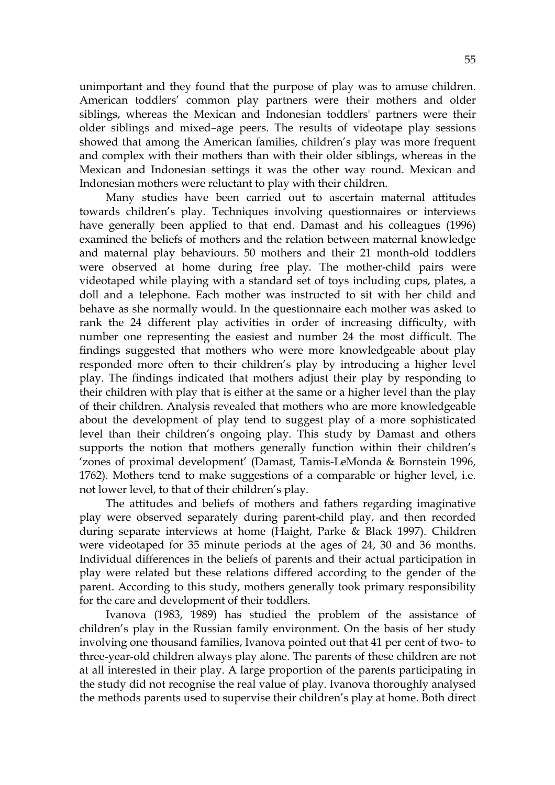unimportant and they found that the purpose of play was to amuse children. American toddlers' common play partners were their mothers and older siblings, whereas the Mexican and Indonesian toddlers' partners were their older siblings and mixed–age peers. The results of videotape play sessions showed that among the American families, children's play was more frequent and complex with their mothers than with their older siblings, whereas in the Mexican and Indonesian settings it was the other way round. Mexican and Indonesian mothers were reluctant to play with their children.

 Many studies have been carried out to ascertain maternal attitudes towards children's play. Techniques involving questionnaires or interviews have generally been applied to that end. Damast and his colleagues (1996) examined the beliefs of mothers and the relation between maternal knowledge and maternal play behaviours. 50 mothers and their 21 month-old toddlers were observed at home during free play. The mother-child pairs were videotaped while playing with a standard set of toys including cups, plates, a doll and a telephone. Each mother was instructed to sit with her child and behave as she normally would. In the questionnaire each mother was asked to rank the 24 different play activities in order of increasing difficulty, with number one representing the easiest and number 24 the most difficult. The findings suggested that mothers who were more knowledgeable about play responded more often to their children's play by introducing a higher level play. The findings indicated that mothers adjust their play by responding to their children with play that is either at the same or a higher level than the play of their children. Analysis revealed that mothers who are more knowledgeable about the development of play tend to suggest play of a more sophisticated level than their children's ongoing play. This study by Damast and others supports the notion that mothers generally function within their children's 'zones of proximal development' (Damast, Tamis-LeMonda & Bornstein 1996, 1762). Mothers tend to make suggestions of a comparable or higher level, i.e. not lower level, to that of their children's play.

 The attitudes and beliefs of mothers and fathers regarding imaginative play were observed separately during parent-child play, and then recorded during separate interviews at home (Haight, Parke & Black 1997). Children were videotaped for 35 minute periods at the ages of 24, 30 and 36 months. Individual differences in the beliefs of parents and their actual participation in play were related but these relations differed according to the gender of the parent. According to this study, mothers generally took primary responsibility for the care and development of their toddlers.

 Ivanova (1983, 1989) has studied the problem of the assistance of children's play in the Russian family environment. On the basis of her study involving one thousand families, Ivanova pointed out that 41 per cent of two- to three-year-old children always play alone. The parents of these children are not at all interested in their play. A large proportion of the parents participating in the study did not recognise the real value of play. Ivanova thoroughly analysed the methods parents used to supervise their children's play at home. Both direct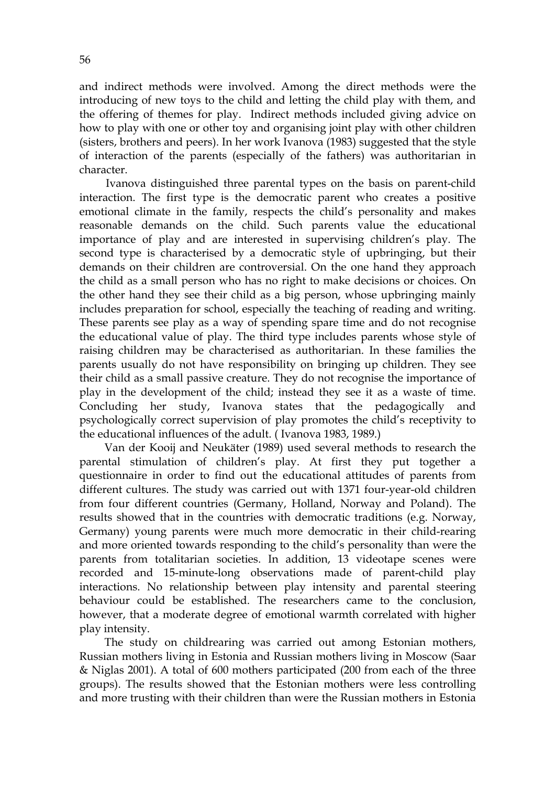and indirect methods were involved. Among the direct methods were the introducing of new toys to the child and letting the child play with them, and the offering of themes for play. Indirect methods included giving advice on how to play with one or other toy and organising joint play with other children (sisters, brothers and peers). In her work Ivanova (1983) suggested that the style of interaction of the parents (especially of the fathers) was authoritarian in character.

Ivanova distinguished three parental types on the basis on parent-child interaction. The first type is the democratic parent who creates a positive emotional climate in the family, respects the child's personality and makes reasonable demands on the child. Such parents value the educational importance of play and are interested in supervising children's play. The second type is characterised by a democratic style of upbringing, but their demands on their children are controversial. On the one hand they approach the child as a small person who has no right to make decisions or choices. On the other hand they see their child as a big person, whose upbringing mainly includes preparation for school, especially the teaching of reading and writing. These parents see play as a way of spending spare time and do not recognise the educational value of play. The third type includes parents whose style of raising children may be characterised as authoritarian. In these families the parents usually do not have responsibility on bringing up children. They see their child as a small passive creature. They do not recognise the importance of play in the development of the child; instead they see it as a waste of time. Concluding her study, Ivanova states that the pedagogically and psychologically correct supervision of play promotes the child's receptivity to the educational influences of the adult. ( Ivanova 1983, 1989.)

Van der Kooij and Neukäter (1989) used several methods to research the parental stimulation of children's play. At first they put together a questionnaire in order to find out the educational attitudes of parents from different cultures. The study was carried out with 1371 four-year-old children from four different countries (Germany, Holland, Norway and Poland). The results showed that in the countries with democratic traditions (e.g. Norway, Germany) young parents were much more democratic in their child-rearing and more oriented towards responding to the child's personality than were the parents from totalitarian societies. In addition, 13 videotape scenes were recorded and 15-minute-long observations made of parent-child play interactions. No relationship between play intensity and parental steering behaviour could be established. The researchers came to the conclusion, however, that a moderate degree of emotional warmth correlated with higher play intensity.

The study on childrearing was carried out among Estonian mothers, Russian mothers living in Estonia and Russian mothers living in Moscow (Saar & Niglas 2001). A total of 600 mothers participated (200 from each of the three groups). The results showed that the Estonian mothers were less controlling and more trusting with their children than were the Russian mothers in Estonia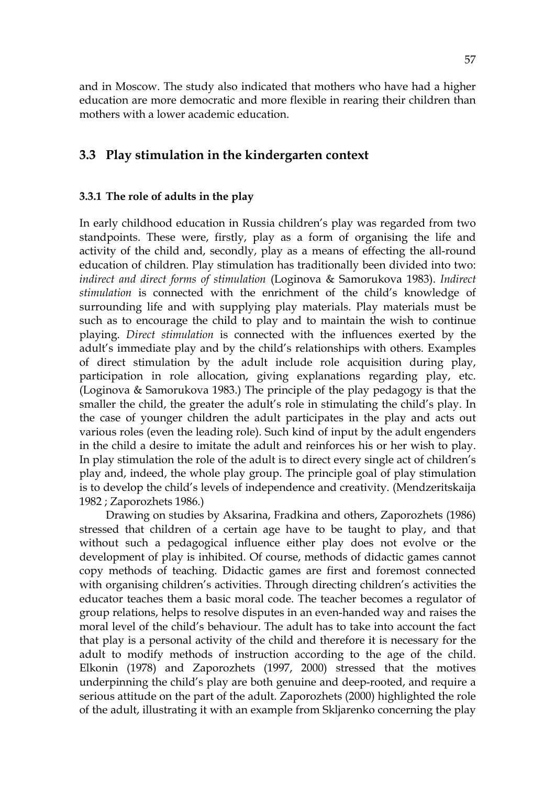and in Moscow. The study also indicated that mothers who have had a higher education are more democratic and more flexible in rearing their children than mothers with a lower academic education.

## **3.3 Play stimulation in the kindergarten context**

#### **3.3.1 The role of adults in the play**

In early childhood education in Russia children's play was regarded from two standpoints. These were, firstly, play as a form of organising the life and activity of the child and, secondly, play as a means of effecting the all-round education of children. Play stimulation has traditionally been divided into two: *indirect and direct forms of stimulation* (Loginova & Samorukova 1983). *Indirect stimulation* is connected with the enrichment of the child's knowledge of surrounding life and with supplying play materials. Play materials must be such as to encourage the child to play and to maintain the wish to continue playing. *Direct stimulation* is connected with the influences exerted by the adult's immediate play and by the child's relationships with others. Examples of direct stimulation by the adult include role acquisition during play, participation in role allocation, giving explanations regarding play, etc. (Loginova & Samorukova 1983.) The principle of the play pedagogy is that the smaller the child, the greater the adult's role in stimulating the child's play. In the case of younger children the adult participates in the play and acts out various roles (even the leading role). Such kind of input by the adult engenders in the child a desire to imitate the adult and reinforces his or her wish to play. In play stimulation the role of the adult is to direct every single act of children's play and, indeed, the whole play group. The principle goal of play stimulation is to develop the child's levels of independence and creativity. (Mendzeritskaija 1982 ; Zaporozhets 1986.)

Drawing on studies by Aksarina, Fradkina and others, Zaporozhets (1986) stressed that children of a certain age have to be taught to play, and that without such a pedagogical influence either play does not evolve or the development of play is inhibited. Of course, methods of didactic games cannot copy methods of teaching. Didactic games are first and foremost connected with organising children's activities. Through directing children's activities the educator teaches them a basic moral code. The teacher becomes a regulator of group relations, helps to resolve disputes in an even-handed way and raises the moral level of the child's behaviour. The adult has to take into account the fact that play is a personal activity of the child and therefore it is necessary for the adult to modify methods of instruction according to the age of the child. Elkonin (1978) and Zaporozhets (1997, 2000) stressed that the motives underpinning the child's play are both genuine and deep-rooted, and require a serious attitude on the part of the adult. Zaporozhets (2000) highlighted the role of the adult, illustrating it with an example from Skljarenko concerning the play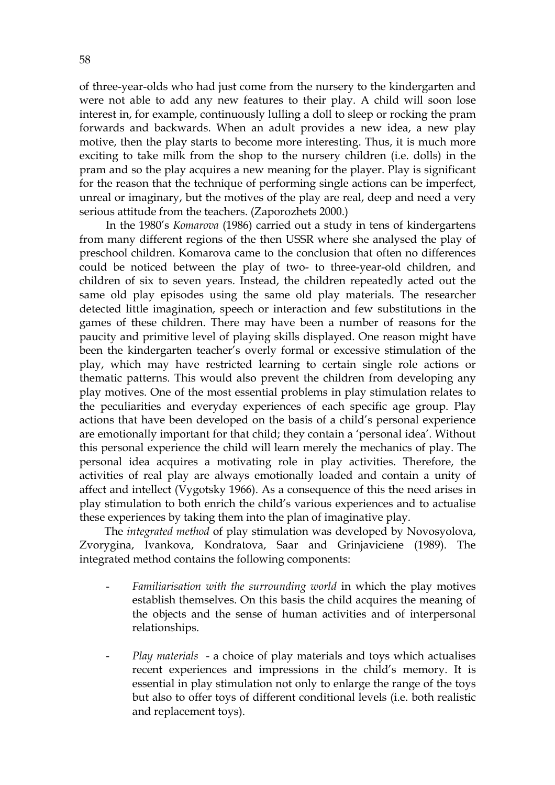of three-year-olds who had just come from the nursery to the kindergarten and were not able to add any new features to their play. A child will soon lose interest in, for example, continuously lulling a doll to sleep or rocking the pram forwards and backwards. When an adult provides a new idea, a new play motive, then the play starts to become more interesting. Thus, it is much more exciting to take milk from the shop to the nursery children (i.e. dolls) in the pram and so the play acquires a new meaning for the player. Play is significant for the reason that the technique of performing single actions can be imperfect, unreal or imaginary, but the motives of the play are real, deep and need a very serious attitude from the teachers. (Zaporozhets 2000.)

In the 1980's *Komarova* (1986) carried out a study in tens of kindergartens from many different regions of the then USSR where she analysed the play of preschool children. Komarova came to the conclusion that often no differences could be noticed between the play of two- to three-year-old children, and children of six to seven years. Instead, the children repeatedly acted out the same old play episodes using the same old play materials. The researcher detected little imagination, speech or interaction and few substitutions in the games of these children. There may have been a number of reasons for the paucity and primitive level of playing skills displayed. One reason might have been the kindergarten teacher's overly formal or excessive stimulation of the play, which may have restricted learning to certain single role actions or thematic patterns. This would also prevent the children from developing any play motives. One of the most essential problems in play stimulation relates to the peculiarities and everyday experiences of each specific age group. Play actions that have been developed on the basis of a child's personal experience are emotionally important for that child; they contain a 'personal idea'. Without this personal experience the child will learn merely the mechanics of play. The personal idea acquires a motivating role in play activities. Therefore, the activities of real play are always emotionally loaded and contain a unity of affect and intellect (Vygotsky 1966). As a consequence of this the need arises in play stimulation to both enrich the child's various experiences and to actualise these experiences by taking them into the plan of imaginative play.

The *integrated method* of play stimulation was developed by Novosyolova, Zvorygina, Ivankova, Kondratova, Saar and Grinjaviciene (1989). The integrated method contains the following components:

- *Familiarisation with the surrounding world* in which the play motives establish themselves. On this basis the child acquires the meaning of the objects and the sense of human activities and of interpersonal relationships.
- *Play materials*  a choice of play materials and toys which actualises recent experiences and impressions in the child's memory. It is essential in play stimulation not only to enlarge the range of the toys but also to offer toys of different conditional levels (i.e. both realistic and replacement toys).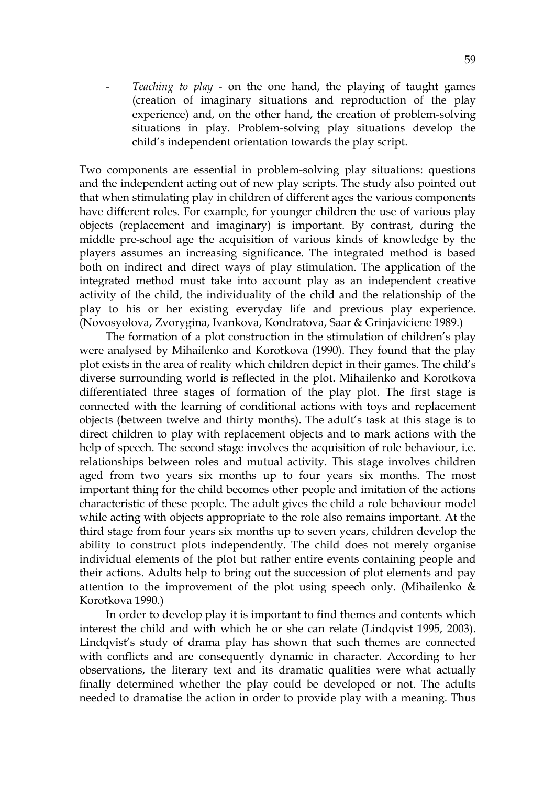- *Teaching to play* - on the one hand, the playing of taught games (creation of imaginary situations and reproduction of the play experience) and, on the other hand, the creation of problem-solving situations in play. Problem-solving play situations develop the child's independent orientation towards the play script.

Two components are essential in problem-solving play situations: questions and the independent acting out of new play scripts. The study also pointed out that when stimulating play in children of different ages the various components have different roles. For example, for younger children the use of various play objects (replacement and imaginary) is important. By contrast, during the middle pre-school age the acquisition of various kinds of knowledge by the players assumes an increasing significance. The integrated method is based both on indirect and direct ways of play stimulation. The application of the integrated method must take into account play as an independent creative activity of the child, the individuality of the child and the relationship of the play to his or her existing everyday life and previous play experience. (Novosyolova, Zvorygina, Ivankova, Kondratova, Saar & Grinjaviciene 1989.)

The formation of a plot construction in the stimulation of children's play were analysed by Mihailenko and Korotkova (1990). They found that the play plot exists in the area of reality which children depict in their games. The child's diverse surrounding world is reflected in the plot. Mihailenko and Korotkova differentiated three stages of formation of the play plot. The first stage is connected with the learning of conditional actions with toys and replacement objects (between twelve and thirty months). The adult's task at this stage is to direct children to play with replacement objects and to mark actions with the help of speech. The second stage involves the acquisition of role behaviour, i.e. relationships between roles and mutual activity. This stage involves children aged from two years six months up to four years six months. The most important thing for the child becomes other people and imitation of the actions characteristic of these people. The adult gives the child a role behaviour model while acting with objects appropriate to the role also remains important. At the third stage from four years six months up to seven years, children develop the ability to construct plots independently. The child does not merely organise individual elements of the plot but rather entire events containing people and their actions. Adults help to bring out the succession of plot elements and pay attention to the improvement of the plot using speech only. (Mihailenko & Korotkova 1990.)

In order to develop play it is important to find themes and contents which interest the child and with which he or she can relate (Lindqvist 1995, 2003). Lindqvist's study of drama play has shown that such themes are connected with conflicts and are consequently dynamic in character. According to her observations, the literary text and its dramatic qualities were what actually finally determined whether the play could be developed or not. The adults needed to dramatise the action in order to provide play with a meaning. Thus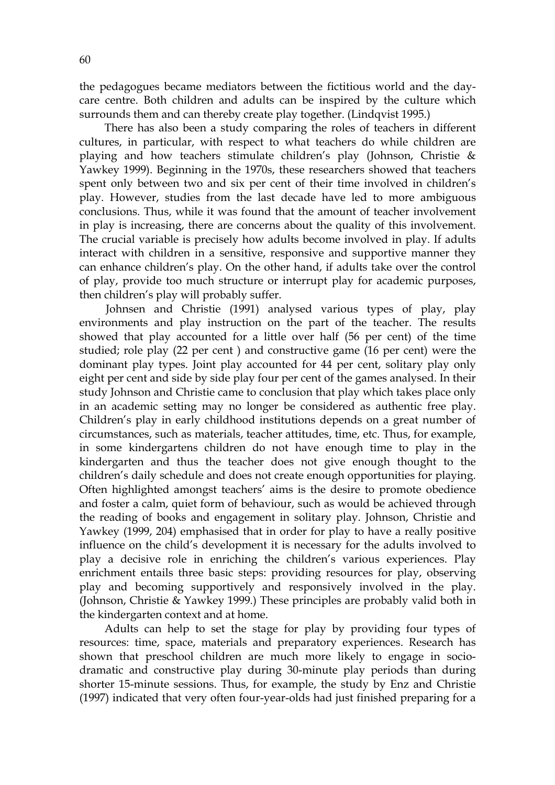the pedagogues became mediators between the fictitious world and the daycare centre. Both children and adults can be inspired by the culture which surrounds them and can thereby create play together. (Lindqvist 1995.)

There has also been a study comparing the roles of teachers in different cultures, in particular, with respect to what teachers do while children are playing and how teachers stimulate children's play (Johnson, Christie & Yawkey 1999). Beginning in the 1970s, these researchers showed that teachers spent only between two and six per cent of their time involved in children's play. However, studies from the last decade have led to more ambiguous conclusions. Thus, while it was found that the amount of teacher involvement in play is increasing, there are concerns about the quality of this involvement. The crucial variable is precisely how adults become involved in play. If adults interact with children in a sensitive, responsive and supportive manner they can enhance children's play. On the other hand, if adults take over the control of play, provide too much structure or interrupt play for academic purposes, then children's play will probably suffer.

Johnsen and Christie (1991) analysed various types of play, play environments and play instruction on the part of the teacher. The results showed that play accounted for a little over half (56 per cent) of the time studied; role play (22 per cent ) and constructive game (16 per cent) were the dominant play types. Joint play accounted for 44 per cent, solitary play only eight per cent and side by side play four per cent of the games analysed. In their study Johnson and Christie came to conclusion that play which takes place only in an academic setting may no longer be considered as authentic free play. Children's play in early childhood institutions depends on a great number of circumstances, such as materials, teacher attitudes, time, etc. Thus, for example, in some kindergartens children do not have enough time to play in the kindergarten and thus the teacher does not give enough thought to the children's daily schedule and does not create enough opportunities for playing. Often highlighted amongst teachers' aims is the desire to promote obedience and foster a calm, quiet form of behaviour, such as would be achieved through the reading of books and engagement in solitary play. Johnson, Christie and Yawkey (1999, 204) emphasised that in order for play to have a really positive influence on the child's development it is necessary for the adults involved to play a decisive role in enriching the children's various experiences. Play enrichment entails three basic steps: providing resources for play, observing play and becoming supportively and responsively involved in the play. (Johnson, Christie & Yawkey 1999.) These principles are probably valid both in the kindergarten context and at home.

Adults can help to set the stage for play by providing four types of resources: time, space, materials and preparatory experiences. Research has shown that preschool children are much more likely to engage in sociodramatic and constructive play during 30-minute play periods than during shorter 15-minute sessions. Thus, for example, the study by Enz and Christie (1997) indicated that very often four-year-olds had just finished preparing for a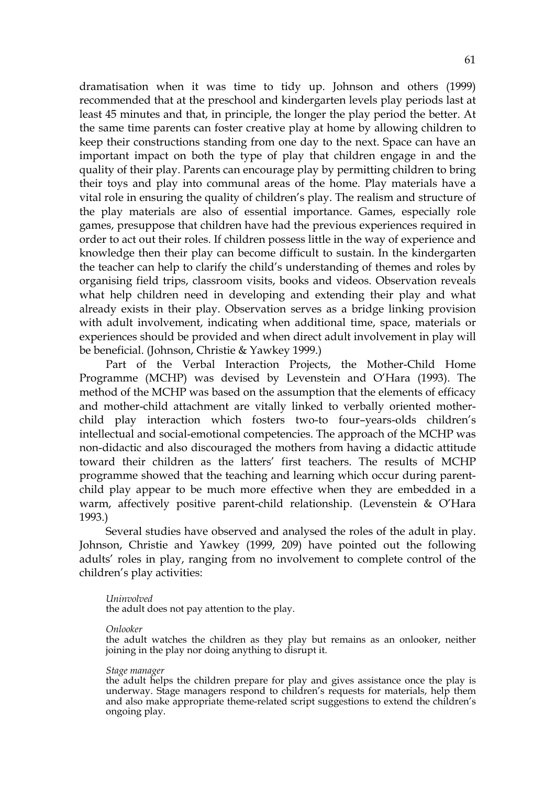dramatisation when it was time to tidy up. Johnson and others (1999) recommended that at the preschool and kindergarten levels play periods last at least 45 minutes and that, in principle, the longer the play period the better. At the same time parents can foster creative play at home by allowing children to keep their constructions standing from one day to the next. Space can have an important impact on both the type of play that children engage in and the quality of their play. Parents can encourage play by permitting children to bring their toys and play into communal areas of the home. Play materials have a vital role in ensuring the quality of children's play. The realism and structure of the play materials are also of essential importance. Games, especially role games, presuppose that children have had the previous experiences required in order to act out their roles. If children possess little in the way of experience and knowledge then their play can become difficult to sustain. In the kindergarten the teacher can help to clarify the child's understanding of themes and roles by organising field trips, classroom visits, books and videos. Observation reveals what help children need in developing and extending their play and what already exists in their play. Observation serves as a bridge linking provision with adult involvement, indicating when additional time, space, materials or experiences should be provided and when direct adult involvement in play will be beneficial. (Johnson, Christie & Yawkey 1999.)

Part of the Verbal Interaction Projects, the Mother-Child Home Programme (MCHP) was devised by Levenstein and O'Hara (1993). The method of the MCHP was based on the assumption that the elements of efficacy and mother-child attachment are vitally linked to verbally oriented motherchild play interaction which fosters two-to four–years-olds children's intellectual and social-emotional competencies. The approach of the MCHP was non-didactic and also discouraged the mothers from having a didactic attitude toward their children as the latters' first teachers. The results of MCHP programme showed that the teaching and learning which occur during parentchild play appear to be much more effective when they are embedded in a warm, affectively positive parent-child relationship. (Levenstein & O'Hara 1993.)

 Several studies have observed and analysed the roles of the adult in play. Johnson, Christie and Yawkey (1999, 209) have pointed out the following adults' roles in play, ranging from no involvement to complete control of the children's play activities:

#### *Uninvolved*

the adult does not pay attention to the play.

*Onlooker*

the adult watches the children as they play but remains as an onlooker, neither joining in the play nor doing anything to disrupt it.

#### *Stage manager*

the adult helps the children prepare for play and gives assistance once the play is underway. Stage managers respond to children's requests for materials, help them and also make appropriate theme-related script suggestions to extend the children's ongoing play.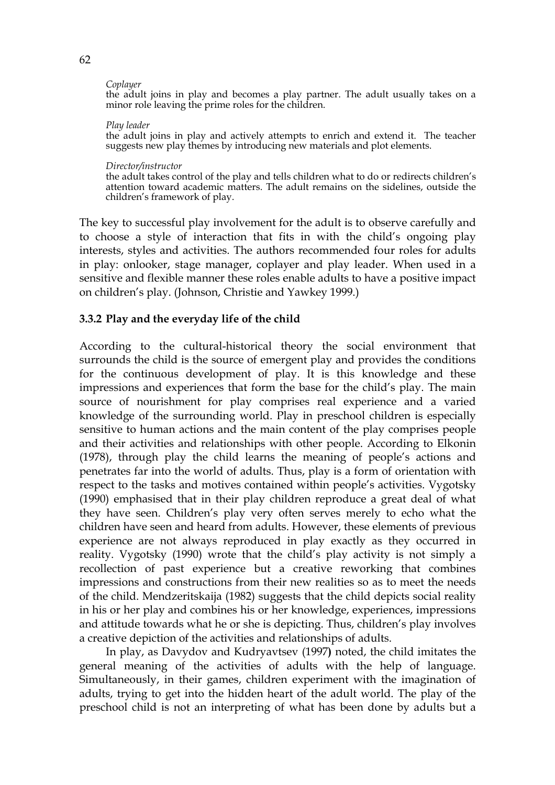#### *Coplayer*

the adult joins in play and becomes a play partner. The adult usually takes on a minor role leaving the prime roles for the children.

#### *Play leader*

the adult joins in play and actively attempts to enrich and extend it. The teacher suggests new play themes by introducing new materials and plot elements.

#### *Director/instructor*

the adult takes control of the play and tells children what to do or redirects children's attention toward academic matters. The adult remains on the sidelines, outside the children's framework of play.

The key to successful play involvement for the adult is to observe carefully and to choose a style of interaction that fits in with the child's ongoing play interests, styles and activities. The authors recommended four roles for adults in play: onlooker, stage manager, coplayer and play leader. When used in a sensitive and flexible manner these roles enable adults to have a positive impact on children's play. (Johnson, Christie and Yawkey 1999.)

#### **3.3.2 Play and the everyday life of the child**

According to the cultural-historical theory the social environment that surrounds the child is the source of emergent play and provides the conditions for the continuous development of play. It is this knowledge and these impressions and experiences that form the base for the child's play. The main source of nourishment for play comprises real experience and a varied knowledge of the surrounding world. Play in preschool children is especially sensitive to human actions and the main content of the play comprises people and their activities and relationships with other people. According to Elkonin (1978), through play the child learns the meaning of people's actions and penetrates far into the world of adults. Thus, play is a form of orientation with respect to the tasks and motives contained within people's activities. Vygotsky (1990) emphasised that in their play children reproduce a great deal of what they have seen. Children's play very often serves merely to echo what the children have seen and heard from adults. However, these elements of previous experience are not always reproduced in play exactly as they occurred in reality. Vygotsky (1990) wrote that the child's play activity is not simply a recollection of past experience but a creative reworking that combines impressions and constructions from their new realities so as to meet the needs of the child. Mendzeritskaija (1982) suggests that the child depicts social reality in his or her play and combines his or her knowledge, experiences, impressions and attitude towards what he or she is depicting. Thus, children's play involves a creative depiction of the activities and relationships of adults.

In play, as Davydov and Kudryavtsev (1997**)** noted, the child imitates the general meaning of the activities of adults with the help of language. Simultaneously, in their games, children experiment with the imagination of adults, trying to get into the hidden heart of the adult world. The play of the preschool child is not an interpreting of what has been done by adults but a

62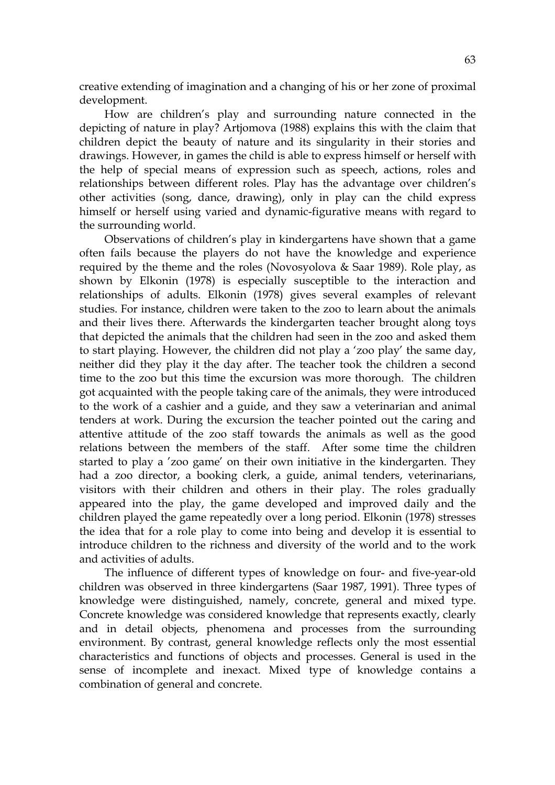creative extending of imagination and a changing of his or her zone of proximal development.

How are children's play and surrounding nature connected in the depicting of nature in play? Artjomova (1988) explains this with the claim that children depict the beauty of nature and its singularity in their stories and drawings. However, in games the child is able to express himself or herself with the help of special means of expression such as speech, actions, roles and relationships between different roles. Play has the advantage over children's other activities (song, dance, drawing), only in play can the child express himself or herself using varied and dynamic-figurative means with regard to the surrounding world.

Observations of children's play in kindergartens have shown that a game often fails because the players do not have the knowledge and experience required by the theme and the roles (Novosyolova & Saar 1989). Role play, as shown by Elkonin (1978) is especially susceptible to the interaction and relationships of adults. Elkonin (1978) gives several examples of relevant studies. For instance, children were taken to the zoo to learn about the animals and their lives there. Afterwards the kindergarten teacher brought along toys that depicted the animals that the children had seen in the zoo and asked them to start playing. However, the children did not play a 'zoo play' the same day, neither did they play it the day after. The teacher took the children a second time to the zoo but this time the excursion was more thorough. The children got acquainted with the people taking care of the animals, they were introduced to the work of a cashier and a guide, and they saw a veterinarian and animal tenders at work. During the excursion the teacher pointed out the caring and attentive attitude of the zoo staff towards the animals as well as the good relations between the members of the staff. After some time the children started to play a 'zoo game' on their own initiative in the kindergarten. They had a zoo director, a booking clerk, a guide, animal tenders, veterinarians, visitors with their children and others in their play. The roles gradually appeared into the play, the game developed and improved daily and the children played the game repeatedly over a long period. Elkonin (1978) stresses the idea that for a role play to come into being and develop it is essential to introduce children to the richness and diversity of the world and to the work and activities of adults.

The influence of different types of knowledge on four- and five-year-old children was observed in three kindergartens (Saar 1987, 1991). Three types of knowledge were distinguished, namely, concrete, general and mixed type. Concrete knowledge was considered knowledge that represents exactly, clearly and in detail objects, phenomena and processes from the surrounding environment. By contrast, general knowledge reflects only the most essential characteristics and functions of objects and processes. General is used in the sense of incomplete and inexact. Mixed type of knowledge contains a combination of general and concrete.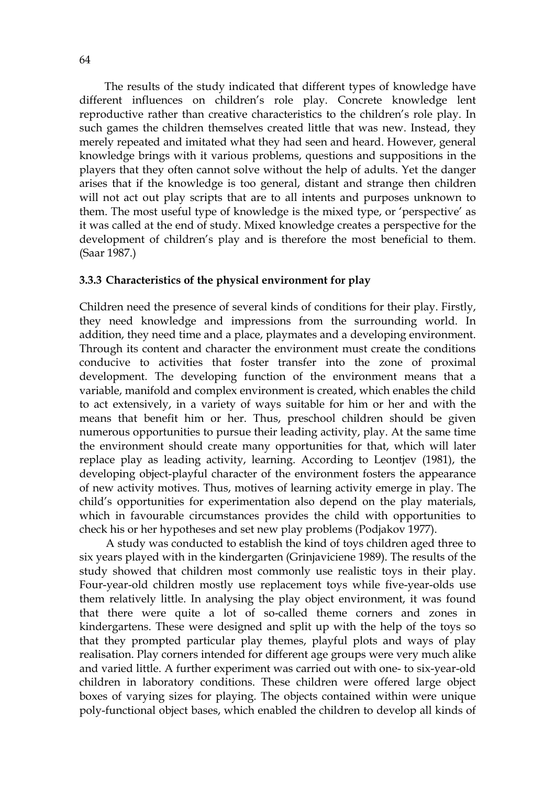The results of the study indicated that different types of knowledge have different influences on children's role play. Concrete knowledge lent reproductive rather than creative characteristics to the children's role play. In such games the children themselves created little that was new. Instead, they merely repeated and imitated what they had seen and heard. However, general knowledge brings with it various problems, questions and suppositions in the players that they often cannot solve without the help of adults. Yet the danger arises that if the knowledge is too general, distant and strange then children will not act out play scripts that are to all intents and purposes unknown to them. The most useful type of knowledge is the mixed type, or 'perspective' as it was called at the end of study. Mixed knowledge creates a perspective for the development of children's play and is therefore the most beneficial to them. (Saar 1987.)

## **3.3.3 Characteristics of the physical environment for play**

Children need the presence of several kinds of conditions for their play. Firstly, they need knowledge and impressions from the surrounding world. In addition, they need time and a place, playmates and a developing environment. Through its content and character the environment must create the conditions conducive to activities that foster transfer into the zone of proximal development. The developing function of the environment means that a variable, manifold and complex environment is created, which enables the child to act extensively, in a variety of ways suitable for him or her and with the means that benefit him or her. Thus, preschool children should be given numerous opportunities to pursue their leading activity, play. At the same time the environment should create many opportunities for that, which will later replace play as leading activity, learning. According to Leontjev (1981), the developing object-playful character of the environment fosters the appearance of new activity motives. Thus, motives of learning activity emerge in play. The child's opportunities for experimentation also depend on the play materials, which in favourable circumstances provides the child with opportunities to check his or her hypotheses and set new play problems (Podjakov 1977).

A study was conducted to establish the kind of toys children aged three to six years played with in the kindergarten (Grinjaviciene 1989). The results of the study showed that children most commonly use realistic toys in their play. Four-year-old children mostly use replacement toys while five-year-olds use them relatively little. In analysing the play object environment, it was found that there were quite a lot of so-called theme corners and zones in kindergartens. These were designed and split up with the help of the toys so that they prompted particular play themes, playful plots and ways of play realisation. Play corners intended for different age groups were very much alike and varied little. A further experiment was carried out with one- to six-year-old children in laboratory conditions. These children were offered large object boxes of varying sizes for playing. The objects contained within were unique poly-functional object bases, which enabled the children to develop all kinds of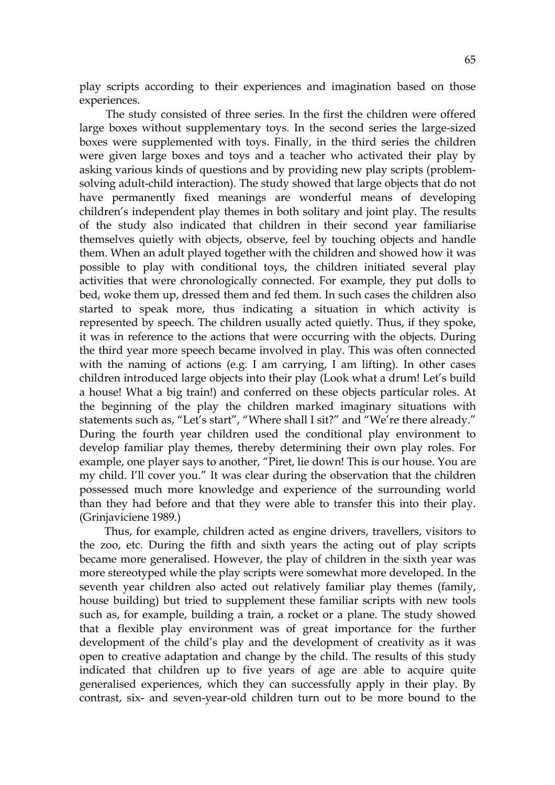play scripts according to their experiences and imagination based on those experiences.

The study consisted of three series. In the first the children were offered large boxes without supplementary toys. In the second series the large-sized boxes were supplemented with toys. Finally, in the third series the children were given large boxes and toys and a teacher who activated their play by asking various kinds of questions and by providing new play scripts (problemsolving adult-child interaction). The study showed that large objects that do not have permanently fixed meanings are wonderful means of developing children's independent play themes in both solitary and joint play. The results of the study also indicated that children in their second year familiarise themselves quietly with objects, observe, feel by touching objects and handle them. When an adult played together with the children and showed how it was possible to play with conditional toys, the children initiated several play activities that were chronologically connected. For example, they put dolls to bed, woke them up, dressed them and fed them. In such cases the children also started to speak more, thus indicating a situation in which activity is represented by speech. The children usually acted quietly. Thus, if they spoke, it was in reference to the actions that were occurring with the objects. During the third year more speech became involved in play. This was often connected with the naming of actions (e.g. I am carrying, I am lifting). In other cases children introduced large objects into their play (Look what a drum! Let's build a house! What a big train!) and conferred on these objects particular roles. At the beginning of the play the children marked imaginary situations with statements such as, "Let's start", "Where shall I sit?" and "We're there already." During the fourth year children used the conditional play environment to develop familiar play themes, thereby determining their own play roles. For example, one player says to another, "Piret, lie down! This is our house. You are my child. I'll cover you." It was clear during the observation that the children possessed much more knowledge and experience of the surrounding world than they had before and that they were able to transfer this into their play. (Grinjaviciene 1989.)

 Thus, for example, children acted as engine drivers, travellers, visitors to the zoo, etc. During the fifth and sixth years the acting out of play scripts became more generalised. However, the play of children in the sixth year was more stereotyped while the play scripts were somewhat more developed. In the seventh year children also acted out relatively familiar play themes (family, house building) but tried to supplement these familiar scripts with new tools such as, for example, building a train, a rocket or a plane. The study showed that a flexible play environment was of great importance for the further development of the child's play and the development of creativity as it was open to creative adaptation and change by the child. The results of this study indicated that children up to five years of age are able to acquire quite generalised experiences, which they can successfully apply in their play. By contrast, six- and seven-year-old children turn out to be more bound to the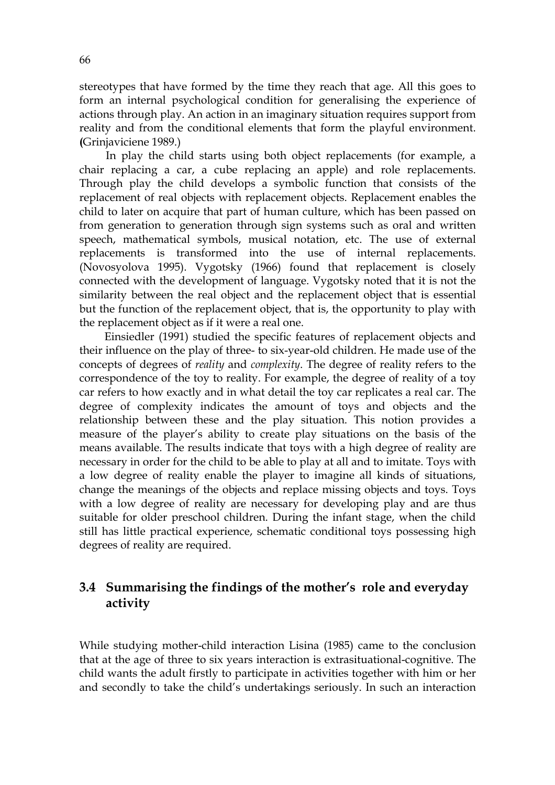stereotypes that have formed by the time they reach that age. All this goes to form an internal psychological condition for generalising the experience of actions through play. An action in an imaginary situation requires support from reality and from the conditional elements that form the playful environment. **(**Grinjaviciene 1989.)

In play the child starts using both object replacements (for example, a chair replacing a car, a cube replacing an apple) and role replacements. Through play the child develops a symbolic function that consists of the replacement of real objects with replacement objects. Replacement enables the child to later on acquire that part of human culture, which has been passed on from generation to generation through sign systems such as oral and written speech, mathematical symbols, musical notation, etc. The use of external replacements is transformed into the use of internal replacements. (Novosyolova 1995). Vygotsky (1966) found that replacement is closely connected with the development of language. Vygotsky noted that it is not the similarity between the real object and the replacement object that is essential but the function of the replacement object, that is, the opportunity to play with the replacement object as if it were a real one.

Einsiedler (1991) studied the specific features of replacement objects and their influence on the play of three- to six-year-old children. He made use of the concepts of degrees of *reality* and *complexity*. The degree of reality refers to the correspondence of the toy to reality. For example, the degree of reality of a toy car refers to how exactly and in what detail the toy car replicates a real car. The degree of complexity indicates the amount of toys and objects and the relationship between these and the play situation. This notion provides a measure of the player's ability to create play situations on the basis of the means available. The results indicate that toys with a high degree of reality are necessary in order for the child to be able to play at all and to imitate. Toys with a low degree of reality enable the player to imagine all kinds of situations, change the meanings of the objects and replace missing objects and toys. Toys with a low degree of reality are necessary for developing play and are thus suitable for older preschool children. During the infant stage, when the child still has little practical experience, schematic conditional toys possessing high degrees of reality are required.

## **3.4 Summarising the findings of the mother's role and everyday activity**

While studying mother-child interaction Lisina (1985) came to the conclusion that at the age of three to six years interaction is extrasituational-cognitive. The child wants the adult firstly to participate in activities together with him or her and secondly to take the child's undertakings seriously. In such an interaction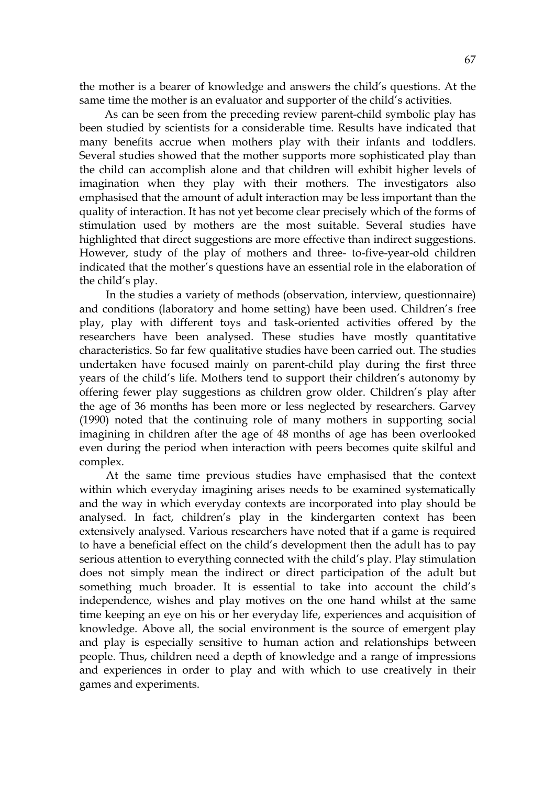the mother is a bearer of knowledge and answers the child's questions. At the same time the mother is an evaluator and supporter of the child's activities.

 As can be seen from the preceding review parent-child symbolic play has been studied by scientists for a considerable time. Results have indicated that many benefits accrue when mothers play with their infants and toddlers. Several studies showed that the mother supports more sophisticated play than the child can accomplish alone and that children will exhibit higher levels of imagination when they play with their mothers. The investigators also emphasised that the amount of adult interaction may be less important than the quality of interaction. It has not yet become clear precisely which of the forms of stimulation used by mothers are the most suitable. Several studies have highlighted that direct suggestions are more effective than indirect suggestions. However, study of the play of mothers and three- to-five-year-old children indicated that the mother's questions have an essential role in the elaboration of the child's play.

 In the studies a variety of methods (observation, interview, questionnaire) and conditions (laboratory and home setting) have been used. Children's free play, play with different toys and task-oriented activities offered by the researchers have been analysed. These studies have mostly quantitative characteristics. So far few qualitative studies have been carried out. The studies undertaken have focused mainly on parent-child play during the first three years of the child's life. Mothers tend to support their children's autonomy by offering fewer play suggestions as children grow older. Children's play after the age of 36 months has been more or less neglected by researchers. Garvey (1990) noted that the continuing role of many mothers in supporting social imagining in children after the age of 48 months of age has been overlooked even during the period when interaction with peers becomes quite skilful and complex.

At the same time previous studies have emphasised that the context within which everyday imagining arises needs to be examined systematically and the way in which everyday contexts are incorporated into play should be analysed. In fact, children's play in the kindergarten context has been extensively analysed. Various researchers have noted that if a game is required to have a beneficial effect on the child's development then the adult has to pay serious attention to everything connected with the child's play. Play stimulation does not simply mean the indirect or direct participation of the adult but something much broader. It is essential to take into account the child's independence, wishes and play motives on the one hand whilst at the same time keeping an eye on his or her everyday life, experiences and acquisition of knowledge. Above all, the social environment is the source of emergent play and play is especially sensitive to human action and relationships between people. Thus, children need a depth of knowledge and a range of impressions and experiences in order to play and with which to use creatively in their games and experiments.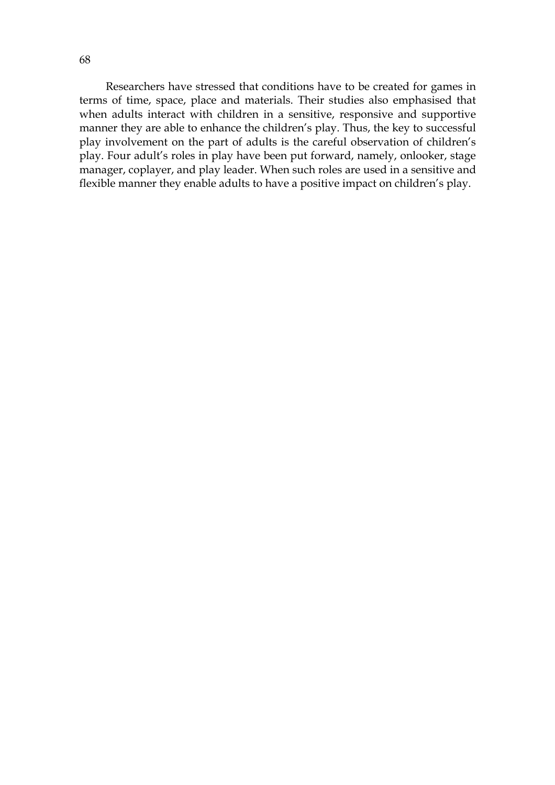Researchers have stressed that conditions have to be created for games in terms of time, space, place and materials. Their studies also emphasised that when adults interact with children in a sensitive, responsive and supportive manner they are able to enhance the children's play. Thus, the key to successful play involvement on the part of adults is the careful observation of children's play. Four adult's roles in play have been put forward, namely, onlooker, stage manager, coplayer, and play leader. When such roles are used in a sensitive and flexible manner they enable adults to have a positive impact on children's play.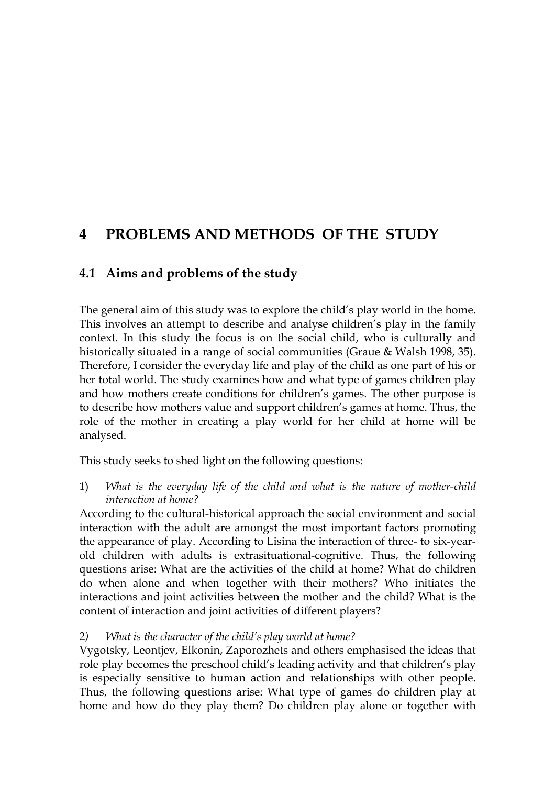# **4 PROBLEMS AND METHODS OF THE STUDY**

## **4.1 Aims and problems of the study**

The general aim of this study was to explore the child's play world in the home. This involves an attempt to describe and analyse children's play in the family context. In this study the focus is on the social child, who is culturally and historically situated in a range of social communities (Graue & Walsh 1998, 35). Therefore, I consider the everyday life and play of the child as one part of his or her total world. The study examines how and what type of games children play and how mothers create conditions for children's games. The other purpose is to describe how mothers value and support children's games at home. Thus, the role of the mother in creating a play world for her child at home will be analysed.

This study seeks to shed light on the following questions:

1) *What is the everyday life of the child and what is the nature of mother-child interaction at home?* 

According to the cultural-historical approach the social environment and social interaction with the adult are amongst the most important factors promoting the appearance of play. According to Lisina the interaction of three- to six-yearold children with adults is extrasituational-cognitive. Thus, the following questions arise: What are the activities of the child at home? What do children do when alone and when together with their mothers? Who initiates the interactions and joint activities between the mother and the child? What is the content of interaction and joint activities of different players?

## 2*) What is the character of the child's play world at home?*

Vygotsky, Leontjev, Elkonin, Zaporozhets and others emphasised the ideas that role play becomes the preschool child's leading activity and that children's play is especially sensitive to human action and relationships with other people. Thus, the following questions arise: What type of games do children play at home and how do they play them? Do children play alone or together with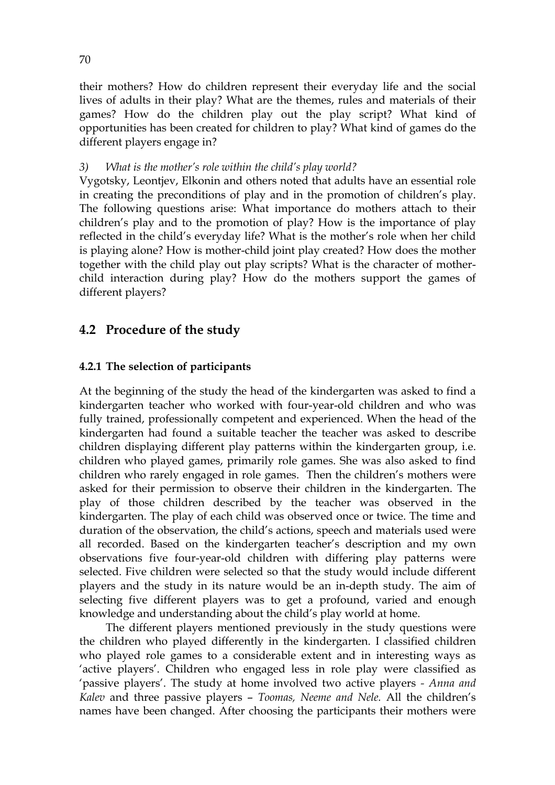their mothers? How do children represent their everyday life and the social lives of adults in their play? What are the themes, rules and materials of their games? How do the children play out the play script? What kind of opportunities has been created for children to play? What kind of games do the different players engage in?

## *3) What is the mother's role within the child's play world?*

Vygotsky, Leontjev, Elkonin and others noted that adults have an essential role in creating the preconditions of play and in the promotion of children's play. The following questions arise: What importance do mothers attach to their children's play and to the promotion of play? How is the importance of play reflected in the child's everyday life? What is the mother's role when her child is playing alone? How is mother-child joint play created? How does the mother together with the child play out play scripts? What is the character of motherchild interaction during play? How do the mothers support the games of different players?

## **4.2 Procedure of the study**

## **4.2.1 The selection of participants**

At the beginning of the study the head of the kindergarten was asked to find a kindergarten teacher who worked with four-year-old children and who was fully trained, professionally competent and experienced. When the head of the kindergarten had found a suitable teacher the teacher was asked to describe children displaying different play patterns within the kindergarten group, i.e. children who played games, primarily role games. She was also asked to find children who rarely engaged in role games. Then the children's mothers were asked for their permission to observe their children in the kindergarten. The play of those children described by the teacher was observed in the kindergarten. The play of each child was observed once or twice. The time and duration of the observation, the child's actions, speech and materials used were all recorded. Based on the kindergarten teacher's description and my own observations five four-year-old children with differing play patterns were selected. Five children were selected so that the study would include different players and the study in its nature would be an in-depth study. The aim of selecting five different players was to get a profound, varied and enough knowledge and understanding about the child's play world at home.

The different players mentioned previously in the study questions were the children who played differently in the kindergarten. I classified children who played role games to a considerable extent and in interesting ways as 'active players'. Children who engaged less in role play were classified as 'passive players'. The study at home involved two active players *- Anna and Kalev* and three passive players – *Toomas, Neeme and Nele.* All the children's names have been changed. After choosing the participants their mothers were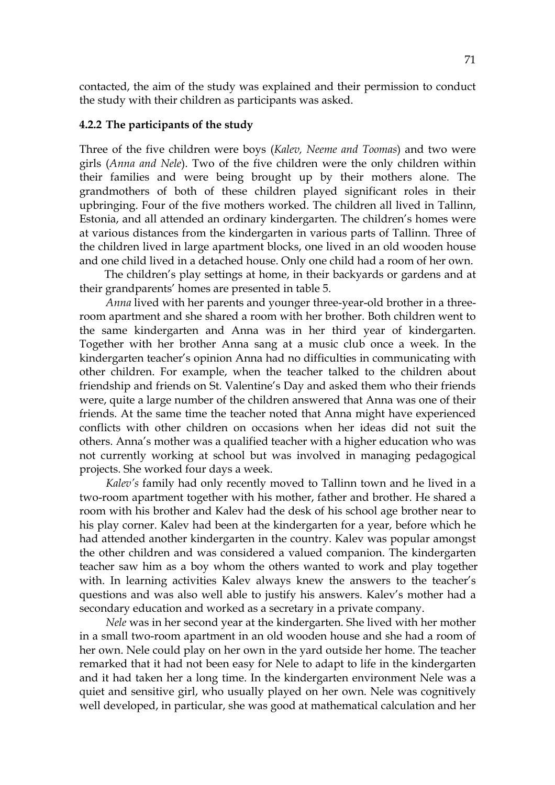contacted, the aim of the study was explained and their permission to conduct the study with their children as participants was asked.

### **4.2.2 The participants of the study**

Three of the five children were boys (*Kalev, Neeme and Toomas*) and two were girls (*Anna and Nele*). Two of the five children were the only children within their families and were being brought up by their mothers alone. The grandmothers of both of these children played significant roles in their upbringing. Four of the five mothers worked. The children all lived in Tallinn, Estonia, and all attended an ordinary kindergarten. The children's homes were at various distances from the kindergarten in various parts of Tallinn. Three of the children lived in large apartment blocks, one lived in an old wooden house and one child lived in a detached house. Only one child had a room of her own.

 The children's play settings at home, in their backyards or gardens and at their grandparents' homes are presented in table 5.

*Anna* lived with her parents and younger three-year-old brother in a threeroom apartment and she shared a room with her brother. Both children went to the same kindergarten and Anna was in her third year of kindergarten. Together with her brother Anna sang at a music club once a week. In the kindergarten teacher's opinion Anna had no difficulties in communicating with other children. For example, when the teacher talked to the children about friendship and friends on St. Valentine's Day and asked them who their friends were, quite a large number of the children answered that Anna was one of their friends. At the same time the teacher noted that Anna might have experienced conflicts with other children on occasions when her ideas did not suit the others. Anna's mother was a qualified teacher with a higher education who was not currently working at school but was involved in managing pedagogical projects. She worked four days a week.

*Kalev's* family had only recently moved to Tallinn town and he lived in a two-room apartment together with his mother, father and brother. He shared a room with his brother and Kalev had the desk of his school age brother near to his play corner. Kalev had been at the kindergarten for a year, before which he had attended another kindergarten in the country. Kalev was popular amongst the other children and was considered a valued companion. The kindergarten teacher saw him as a boy whom the others wanted to work and play together with. In learning activities Kalev always knew the answers to the teacher's questions and was also well able to justify his answers. Kalev's mother had a secondary education and worked as a secretary in a private company.

*Nele* was in her second year at the kindergarten. She lived with her mother in a small two-room apartment in an old wooden house and she had a room of her own. Nele could play on her own in the yard outside her home. The teacher remarked that it had not been easy for Nele to adapt to life in the kindergarten and it had taken her a long time. In the kindergarten environment Nele was a quiet and sensitive girl, who usually played on her own. Nele was cognitively well developed, in particular, she was good at mathematical calculation and her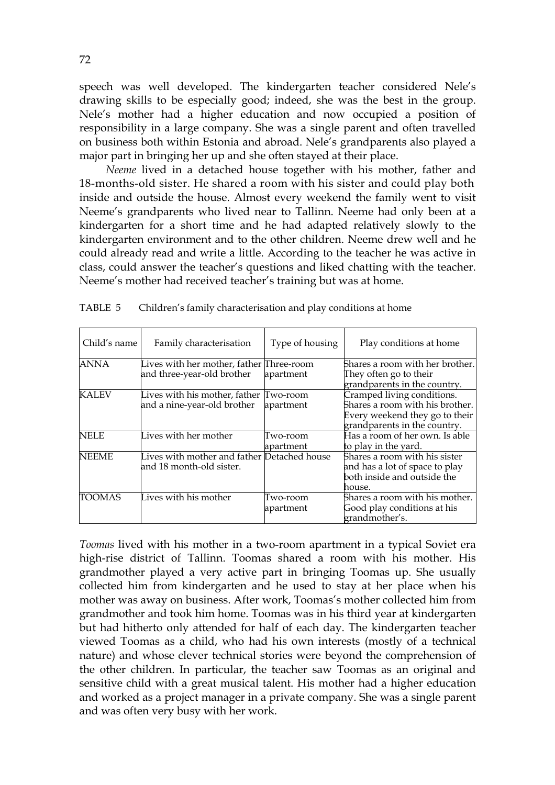speech was well developed. The kindergarten teacher considered Nele's drawing skills to be especially good; indeed, she was the best in the group. Nele's mother had a higher education and now occupied a position of responsibility in a large company. She was a single parent and often travelled on business both within Estonia and abroad. Nele's grandparents also played a major part in bringing her up and she often stayed at their place.

*Neeme* lived in a detached house together with his mother, father and 18-months-old sister. He shared a room with his sister and could play both inside and outside the house. Almost every weekend the family went to visit Neeme's grandparents who lived near to Tallinn. Neeme had only been at a kindergarten for a short time and he had adapted relatively slowly to the kindergarten environment and to the other children. Neeme drew well and he could already read and write a little. According to the teacher he was active in class, could answer the teacher's questions and liked chatting with the teacher. Neeme's mother had received teacher's training but was at home.

| Child's name | Family characterisation                                                 | Type of housing       | Play conditions at home                                                                                                         |
|--------------|-------------------------------------------------------------------------|-----------------------|---------------------------------------------------------------------------------------------------------------------------------|
| <b>ANNA</b>  | Lives with her mother, father Three-room<br>and three-year-old brother  | apartment             | Shares a room with her brother.<br>They often go to their<br>grandparents in the country.                                       |
| <b>KALEV</b> | Lives with his mother, father Two-room<br>and a nine-year-old brother   | apartment             | Cramped living conditions.<br>Shares a room with his brother.<br>Every weekend they go to their<br>grandparents in the country. |
| <b>NELE</b>  | Lives with her mother                                                   | Two-room<br>apartment | Has a room of her own. Is able<br>to play in the yard.                                                                          |
| <b>NEEME</b> | Lives with mother and father Detached house<br>and 18 month-old sister. |                       | Shares a room with his sister<br>and has a lot of space to play<br>both inside and outside the<br>house.                        |
| TOOMAS       | Lives with his mother                                                   | Two-room<br>apartment | Shares a room with his mother.<br>Good play conditions at his<br>grandmother's.                                                 |

TABLE 5 Children's family characterisation and play conditions at home

*Toomas* lived with his mother in a two-room apartment in a typical Soviet era high-rise district of Tallinn. Toomas shared a room with his mother. His grandmother played a very active part in bringing Toomas up. She usually collected him from kindergarten and he used to stay at her place when his mother was away on business. After work, Toomas's mother collected him from grandmother and took him home. Toomas was in his third year at kindergarten but had hitherto only attended for half of each day. The kindergarten teacher viewed Toomas as a child, who had his own interests (mostly of a technical nature) and whose clever technical stories were beyond the comprehension of the other children. In particular, the teacher saw Toomas as an original and sensitive child with a great musical talent. His mother had a higher education and worked as a project manager in a private company. She was a single parent and was often very busy with her work.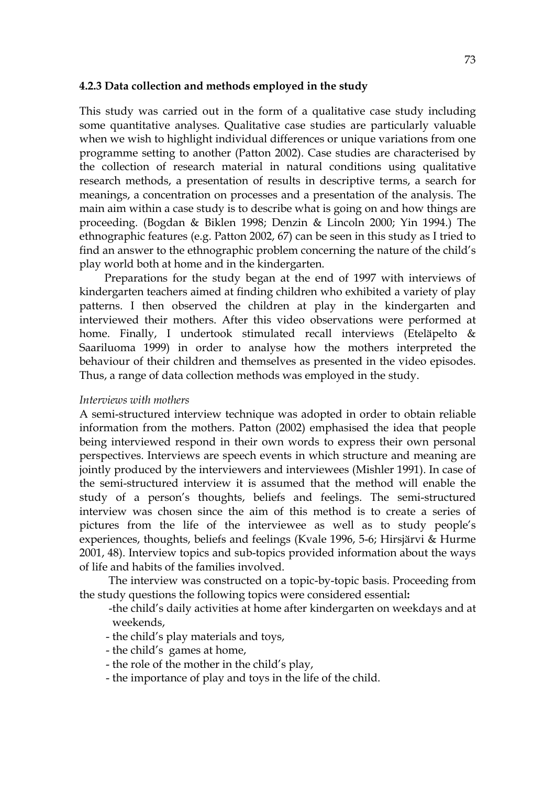#### **4.2.3 Data collection and methods employed in the study**

This study was carried out in the form of a qualitative case study including some quantitative analyses. Qualitative case studies are particularly valuable when we wish to highlight individual differences or unique variations from one programme setting to another (Patton 2002). Case studies are characterised by the collection of research material in natural conditions using qualitative research methods, a presentation of results in descriptive terms, a search for meanings, a concentration on processes and a presentation of the analysis. The main aim within a case study is to describe what is going on and how things are proceeding. (Bogdan & Biklen 1998; Denzin & Lincoln 2000; Yin 1994.) The ethnographic features (e.g. Patton 2002, 67) can be seen in this study as I tried to find an answer to the ethnographic problem concerning the nature of the child's play world both at home and in the kindergarten.

Preparations for the study began at the end of 1997 with interviews of kindergarten teachers aimed at finding children who exhibited a variety of play patterns. I then observed the children at play in the kindergarten and interviewed their mothers. After this video observations were performed at home. Finally, I undertook stimulated recall interviews (Eteläpelto & Saariluoma 1999) in order to analyse how the mothers interpreted the behaviour of their children and themselves as presented in the video episodes. Thus, a range of data collection methods was employed in the study.

#### *Interviews with mothers*

A semi-structured interview technique was adopted in order to obtain reliable information from the mothers. Patton (2002) emphasised the idea that people being interviewed respond in their own words to express their own personal perspectives. Interviews are speech events in which structure and meaning are jointly produced by the interviewers and interviewees (Mishler 1991). In case of the semi-structured interview it is assumed that the method will enable the study of a person's thoughts, beliefs and feelings. The semi-structured interview was chosen since the aim of this method is to create a series of pictures from the life of the interviewee as well as to study people's experiences, thoughts, beliefs and feelings (Kvale 1996, 5-6; Hirsjärvi & Hurme 2001, 48). Interview topics and sub-topics provided information about the ways of life and habits of the families involved.

 The interview was constructed on a topic-by-topic basis. Proceeding from the study questions the following topics were considered essential**:** 

 -the child's daily activities at home after kindergarten on weekdays and at weekends,

- the child's play materials and toys,
- the child's games at home,
- the role of the mother in the child's play,
- the importance of play and toys in the life of the child.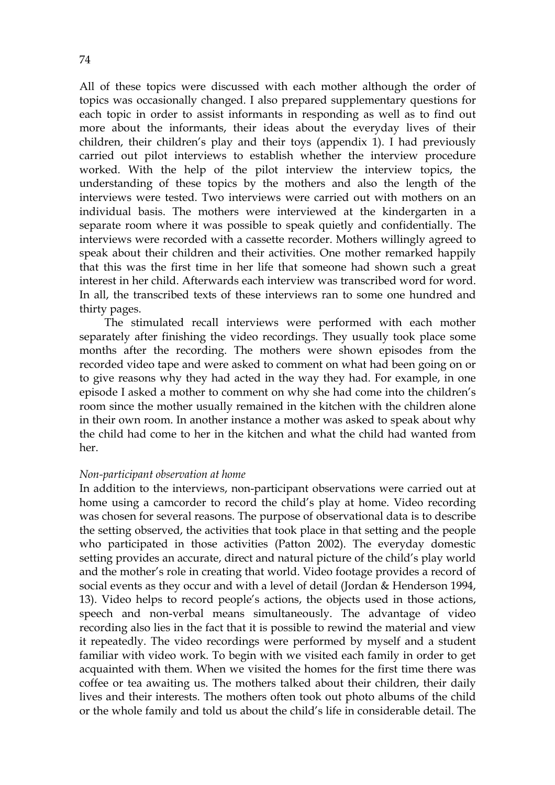All of these topics were discussed with each mother although the order of topics was occasionally changed. I also prepared supplementary questions for each topic in order to assist informants in responding as well as to find out more about the informants, their ideas about the everyday lives of their children, their children's play and their toys (appendix 1). I had previously carried out pilot interviews to establish whether the interview procedure worked. With the help of the pilot interview the interview topics, the understanding of these topics by the mothers and also the length of the interviews were tested. Two interviews were carried out with mothers on an individual basis. The mothers were interviewed at the kindergarten in a separate room where it was possible to speak quietly and confidentially. The interviews were recorded with a cassette recorder. Mothers willingly agreed to speak about their children and their activities. One mother remarked happily that this was the first time in her life that someone had shown such a great interest in her child. Afterwards each interview was transcribed word for word. In all, the transcribed texts of these interviews ran to some one hundred and thirty pages.

 The stimulated recall interviews were performed with each mother separately after finishing the video recordings. They usually took place some months after the recording. The mothers were shown episodes from the recorded video tape and were asked to comment on what had been going on or to give reasons why they had acted in the way they had. For example, in one episode I asked a mother to comment on why she had come into the children's room since the mother usually remained in the kitchen with the children alone in their own room. In another instance a mother was asked to speak about why the child had come to her in the kitchen and what the child had wanted from her.

### *Non-participant observation at home*

In addition to the interviews, non-participant observations were carried out at home using a camcorder to record the child's play at home. Video recording was chosen for several reasons. The purpose of observational data is to describe the setting observed, the activities that took place in that setting and the people who participated in those activities (Patton 2002). The everyday domestic setting provides an accurate, direct and natural picture of the child's play world and the mother's role in creating that world. Video footage provides a record of social events as they occur and with a level of detail (Jordan & Henderson 1994, 13). Video helps to record people's actions, the objects used in those actions, speech and non-verbal means simultaneously. The advantage of video recording also lies in the fact that it is possible to rewind the material and view it repeatedly. The video recordings were performed by myself and a student familiar with video work. To begin with we visited each family in order to get acquainted with them. When we visited the homes for the first time there was coffee or tea awaiting us. The mothers talked about their children, their daily lives and their interests. The mothers often took out photo albums of the child or the whole family and told us about the child's life in considerable detail. The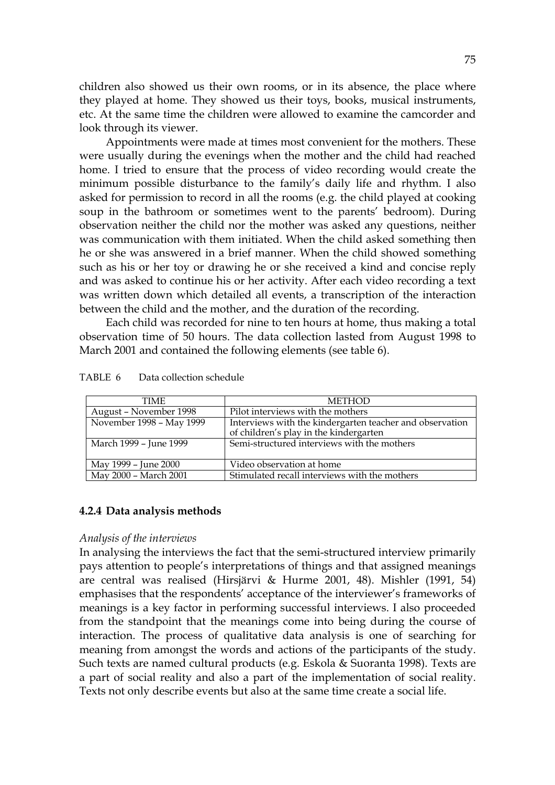children also showed us their own rooms, or in its absence, the place where they played at home. They showed us their toys, books, musical instruments, etc. At the same time the children were allowed to examine the camcorder and look through its viewer.

 Appointments were made at times most convenient for the mothers. These were usually during the evenings when the mother and the child had reached home. I tried to ensure that the process of video recording would create the minimum possible disturbance to the family's daily life and rhythm. I also asked for permission to record in all the rooms (e.g. the child played at cooking soup in the bathroom or sometimes went to the parents' bedroom). During observation neither the child nor the mother was asked any questions, neither was communication with them initiated. When the child asked something then he or she was answered in a brief manner. When the child showed something such as his or her toy or drawing he or she received a kind and concise reply and was asked to continue his or her activity. After each video recording a text was written down which detailed all events, a transcription of the interaction between the child and the mother, and the duration of the recording.

Each child was recorded for nine to ten hours at home, thus making a total observation time of 50 hours. The data collection lasted from August 1998 to March 2001 and contained the following elements (see table 6).

| TIME                     | <b>METHOD</b>                                            |
|--------------------------|----------------------------------------------------------|
| August – November 1998   | Pilot interviews with the mothers                        |
| November 1998 - May 1999 | Interviews with the kindergarten teacher and observation |
|                          | of children's play in the kindergarten                   |
| March 1999 - June 1999   | Semi-structured interviews with the mothers              |
|                          |                                                          |
| May 1999 - June 2000     | Video observation at home                                |
| May 2000 - March 2001    | Stimulated recall interviews with the mothers            |

TABLE 6 Data collection schedule

### **4.2.4 Data analysis methods**

#### *Analysis of the interviews*

In analysing the interviews the fact that the semi-structured interview primarily pays attention to people's interpretations of things and that assigned meanings are central was realised (Hirsjärvi & Hurme 2001, 48). Mishler (1991, 54) emphasises that the respondents' acceptance of the interviewer's frameworks of meanings is a key factor in performing successful interviews. I also proceeded from the standpoint that the meanings come into being during the course of interaction. The process of qualitative data analysis is one of searching for meaning from amongst the words and actions of the participants of the study. Such texts are named cultural products (e.g. Eskola & Suoranta 1998). Texts are a part of social reality and also a part of the implementation of social reality. Texts not only describe events but also at the same time create a social life.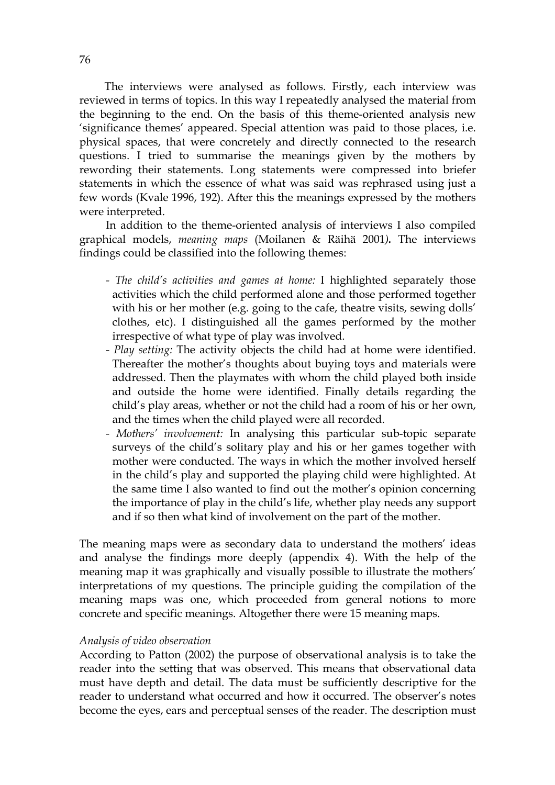The interviews were analysed as follows. Firstly, each interview was reviewed in terms of topics. In this way I repeatedly analysed the material from the beginning to the end. On the basis of this theme-oriented analysis new 'significance themes' appeared. Special attention was paid to those places, i.e. physical spaces, that were concretely and directly connected to the research questions. I tried to summarise the meanings given by the mothers by rewording their statements. Long statements were compressed into briefer statements in which the essence of what was said was rephrased using just a few words (Kvale 1996, 192). After this the meanings expressed by the mothers were interpreted.

In addition to the theme-oriented analysis of interviews I also compiled graphical models, *meaning maps* (Moilanen & Räihä 2001*).* The interviews findings could be classified into the following themes:

- *The child's activities and games at home:* I highlighted separately those activities which the child performed alone and those performed together with his or her mother (e.g. going to the cafe, theatre visits, sewing dolls' clothes, etc). I distinguished all the games performed by the mother irrespective of what type of play was involved.
- *Play setting:* The activity objects the child had at home were identified. Thereafter the mother's thoughts about buying toys and materials were addressed. Then the playmates with whom the child played both inside and outside the home were identified. Finally details regarding the child's play areas, whether or not the child had a room of his or her own, and the times when the child played were all recorded.
- *Mothers' involvement:* In analysing this particular sub-topic separate surveys of the child's solitary play and his or her games together with mother were conducted. The ways in which the mother involved herself in the child's play and supported the playing child were highlighted. At the same time I also wanted to find out the mother's opinion concerning the importance of play in the child's life, whether play needs any support and if so then what kind of involvement on the part of the mother.

The meaning maps were as secondary data to understand the mothers' ideas and analyse the findings more deeply (appendix 4). With the help of the meaning map it was graphically and visually possible to illustrate the mothers' interpretations of my questions. The principle guiding the compilation of the meaning maps was one, which proceeded from general notions to more concrete and specific meanings. Altogether there were 15 meaning maps.

### *Analysis of video observation*

According to Patton (2002) the purpose of observational analysis is to take the reader into the setting that was observed. This means that observational data must have depth and detail. The data must be sufficiently descriptive for the reader to understand what occurred and how it occurred. The observer's notes become the eyes, ears and perceptual senses of the reader. The description must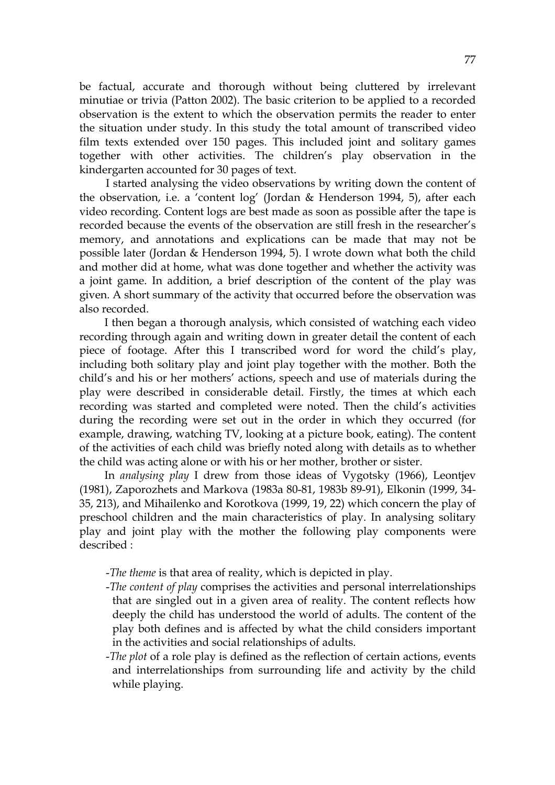be factual, accurate and thorough without being cluttered by irrelevant minutiae or trivia (Patton 2002). The basic criterion to be applied to a recorded observation is the extent to which the observation permits the reader to enter the situation under study. In this study the total amount of transcribed video film texts extended over 150 pages. This included joint and solitary games together with other activities. The children's play observation in the kindergarten accounted for 30 pages of text.

I started analysing the video observations by writing down the content of the observation, i.e. a 'content log' (Jordan & Henderson 1994, 5), after each video recording. Content logs are best made as soon as possible after the tape is recorded because the events of the observation are still fresh in the researcher's memory, and annotations and explications can be made that may not be possible later (Jordan & Henderson 1994, 5). I wrote down what both the child and mother did at home, what was done together and whether the activity was a joint game. In addition, a brief description of the content of the play was given. A short summary of the activity that occurred before the observation was also recorded.

 I then began a thorough analysis, which consisted of watching each video recording through again and writing down in greater detail the content of each piece of footage. After this I transcribed word for word the child's play, including both solitary play and joint play together with the mother. Both the child's and his or her mothers' actions, speech and use of materials during the play were described in considerable detail. Firstly, the times at which each recording was started and completed were noted. Then the child's activities during the recording were set out in the order in which they occurred (for example, drawing, watching TV, looking at a picture book, eating). The content of the activities of each child was briefly noted along with details as to whether the child was acting alone or with his or her mother, brother or sister.

 In *analysing play* I drew from those ideas of Vygotsky (1966), Leontjev (1981), Zaporozhets and Markova (1983a 80-81, 1983b 89-91), Elkonin (1999, 34- 35, 213), and Mihailenko and Korotkova (1999, 19, 22) which concern the play of preschool children and the main characteristics of play. In analysing solitary play and joint play with the mother the following play components were described :

- -*The theme* is that area of reality, which is depicted in play.
- -*The content of play* comprises the activities and personal interrelationships that are singled out in a given area of reality. The content reflects how deeply the child has understood the world of adults. The content of the play both defines and is affected by what the child considers important in the activities and social relationships of adults.
- -*The plot* of a role play is defined as the reflection of certain actions, events and interrelationships from surrounding life and activity by the child while playing.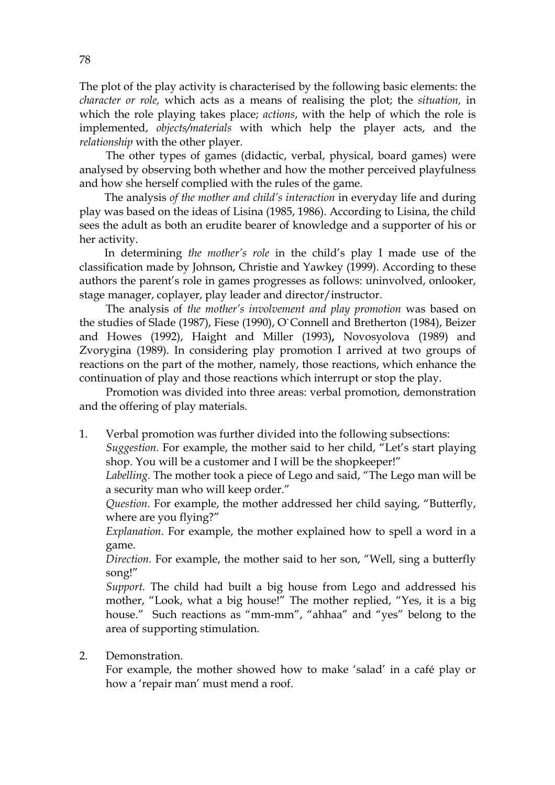The plot of the play activity is characterised by the following basic elements: the *character or role,* which acts as a means of realising the plot; the *situation,* in which the role playing takes place; *actions*, with the help of which the role is implemented, *objects/materials* with which help the player acts, and the *relationship* with the other player.

 The other types of games (didactic, verbal, physical, board games) were analysed by observing both whether and how the mother perceived playfulness and how she herself complied with the rules of the game.

 The analysis *of the mother and child's interaction* in everyday life and during play was based on the ideas of Lisina (1985, 1986). According to Lisina, the child sees the adult as both an erudite bearer of knowledge and a supporter of his or her activity.

 In determining *the mother's role* in the child's play I made use of the classification made by Johnson, Christie and Yawkey (1999). According to these authors the parent's role in games progresses as follows: uninvolved, onlooker, stage manager, coplayer, play leader and director/instructor.

The analysis *o*f *the mother's involvement and play promotion* was based on the studies of Slade (1987), Fiese (1990), O`Connell and Bretherton (1984), Beizer and Howes (1992), Haight and Miller (1993)**,** Novosyolova (1989) and Zvorygina (1989). In considering play promotion I arrived at two groups of reactions on the part of the mother, namely, those reactions, which enhance the continuation of play and those reactions which interrupt or stop the play.

Promotion was divided into three areas: verbal promotion, demonstration and the offering of play materials.

1. Verbal promotion was further divided into the following subsections:

*Suggestion.* For example, the mother said to her child, "Let's start playing shop. You will be a customer and I will be the shopkeeper!"

*Labelling.* The mother took a piece of Lego and said, "The Lego man will be a security man who will keep order."

*Question.* For example, the mother addressed her child saying, "Butterfly, where are you flying?"

*Explanation*. For example, the mother explained how to spell a word in a game.

*Direction.* For example, the mother said to her son, "Well, sing a butterfly song!"

*Support.* The child had built a big house from Lego and addressed his mother, "Look, what a big house!" The mother replied, "Yes, it is a big house." Such reactions as "mm-mm", "ahhaa" and "yes" belong to the area of supporting stimulation.

2. Demonstration.

For example, the mother showed how to make 'salad' in a café play or how a 'repair man' must mend a roof.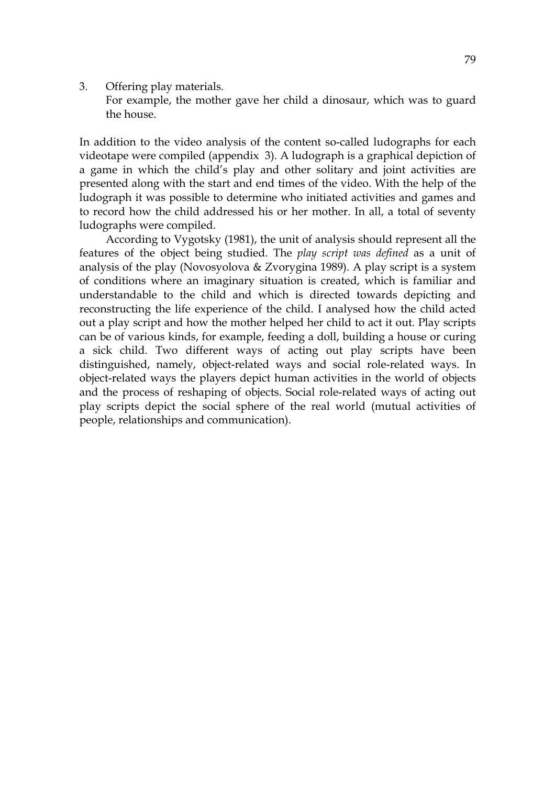3. Offering play materials.

For example, the mother gave her child a dinosaur, which was to guard the house.

In addition to the video analysis of the content so-called ludographs for each videotape were compiled (appendix 3). A ludograph is a graphical depiction of a game in which the child's play and other solitary and joint activities are presented along with the start and end times of the video. With the help of the ludograph it was possible to determine who initiated activities and games and to record how the child addressed his or her mother. In all, a total of seventy ludographs were compiled.

 According to Vygotsky (1981), the unit of analysis should represent all the features of the object being studied. The *play script was defined* as a unit of analysis of the play (Novosyolova & Zvorygina 1989). A play script is a system of conditions where an imaginary situation is created, which is familiar and understandable to the child and which is directed towards depicting and reconstructing the life experience of the child. I analysed how the child acted out a play script and how the mother helped her child to act it out. Play scripts can be of various kinds, for example, feeding a doll, building a house or curing a sick child. Two different ways of acting out play scripts have been distinguished, namely, object-related ways and social role-related ways. In object-related ways the players depict human activities in the world of objects and the process of reshaping of objects. Social role-related ways of acting out play scripts depict the social sphere of the real world (mutual activities of people, relationships and communication).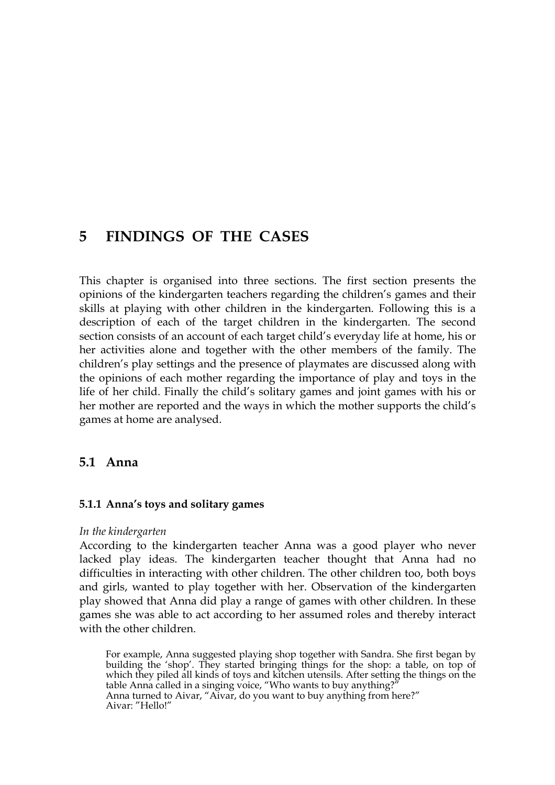# **5 FINDINGS OF THE CASES**

This chapter is organised into three sections. The first section presents the opinions of the kindergarten teachers regarding the children's games and their skills at playing with other children in the kindergarten. Following this is a description of each of the target children in the kindergarten. The second section consists of an account of each target child's everyday life at home, his or her activities alone and together with the other members of the family. The children's play settings and the presence of playmates are discussed along with the opinions of each mother regarding the importance of play and toys in the life of her child. Finally the child's solitary games and joint games with his or her mother are reported and the ways in which the mother supports the child's games at home are analysed.

# **5.1 Anna**

# **5.1.1 Anna's toys and solitary games**

# *In the kindergarten*

According to the kindergarten teacher Anna was a good player who never lacked play ideas. The kindergarten teacher thought that Anna had no difficulties in interacting with other children. The other children too, both boys and girls, wanted to play together with her. Observation of the kindergarten play showed that Anna did play a range of games with other children. In these games she was able to act according to her assumed roles and thereby interact with the other children.

For example, Anna suggested playing shop together with Sandra. She first began by building the 'shop'. They started bringing things for the shop: a table, on top of which they piled all kinds of toys and kitchen utensils. After setting the things on the table Anna called in a singing voice, "Who wants to buy anything?" Anna turned to Aivar, "Aivar, do you want to buy anything from here?" Aivar: "Hello!"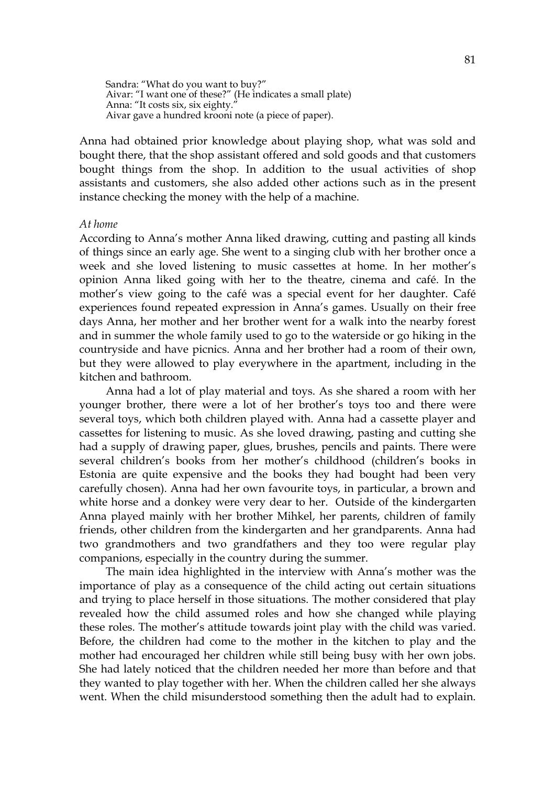Sandra: "What do you want to buy?" Aivar: "I want one of these?" (He indicates a small plate) Anna: "It costs six, six eighty." Aivar gave a hundred krooni note (a piece of paper).

Anna had obtained prior knowledge about playing shop, what was sold and bought there, that the shop assistant offered and sold goods and that customers bought things from the shop. In addition to the usual activities of shop assistants and customers, she also added other actions such as in the present instance checking the money with the help of a machine.

#### *At home*

According to Anna's mother Anna liked drawing, cutting and pasting all kinds of things since an early age. She went to a singing club with her brother once a week and she loved listening to music cassettes at home. In her mother's opinion Anna liked going with her to the theatre, cinema and café. In the mother's view going to the café was a special event for her daughter. Café experiences found repeated expression in Anna's games. Usually on their free days Anna, her mother and her brother went for a walk into the nearby forest and in summer the whole family used to go to the waterside or go hiking in the countryside and have picnics. Anna and her brother had a room of their own, but they were allowed to play everywhere in the apartment, including in the kitchen and bathroom.

Anna had a lot of play material and toys. As she shared a room with her younger brother, there were a lot of her brother's toys too and there were several toys, which both children played with. Anna had a cassette player and cassettes for listening to music. As she loved drawing, pasting and cutting she had a supply of drawing paper, glues, brushes, pencils and paints. There were several children's books from her mother's childhood (children's books in Estonia are quite expensive and the books they had bought had been very carefully chosen). Anna had her own favourite toys, in particular, a brown and white horse and a donkey were very dear to her. Outside of the kindergarten Anna played mainly with her brother Mihkel, her parents, children of family friends, other children from the kindergarten and her grandparents. Anna had two grandmothers and two grandfathers and they too were regular play companions, especially in the country during the summer.

The main idea highlighted in the interview with Anna's mother was the importance of play as a consequence of the child acting out certain situations and trying to place herself in those situations. The mother considered that play revealed how the child assumed roles and how she changed while playing these roles. The mother's attitude towards joint play with the child was varied. Before, the children had come to the mother in the kitchen to play and the mother had encouraged her children while still being busy with her own jobs. She had lately noticed that the children needed her more than before and that they wanted to play together with her. When the children called her she always went. When the child misunderstood something then the adult had to explain.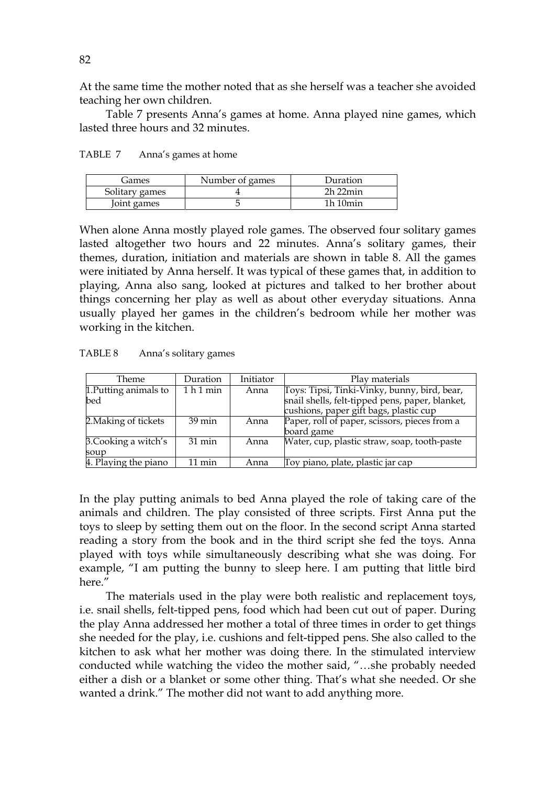At the same time the mother noted that as she herself was a teacher she avoided teaching her own children.

 Table 7 presents Anna's games at home. Anna played nine games, which lasted three hours and 32 minutes.

| TABLE 7 | Anna's games at home |
|---------|----------------------|
|---------|----------------------|

| Games          | Number of games | Duration     |
|----------------|-----------------|--------------|
| Solitary games |                 | $2h$ $22min$ |
| Joint games    |                 | 1h10min      |

When alone Anna mostly played role games. The observed four solitary games lasted altogether two hours and 22 minutes. Anna's solitary games, their themes, duration, initiation and materials are shown in table 8. All the games were initiated by Anna herself. It was typical of these games that, in addition to playing, Anna also sang, looked at pictures and talked to her brother about things concerning her play as well as about other everyday situations. Anna usually played her games in the children's bedroom while her mother was working in the kitchen.

| Theme                 | Duration         | Initiator | Play materials                                  |
|-----------------------|------------------|-----------|-------------------------------------------------|
| 1. Putting animals to | 1 h 1 min        | Anna      | Toys: Tipsi, Tinki-Vinky, bunny, bird, bear,    |
| bed                   |                  |           | snail shells, felt-tipped pens, paper, blanket, |
|                       |                  |           | cushions, paper gift bags, plastic cup          |
| 2. Making of tickets  | $39 \text{ min}$ | Anna      | Paper, roll of paper, scissors, pieces from a   |
|                       |                  |           | board game                                      |
| 3. Cooking a witch's  | $31 \text{ min}$ | Anna      | Water, cup, plastic straw, soap, tooth-paste    |
| soup                  |                  |           |                                                 |
| 4. Playing the piano  | $11 \text{ min}$ | Anna      | Toy piano, plate, plastic jar cap               |

In the play putting animals to bed Anna played the role of taking care of the animals and children. The play consisted of three scripts. First Anna put the toys to sleep by setting them out on the floor. In the second script Anna started reading a story from the book and in the third script she fed the toys. Anna played with toys while simultaneously describing what she was doing. For example, "I am putting the bunny to sleep here. I am putting that little bird here."

The materials used in the play were both realistic and replacement toys, i.e. snail shells, felt-tipped pens, food which had been cut out of paper. During the play Anna addressed her mother a total of three times in order to get things she needed for the play, i.e. cushions and felt-tipped pens. She also called to the kitchen to ask what her mother was doing there. In the stimulated interview conducted while watching the video the mother said, "…she probably needed either a dish or a blanket or some other thing. That's what she needed. Or she wanted a drink." The mother did not want to add anything more.

82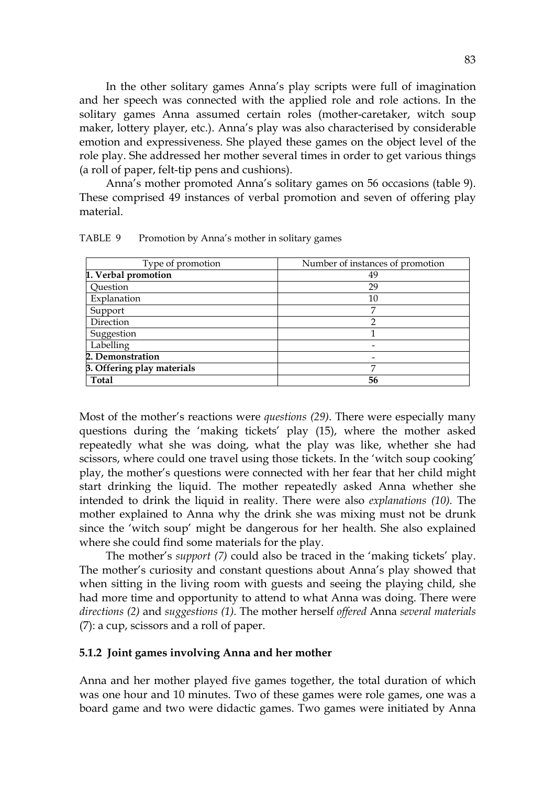In the other solitary games Anna's play scripts were full of imagination and her speech was connected with the applied role and role actions. In the solitary games Anna assumed certain roles (mother-caretaker, witch soup maker, lottery player, etc.). Anna's play was also characterised by considerable emotion and expressiveness. She played these games on the object level of the role play. She addressed her mother several times in order to get various things (a roll of paper, felt-tip pens and cushions).

 Anna's mother promoted Anna's solitary games on 56 occasions (table 9). These comprised 49 instances of verbal promotion and seven of offering play material.

| Type of promotion          | Number of instances of promotion |
|----------------------------|----------------------------------|
| 1. Verbal promotion        | 49                               |
| Question                   | 29                               |
| Explanation                | 10                               |
| Support                    | 7                                |
| Direction                  | っ                                |
| Suggestion                 |                                  |
| Labelling                  |                                  |
| 2. Demonstration           |                                  |
| 3. Offering play materials | ⇁                                |
| Total                      | 56                               |

TABLE 9 Promotion by Anna's mother in solitary games

Most of the mother's reactions were *questions (29)*. There were especially many questions during the 'making tickets' play (15), where the mother asked repeatedly what she was doing, what the play was like, whether she had scissors, where could one travel using those tickets. In the 'witch soup cooking' play, the mother's questions were connected with her fear that her child might start drinking the liquid. The mother repeatedly asked Anna whether she intended to drink the liquid in reality. There were also *explanations (10).* The mother explained to Anna why the drink she was mixing must not be drunk since the 'witch soup' might be dangerous for her health. She also explained where she could find some materials for the play.

The mother's *support (7)* could also be traced in the 'making tickets' play. The mother's curiosity and constant questions about Anna's play showed that when sitting in the living room with guests and seeing the playing child, she had more time and opportunity to attend to what Anna was doing. There were *directions (2)* and *suggestions (1).* The mother herself *offered* Anna *several materials*  (7): a cup, scissors and a roll of paper.

### **5.1.2 Joint games involving Anna and her mother**

Anna and her mother played five games together, the total duration of which was one hour and 10 minutes. Two of these games were role games, one was a board game and two were didactic games. Two games were initiated by Anna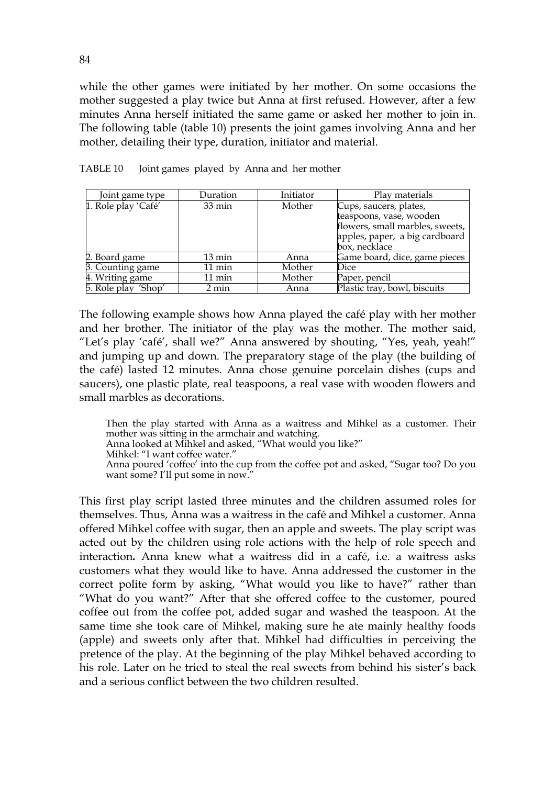while the other games were initiated by her mother. On some occasions the mother suggested a play twice but Anna at first refused. However, after a few minutes Anna herself initiated the same game or asked her mother to join in. The following table (table 10) presents the joint games involving Anna and her mother, detailing their type, duration, initiator and material.

| Joint game type     | Duration         | Initiator | Play materials                  |
|---------------------|------------------|-----------|---------------------------------|
| 1. Role play 'Café' | $33 \text{ min}$ | Mother    | Cups, saucers, plates,          |
|                     |                  |           | teaspoons, vase, wooden         |
|                     |                  |           | flowers, small marbles, sweets, |
|                     |                  |           | apples, paper, a big cardboard  |
|                     |                  |           | box, necklace                   |
| 2. Board game       | $13 \text{ min}$ | Anna      | Game board, dice, game pieces   |
| 3. Counting game    | $11 \text{ min}$ | Mother    | Dice                            |
| 4. Writing game     | 11 min           | Mother    | Paper, pencil                   |
| 5. Role play 'Shop' | 2 min            | Anna      | Plastic tray, bowl, biscuits    |

TABLE 10 Joint games played by Anna and her mother

The following example shows how Anna played the café play with her mother and her brother. The initiator of the play was the mother. The mother said, "Let's play 'café', shall we?" Anna answered by shouting, "Yes, yeah, yeah!" and jumping up and down. The preparatory stage of the play (the building of the café) lasted 12 minutes. Anna chose genuine porcelain dishes (cups and saucers), one plastic plate, real teaspoons, a real vase with wooden flowers and small marbles as decorations.

Then the play started with Anna as a waitress and Mihkel as a customer. Their mother was sitting in the armchair and watching.

Anna looked at Mihkel and asked, "What would you like?"

Mihkel: "I want coffee water."

Anna poured 'coffee' into the cup from the coffee pot and asked, "Sugar too? Do you want some? I'll put some in now."

This first play script lasted three minutes and the children assumed roles for themselves. Thus, Anna was a waitress in the café and Mihkel a customer. Anna offered Mihkel coffee with sugar, then an apple and sweets. The play script was acted out by the children using role actions with the help of role speech and interaction**.** Anna knew what a waitress did in a café, i.e. a waitress asks customers what they would like to have. Anna addressed the customer in the correct polite form by asking, "What would you like to have?" rather than "What do you want?" After that she offered coffee to the customer, poured coffee out from the coffee pot, added sugar and washed the teaspoon. At the same time she took care of Mihkel, making sure he ate mainly healthy foods (apple) and sweets only after that. Mihkel had difficulties in perceiving the pretence of the play. At the beginning of the play Mihkel behaved according to his role. Later on he tried to steal the real sweets from behind his sister's back and a serious conflict between the two children resulted.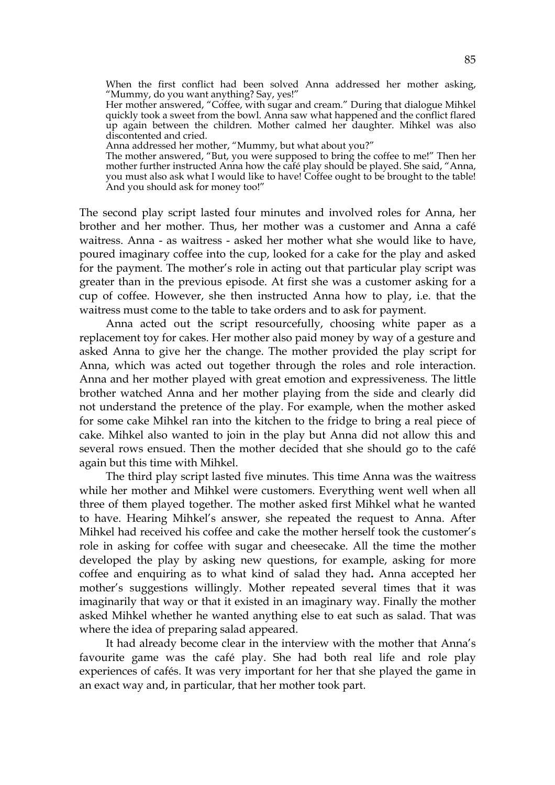When the first conflict had been solved Anna addressed her mother asking, "Mummy, do you want anything? Say, yes!" Her mother answered, "Coffee, with sugar and cream." During that dialogue Mihkel quickly took a sweet from the bowl. Anna saw what happened and the conflict flared up again between the children. Mother calmed her daughter. Mihkel was also discontented and cried. Anna addressed her mother, "Mummy, but what about you?" The mother answered, "But, you were supposed to bring the coffee to me!" Then her mother further instructed Anna how the café play should be played. She said, "Anna, you must also ask what I would like to have! Coffee ought to be brought to the table! And you should ask for money too!"

The second play script lasted four minutes and involved roles for Anna, her brother and her mother. Thus, her mother was a customer and Anna a café waitress. Anna - as waitress - asked her mother what she would like to have, poured imaginary coffee into the cup, looked for a cake for the play and asked for the payment. The mother's role in acting out that particular play script was greater than in the previous episode. At first she was a customer asking for a cup of coffee. However, she then instructed Anna how to play, i.e. that the waitress must come to the table to take orders and to ask for payment.

 Anna acted out the script resourcefully, choosing white paper as a replacement toy for cakes. Her mother also paid money by way of a gesture and asked Anna to give her the change. The mother provided the play script for Anna, which was acted out together through the roles and role interaction. Anna and her mother played with great emotion and expressiveness. The little brother watched Anna and her mother playing from the side and clearly did not understand the pretence of the play. For example, when the mother asked for some cake Mihkel ran into the kitchen to the fridge to bring a real piece of cake. Mihkel also wanted to join in the play but Anna did not allow this and several rows ensued. Then the mother decided that she should go to the café again but this time with Mihkel.

The third play script lasted five minutes*.* This time Anna was the waitress while her mother and Mihkel were customers. Everything went well when all three of them played together. The mother asked first Mihkel what he wanted to have. Hearing Mihkel's answer, she repeated the request to Anna. After Mihkel had received his coffee and cake the mother herself took the customer's role in asking for coffee with sugar and cheesecake. All the time the mother developed the play by asking new questions, for example, asking for more coffee and enquiring as to what kind of salad they had**.** Anna accepted her mother's suggestions willingly. Mother repeated several times that it was imaginarily that way or that it existed in an imaginary way. Finally the mother asked Mihkel whether he wanted anything else to eat such as salad. That was where the idea of preparing salad appeared.

It had already become clear in the interview with the mother that Anna's favourite game was the café play. She had both real life and role play experiences of cafés. It was very important for her that she played the game in an exact way and, in particular, that her mother took part.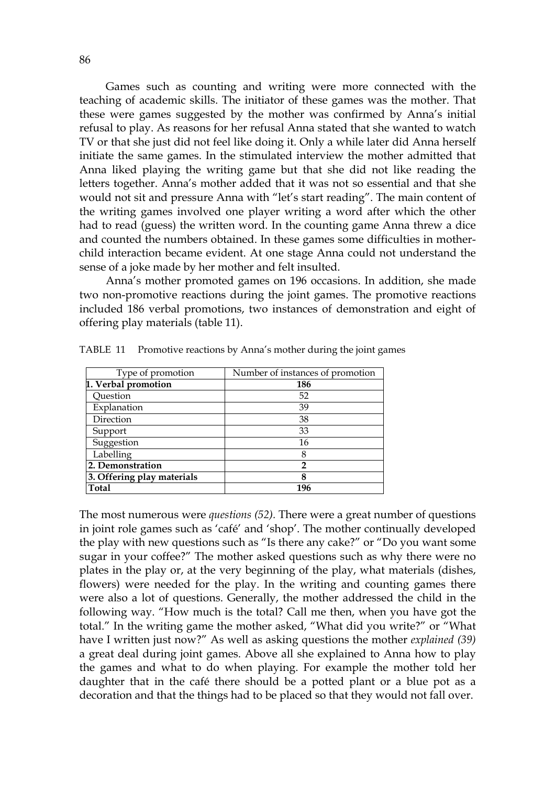Games such as counting and writing were more connected with the teaching of academic skills. The initiator of these games was the mother. That these were games suggested by the mother was confirmed by Anna's initial refusal to play. As reasons for her refusal Anna stated that she wanted to watch TV or that she just did not feel like doing it. Only a while later did Anna herself initiate the same games. In the stimulated interview the mother admitted that Anna liked playing the writing game but that she did not like reading the letters together. Anna's mother added that it was not so essential and that she would not sit and pressure Anna with "let's start reading". The main content of the writing games involved one player writing a word after which the other had to read (guess) the written word. In the counting game Anna threw a dice and counted the numbers obtained. In these games some difficulties in motherchild interaction became evident. At one stage Anna could not understand the sense of a joke made by her mother and felt insulted.

 Anna's mother promoted games on 196 occasions. In addition, she made two non-promotive reactions during the joint games. The promotive reactions included 186 verbal promotions, two instances of demonstration and eight of offering play materials (table 11).

| Type of promotion          | Number of instances of promotion |
|----------------------------|----------------------------------|
| 1. Verbal promotion        | 186                              |
| Ouestion                   | 52                               |
| Explanation                | 39                               |
| Direction                  | 38                               |
| Support                    | 33                               |
| Suggestion                 | 16                               |
| Labelling                  | 8                                |
| 2. Demonstration           | 2                                |
| 3. Offering play materials | 8                                |
| <b>Total</b>               | 196                              |

TABLE 11 Promotive reactions by Anna's mother during the joint games

The most numerous were *questions (52).* There were a great number of questions in joint role games such as 'café' and 'shop'. The mother continually developed the play with new questions such as "Is there any cake?" or "Do you want some sugar in your coffee?" The mother asked questions such as why there were no plates in the play or, at the very beginning of the play, what materials (dishes, flowers) were needed for the play. In the writing and counting games there were also a lot of questions. Generally, the mother addressed the child in the following way. "How much is the total? Call me then, when you have got the total." In the writing game the mother asked, "What did you write?" or "What have I written just now?" As well as asking questions the mother *explained (39)* a great deal during joint games. Above all she explained to Anna how to play the games and what to do when playing. For example the mother told her daughter that in the café there should be a potted plant or a blue pot as a decoration and that the things had to be placed so that they would not fall over.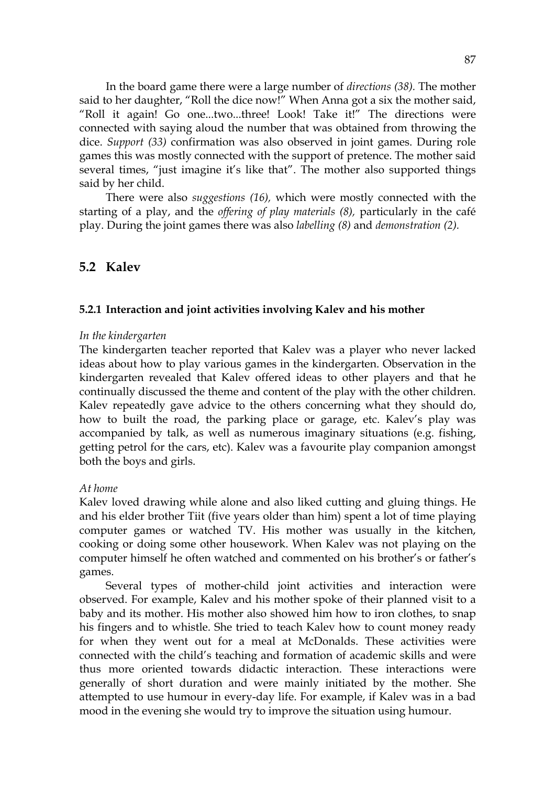In the board game there were a large number of *directions (38).* The mother said to her daughter, "Roll the dice now!" When Anna got a six the mother said, "Roll it again! Go one...two...three! Look! Take it!" The directions were connected with saying aloud the number that was obtained from throwing the dice. *Support (33)* confirmation was also observed in joint games. During role games this was mostly connected with the support of pretence. The mother said several times, "just imagine it's like that". The mother also supported things said by her child.

 There were also *suggestions (16),* which were mostly connected with the starting of a play, and the *offering of play materials (8),* particularly in the café play. During the joint games there was also *labelling (8)* and *demonstration (2).* 

# **5.2 Kalev**

### **5.2.1 Interaction and joint activities involving Kalev and his mother**

#### *In the kindergarten*

The kindergarten teacher reported that Kalev was a player who never lacked ideas about how to play various games in the kindergarten. Observation in the kindergarten revealed that Kalev offered ideas to other players and that he continually discussed the theme and content of the play with the other children. Kalev repeatedly gave advice to the others concerning what they should do, how to built the road, the parking place or garage, etc. Kalev's play was accompanied by talk, as well as numerous imaginary situations (e.g. fishing, getting petrol for the cars, etc). Kalev was a favourite play companion amongst both the boys and girls.

## *At home*

Kalev loved drawing while alone and also liked cutting and gluing things. He and his elder brother Tiit (five years older than him) spent a lot of time playing computer games or watched TV. His mother was usually in the kitchen, cooking or doing some other housework. When Kalev was not playing on the computer himself he often watched and commented on his brother's or father's games.

 Several types of mother-child joint activities and interaction were observed. For example, Kalev and his mother spoke of their planned visit to a baby and its mother. His mother also showed him how to iron clothes, to snap his fingers and to whistle. She tried to teach Kalev how to count money ready for when they went out for a meal at McDonalds. These activities were connected with the child's teaching and formation of academic skills and were thus more oriented towards didactic interaction. These interactions were generally of short duration and were mainly initiated by the mother. She attempted to use humour in every-day life. For example, if Kalev was in a bad mood in the evening she would try to improve the situation using humour.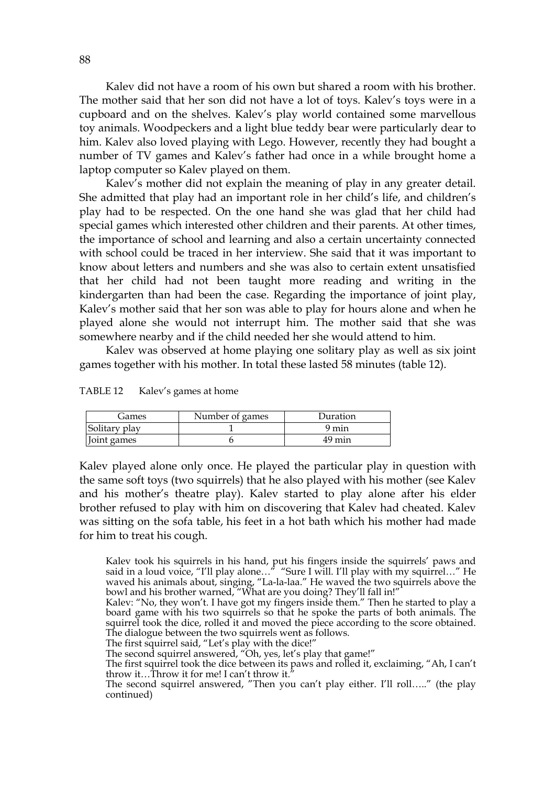Kalev did not have a room of his own but shared a room with his brother. The mother said that her son did not have a lot of toys. Kalev's toys were in a cupboard and on the shelves. Kalev's play world contained some marvellous toy animals. Woodpeckers and a light blue teddy bear were particularly dear to him. Kalev also loved playing with Lego. However, recently they had bought a number of TV games and Kalev's father had once in a while brought home a laptop computer so Kalev played on them.

 Kalev's mother did not explain the meaning of play in any greater detail. She admitted that play had an important role in her child's life, and children's play had to be respected. On the one hand she was glad that her child had special games which interested other children and their parents. At other times, the importance of school and learning and also a certain uncertainty connected with school could be traced in her interview. She said that it was important to know about letters and numbers and she was also to certain extent unsatisfied that her child had not been taught more reading and writing in the kindergarten than had been the case. Regarding the importance of joint play, Kalev's mother said that her son was able to play for hours alone and when he played alone she would not interrupt him. The mother said that she was somewhere nearby and if the child needed her she would attend to him.

 Kalev was observed at home playing one solitary play as well as six joint games together with his mother. In total these lasted 58 minutes (table 12).

| TABLE 12 | Kalev's games at home |
|----------|-----------------------|
|----------|-----------------------|

| Games         | Number of games | Duration |
|---------------|-----------------|----------|
| Solitary play |                 | 9 min    |
| Joint games   |                 | 49 min   |

Kalev played alone only once. He played the particular play in question with the same soft toys (two squirrels) that he also played with his mother (see Kalev and his mother's theatre play). Kalev started to play alone after his elder brother refused to play with him on discovering that Kalev had cheated. Kalev was sitting on the sofa table, his feet in a hot bath which his mother had made for him to treat his cough.

Kalev took his squirrels in his hand, put his fingers inside the squirrels' paws and said in a loud voice, "I'll play alone…" "Sure I will. I'll play with my squirrel…" He waved his animals about, singing, "La-la-laa." He waved the two squirrels above the bowl and his brother warned, "What are you doing? They'll fall in!"

The first squirrel said, "Let's play with the dice!"

The second squirrel answered, "Oh, yes, let's play that game!"

The first squirrel took the dice between its paws and rolled it, exclaiming, "Ah, I can't throw it…Throw it for me! I can't throw it."

The second squirrel answered, "Then you can't play either. I'll roll….." (the play continued)

Kalev: "No, they won't. I have got my fingers inside them." Then he started to play a board game with his two squirrels so that he spoke the parts of both animals. The squirrel took the dice, rolled it and moved the piece according to the score obtained. The dialogue between the two squirrels went as follows.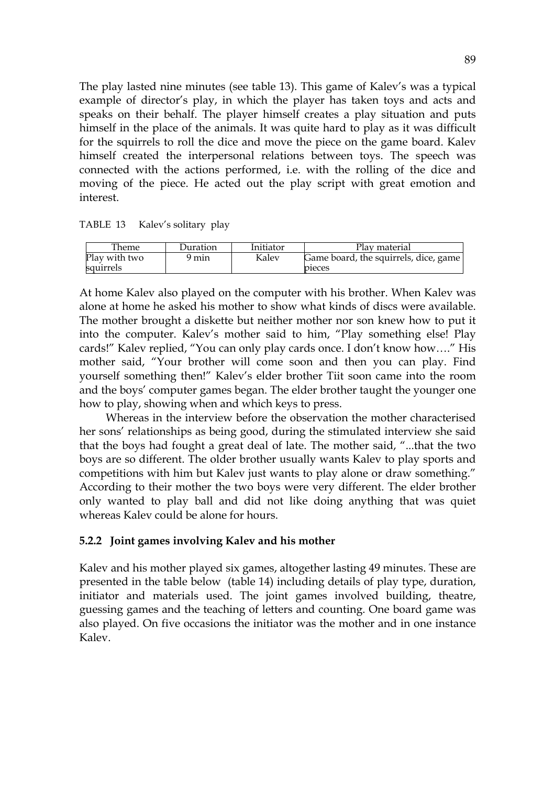The play lasted nine minutes (see table 13). This game of Kalev's was a typical example of director's play, in which the player has taken toys and acts and speaks on their behalf. The player himself creates a play situation and puts himself in the place of the animals. It was quite hard to play as it was difficult for the squirrels to roll the dice and move the piece on the game board. Kalev himself created the interpersonal relations between toys. The speech was connected with the actions performed, i.e. with the rolling of the dice and moving of the piece. He acted out the play script with great emotion and interest.

|  | TABLE 13 Kalev's solitary play |  |
|--|--------------------------------|--|
|--|--------------------------------|--|

| Theme                      | Duration | Initiator | Play material                                   |
|----------------------------|----------|-----------|-------------------------------------------------|
| Play with two<br>squirrels | 9 min    | Kalev     | Game board, the squirrels, dice, game<br>pieces |

At home Kalev also played on the computer with his brother. When Kalev was alone at home he asked his mother to show what kinds of discs were available. The mother brought a diskette but neither mother nor son knew how to put it into the computer. Kalev's mother said to him, "Play something else! Play cards!" Kalev replied, "You can only play cards once. I don't know how…." His mother said, "Your brother will come soon and then you can play. Find yourself something then!" Kalev's elder brother Tiit soon came into the room and the boys' computer games began. The elder brother taught the younger one how to play, showing when and which keys to press.

Whereas in the interview before the observation the mother characterised her sons' relationships as being good, during the stimulated interview she said that the boys had fought a great deal of late. The mother said, "...that the two boys are so different. The older brother usually wants Kalev to play sports and competitions with him but Kalev just wants to play alone or draw something." According to their mother the two boys were very different. The elder brother only wanted to play ball and did not like doing anything that was quiet whereas Kalev could be alone for hours.

# **5.2.2 Joint games involving Kalev and his mother**

Kalev and his mother played six games, altogether lasting 49 minutes. These are presented in the table below (table 14) including details of play type, duration, initiator and materials used. The joint games involved building, theatre, guessing games and the teaching of letters and counting. One board game was also played. On five occasions the initiator was the mother and in one instance Kalev.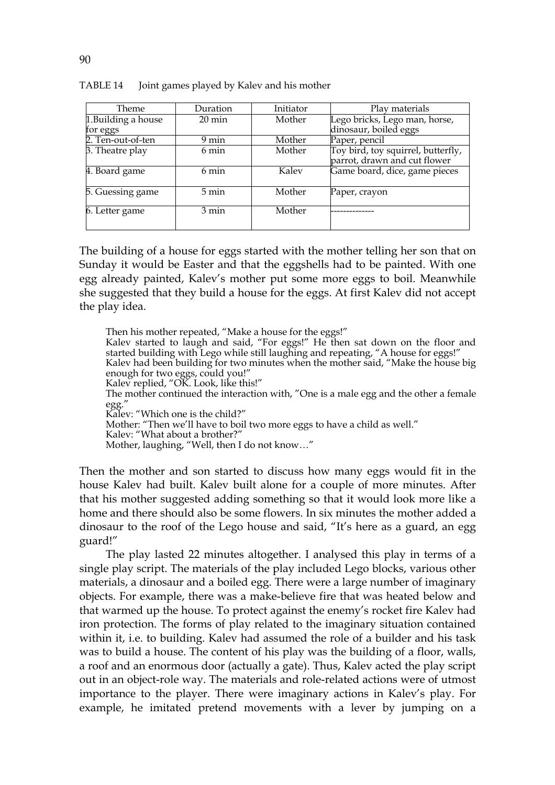| Theme               | Duration         | Initiator | Play materials                     |
|---------------------|------------------|-----------|------------------------------------|
| 1. Building a house | $20 \text{ min}$ | Mother    | Lego bricks, Lego man, horse,      |
| for eggs            |                  |           | dinosaur, boiled eggs              |
| 2. Ten-out-of-ten   | 9 min            | Mother    | Paper, pencil                      |
| 3. Theatre play     | 6 min            | Mother    | Toy bird, toy squirrel, butterfly, |
|                     |                  |           | parrot, drawn and cut flower       |
| 4. Board game       | 6 min            | Kalev     | Game board, dice, game pieces      |
| 5. Guessing game    | 5 min            | Mother    | Paper, crayon                      |
| 6. Letter game      | $3 \text{ min}$  | Mother    |                                    |
|                     |                  |           |                                    |

TABLE 14 Joint games played by Kalev and his mother

The building of a house for eggs started with the mother telling her son that on Sunday it would be Easter and that the eggshells had to be painted. With one egg already painted, Kalev's mother put some more eggs to boil. Meanwhile she suggested that they build a house for the eggs. At first Kalev did not accept the play idea.

Then his mother repeated, "Make a house for the eggs!" Kalev started to laugh and said, "For eggs!" He then sat down on the floor and started building with Lego while still laughing and repeating, "A house for eggs!" Kalev had been building for two minutes when the mother said, "Make the house big enough for two eggs, could you!" Kalev replied, "OK. Look, like this!" The mother continued the interaction with, "One is a male egg and the other a female egg." Kalev: "Which one is the child?" Mother: "Then we'll have to boil two more eggs to have a child as well." Kalev: "What about a brother?" Mother, laughing, "Well, then I do not know…"

Then the mother and son started to discuss how many eggs would fit in the house Kalev had built. Kalev built alone for a couple of more minutes. After that his mother suggested adding something so that it would look more like a home and there should also be some flowers. In six minutes the mother added a dinosaur to the roof of the Lego house and said, "It's here as a guard, an egg guard!"

The play lasted 22 minutes altogether. I analysed this play in terms of a single play script. The materials of the play included Lego blocks, various other materials, a dinosaur and a boiled egg. There were a large number of imaginary objects. For example, there was a make-believe fire that was heated below and that warmed up the house. To protect against the enemy's rocket fire Kalev had iron protection. The forms of play related to the imaginary situation contained within it, i.e. to building. Kalev had assumed the role of a builder and his task was to build a house. The content of his play was the building of a floor, walls, a roof and an enormous door (actually a gate). Thus, Kalev acted the play script out in an object-role way. The materials and role-related actions were of utmost importance to the player. There were imaginary actions in Kalev's play. For example, he imitated pretend movements with a lever by jumping on a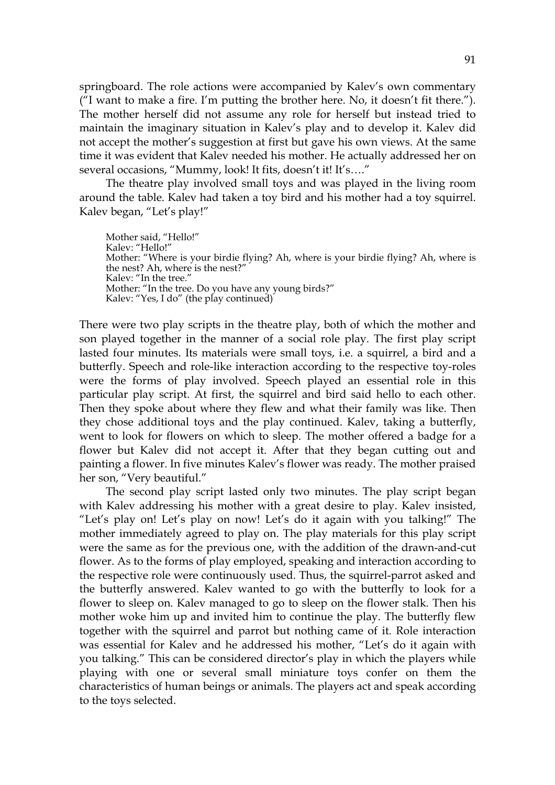springboard. The role actions were accompanied by Kalev's own commentary ("I want to make a fire. I'm putting the brother here. No, it doesn't fit there."). The mother herself did not assume any role for herself but instead tried to maintain the imaginary situation in Kalev's play and to develop it. Kalev did not accept the mother's suggestion at first but gave his own views. At the same time it was evident that Kalev needed his mother. He actually addressed her on several occasions, "Mummy, look! It fits, doesn't it! It's...."

The theatre play involved small toys and was played in the living room around the table. Kalev had taken a toy bird and his mother had a toy squirrel. Kalev began, "Let's play!"

Mother said, "Hello!" Kalev: "Hello!" Mother: "Where is your birdie flying? Ah, where is your birdie flying? Ah, where is the nest? Ah, where is the nest?" Kalev: "In the tree." Mother: "In the tree. Do you have any young birds?" Kalev: "Yes, I do" (the play continued)

There were two play scripts in the theatre play, both of which the mother and son played together in the manner of a social role play. The first play script lasted four minutes. Its materials were small toys, i.e. a squirrel, a bird and a butterfly. Speech and role-like interaction according to the respective toy-roles were the forms of play involved. Speech played an essential role in this particular play script. At first, the squirrel and bird said hello to each other. Then they spoke about where they flew and what their family was like. Then they chose additional toys and the play continued. Kalev, taking a butterfly, went to look for flowers on which to sleep. The mother offered a badge for a flower but Kalev did not accept it. After that they began cutting out and painting a flower. In five minutes Kalev's flower was ready. The mother praised her son, "Very beautiful."

The second play script lasted only two minutes. The play script began with Kalev addressing his mother with a great desire to play. Kalev insisted, "Let's play on! Let's play on now! Let's do it again with you talking!" The mother immediately agreed to play on. The play materials for this play script were the same as for the previous one, with the addition of the drawn-and-cut flower. As to the forms of play employed, speaking and interaction according to the respective role were continuously used. Thus, the squirrel-parrot asked and the butterfly answered. Kalev wanted to go with the butterfly to look for a flower to sleep on. Kalev managed to go to sleep on the flower stalk. Then his mother woke him up and invited him to continue the play. The butterfly flew together with the squirrel and parrot but nothing came of it. Role interaction was essential for Kalev and he addressed his mother, "Let's do it again with you talking." This can be considered director's play in which the players while playing with one or several small miniature toys confer on them the characteristics of human beings or animals. The players act and speak according to the toys selected.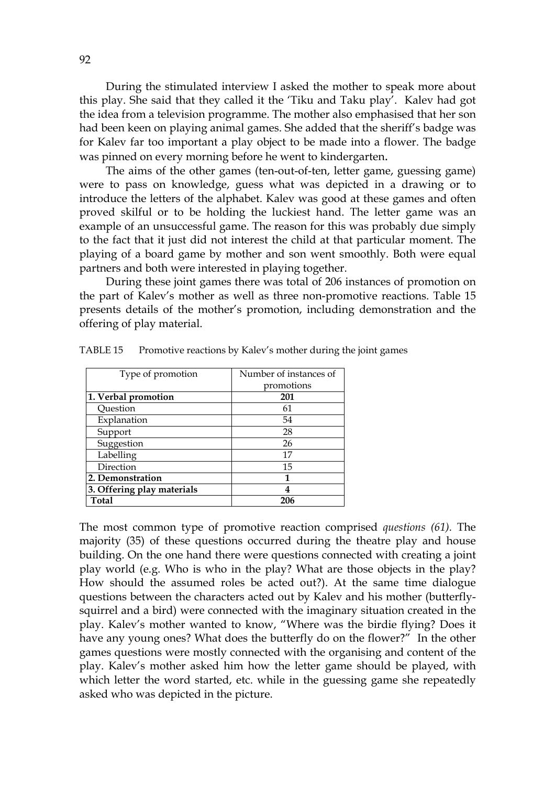During the stimulated interview I asked the mother to speak more about this play. She said that they called it the 'Tiku and Taku play'. Kalev had got the idea from a television programme. The mother also emphasised that her son had been keen on playing animal games. She added that the sheriff's badge was for Kalev far too important a play object to be made into a flower. The badge was pinned on every morning before he went to kindergarten.

 The aims of the other games (ten-out-of-ten, letter game, guessing game) were to pass on knowledge, guess what was depicted in a drawing or to introduce the letters of the alphabet. Kalev was good at these games and often proved skilful or to be holding the luckiest hand. The letter game was an example of an unsuccessful game. The reason for this was probably due simply to the fact that it just did not interest the child at that particular moment. The playing of a board game by mother and son went smoothly. Both were equal partners and both were interested in playing together.

During these joint games there was total of 206 instances of promotion on the part of Kalev's mother as well as three non-promotive reactions. Table 15 presents details of the mother's promotion, including demonstration and the offering of play material.

| Type of promotion          | Number of instances of |
|----------------------------|------------------------|
|                            | promotions             |
| 1. Verbal promotion        | 201                    |
| Question                   | 61                     |
| Explanation                | 54                     |
| Support                    | 28                     |
| Suggestion                 | 26                     |
| Labelling                  | 17                     |
| Direction                  | 15                     |
| 2. Demonstration           | 1                      |
| 3. Offering play materials | 4                      |
| <b>Total</b>               | 206                    |

TABLE 15 Promotive reactions by Kalev's mother during the joint games

The most common type of promotive reaction comprised *questions (61).* The majority (35) of these questions occurred during the theatre play and house building. On the one hand there were questions connected with creating a joint play world (e.g. Who is who in the play? What are those objects in the play? How should the assumed roles be acted out?). At the same time dialogue questions between the characters acted out by Kalev and his mother (butterflysquirrel and a bird) were connected with the imaginary situation created in the play. Kalev's mother wanted to know, "Where was the birdie flying? Does it have any young ones? What does the butterfly do on the flower?" In the other games questions were mostly connected with the organising and content of the play. Kalev's mother asked him how the letter game should be played, with which letter the word started, etc. while in the guessing game she repeatedly asked who was depicted in the picture.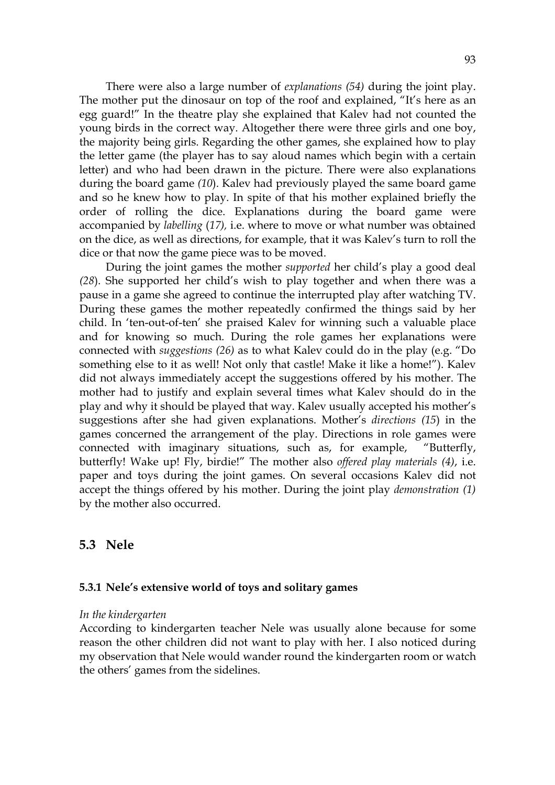There were also a large number of *explanations (54)* during the joint play. The mother put the dinosaur on top of the roof and explained, "It's here as an egg guard!" In the theatre play she explained that Kalev had not counted the young birds in the correct way. Altogether there were three girls and one boy, the majority being girls. Regarding the other games, she explained how to play the letter game (the player has to say aloud names which begin with a certain letter) and who had been drawn in the picture. There were also explanations during the board game *(10*). Kalev had previously played the same board game and so he knew how to play. In spite of that his mother explained briefly the order of rolling the dice. Explanations during the board game were accompanied by *labelling* (*17),* i.e. where to move or what number was obtained on the dice, as well as directions, for example, that it was Kalev's turn to roll the dice or that now the game piece was to be moved.

During the joint games the mother *supported* her child's play a good deal *(28*). She supported her child's wish to play together and when there was a pause in a game she agreed to continue the interrupted play after watching TV. During these games the mother repeatedly confirmed the things said by her child. In 'ten-out-of-ten' she praised Kalev for winning such a valuable place and for knowing so much. During the role games her explanations were connected with *suggestions (26)* as to what Kalev could do in the play (e.g. "Do something else to it as well! Not only that castle! Make it like a home!"). Kalev did not always immediately accept the suggestions offered by his mother. The mother had to justify and explain several times what Kalev should do in the play and why it should be played that way. Kalev usually accepted his mother's suggestions after she had given explanations. Mother's *directions (15*) in the games concerned the arrangement of the play. Directions in role games were connected with imaginary situations, such as, for example, "Butterfly, butterfly! Wake up! Fly, birdie!" The mother also *offered play materials (4)*, i.e. paper and toys during the joint games. On several occasions Kalev did not accept the things offered by his mother. During the joint play *demonstration (1)* by the mother also occurred.

# **5.3 Nele**

### **5.3.1 Nele's extensive world of toys and solitary games**

#### *In the kindergarten*

According to kindergarten teacher Nele was usually alone because for some reason the other children did not want to play with her. I also noticed during my observation that Nele would wander round the kindergarten room or watch the others' games from the sidelines.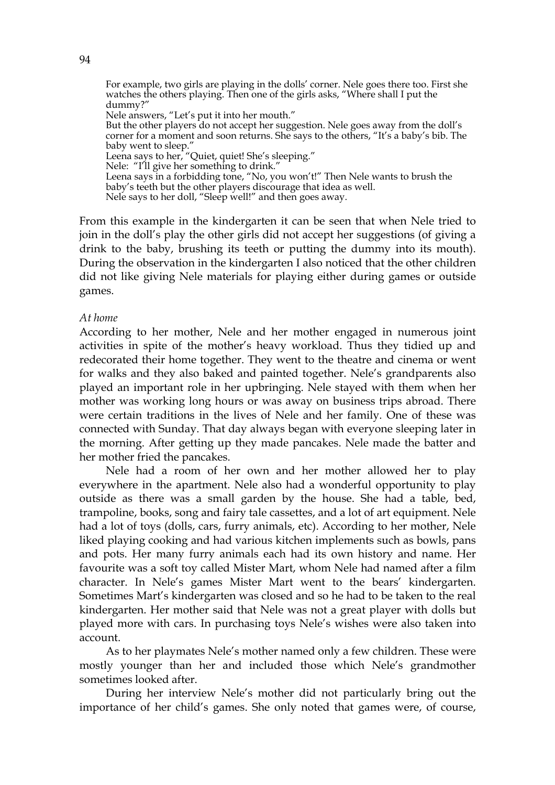For example, two girls are playing in the dolls' corner. Nele goes there too. First she watches the others playing. Then one of the girls asks, "Where shall I put the dummy?" Nele answers, "Let's put it into her mouth." But the other players do not accept her suggestion. Nele goes away from the doll's corner for a moment and soon returns. She says to the others, "It's a baby's bib. The baby went to sleep." Leena says to her, "Quiet, quiet! She's sleeping." Nele: "I'll give her something to drink." Leena says in a forbidding tone, "No, you won't!" Then Nele wants to brush the baby's teeth but the other players discourage that idea as well. Nele says to her doll, "Sleep well!" and then goes away.

From this example in the kindergarten it can be seen that when Nele tried to join in the doll's play the other girls did not accept her suggestions (of giving a drink to the baby, brushing its teeth or putting the dummy into its mouth). During the observation in the kindergarten I also noticed that the other children did not like giving Nele materials for playing either during games or outside games.

# *At home*

According to her mother, Nele and her mother engaged in numerous joint activities in spite of the mother's heavy workload. Thus they tidied up and redecorated their home together. They went to the theatre and cinema or went for walks and they also baked and painted together. Nele's grandparents also played an important role in her upbringing. Nele stayed with them when her mother was working long hours or was away on business trips abroad. There were certain traditions in the lives of Nele and her family. One of these was connected with Sunday. That day always began with everyone sleeping later in the morning. After getting up they made pancakes. Nele made the batter and her mother fried the pancakes.

Nele had a room of her own and her mother allowed her to play everywhere in the apartment. Nele also had a wonderful opportunity to play outside as there was a small garden by the house. She had a table, bed, trampoline, books, song and fairy tale cassettes, and a lot of art equipment. Nele had a lot of toys (dolls, cars, furry animals, etc). According to her mother, Nele liked playing cooking and had various kitchen implements such as bowls, pans and pots. Her many furry animals each had its own history and name. Her favourite was a soft toy called Mister Mart, whom Nele had named after a film character. In Nele's games Mister Mart went to the bears' kindergarten. Sometimes Mart's kindergarten was closed and so he had to be taken to the real kindergarten. Her mother said that Nele was not a great player with dolls but played more with cars. In purchasing toys Nele's wishes were also taken into account.

As to her playmates Nele's mother named only a few children. These were mostly younger than her and included those which Nele's grandmother sometimes looked after.

During her interview Nele's mother did not particularly bring out the importance of her child's games. She only noted that games were, of course,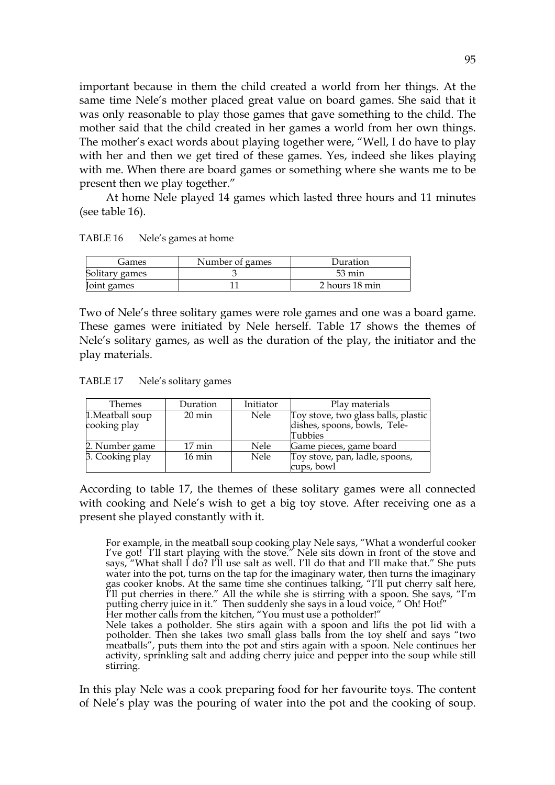important because in them the child created a world from her things. At the same time Nele's mother placed great value on board games. She said that it was only reasonable to play those games that gave something to the child. The mother said that the child created in her games a world from her own things. The mother's exact words about playing together were, "Well, I do have to play with her and then we get tired of these games. Yes, indeed she likes playing with me. When there are board games or something where she wants me to be present then we play together."

 At home Nele played 14 games which lasted three hours and 11 minutes (see table 16).

| TABLE 16 |  | Nele's games at home |
|----------|--|----------------------|
|----------|--|----------------------|

| Games          | Number of games | Duration         |
|----------------|-----------------|------------------|
| Solitary games |                 | $53 \text{ min}$ |
| Joint games    |                 | 2 hours 18 min   |

Two of Nele's three solitary games were role games and one was a board game. These games were initiated by Nele herself. Table 17 shows the themes of Nele's solitary games, as well as the duration of the play, the initiator and the play materials.

TABLE 17 Nele's solitary games

| Themes           | Duration         | Initiator | Play materials                      |
|------------------|------------------|-----------|-------------------------------------|
| 1. Meatball soup | $20 \text{ min}$ | Nele      | Toy stove, two glass balls, plastic |
| cooking play     |                  |           | dishes, spoons, bowls, Tele-        |
|                  |                  |           | Tubbies                             |
| 2. Number game   | 17 min           | Nele      | Game pieces, game board             |
| 3. Cooking play  | $16 \text{ min}$ | Nele      | Toy stove, pan, ladle, spoons,      |
|                  |                  |           | cups, bowl                          |

According to table 17, the themes of these solitary games were all connected with cooking and Nele's wish to get a big toy stove. After receiving one as a present she played constantly with it.

For example, in the meatball soup cooking play Nele says, "What a wonderful cooker I've got! I'll start playing with the stove." Nele sits down in front of the stove and says, "What shall I do? I'll use salt as well. I'll do that and I'll make that." She puts water into the pot, turns on the tap for the imaginary water, then turns the imaginary gas cooker knobs. At the same time she continues talking, "I'll put cherry salt here, I'll put cherries in there." All the while she is stirring with a spoon. She says, "I'm putting cherry juice in it." Then suddenly she says in a loud voice, " Oh! Hot!" Her mother calls from the kitchen, "You must use a potholder!"

Nele takes a potholder. She stirs again with a spoon and lifts the pot lid with a potholder. Then she takes two small glass balls from the toy shelf and says "two meatballs", puts them into the pot and stirs again with a spoon. Nele continues her activity, sprinkling salt and adding cherry juice and pepper into the soup while still stirring.

In this play Nele was a cook preparing food for her favourite toys. The content of Nele's play was the pouring of water into the pot and the cooking of soup.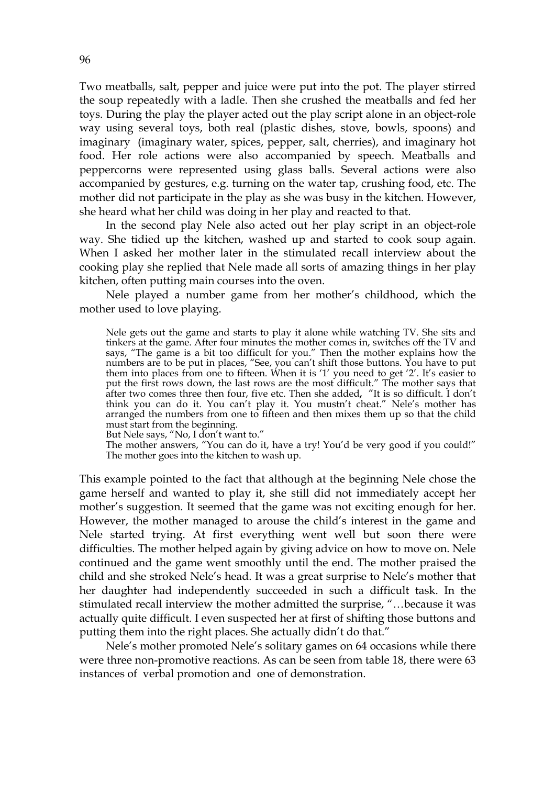Two meatballs, salt, pepper and juice were put into the pot. The player stirred the soup repeatedly with a ladle. Then she crushed the meatballs and fed her toys. During the play the player acted out the play script alone in an object-role way using several toys, both real (plastic dishes, stove, bowls, spoons) and imaginary (imaginary water, spices, pepper, salt, cherries), and imaginary hot food. Her role actions were also accompanied by speech. Meatballs and peppercorns were represented using glass balls. Several actions were also accompanied by gestures, e.g. turning on the water tap, crushing food, etc. The mother did not participate in the play as she was busy in the kitchen. However, she heard what her child was doing in her play and reacted to that.

 In the second play Nele also acted out her play script in an object-role way. She tidied up the kitchen, washed up and started to cook soup again. When I asked her mother later in the stimulated recall interview about the cooking play she replied that Nele made all sorts of amazing things in her play kitchen, often putting main courses into the oven.

Nele played a number game from her mother's childhood, which the mother used to love playing.

Nele gets out the game and starts to play it alone while watching TV. She sits and tinkers at the game. After four minutes the mother comes in, switches off the TV and says, "The game is a bit too difficult for you." Then the mother explains how the numbers are to be put in places, "See, you can't shift those buttons. You have to put them into places from one to fifteen. When it is '1' you need to get '2'. It's easier to put the first rows down, the last rows are the most difficult." The mother says that after two comes three then four, five etc. Then she added**,** "It is so difficult. I don't think you can do it. You can't play it. You mustn't cheat." Nele's mother has arranged the numbers from one to fifteen and then mixes them up so that the child must start from the beginning.

But Nele says, "No, I don't want to."

The mother answers, "You can do it, have a try! You'd be very good if you could!" The mother goes into the kitchen to wash up.

This example pointed to the fact that although at the beginning Nele chose the game herself and wanted to play it, she still did not immediately accept her mother's suggestion. It seemed that the game was not exciting enough for her. However, the mother managed to arouse the child's interest in the game and Nele started trying. At first everything went well but soon there were difficulties. The mother helped again by giving advice on how to move on. Nele continued and the game went smoothly until the end. The mother praised the child and she stroked Nele's head. It was a great surprise to Nele's mother that her daughter had independently succeeded in such a difficult task. In the stimulated recall interview the mother admitted the surprise, "…because it was actually quite difficult. I even suspected her at first of shifting those buttons and putting them into the right places. She actually didn't do that."

 Nele's mother promoted Nele's solitary games on 64 occasions while there were three non-promotive reactions. As can be seen from table 18, there were 63 instances of verbal promotion and one of demonstration.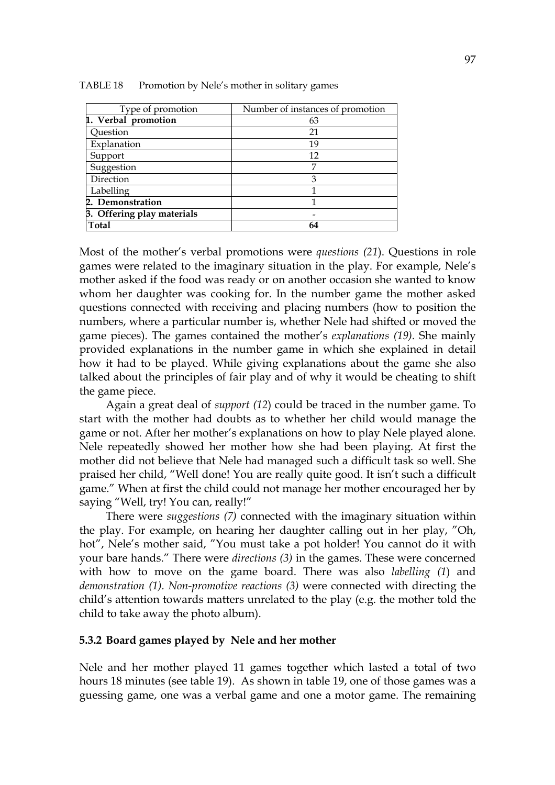| Type of promotion          | Number of instances of promotion |
|----------------------------|----------------------------------|
| 1. Verbal promotion        | 63                               |
| Question                   | 21                               |
| Explanation                | 19                               |
| Support                    | 12                               |
| Suggestion                 |                                  |
| Direction                  | 3                                |
| Labelling                  |                                  |
| 2. Demonstration           |                                  |
| 3. Offering play materials |                                  |
| <b>Total</b>               | 64                               |

TABLE 18 Promotion by Nele's mother in solitary games

Most of the mother's verbal promotions were *questions (21*). Questions in role games were related to the imaginary situation in the play. For example, Nele's mother asked if the food was ready or on another occasion she wanted to know whom her daughter was cooking for. In the number game the mother asked questions connected with receiving and placing numbers (how to position the numbers, where a particular number is, whether Nele had shifted or moved the game pieces). The games contained the mother's *explanations (19).* She mainly provided explanations in the number game in which she explained in detail how it had to be played. While giving explanations about the game she also talked about the principles of fair play and of why it would be cheating to shift the game piece.

 Again a great deal of *support (12*) could be traced in the number game. To start with the mother had doubts as to whether her child would manage the game or not. After her mother's explanations on how to play Nele played alone. Nele repeatedly showed her mother how she had been playing. At first the mother did not believe that Nele had managed such a difficult task so well. She praised her child, "Well done! You are really quite good. It isn't such a difficult game." When at first the child could not manage her mother encouraged her by saying "Well, try! You can, really!"

There were *suggestions (7)* connected with the imaginary situation within the play. For example, on hearing her daughter calling out in her play, "Oh, hot", Nele's mother said, "You must take a pot holder! You cannot do it with your bare hands." There were *directions (3)* in the games. These were concerned with how to move on the game board. There was also *labelling (1*) and *demonstration (1). Non-promotive reactions (3)* were connected with directing the child's attention towards matters unrelated to the play (e.g. the mother told the child to take away the photo album).

### **5.3.2 Board games played by Nele and her mother**

Nele and her mother played 11 games together which lasted a total of two hours 18 minutes (see table 19). As shown in table 19, one of those games was a guessing game, one was a verbal game and one a motor game. The remaining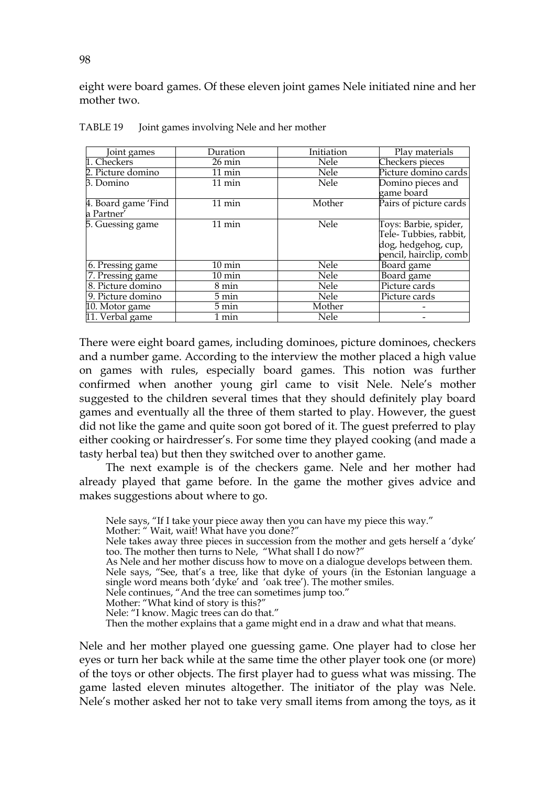eight were board games. Of these eleven joint games Nele initiated nine and her mother two.

| Joint games         | Duration         | Initiation | Play materials                                                                                   |
|---------------------|------------------|------------|--------------------------------------------------------------------------------------------------|
| 1. Checkers         | $26 \text{ min}$ | Nele       | Checkers pieces                                                                                  |
| 2. Picture domino   | $11 \text{ min}$ | Nele       | Picture domino cards                                                                             |
| 3. Domino           | $11 \text{ min}$ | Nele       | Domino pieces and<br>game board                                                                  |
| 4. Board game 'Find | 11 min           | Mother     | Pairs of picture cards                                                                           |
| a Partner'          |                  |            |                                                                                                  |
| 5. Guessing game    | $11 \text{ min}$ | Nele       | Toys: Barbie, spider,<br>Tele- Tubbies, rabbit,<br>dog, hedgehog, cup,<br>pencil, hairclip, comb |
| 6. Pressing game    | $10 \text{ min}$ | Nele       | Board game                                                                                       |
| 7. Pressing game    | $10 \text{ min}$ | Nele       | Board game                                                                                       |
| 8. Picture domino   | 8 min            | Nele       | Picture cards                                                                                    |
| 9. Picture domino   | 5 min            | Nele       | Picture cards                                                                                    |
| 10. Motor game      | 5 min            | Mother     |                                                                                                  |
| 11. Verbal game     | 1 min            | Nele       |                                                                                                  |

TABLE 19 Joint games involving Nele and her mother

There were eight board games, including dominoes, picture dominoes, checkers and a number game. According to the interview the mother placed a high value on games with rules, especially board games. This notion was further confirmed when another young girl came to visit Nele. Nele's mother suggested to the children several times that they should definitely play board games and eventually all the three of them started to play. However, the guest did not like the game and quite soon got bored of it. The guest preferred to play either cooking or hairdresser's. For some time they played cooking (and made a tasty herbal tea) but then they switched over to another game.

 The next example is of the checkers game. Nele and her mother had already played that game before. In the game the mother gives advice and makes suggestions about where to go.

Nele says, "If I take your piece away then you can have my piece this way." Mother: " Wait, wait! What have you done?" Nele takes away three pieces in succession from the mother and gets herself a 'dyke' too. The mother then turns to Nele, "What shall I do now?" As Nele and her mother discuss how to move on a dialogue develops between them. Nele says, "See, that's a tree, like that dyke of yours (in the Estonian language a single word means both 'dyke' and 'oak tree'). The mother smiles. Nele continues, "And the tree can sometimes jump too." Mother: "What kind of story is this?" Nele: "I know. Magic trees can do that." Then the mother explains that a game might end in a draw and what that means.

Nele and her mother played one guessing game. One player had to close her eyes or turn her back while at the same time the other player took one (or more) of the toys or other objects. The first player had to guess what was missing. The game lasted eleven minutes altogether. The initiator of the play was Nele. Nele's mother asked her not to take very small items from among the toys, as it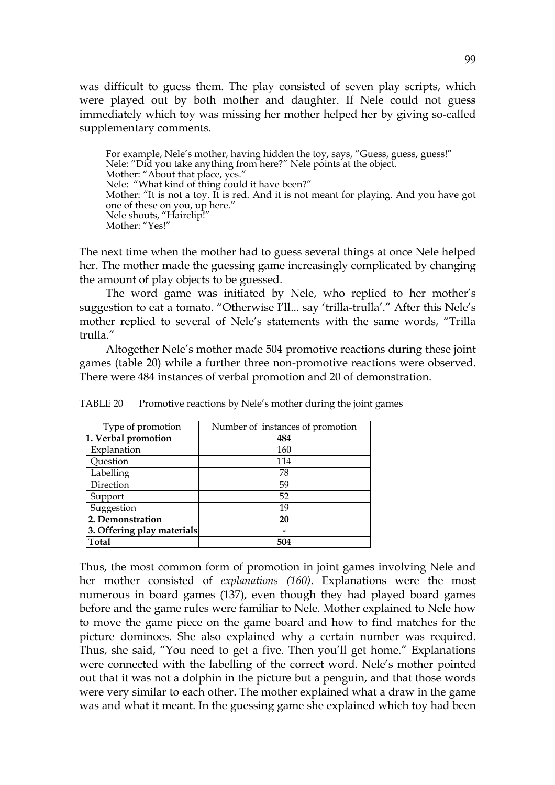was difficult to guess them. The play consisted of seven play scripts, which were played out by both mother and daughter. If Nele could not guess immediately which toy was missing her mother helped her by giving so-called supplementary comments.

For example, Nele's mother, having hidden the toy, says, "Guess, guess, guess!" Nele: "Did you take anything from here?" Nele points at the object. Mother: "About that place, yes." Nele: "What kind of thing could it have been?" Mother: "It is not a toy. It is red. And it is not meant for playing. And you have got one of these on you, up here." Nele shouts, "Hairclip!" Mother: "Yes!"

The next time when the mother had to guess several things at once Nele helped her. The mother made the guessing game increasingly complicated by changing the amount of play objects to be guessed.

The word game was initiated by Nele, who replied to her mother's suggestion to eat a tomato. "Otherwise I'll... say 'trilla-trulla'." After this Nele's mother replied to several of Nele's statements with the same words, "Trilla trulla."

 Altogether Nele's mother made 504 promotive reactions during these joint games (table 20) while a further three non-promotive reactions were observed. There were 484 instances of verbal promotion and 20 of demonstration.

| Type of promotion          | Number of instances of promotion |  |
|----------------------------|----------------------------------|--|
| 1. Verbal promotion        | 484                              |  |
| Explanation                | 160                              |  |
| Question                   | 114                              |  |
| Labelling                  | 78                               |  |
| Direction                  | 59                               |  |
| Support                    | 52                               |  |
| Suggestion                 | 19                               |  |
| 2. Demonstration           | 20                               |  |
| 3. Offering play materials |                                  |  |
| <b>Total</b>               | 504                              |  |

TABLE 20 Promotive reactions by Nele's mother during the joint games

Thus, the most common form of promotion in joint games involving Nele and her mother consisted of *explanations (160)*. Explanations were the most numerous in board games (137), even though they had played board games before and the game rules were familiar to Nele. Mother explained to Nele how to move the game piece on the game board and how to find matches for the picture dominoes. She also explained why a certain number was required. Thus, she said, "You need to get a five. Then you'll get home." Explanations were connected with the labelling of the correct word. Nele's mother pointed out that it was not a dolphin in the picture but a penguin, and that those words were very similar to each other. The mother explained what a draw in the game was and what it meant. In the guessing game she explained which toy had been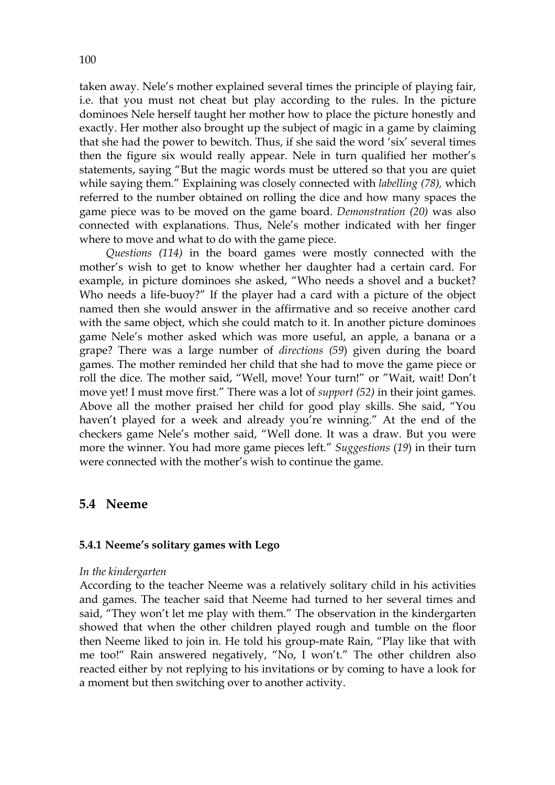taken away. Nele's mother explained several times the principle of playing fair, i.e. that you must not cheat but play according to the rules. In the picture dominoes Nele herself taught her mother how to place the picture honestly and exactly. Her mother also brought up the subject of magic in a game by claiming that she had the power to bewitch. Thus, if she said the word 'six' several times then the figure six would really appear. Nele in turn qualified her mother's statements, saying "But the magic words must be uttered so that you are quiet while saying them." Explaining was closely connected with *labelling (78),* which referred to the number obtained on rolling the dice and how many spaces the game piece was to be moved on the game board. *Demonstration (20)* was also connected with explanations. Thus, Nele's mother indicated with her finger where to move and what to do with the game piece.

*Questions (114)* in the board games were mostly connected with the mother's wish to get to know whether her daughter had a certain card. For example, in picture dominoes she asked, "Who needs a shovel and a bucket? Who needs a life-buoy?" If the player had a card with a picture of the object named then she would answer in the affirmative and so receive another card with the same object, which she could match to it. In another picture dominoes game Nele's mother asked which was more useful, an apple, a banana or a grape? There was a large number of *directions (59*) given during the board games. The mother reminded her child that she had to move the game piece or roll the dice. The mother said, "Well, move! Your turn!" or "Wait, wait! Don't move yet! I must move first." There was a lot of *support (52)* in their joint games. Above all the mother praised her child for good play skills. She said, "You haven't played for a week and already you're winning." At the end of the checkers game Nele's mother said, "Well done. It was a draw. But you were more the winner. You had more game pieces left." *Suggestions* (*19*) in their turn were connected with the mother's wish to continue the game.

# **5.4 Neeme**

# **5.4.1 Neeme's solitary games with Lego**

### *In the kindergarten*

According to the teacher Neeme was a relatively solitary child in his activities and games. The teacher said that Neeme had turned to her several times and said, "They won't let me play with them." The observation in the kindergarten showed that when the other children played rough and tumble on the floor then Neeme liked to join in. He told his group-mate Rain, "Play like that with me too!" Rain answered negatively, "No, I won't." The other children also reacted either by not replying to his invitations or by coming to have a look for a moment but then switching over to another activity.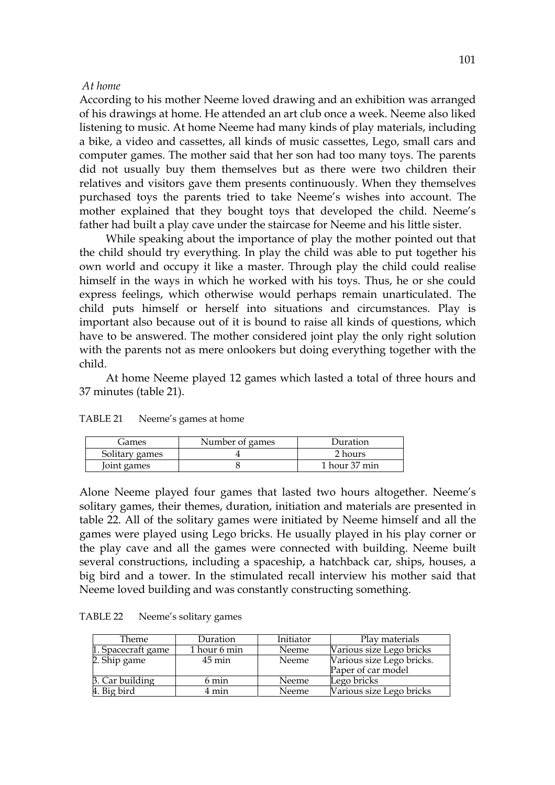#### *At home*

According to his mother Neeme loved drawing and an exhibition was arranged of his drawings at home. He attended an art club once a week. Neeme also liked listening to music. At home Neeme had many kinds of play materials, including a bike, a video and cassettes, all kinds of music cassettes, Lego, small cars and computer games. The mother said that her son had too many toys. The parents did not usually buy them themselves but as there were two children their relatives and visitors gave them presents continuously. When they themselves purchased toys the parents tried to take Neeme's wishes into account. The mother explained that they bought toys that developed the child. Neeme's father had built a play cave under the staircase for Neeme and his little sister.

While speaking about the importance of play the mother pointed out that the child should try everything. In play the child was able to put together his own world and occupy it like a master. Through play the child could realise himself in the ways in which he worked with his toys. Thus, he or she could express feelings, which otherwise would perhaps remain unarticulated. The child puts himself or herself into situations and circumstances. Play is important also because out of it is bound to raise all kinds of questions, which have to be answered. The mother considered joint play the only right solution with the parents not as mere onlookers but doing everything together with the child.

At home Neeme played 12 games which lasted a total of three hours and 37 minutes (table 21).

| Games          | Number of games | Duration      |
|----------------|-----------------|---------------|
| Solitary games |                 | 2 hours       |
| Joint games    |                 | 1 hour 37 min |

TABLE 21 Neeme's games at home

Alone Neeme played four games that lasted two hours altogether. Neeme's solitary games, their themes, duration, initiation and materials are presented in table 22. All of the solitary games were initiated by Neeme himself and all the games were played using Lego bricks. He usually played in his play corner or the play cave and all the games were connected with building. Neeme built several constructions, including a spaceship, a hatchback car, ships, houses, a big bird and a tower. In the stimulated recall interview his mother said that Neeme loved building and was constantly constructing something.

| Theme              | Duration            | Initiator | Play materials            |
|--------------------|---------------------|-----------|---------------------------|
| 1. Spacecraft game | 1 hour 6 min        | Neeme     | Various size Lego bricks  |
| 2. Ship game       | $45 \,\mathrm{min}$ | Neeme     | Various size Lego bricks. |
|                    |                     |           | Paper of car model        |
| 3. Car building    | 6 min               | Neeme     | Lego bricks               |
| 4. Big bird        | 4 min               | Neeme     | Various size Lego bricks  |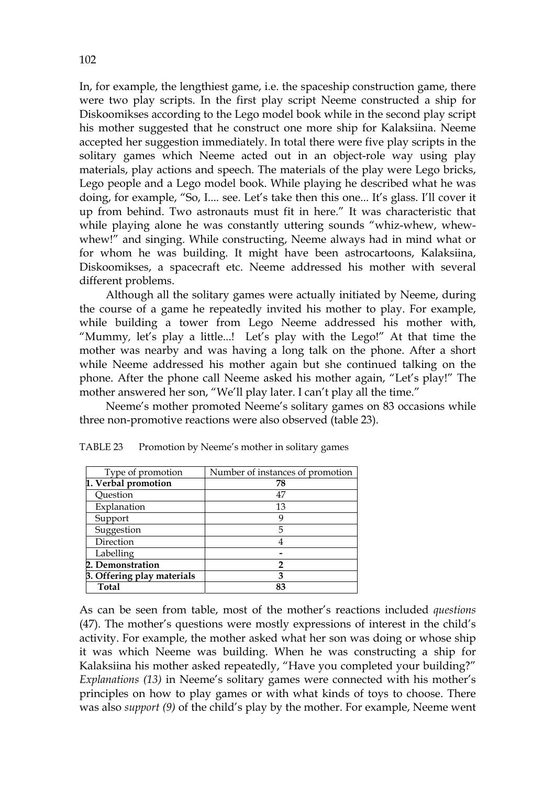In, for example, the lengthiest game, i.e. the spaceship construction game, there were two play scripts. In the first play script Neeme constructed a ship for Diskoomikses according to the Lego model book while in the second play script his mother suggested that he construct one more ship for Kalaksiina. Neeme accepted her suggestion immediately. In total there were five play scripts in the solitary games which Neeme acted out in an object-role way using play materials, play actions and speech. The materials of the play were Lego bricks, Lego people and a Lego model book. While playing he described what he was doing, for example, "So, I.... see. Let's take then this one... It's glass. I'll cover it up from behind. Two astronauts must fit in here." It was characteristic that while playing alone he was constantly uttering sounds "whiz-whew, whewwhew!" and singing. While constructing, Neeme always had in mind what or for whom he was building. It might have been astrocartoons, Kalaksiina, Diskoomikses, a spacecraft etc. Neeme addressed his mother with several different problems.

 Although all the solitary games were actually initiated by Neeme, during the course of a game he repeatedly invited his mother to play. For example, while building a tower from Lego Neeme addressed his mother with, "Mummy*,* let's play a little...! Let's play with the Lego!" At that time the mother was nearby and was having a long talk on the phone. After a short while Neeme addressed his mother again but she continued talking on the phone. After the phone call Neeme asked his mother again, "Let's play!" The mother answered her son, "We'll play later. I can't play all the time."

 Neeme's mother promoted Neeme's solitary games on 83 occasions while three non-promotive reactions were also observed (table 23).

| Type of promotion          | Number of instances of promotion |
|----------------------------|----------------------------------|
| 1. Verbal promotion        | 78                               |
| Ouestion                   | 47                               |
| Explanation                | 13                               |
| Support                    | g                                |
| Suggestion                 | 5                                |
| Direction                  |                                  |
| Labelling                  |                                  |
| 2. Demonstration           | 2                                |
| 3. Offering play materials | З                                |
| <b>Total</b>               | 83                               |

TABLE 23 Promotion by Neeme's mother in solitary games

As can be seen from table, most of the mother's reactions included *questions*  (47). The mother's questions were mostly expressions of interest in the child's activity. For example, the mother asked what her son was doing or whose ship it was which Neeme was building. When he was constructing a ship for Kalaksiina his mother asked repeatedly, "Have you completed your building?" *Explanations (13)* in Neeme's solitary games were connected with his mother's principles on how to play games or with what kinds of toys to choose. There was also *support (9)* of the child's play by the mother. For example, Neeme went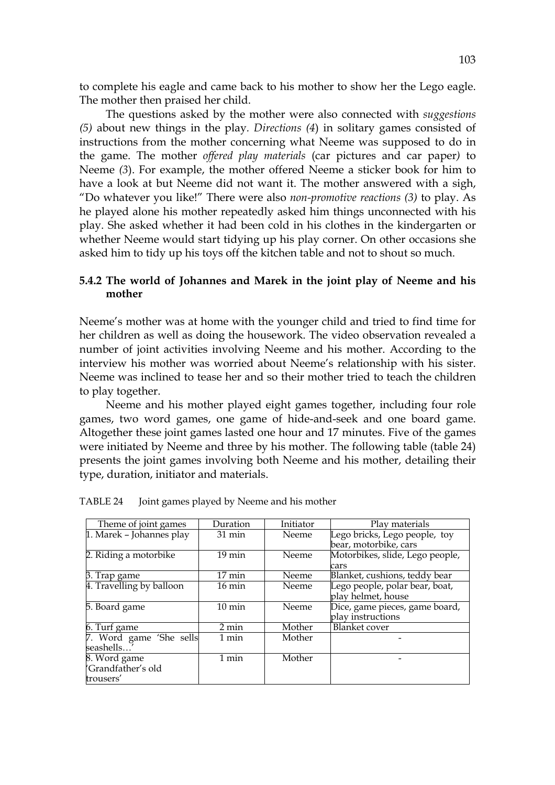to complete his eagle and came back to his mother to show her the Lego eagle. The mother then praised her child.

 The questions asked by the mother were also connected with *suggestions (5)* about new things in the play*. Directions (4*) in solitary games consisted of instructions from the mother concerning what Neeme was supposed to do in the game. The mother *offered play materials* (car pictures and car paper*)* to Neeme *(3*). For example, the mother offered Neeme a sticker book for him to have a look at but Neeme did not want it. The mother answered with a sigh, "Do whatever you like!" There were also *non-promotive reactions (3)* to play. As he played alone his mother repeatedly asked him things unconnected with his play. She asked whether it had been cold in his clothes in the kindergarten or whether Neeme would start tidying up his play corner. On other occasions she asked him to tidy up his toys off the kitchen table and not to shout so much.

# **5.4.2 The world of Johannes and Marek in the joint play of Neeme and his mother**

Neeme's mother was at home with the younger child and tried to find time for her children as well as doing the housework. The video observation revealed a number of joint activities involving Neeme and his mother. According to the interview his mother was worried about Neeme's relationship with his sister. Neeme was inclined to tease her and so their mother tried to teach the children to play together.

 Neeme and his mother played eight games together, including four role games, two word games, one game of hide-and-seek and one board game. Altogether these joint games lasted one hour and 17 minutes. Five of the games were initiated by Neeme and three by his mother. The following table (table 24) presents the joint games involving both Neeme and his mother, detailing their type, duration, initiator and materials.

| Theme of joint games     | Duration         | Initiator    | Play materials                  |
|--------------------------|------------------|--------------|---------------------------------|
|                          | $31 \text{ min}$ |              |                                 |
| 1. Marek - Johannes play |                  | Neeme        | Lego bricks, Lego people, toy   |
|                          |                  |              | bear, motorbike, cars           |
| 2. Riding a motorbike    | $19 \text{ min}$ | Neeme        | Motorbikes, slide, Lego people, |
|                          |                  |              | cars                            |
| 3. Trap game             | $17 \text{ min}$ | Neeme        | Blanket, cushions, teddy bear   |
| 4. Travelling by balloon | $16 \text{ min}$ | <b>Neeme</b> | Lego people, polar bear, boat,  |
|                          |                  |              | play helmet, house              |
| 5. Board game            | $10 \text{ min}$ | Neeme        | Dice, game pieces, game board,  |
|                          |                  |              | play instructions               |
| 6. Turf game             | $2 \text{ min}$  | Mother       | <b>Blanket</b> cover            |
| 7. Word game 'She sells  | 1 min            | Mother       |                                 |
| seashells'               |                  |              |                                 |
| 8. Word game             | $1$ min          | Mother       |                                 |
| 'Grandfather's old       |                  |              |                                 |
| trousers'                |                  |              |                                 |

TABLE 24 Joint games played by Neeme and his mother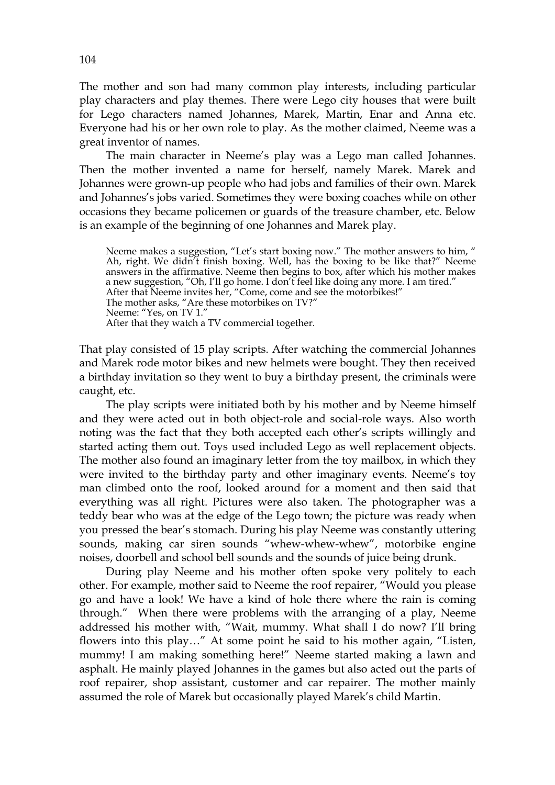The mother and son had many common play interests, including particular play characters and play themes. There were Lego city houses that were built for Lego characters named Johannes, Marek, Martin, Enar and Anna etc. Everyone had his or her own role to play. As the mother claimed, Neeme was a great inventor of names.

 The main character in Neeme's play was a Lego man called Johannes. Then the mother invented a name for herself, namely Marek. Marek and Johannes were grown-up people who had jobs and families of their own. Marek and Johannes's jobs varied. Sometimes they were boxing coaches while on other occasions they became policemen or guards of the treasure chamber, etc. Below is an example of the beginning of one Johannes and Marek play.

Neeme makes a suggestion, "Let's start boxing now." The mother answers to him, " Ah, right. We didn't finish boxing. Well, has the boxing to be like that?" Neeme answers in the affirmative. Neeme then begins to box, after which his mother makes a new suggestion, "Oh, I'll go home. I don't feel like doing any more. I am tired." After that Neeme invites her, "Come, come and see the motorbikes!" The mother asks, "Are these motorbikes on TV?" Neeme: "Yes, on TV 1." After that they watch a TV commercial together.

That play consisted of 15 play scripts. After watching the commercial Johannes and Marek rode motor bikes and new helmets were bought. They then received a birthday invitation so they went to buy a birthday present, the criminals were caught, etc.

 The play scripts were initiated both by his mother and by Neeme himself and they were acted out in both object-role and social-role ways. Also worth noting was the fact that they both accepted each other's scripts willingly and started acting them out. Toys used included Lego as well replacement objects. The mother also found an imaginary letter from the toy mailbox, in which they were invited to the birthday party and other imaginary events. Neeme's toy man climbed onto the roof, looked around for a moment and then said that everything was all right. Pictures were also taken. The photographer was a teddy bear who was at the edge of the Lego town; the picture was ready when you pressed the bear's stomach. During his play Neeme was constantly uttering sounds, making car siren sounds "whew-whew-whew", motorbike engine noises, doorbell and school bell sounds and the sounds of juice being drunk.

During play Neeme and his mother often spoke very politely to each other. For example, mother said to Neeme the roof repairer, "Would you please go and have a look! We have a kind of hole there where the rain is coming through." When there were problems with the arranging of a play, Neeme addressed his mother with, "Wait, mummy. What shall I do now? I'll bring flowers into this play…" At some point he said to his mother again, "Listen, mummy! I am making something here!" Neeme started making a lawn and asphalt. He mainly played Johannes in the games but also acted out the parts of roof repairer, shop assistant, customer and car repairer. The mother mainly assumed the role of Marek but occasionally played Marek's child Martin.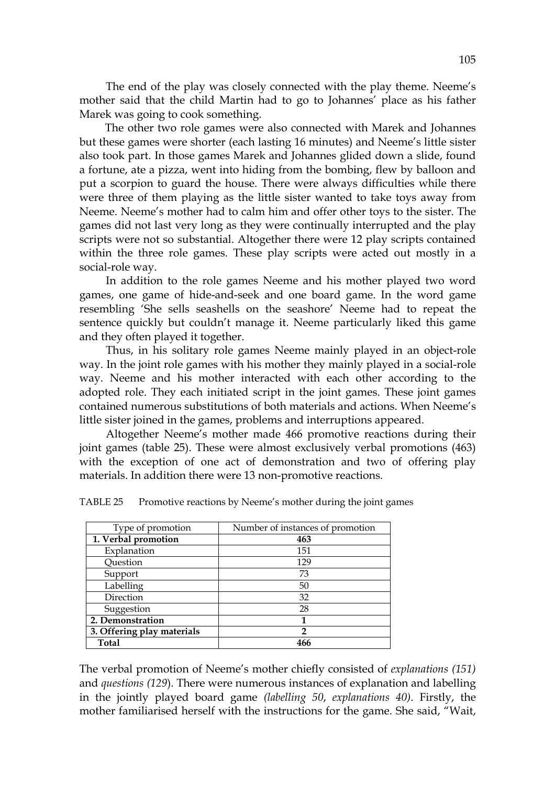The end of the play was closely connected with the play theme. Neeme's mother said that the child Martin had to go to Johannes' place as his father Marek was going to cook something.

 The other two role games were also connected with Marek and Johannes but these games were shorter (each lasting 16 minutes) and Neeme's little sister also took part. In those games Marek and Johannes glided down a slide, found a fortune, ate a pizza, went into hiding from the bombing, flew by balloon and put a scorpion to guard the house. There were always difficulties while there were three of them playing as the little sister wanted to take toys away from Neeme. Neeme's mother had to calm him and offer other toys to the sister. The games did not last very long as they were continually interrupted and the play scripts were not so substantial. Altogether there were 12 play scripts contained within the three role games. These play scripts were acted out mostly in a social-role way.

In addition to the role games Neeme and his mother played two word games, one game of hide-and-seek and one board game. In the word game resembling 'She sells seashells on the seashore' Neeme had to repeat the sentence quickly but couldn't manage it. Neeme particularly liked this game and they often played it together.

Thus, in his solitary role games Neeme mainly played in an object-role way. In the joint role games with his mother they mainly played in a social-role way. Neeme and his mother interacted with each other according to the adopted role. They each initiated script in the joint games. These joint games contained numerous substitutions of both materials and actions. When Neeme's little sister joined in the games, problems and interruptions appeared.

 Altogether Neeme's mother made 466 promotive reactions during their joint games (table 25). These were almost exclusively verbal promotions (463) with the exception of one act of demonstration and two of offering play materials. In addition there were 13 non-promotive reactions.

| Type of promotion          | Number of instances of promotion |
|----------------------------|----------------------------------|
| 1. Verbal promotion        | 463                              |
| Explanation                | 151                              |
| Question                   | 129                              |
| Support                    | 73                               |
| Labelling                  | 50                               |
| Direction                  | 32                               |
| Suggestion                 | 28                               |
| 2. Demonstration           | 1                                |
| 3. Offering play materials | 2                                |
| Total                      | 466                              |

TABLE 25 Promotive reactions by Neeme's mother during the joint games

The verbal promotion of Neeme's mother chiefly consisted of *explanations (151)* and *questions (129*). There were numerous instances of explanation and labelling in the jointly played board game *(labelling 50*, *explanations 40)*. Firstly, the mother familiarised herself with the instructions for the game. She said, "Wait,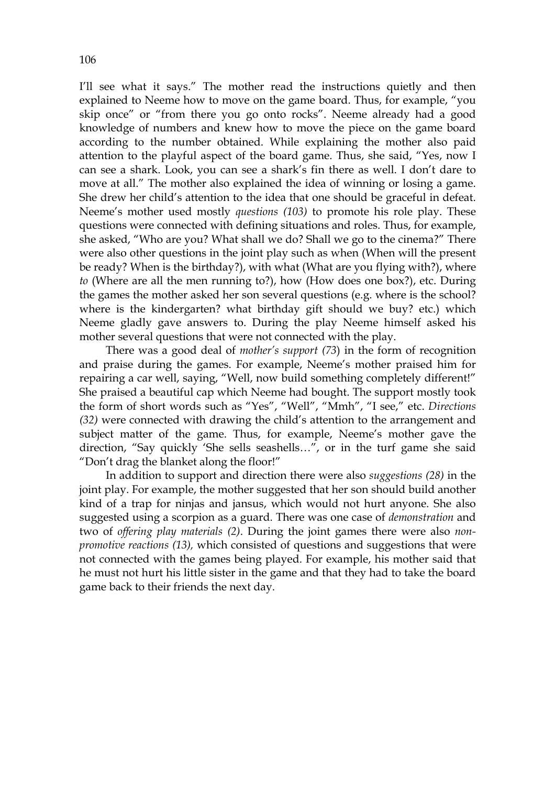I'll see what it says." The mother read the instructions quietly and then explained to Neeme how to move on the game board. Thus, for example, "you skip once" or "from there you go onto rocks". Neeme already had a good knowledge of numbers and knew how to move the piece on the game board according to the number obtained. While explaining the mother also paid attention to the playful aspect of the board game. Thus, she said, "Yes, now I can see a shark. Look, you can see a shark's fin there as well. I don't dare to move at all." The mother also explained the idea of winning or losing a game. She drew her child's attention to the idea that one should be graceful in defeat. Neeme's mother used mostly *questions (103)* to promote his role play. These questions were connected with defining situations and roles. Thus, for example, she asked, "Who are you? What shall we do? Shall we go to the cinema?" There were also other questions in the joint play such as when (When will the present be ready? When is the birthday?), with what (What are you flying with?), where *to* (Where are all the men running to?), how (How does one box?), etc. During the games the mother asked her son several questions (e.g. where is the school? where is the kindergarten? what birthday gift should we buy? etc.) which Neeme gladly gave answers to. During the play Neeme himself asked his mother several questions that were not connected with the play.

 There was a good deal of *mother's support (73*) in the form of recognition and praise during the games. For example, Neeme's mother praised him for repairing a car well, saying, "Well, now build something completely different!" She praised a beautiful cap which Neeme had bought. The support mostly took the form of short words such as "Yes", "Well", "Mmh", "I see," etc. *Directions (32)* were connected with drawing the child's attention to the arrangement and subject matter of the game. Thus, for example, Neeme's mother gave the direction, "Say quickly 'She sells seashells...", or in the turf game she said "Don't drag the blanket along the floor!"

 In addition to support and direction there were also *suggestions (28)* in the joint play. For example, the mother suggested that her son should build another kind of a trap for ninjas and jansus, which would not hurt anyone. She also suggested using a scorpion as a guard. There was one case of *demonstration* and two of *offering play materials (2)*. During the joint games there were also *nonpromotive reactions (13),* which consisted of questions and suggestions that were not connected with the games being played. For example, his mother said that he must not hurt his little sister in the game and that they had to take the board game back to their friends the next day.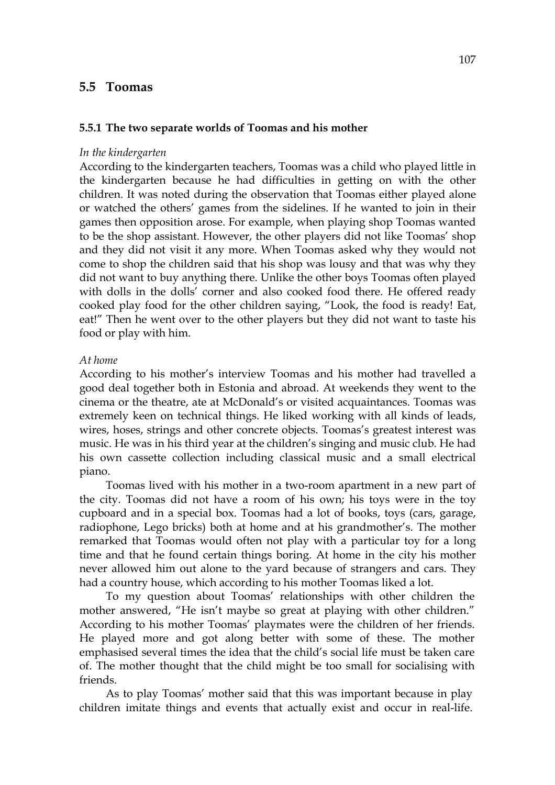# **5.5 Toomas**

### **5.5.1 The two separate worlds of Toomas and his mother**

#### *In the kindergarten*

According to the kindergarten teachers, Toomas was a child who played little in the kindergarten because he had difficulties in getting on with the other children. It was noted during the observation that Toomas either played alone or watched the others' games from the sidelines. If he wanted to join in their games then opposition arose. For example, when playing shop Toomas wanted to be the shop assistant. However, the other players did not like Toomas' shop and they did not visit it any more. When Toomas asked why they would not come to shop the children said that his shop was lousy and that was why they did not want to buy anything there. Unlike the other boys Toomas often played with dolls in the dolls' corner and also cooked food there. He offered ready cooked play food for the other children saying, "Look, the food is ready! Eat, eat!" Then he went over to the other players but they did not want to taste his food or play with him.

### *At home*

According to his mother's interview Toomas and his mother had travelled a good deal together both in Estonia and abroad. At weekends they went to the cinema or the theatre, ate at McDonald's or visited acquaintances. Toomas was extremely keen on technical things. He liked working with all kinds of leads, wires, hoses, strings and other concrete objects. Toomas's greatest interest was music. He was in his third year at the children's singing and music club. He had his own cassette collection including classical music and a small electrical piano.

Toomas lived with his mother in a two-room apartment in a new part of the city. Toomas did not have a room of his own; his toys were in the toy cupboard and in a special box. Toomas had a lot of books, toys (cars, garage, radiophone, Lego bricks) both at home and at his grandmother's. The mother remarked that Toomas would often not play with a particular toy for a long time and that he found certain things boring. At home in the city his mother never allowed him out alone to the yard because of strangers and cars. They had a country house, which according to his mother Toomas liked a lot.

To my question about Toomas' relationships with other children the mother answered, "He isn't maybe so great at playing with other children." According to his mother Toomas' playmates were the children of her friends. He played more and got along better with some of these. The mother emphasised several times the idea that the child's social life must be taken care of. The mother thought that the child might be too small for socialising with friends.

As to play Toomas' mother said that this was important because in play children imitate things and events that actually exist and occur in real-life.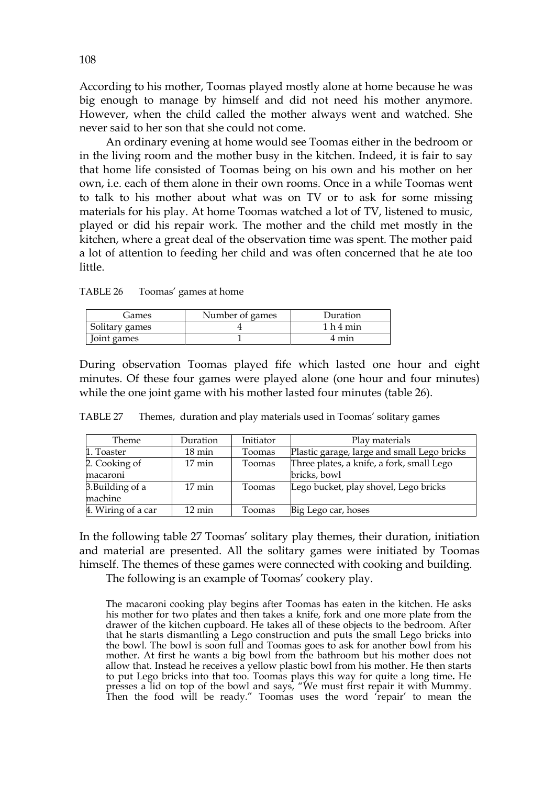According to his mother, Toomas played mostly alone at home because he was big enough to manage by himself and did not need his mother anymore. However, when the child called the mother always went and watched. She never said to her son that she could not come.

An ordinary evening at home would see Toomas either in the bedroom or in the living room and the mother busy in the kitchen. Indeed, it is fair to say that home life consisted of Toomas being on his own and his mother on her own, i.e. each of them alone in their own rooms. Once in a while Toomas went to talk to his mother about what was on TV or to ask for some missing materials for his play. At home Toomas watched a lot of TV, listened to music, played or did his repair work. The mother and the child met mostly in the kitchen, where a great deal of the observation time was spent. The mother paid a lot of attention to feeding her child and was often concerned that he ate too little.

| TABLE 26 |  | Toomas' games at home |
|----------|--|-----------------------|
|----------|--|-----------------------|

| Games          | Number of games | Duration                        |
|----------------|-----------------|---------------------------------|
| Solitary games |                 | 1 <sub>h</sub> 4 <sub>min</sub> |
| Joint games    |                 | 4 min                           |

During observation Toomas played fife which lasted one hour and eight minutes. Of these four games were played alone (one hour and four minutes) while the one joint game with his mother lasted four minutes (table 26).

| TABLE 27 |  | Themes, duration and play materials used in Toomas' solitary games |  |  |  |  |  |  |  |
|----------|--|--------------------------------------------------------------------|--|--|--|--|--|--|--|
|----------|--|--------------------------------------------------------------------|--|--|--|--|--|--|--|

| Theme              | Duration            | Initiator | Play materials                              |
|--------------------|---------------------|-----------|---------------------------------------------|
| 1. Toaster         | $18 \text{ min}$    | Toomas    | Plastic garage, large and small Lego bricks |
| 2. Cooking of      | $17 \text{ min}$    | Toomas    | Three plates, a knife, a fork, small Lego   |
| macaroni           |                     |           | bricks, bowl                                |
| 3. Building of a   | $17 \text{ min}$    | Toomas    | Lego bucket, play shovel, Lego bricks       |
| machine            |                     |           |                                             |
| 4. Wiring of a car | $12 \,\mathrm{min}$ | Toomas    | Big Lego car, hoses                         |

In the following table 27 Toomas' solitary play themes, their duration, initiation and material are presented. All the solitary games were initiated by Toomas himself. The themes of these games were connected with cooking and building.

The following is an example of Toomas' cookery play.

The macaroni cooking play begins after Toomas has eaten in the kitchen. He asks his mother for two plates and then takes a knife, fork and one more plate from the drawer of the kitchen cupboard. He takes all of these objects to the bedroom. After that he starts dismantling a Lego construction and puts the small Lego bricks into the bowl. The bowl is soon full and Toomas goes to ask for another bowl from his mother. At first he wants a big bowl from the bathroom but his mother does not allow that. Instead he receives a yellow plastic bowl from his mother. He then starts to put Lego bricks into that too. Toomas plays this way for quite a long time**.** He presses a lid on top of the bowl and says, "We must first repair it with Mummy. Then the food will be ready." Toomas uses the word 'repair' to mean the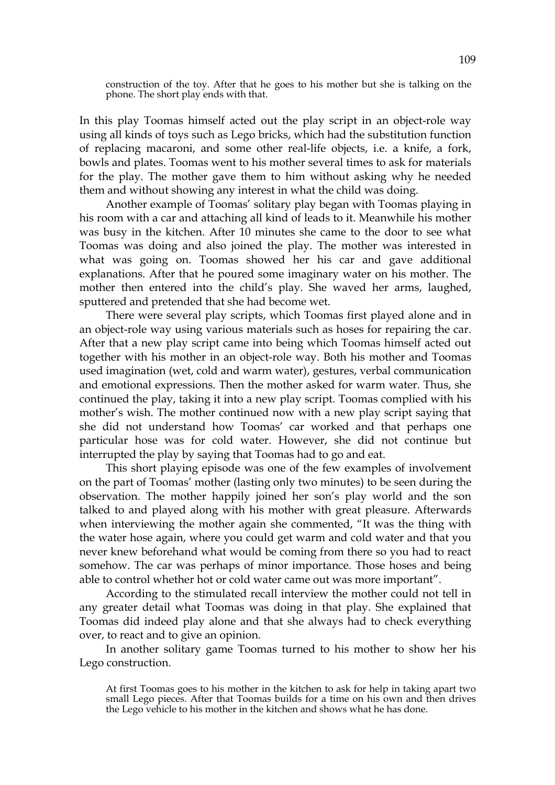construction of the toy. After that he goes to his mother but she is talking on the phone. The short play ends with that.

In this play Toomas himself acted out the play script in an object-role way using all kinds of toys such as Lego bricks, which had the substitution function of replacing macaroni, and some other real-life objects, i.e. a knife, a fork, bowls and plates. Toomas went to his mother several times to ask for materials for the play. The mother gave them to him without asking why he needed them and without showing any interest in what the child was doing.

Another example of Toomas' solitary play began with Toomas playing in his room with a car and attaching all kind of leads to it. Meanwhile his mother was busy in the kitchen. After 10 minutes she came to the door to see what Toomas was doing and also joined the play. The mother was interested in what was going on. Toomas showed her his car and gave additional explanations. After that he poured some imaginary water on his mother. The mother then entered into the child's play. She waved her arms, laughed, sputtered and pretended that she had become wet.

There were several play scripts, which Toomas first played alone and in an object-role way using various materials such as hoses for repairing the car. After that a new play script came into being which Toomas himself acted out together with his mother in an object-role way. Both his mother and Toomas used imagination (wet, cold and warm water), gestures, verbal communication and emotional expressions. Then the mother asked for warm water. Thus, she continued the play, taking it into a new play script. Toomas complied with his mother's wish. The mother continued now with a new play script saying that she did not understand how Toomas' car worked and that perhaps one particular hose was for cold water. However, she did not continue but interrupted the play by saying that Toomas had to go and eat.

This short playing episode was one of the few examples of involvement on the part of Toomas' mother (lasting only two minutes) to be seen during the observation. The mother happily joined her son's play world and the son talked to and played along with his mother with great pleasure. Afterwards when interviewing the mother again she commented, "It was the thing with the water hose again, where you could get warm and cold water and that you never knew beforehand what would be coming from there so you had to react somehow. The car was perhaps of minor importance. Those hoses and being able to control whether hot or cold water came out was more important".

According to the stimulated recall interview the mother could not tell in any greater detail what Toomas was doing in that play. She explained that Toomas did indeed play alone and that she always had to check everything over, to react and to give an opinion.

In another solitary game Toomas turned to his mother to show her his Lego construction.

At first Toomas goes to his mother in the kitchen to ask for help in taking apart two small Lego pieces. After that Toomas builds for a time on his own and then drives the Lego vehicle to his mother in the kitchen and shows what he has done.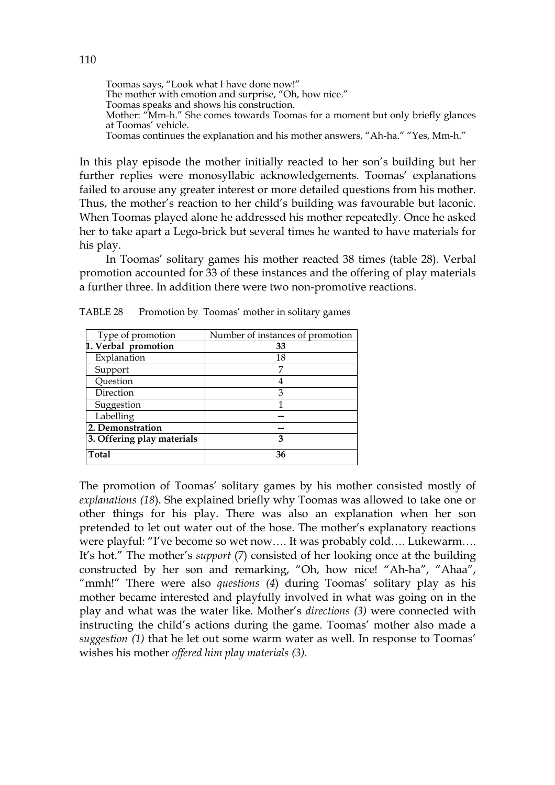Toomas says, "Look what I have done now!" The mother with emotion and surprise, "Oh, how nice." Toomas speaks and shows his construction. Mother: "Mm-h." She comes towards Toomas for a moment but only briefly glances at Toomas' vehicle. Toomas continues the explanation and his mother answers, "Ah-ha." "Yes, Mm-h."

In this play episode the mother initially reacted to her son's building but her further replies were monosyllabic acknowledgements. Toomas' explanations failed to arouse any greater interest or more detailed questions from his mother. Thus, the mother's reaction to her child's building was favourable but laconic. When Toomas played alone he addressed his mother repeatedly. Once he asked her to take apart a Lego-brick but several times he wanted to have materials for his play.

 In Toomas' solitary games his mother reacted 38 times (table 28). Verbal promotion accounted for 33 of these instances and the offering of play materials a further three. In addition there were two non-promotive reactions.

| Type of promotion          | Number of instances of promotion |
|----------------------------|----------------------------------|
| 1. Verbal promotion        | 33                               |
| Explanation                | 18                               |
| Support                    | 7                                |
| Question                   | 4                                |
| Direction                  | 3                                |
| Suggestion                 |                                  |
| Labelling                  |                                  |
| 2. Demonstration           |                                  |
| 3. Offering play materials | 3                                |
| <b>Total</b>               | 36                               |

TABLE 28 Promotion by Toomas' mother in solitary games

The promotion of Toomas' solitary games by his mother consisted mostly of *explanations (18*). She explained briefly why Toomas was allowed to take one or other things for his play. There was also an explanation when her son pretended to let out water out of the hose. The mother's explanatory reactions were playful: "I've become so wet now…. It was probably cold…. Lukewarm…. It's hot." The mother's *support* (7) consisted of her looking once at the building constructed by her son and remarking, "Oh, how nice! "Ah-ha", "Ahaa", "mmh!" There were also *questions (4*) during Toomas' solitary play as his mother became interested and playfully involved in what was going on in the play and what was the water like. Mother's *directions (3)* were connected with instructing the child's actions during the game. Toomas' mother also made a *suggestion (1)* that he let out some warm water as well. In response to Toomas' wishes his mother *offered him play materials (3).*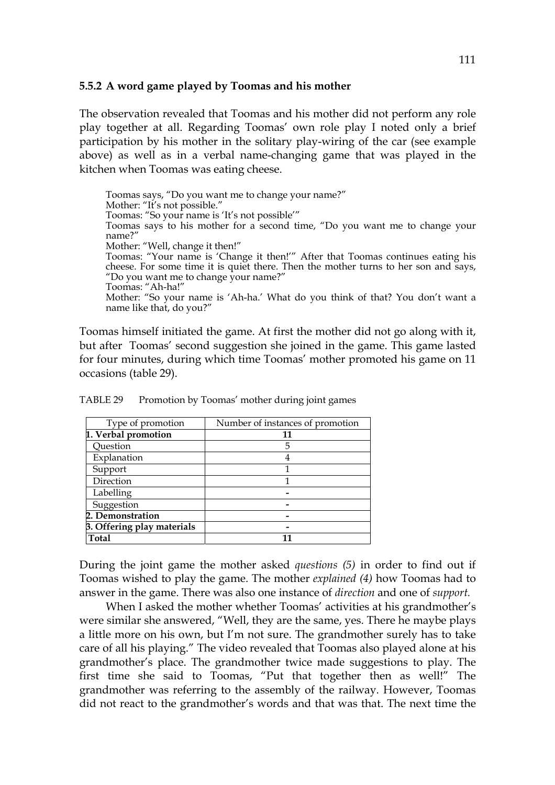### **5.5.2 A word game played by Toomas and his mother**

The observation revealed that Toomas and his mother did not perform any role play together at all. Regarding Toomas' own role play I noted only a brief participation by his mother in the solitary play-wiring of the car (see example above) as well as in a verbal name-changing game that was played in the kitchen when Toomas was eating cheese.

Toomas says, "Do you want me to change your name?" Mother: "It's not possible." Toomas: "So your name is 'It's not possible'" Toomas says to his mother for a second time, "Do you want me to change your name?" Mother: "Well, change it then!" Toomas: "Your name is 'Change it then!'" After that Toomas continues eating his cheese. For some time it is quiet there. Then the mother turns to her son and says, "Do you want me to change your name?" Toomas: "Ah-ha!" Mother: "So your name is 'Ah-ha.' What do you think of that? You don't want a name like that, do you?"

Toomas himself initiated the game. At first the mother did not go along with it, but after Toomas' second suggestion she joined in the game. This game lasted for four minutes, during which time Toomas' mother promoted his game on 11 occasions (table 29).

| Type of promotion          | Number of instances of promotion |
|----------------------------|----------------------------------|
| 1. Verbal promotion        | 11                               |
| Question                   | 5                                |
| Explanation                |                                  |
| Support                    |                                  |
| Direction                  |                                  |
| Labelling                  |                                  |
| Suggestion                 |                                  |
| 2. Demonstration           |                                  |
| 3. Offering play materials |                                  |
| <b>Total</b>               |                                  |

TABLE 29 Promotion by Toomas' mother during joint games

During the joint game the mother asked *questions (5)* in order to find out if Toomas wished to play the game. The mother *explained (4)* how Toomas had to answer in the game. There was also one instance of *direction* and one of *support.*

 When I asked the mother whether Toomas' activities at his grandmother's were similar she answered, "Well, they are the same, yes. There he maybe plays a little more on his own, but I'm not sure. The grandmother surely has to take care of all his playing." The video revealed that Toomas also played alone at his grandmother's place. The grandmother twice made suggestions to play. The first time she said to Toomas, "Put that together then as well!" The grandmother was referring to the assembly of the railway. However, Toomas did not react to the grandmother's words and that was that. The next time the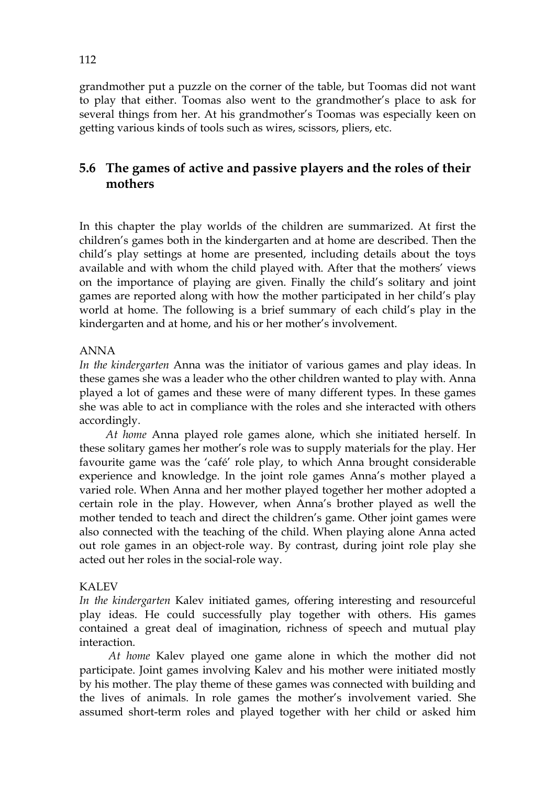grandmother put a puzzle on the corner of the table, but Toomas did not want to play that either. Toomas also went to the grandmother's place to ask for several things from her. At his grandmother's Toomas was especially keen on getting various kinds of tools such as wires, scissors, pliers, etc.

# **5.6 The games of active and passive players and the roles of their mothers**

In this chapter the play worlds of the children are summarized. At first the children's games both in the kindergarten and at home are described. Then the child's play settings at home are presented, including details about the toys available and with whom the child played with. After that the mothers' views on the importance of playing are given. Finally the child's solitary and joint games are reported along with how the mother participated in her child's play world at home. The following is a brief summary of each child's play in the kindergarten and at home, and his or her mother's involvement.

### ANNA

*In the kindergarten* Anna was the initiator of various games and play ideas. In these games she was a leader who the other children wanted to play with. Anna played a lot of games and these were of many different types. In these games she was able to act in compliance with the roles and she interacted with others accordingly.

 *At home* Anna played role games alone, which she initiated herself. In these solitary games her mother's role was to supply materials for the play. Her favourite game was the 'café' role play, to which Anna brought considerable experience and knowledge. In the joint role games Anna's mother played a varied role. When Anna and her mother played together her mother adopted a certain role in the play. However, when Anna's brother played as well the mother tended to teach and direct the children's game. Other joint games were also connected with the teaching of the child. When playing alone Anna acted out role games in an object-role way. By contrast, during joint role play she acted out her roles in the social-role way.

### KALEV

*In the kindergarten* Kalev initiated games, offering interesting and resourceful play ideas. He could successfully play together with others. His games contained a great deal of imagination, richness of speech and mutual play interaction.

 *At home* Kalev played one game alone in which the mother did not participate. Joint games involving Kalev and his mother were initiated mostly by his mother. The play theme of these games was connected with building and the lives of animals. In role games the mother's involvement varied. She assumed short-term roles and played together with her child or asked him

112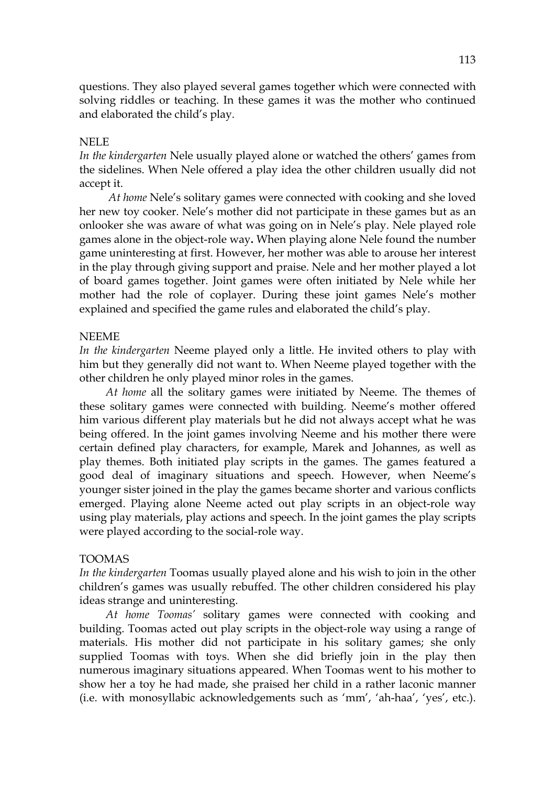questions. They also played several games together which were connected with solving riddles or teaching. In these games it was the mother who continued and elaborated the child's play.

### NELE

*In the kindergarten* Nele usually played alone or watched the others' games from the sidelines. When Nele offered a play idea the other children usually did not accept it.

 *At home* Nele's solitary games were connected with cooking and she loved her new toy cooker. Nele's mother did not participate in these games but as an onlooker she was aware of what was going on in Nele's play. Nele played role games alone in the object-role way**.** When playing alone Nele found the number game uninteresting at first. However, her mother was able to arouse her interest in the play through giving support and praise. Nele and her mother played a lot of board games together. Joint games were often initiated by Nele while her mother had the role of coplayer. During these joint games Nele's mother explained and specified the game rules and elaborated the child's play.

### NEEME

*In the kindergarten* Neeme played only a little. He invited others to play with him but they generally did not want to. When Neeme played together with the other children he only played minor roles in the games.

 *At home* all the solitary games were initiated by Neeme. The themes of these solitary games were connected with building. Neeme's mother offered him various different play materials but he did not always accept what he was being offered. In the joint games involving Neeme and his mother there were certain defined play characters, for example, Marek and Johannes, as well as play themes. Both initiated play scripts in the games. The games featured a good deal of imaginary situations and speech. However, when Neeme's younger sister joined in the play the games became shorter and various conflicts emerged. Playing alone Neeme acted out play scripts in an object-role way using play materials, play actions and speech. In the joint games the play scripts were played according to the social-role way.

### TOOMAS

*In the kindergarten* Toomas usually played alone and his wish to join in the other children's games was usually rebuffed. The other children considered his play ideas strange and uninteresting.

 *At home Toomas'* solitary games were connected with cooking and building. Toomas acted out play scripts in the object-role way using a range of materials. His mother did not participate in his solitary games; she only supplied Toomas with toys. When she did briefly join in the play then numerous imaginary situations appeared. When Toomas went to his mother to show her a toy he had made, she praised her child in a rather laconic manner (i.e. with monosyllabic acknowledgements such as 'mm', 'ah-haa', 'yes', etc.).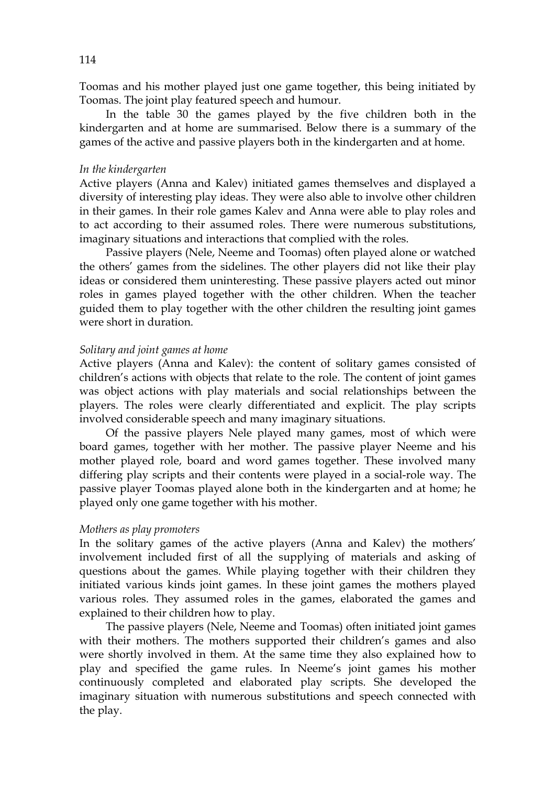Toomas and his mother played just one game together, this being initiated by Toomas. The joint play featured speech and humour.

In the table 30 the games played by the five children both in the kindergarten and at home are summarised. Below there is a summary of the games of the active and passive players both in the kindergarten and at home.

#### *In the kindergarten*

Active players (Anna and Kalev) initiated games themselves and displayed a diversity of interesting play ideas. They were also able to involve other children in their games. In their role games Kalev and Anna were able to play roles and to act according to their assumed roles. There were numerous substitutions, imaginary situations and interactions that complied with the roles.

 Passive players (Nele, Neeme and Toomas) often played alone or watched the others' games from the sidelines. The other players did not like their play ideas or considered them uninteresting. These passive players acted out minor roles in games played together with the other children. When the teacher guided them to play together with the other children the resulting joint games were short in duration.

#### *Solitary and joint games at home*

Active players (Anna and Kalev): the content of solitary games consisted of children's actions with objects that relate to the role. The content of joint games was object actions with play materials and social relationships between the players. The roles were clearly differentiated and explicit. The play scripts involved considerable speech and many imaginary situations.

Of the passive players Nele played many games, most of which were board games, together with her mother. The passive player Neeme and his mother played role, board and word games together. These involved many differing play scripts and their contents were played in a social-role way. The passive player Toomas played alone both in the kindergarten and at home; he played only one game together with his mother.

#### *Mothers as play promoters*

In the solitary games of the active players (Anna and Kalev) the mothers' involvement included first of all the supplying of materials and asking of questions about the games. While playing together with their children they initiated various kinds joint games. In these joint games the mothers played various roles. They assumed roles in the games, elaborated the games and explained to their children how to play.

 The passive players (Nele, Neeme and Toomas) often initiated joint games with their mothers. The mothers supported their children's games and also were shortly involved in them. At the same time they also explained how to play and specified the game rules. In Neeme's joint games his mother continuously completed and elaborated play scripts. She developed the imaginary situation with numerous substitutions and speech connected with the play.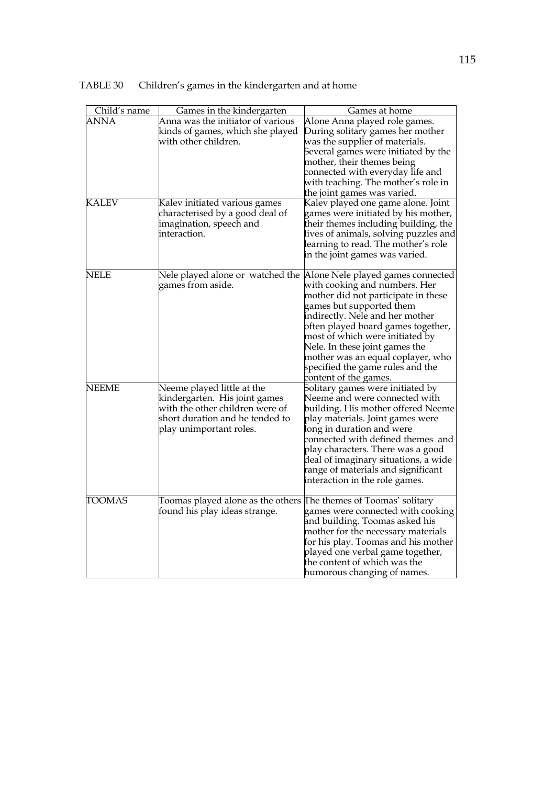| Child's name  | Games in the kindergarten                                                                                                                                    | Games at home                                                                                                                                                                                                                                                                                                                                                                         |
|---------------|--------------------------------------------------------------------------------------------------------------------------------------------------------------|---------------------------------------------------------------------------------------------------------------------------------------------------------------------------------------------------------------------------------------------------------------------------------------------------------------------------------------------------------------------------------------|
| ANNA          | Anna was the initiator of various<br>kinds of games, which she played<br>with other children.                                                                | Alone Anna played role games.<br>During solitary games her mother<br>was the supplier of materials.                                                                                                                                                                                                                                                                                   |
|               |                                                                                                                                                              | Several games were initiated by the<br>mother, their themes being<br>connected with everyday life and<br>with teaching. The mother's role in<br>the joint games was varied.                                                                                                                                                                                                           |
| <b>KALEV</b>  | Kalev initiated various games<br>characterised by a good deal of<br>imagination, speech and<br>interaction.                                                  | Kalev played one game alone. Joint<br>games were initiated by his mother,<br>their themes including building, the<br>lives of animals, solving puzzles and<br>learning to read. The mother's role<br>in the joint games was varied.                                                                                                                                                   |
| <b>NELE</b>   | Nele played alone or watched the<br>games from aside.                                                                                                        | Alone Nele played games connected<br>with cooking and numbers. Her<br>mother did not participate in these<br>games but supported them<br>indirectly. Nele and her mother<br>often played board games together,<br>most of which were initiated by<br>Nele. In these joint games the<br>mother was an equal coplayer, who<br>specified the game rules and the<br>content of the games. |
| NEEME         | Neeme played little at the<br>kindergarten. His joint games<br>with the other children were of<br>short duration and he tended to<br>play unimportant roles. | Solitary games were initiated by<br>Neeme and were connected with<br>building. His mother offered Neeme<br>play materials. Joint games were<br>long in duration and were<br>connected with defined themes and<br>play characters. There was a good<br>deal of imaginary situations, a wide<br>range of materials and significant<br>interaction in the role games.                    |
| <b>TOOMAS</b> | Toomas played alone as the others<br>found his play ideas strange.                                                                                           | The themes of Toomas' solitary<br>games were connected with cooking<br>and building. Toomas asked his<br>mother for the necessary materials<br>for his play. Toomas and his mother<br>played one verbal game together,<br>the content of which was the<br>humorous changing of names.                                                                                                 |

TABLE 30 Children's games in the kindergarten and at home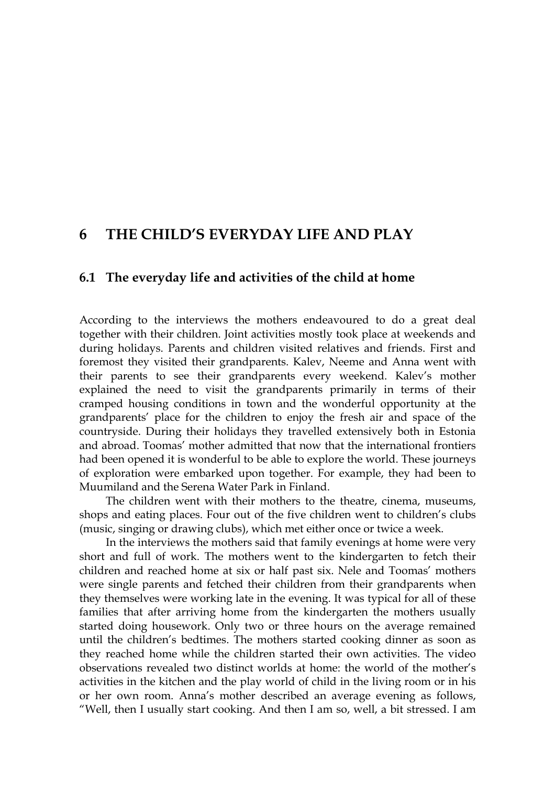# **6 THE CHILD'S EVERYDAY LIFE AND PLAY**

### **6.1 The everyday life and activities of the child at home**

According to the interviews the mothers endeavoured to do a great deal together with their children. Joint activities mostly took place at weekends and during holidays. Parents and children visited relatives and friends. First and foremost they visited their grandparents. Kalev, Neeme and Anna went with their parents to see their grandparents every weekend. Kalev's mother explained the need to visit the grandparents primarily in terms of their cramped housing conditions in town and the wonderful opportunity at the grandparents' place for the children to enjoy the fresh air and space of the countryside. During their holidays they travelled extensively both in Estonia and abroad. Toomas' mother admitted that now that the international frontiers had been opened it is wonderful to be able to explore the world. These journeys of exploration were embarked upon together. For example, they had been to Muumiland and the Serena Water Park in Finland.

 The children went with their mothers to the theatre, cinema, museums, shops and eating places. Four out of the five children went to children's clubs (music, singing or drawing clubs), which met either once or twice a week.

In the interviews the mothers said that family evenings at home were very short and full of work. The mothers went to the kindergarten to fetch their children and reached home at six or half past six. Nele and Toomas' mothers were single parents and fetched their children from their grandparents when they themselves were working late in the evening. It was typical for all of these families that after arriving home from the kindergarten the mothers usually started doing housework. Only two or three hours on the average remained until the children's bedtimes. The mothers started cooking dinner as soon as they reached home while the children started their own activities. The video observations revealed two distinct worlds at home: the world of the mother's activities in the kitchen and the play world of child in the living room or in his or her own room. Anna's mother described an average evening as follows, "Well, then I usually start cooking. And then I am so, well, a bit stressed. I am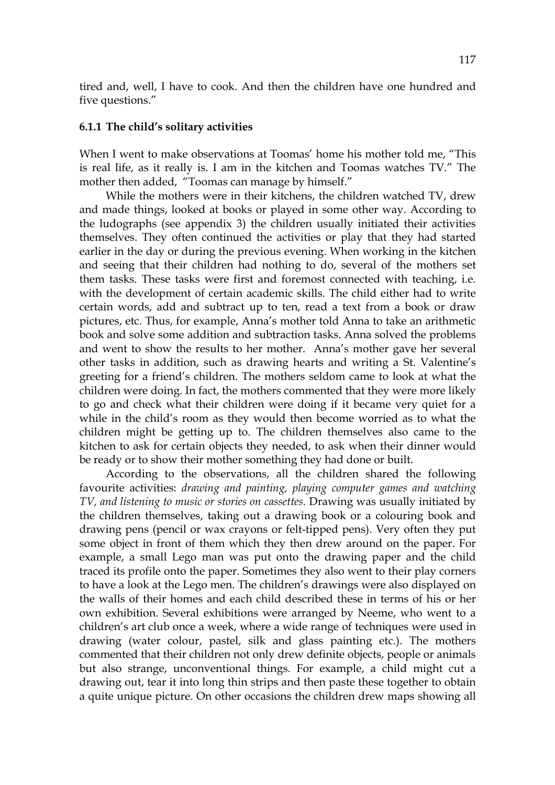tired and, well, I have to cook. And then the children have one hundred and five questions."

#### **6.1.1 The child's solitary activities**

When I went to make observations at Toomas' home his mother told me, "This is real life, as it really is. I am in the kitchen and Toomas watches TV." The mother then added, "Toomas can manage by himself."

 While the mothers were in their kitchens, the children watched TV, drew and made things, looked at books or played in some other way. According to the ludographs (see appendix 3) the children usually initiated their activities themselves. They often continued the activities or play that they had started earlier in the day or during the previous evening. When working in the kitchen and seeing that their children had nothing to do, several of the mothers set them tasks. These tasks were first and foremost connected with teaching, i.e*.* with the development of certain academic skills. The child either had to write certain words, add and subtract up to ten, read a text from a book or draw pictures, etc. Thus, for example, Anna's mother told Anna to take an arithmetic book and solve some addition and subtraction tasks. Anna solved the problems and went to show the results to her mother. Anna's mother gave her several other tasks in addition, such as drawing hearts and writing a St. Valentine's greeting for a friend's children. The mothers seldom came to look at what the children were doing. In fact, the mothers commented that they were more likely to go and check what their children were doing if it became very quiet for a while in the child's room as they would then become worried as to what the children might be getting up to. The children themselves also came to the kitchen to ask for certain objects they needed, to ask when their dinner would be ready or to show their mother something they had done or built.

 According to the observations, all the children shared the following favourite activities: *drawing and painting, playing computer games and watching TV, and listening to music or stories on cassettes.* Drawing was usually initiated by the children themselves, taking out a drawing book or a colouring book and drawing pens (pencil or wax crayons or felt-tipped pens). Very often they put some object in front of them which they then drew around on the paper. For example, a small Lego man was put onto the drawing paper and the child traced its profile onto the paper. Sometimes they also went to their play corners to have a look at the Lego men. The children's drawings were also displayed on the walls of their homes and each child described these in terms of his or her own exhibition. Several exhibitions were arranged by Neeme, who went to a children's art club once a week, where a wide range of techniques were used in drawing (water colour, pastel, silk and glass painting etc.). The mothers commented that their children not only drew definite objects, people or animals but also strange, unconventional things. For example, a child might cut a drawing out, tear it into long thin strips and then paste these together to obtain a quite unique picture. On other occasions the children drew maps showing all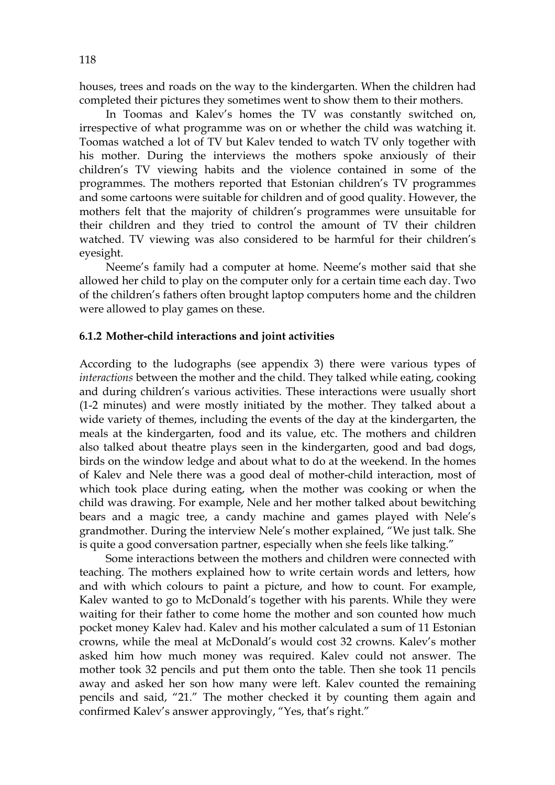houses, trees and roads on the way to the kindergarten. When the children had completed their pictures they sometimes went to show them to their mothers.

In Toomas and Kalev's homes the TV was constantly switched on, irrespective of what programme was on or whether the child was watching it. Toomas watched a lot of TV but Kalev tended to watch TV only together with his mother. During the interviews the mothers spoke anxiously of their children's TV viewing habits and the violence contained in some of the programmes. The mothers reported that Estonian children's TV programmes and some cartoons were suitable for children and of good quality. However, the mothers felt that the majority of children's programmes were unsuitable for their children and they tried to control the amount of TV their children watched. TV viewing was also considered to be harmful for their children's eyesight.

Neeme's family had a computer at home. Neeme's mother said that she allowed her child to play on the computer only for a certain time each day. Two of the children's fathers often brought laptop computers home and the children were allowed to play games on these.

#### **6.1.2 Mother-child interactions and joint activities**

According to the ludographs (see appendix 3) there were various types of *interactions* between the mother and the child. They talked while eating, cooking and during children's various activities. These interactions were usually short (1-2 minutes) and were mostly initiated by the mother. They talked about a wide variety of themes, including the events of the day at the kindergarten, the meals at the kindergarten, food and its value, etc. The mothers and children also talked about theatre plays seen in the kindergarten, good and bad dogs, birds on the window ledge and about what to do at the weekend. In the homes of Kalev and Nele there was a good deal of mother-child interaction, most of which took place during eating, when the mother was cooking or when the child was drawing. For example, Nele and her mother talked about bewitching bears and a magic tree, a candy machine and games played with Nele's grandmother. During the interview Nele's mother explained, "We just talk. She is quite a good conversation partner, especially when she feels like talking."

Some interactions between the mothers and children were connected with teaching. The mothers explained how to write certain words and letters, how and with which colours to paint a picture, and how to count. For example, Kalev wanted to go to McDonald's together with his parents. While they were waiting for their father to come home the mother and son counted how much pocket money Kalev had. Kalev and his mother calculated a sum of 11 Estonian crowns, while the meal at McDonald's would cost 32 crowns. Kalev's mother asked him how much money was required. Kalev could not answer. The mother took 32 pencils and put them onto the table. Then she took 11 pencils away and asked her son how many were left. Kalev counted the remaining pencils and said, "21." The mother checked it by counting them again and confirmed Kalev's answer approvingly, "Yes, that's right."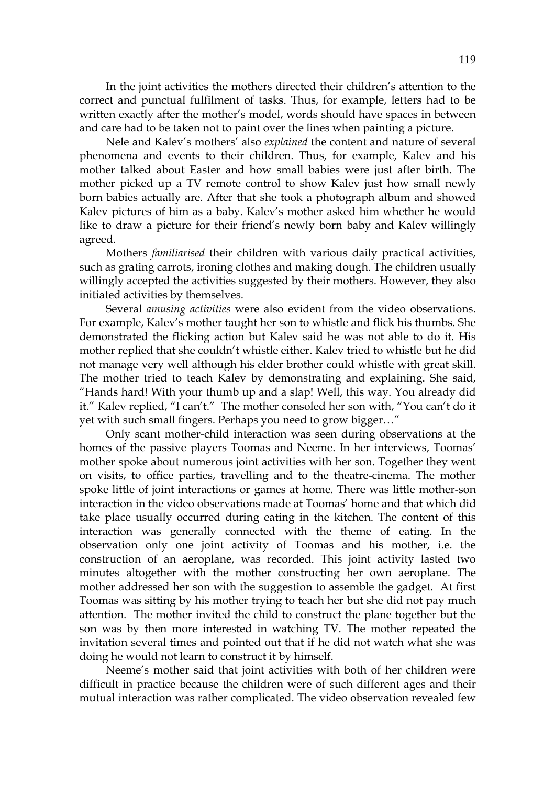In the joint activities the mothers directed their children's attention to the correct and punctual fulfilment of tasks. Thus, for example, letters had to be written exactly after the mother's model, words should have spaces in between and care had to be taken not to paint over the lines when painting a picture.

 Nele and Kalev's mothers' also *explained* the content and nature of several phenomena and events to their children. Thus, for example, Kalev and his mother talked about Easter and how small babies were just after birth. The mother picked up a TV remote control to show Kalev just how small newly born babies actually are. After that she took a photograph album and showed Kalev pictures of him as a baby. Kalev's mother asked him whether he would like to draw a picture for their friend's newly born baby and Kalev willingly agreed.

Mothers *familiarised* their children with various daily practical activities, such as grating carrots, ironing clothes and making dough. The children usually willingly accepted the activities suggested by their mothers. However, they also initiated activities by themselves.

Several *amusing activities* were also evident from the video observations. For example, Kalev's mother taught her son to whistle and flick his thumbs. She demonstrated the flicking action but Kalev said he was not able to do it. His mother replied that she couldn't whistle either. Kalev tried to whistle but he did not manage very well although his elder brother could whistle with great skill. The mother tried to teach Kalev by demonstrating and explaining. She said, "Hands hard! With your thumb up and a slap! Well, this way. You already did it." Kalev replied, "I can't." The mother consoled her son with, "You can't do it yet with such small fingers. Perhaps you need to grow bigger…"

 Only scant mother-child interaction was seen during observations at the homes of the passive players Toomas and Neeme. In her interviews, Toomas' mother spoke about numerous joint activities with her son. Together they went on visits, to office parties, travelling and to the theatre-cinema. The mother spoke little of joint interactions or games at home. There was little mother-son interaction in the video observations made at Toomas' home and that which did take place usually occurred during eating in the kitchen. The content of this interaction was generally connected with the theme of eating. In the observation only one joint activity of Toomas and his mother, i.e. the construction of an aeroplane, was recorded. This joint activity lasted two minutes altogether with the mother constructing her own aeroplane. The mother addressed her son with the suggestion to assemble the gadget. At first Toomas was sitting by his mother trying to teach her but she did not pay much attention. The mother invited the child to construct the plane together but the son was by then more interested in watching TV. The mother repeated the invitation several times and pointed out that if he did not watch what she was doing he would not learn to construct it by himself.

 Neeme's mother said that joint activities with both of her children were difficult in practice because the children were of such different ages and their mutual interaction was rather complicated. The video observation revealed few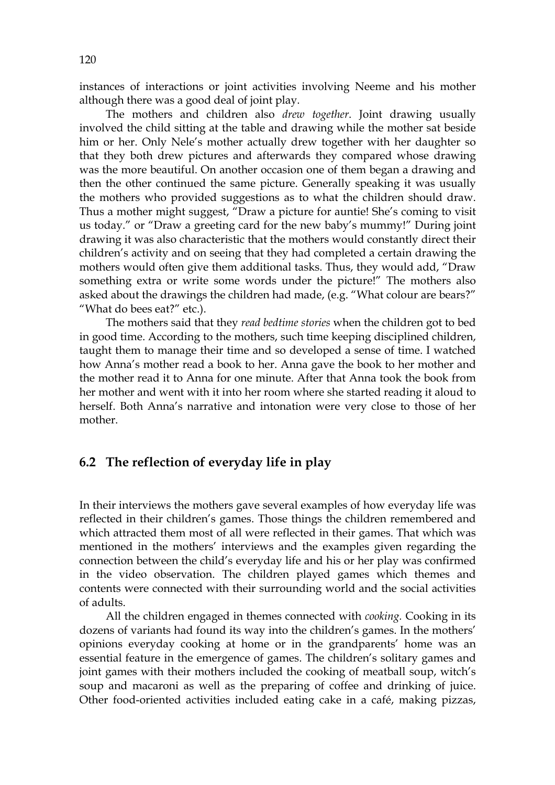instances of interactions or joint activities involving Neeme and his mother although there was a good deal of joint play.

The mothers and children also *drew together*. Joint drawing usually involved the child sitting at the table and drawing while the mother sat beside him or her. Only Nele's mother actually drew together with her daughter so that they both drew pictures and afterwards they compared whose drawing was the more beautiful. On another occasion one of them began a drawing and then the other continued the same picture. Generally speaking it was usually the mothers who provided suggestions as to what the children should draw. Thus a mother might suggest, "Draw a picture for auntie! She's coming to visit us today." or "Draw a greeting card for the new baby's mummy!" During joint drawing it was also characteristic that the mothers would constantly direct their children's activity and on seeing that they had completed a certain drawing the mothers would often give them additional tasks. Thus, they would add, "Draw something extra or write some words under the picture!" The mothers also asked about the drawings the children had made, (e.g. "What colour are bears?" "What do bees eat?" etc.).

The mothers said that they *read bedtime stories* when the children got to bed in good time. According to the mothers, such time keeping disciplined children, taught them to manage their time and so developed a sense of time. I watched how Anna's mother read a book to her. Anna gave the book to her mother and the mother read it to Anna for one minute. After that Anna took the book from her mother and went with it into her room where she started reading it aloud to herself. Both Anna's narrative and intonation were very close to those of her mother.

# **6.2 The reflection of everyday life in play**

In their interviews the mothers gave several examples of how everyday life was reflected in their children's games. Those things the children remembered and which attracted them most of all were reflected in their games. That which was mentioned in the mothers' interviews and the examples given regarding the connection between the child's everyday life and his or her play was confirmed in the video observation. The children played games which themes and contents were connected with their surrounding world and the social activities of adults.

 All the children engaged in themes connected with *cooking.* Cooking in its dozens of variants had found its way into the children's games. In the mothers' opinions everyday cooking at home or in the grandparents' home was an essential feature in the emergence of games. The children's solitary games and joint games with their mothers included the cooking of meatball soup, witch's soup and macaroni as well as the preparing of coffee and drinking of juice. Other food-oriented activities included eating cake in a café, making pizzas,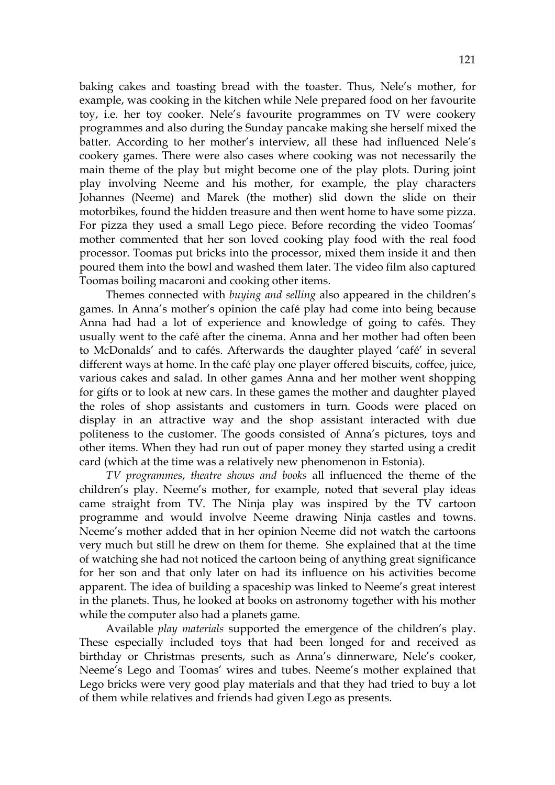baking cakes and toasting bread with the toaster. Thus, Nele's mother, for example, was cooking in the kitchen while Nele prepared food on her favourite toy, i.e. her toy cooker. Nele's favourite programmes on TV were cookery programmes and also during the Sunday pancake making she herself mixed the batter. According to her mother's interview, all these had influenced Nele's cookery games. There were also cases where cooking was not necessarily the main theme of the play but might become one of the play plots. During joint play involving Neeme and his mother, for example, the play characters Johannes (Neeme) and Marek (the mother) slid down the slide on their motorbikes, found the hidden treasure and then went home to have some pizza. For pizza they used a small Lego piece. Before recording the video Toomas' mother commented that her son loved cooking play food with the real food processor. Toomas put bricks into the processor, mixed them inside it and then poured them into the bowl and washed them later. The video film also captured Toomas boiling macaroni and cooking other items.

Themes connected with *buying and selling* also appeared in the children's games. In Anna's mother's opinion the café play had come into being because Anna had had a lot of experience and knowledge of going to cafés. They usually went to the café after the cinema. Anna and her mother had often been to McDonalds' and to cafés. Afterwards the daughter played 'café' in several different ways at home. In the café play one player offered biscuits, coffee, juice, various cakes and salad. In other games Anna and her mother went shopping for gifts or to look at new cars. In these games the mother and daughter played the roles of shop assistants and customers in turn. Goods were placed on display in an attractive way and the shop assistant interacted with due politeness to the customer. The goods consisted of Anna's pictures, toys and other items. When they had run out of paper money they started using a credit card (which at the time was a relatively new phenomenon in Estonia).

*TV programmes*, *theatre shows and books* all influenced the theme of the children's play. Neeme's mother, for example, noted that several play ideas came straight from TV. The Ninja play was inspired by the TV cartoon programme and would involve Neeme drawing Ninja castles and towns. Neeme's mother added that in her opinion Neeme did not watch the cartoons very much but still he drew on them for theme. She explained that at the time of watching she had not noticed the cartoon being of anything great significance for her son and that only later on had its influence on his activities become apparent. The idea of building a spaceship was linked to Neeme's great interest in the planets. Thus, he looked at books on astronomy together with his mother while the computer also had a planets game.

Available *play materials* supported the emergence of the children's play. These especially included toys that had been longed for and received as birthday or Christmas presents, such as Anna's dinnerware, Nele's cooker, Neeme's Lego and Toomas' wires and tubes. Neeme's mother explained that Lego bricks were very good play materials and that they had tried to buy a lot of them while relatives and friends had given Lego as presents.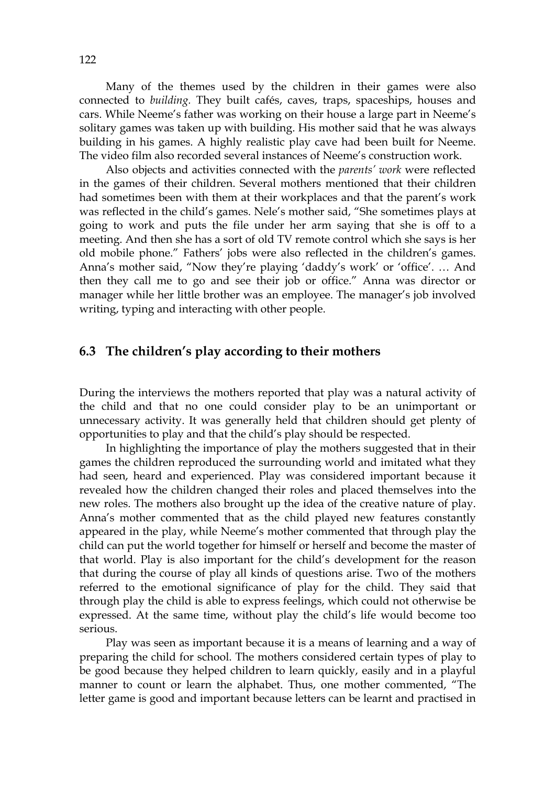Many of the themes used by the children in their games were also connected to *building.* They built cafés, caves, traps, spaceships, houses and cars. While Neeme's father was working on their house a large part in Neeme's solitary games was taken up with building. His mother said that he was always building in his games. A highly realistic play cave had been built for Neeme. The video film also recorded several instances of Neeme's construction work.

Also objects and activities connected with the *parents' work* were reflected in the games of their children. Several mothers mentioned that their children had sometimes been with them at their workplaces and that the parent's work was reflected in the child's games. Nele's mother said, "She sometimes plays at going to work and puts the file under her arm saying that she is off to a meeting. And then she has a sort of old TV remote control which she says is her old mobile phone." Fathers' jobs were also reflected in the children's games. Anna's mother said, "Now they're playing 'daddy's work' or 'office'. … And then they call me to go and see their job or office." Anna was director or manager while her little brother was an employee. The manager's job involved writing, typing and interacting with other people.

# **6.3 The children's play according to their mothers**

During the interviews the mothers reported that play was a natural activity of the child and that no one could consider play to be an unimportant or unnecessary activity. It was generally held that children should get plenty of opportunities to play and that the child's play should be respected.

 In highlighting the importance of play the mothers suggested that in their games the children reproduced the surrounding world and imitated what they had seen, heard and experienced. Play was considered important because it revealed how the children changed their roles and placed themselves into the new roles. The mothers also brought up the idea of the creative nature of play. Anna's mother commented that as the child played new features constantly appeared in the play, while Neeme's mother commented that through play the child can put the world together for himself or herself and become the master of that world. Play is also important for the child's development for the reason that during the course of play all kinds of questions arise. Two of the mothers referred to the emotional significance of play for the child. They said that through play the child is able to express feelings, which could not otherwise be expressed. At the same time, without play the child's life would become too serious.

 Play was seen as important because it is a means of learning and a way of preparing the child for school. The mothers considered certain types of play to be good because they helped children to learn quickly, easily and in a playful manner to count or learn the alphabet. Thus, one mother commented, "The letter game is good and important because letters can be learnt and practised in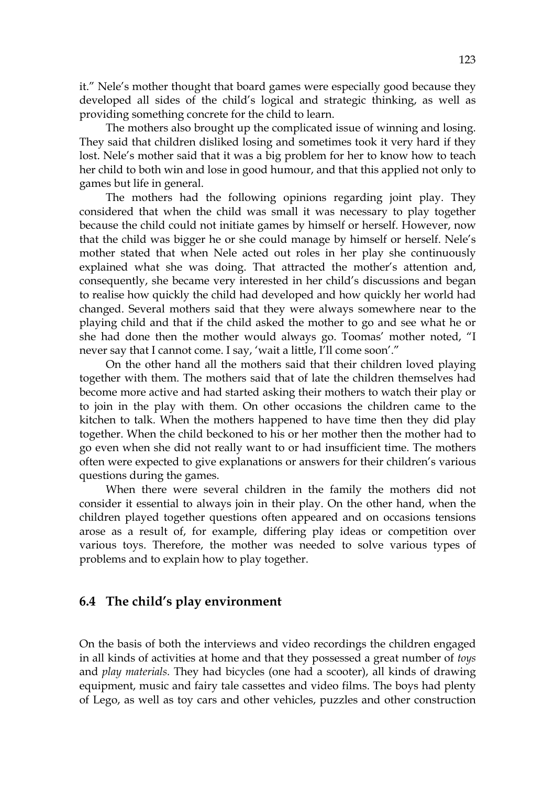it." Nele's mother thought that board games were especially good because they developed all sides of the child's logical and strategic thinking, as well as providing something concrete for the child to learn.

 The mothers also brought up the complicated issue of winning and losing. They said that children disliked losing and sometimes took it very hard if they lost. Nele's mother said that it was a big problem for her to know how to teach her child to both win and lose in good humour, and that this applied not only to games but life in general.

 The mothers had the following opinions regarding joint play. They considered that when the child was small it was necessary to play together because the child could not initiate games by himself or herself. However, now that the child was bigger he or she could manage by himself or herself. Nele's mother stated that when Nele acted out roles in her play she continuously explained what she was doing. That attracted the mother's attention and, consequently, she became very interested in her child's discussions and began to realise how quickly the child had developed and how quickly her world had changed. Several mothers said that they were always somewhere near to the playing child and that if the child asked the mother to go and see what he or she had done then the mother would always go. Toomas' mother noted, "I never say that I cannot come. I say, 'wait a little, I'll come soon'."

On the other hand all the mothers said that their children loved playing together with them. The mothers said that of late the children themselves had become more active and had started asking their mothers to watch their play or to join in the play with them. On other occasions the children came to the kitchen to talk. When the mothers happened to have time then they did play together. When the child beckoned to his or her mother then the mother had to go even when she did not really want to or had insufficient time. The mothers often were expected to give explanations or answers for their children's various questions during the games.

When there were several children in the family the mothers did not consider it essential to always join in their play. On the other hand, when the children played together questions often appeared and on occasions tensions arose as a result of, for example, differing play ideas or competition over various toys. Therefore, the mother was needed to solve various types of problems and to explain how to play together.

## **6.4 The child's play environment**

On the basis of both the interviews and video recordings the children engaged in all kinds of activities at home and that they possessed a great number of *toys*  and *play materials.* They had bicycles (one had a scooter), all kinds of drawing equipment, music and fairy tale cassettes and video films. The boys had plenty of Lego, as well as toy cars and other vehicles, puzzles and other construction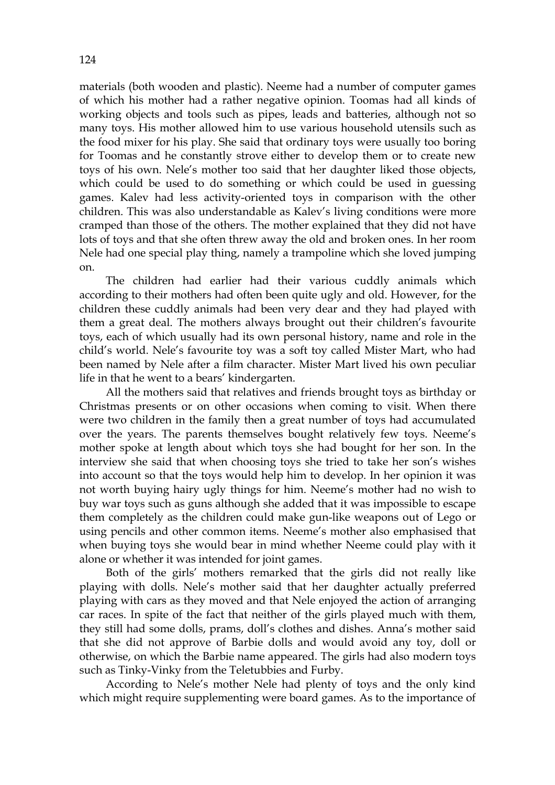materials (both wooden and plastic). Neeme had a number of computer games of which his mother had a rather negative opinion. Toomas had all kinds of working objects and tools such as pipes, leads and batteries, although not so many toys. His mother allowed him to use various household utensils such as the food mixer for his play. She said that ordinary toys were usually too boring for Toomas and he constantly strove either to develop them or to create new toys of his own. Nele's mother too said that her daughter liked those objects, which could be used to do something or which could be used in guessing games. Kalev had less activity-oriented toys in comparison with the other children. This was also understandable as Kalev's living conditions were more cramped than those of the others. The mother explained that they did not have lots of toys and that she often threw away the old and broken ones. In her room Nele had one special play thing, namely a trampoline which she loved jumping on.

 The children had earlier had their various cuddly animals which according to their mothers had often been quite ugly and old. However, for the children these cuddly animals had been very dear and they had played with them a great deal. The mothers always brought out their children's favourite toys, each of which usually had its own personal history, name and role in the child's world. Nele's favourite toy was a soft toy called Mister Mart, who had been named by Nele after a film character. Mister Mart lived his own peculiar life in that he went to a bears' kindergarten.

 All the mothers said that relatives and friends brought toys as birthday or Christmas presents or on other occasions when coming to visit. When there were two children in the family then a great number of toys had accumulated over the years. The parents themselves bought relatively few toys. Neeme's mother spoke at length about which toys she had bought for her son. In the interview she said that when choosing toys she tried to take her son's wishes into account so that the toys would help him to develop. In her opinion it was not worth buying hairy ugly things for him. Neeme's mother had no wish to buy war toys such as guns although she added that it was impossible to escape them completely as the children could make gun-like weapons out of Lego or using pencils and other common items. Neeme's mother also emphasised that when buying toys she would bear in mind whether Neeme could play with it alone or whether it was intended for joint games.

Both of the girls' mothers remarked that the girls did not really like playing with dolls. Nele's mother said that her daughter actually preferred playing with cars as they moved and that Nele enjoyed the action of arranging car races. In spite of the fact that neither of the girls played much with them, they still had some dolls, prams, doll's clothes and dishes. Anna's mother said that she did not approve of Barbie dolls and would avoid any toy, doll or otherwise, on which the Barbie name appeared. The girls had also modern toys such as Tinky-Vinky from the Teletubbies and Furby.

According to Nele's mother Nele had plenty of toys and the only kind which might require supplementing were board games. As to the importance of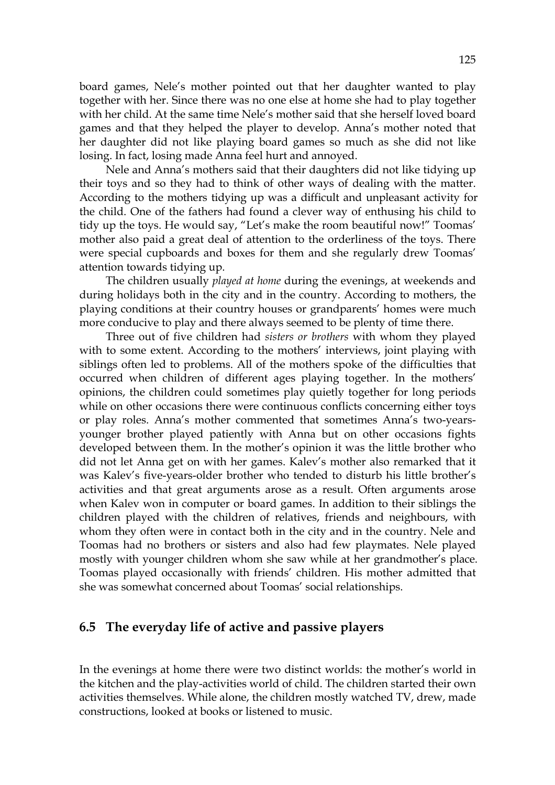board games, Nele's mother pointed out that her daughter wanted to play together with her. Since there was no one else at home she had to play together with her child. At the same time Nele's mother said that she herself loved board games and that they helped the player to develop. Anna's mother noted that her daughter did not like playing board games so much as she did not like losing. In fact, losing made Anna feel hurt and annoyed.

Nele and Anna's mothers said that their daughters did not like tidying up their toys and so they had to think of other ways of dealing with the matter. According to the mothers tidying up was a difficult and unpleasant activity for the child. One of the fathers had found a clever way of enthusing his child to tidy up the toys. He would say, "Let's make the room beautiful now!" Toomas' mother also paid a great deal of attention to the orderliness of the toys. There were special cupboards and boxes for them and she regularly drew Toomas' attention towards tidying up.

The children usually *played at home* during the evenings, at weekends and during holidays both in the city and in the country. According to mothers, the playing conditions at their country houses or grandparents' homes were much more conducive to play and there always seemed to be plenty of time there.

 Three out of five children had *sisters or brothers* with whom they played with to some extent. According to the mothers' interviews, joint playing with siblings often led to problems. All of the mothers spoke of the difficulties that occurred when children of different ages playing together. In the mothers' opinions, the children could sometimes play quietly together for long periods while on other occasions there were continuous conflicts concerning either toys or play roles. Anna's mother commented that sometimes Anna's two-yearsyounger brother played patiently with Anna but on other occasions fights developed between them. In the mother's opinion it was the little brother who did not let Anna get on with her games. Kalev's mother also remarked that it was Kalev's five-years-older brother who tended to disturb his little brother's activities and that great arguments arose as a result. Often arguments arose when Kalev won in computer or board games. In addition to their siblings the children played with the children of relatives, friends and neighbours, with whom they often were in contact both in the city and in the country. Nele and Toomas had no brothers or sisters and also had few playmates. Nele played mostly with younger children whom she saw while at her grandmother's place. Toomas played occasionally with friends' children. His mother admitted that she was somewhat concerned about Toomas' social relationships.

# **6.5 The everyday life of active and passive players**

In the evenings at home there were two distinct worlds: the mother's world in the kitchen and the play-activities world of child. The children started their own activities themselves. While alone, the children mostly watched TV, drew, made constructions, looked at books or listened to music.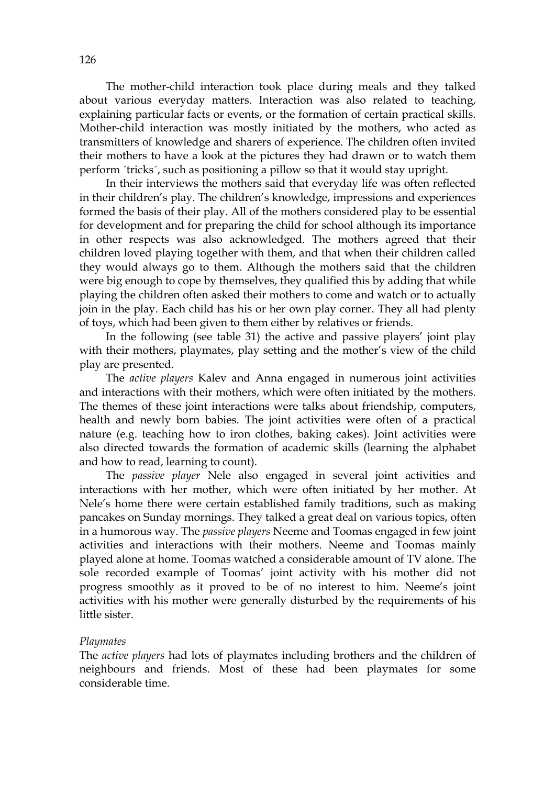The mother-child interaction took place during meals and they talked about various everyday matters. Interaction was also related to teaching, explaining particular facts or events, or the formation of certain practical skills. Mother-child interaction was mostly initiated by the mothers, who acted as transmitters of knowledge and sharers of experience. The children often invited their mothers to have a look at the pictures they had drawn or to watch them perform ´tricks´, such as positioning a pillow so that it would stay upright.

 In their interviews the mothers said that everyday life was often reflected in their children's play. The children's knowledge, impressions and experiences formed the basis of their play. All of the mothers considered play to be essential for development and for preparing the child for school although its importance in other respects was also acknowledged. The mothers agreed that their children loved playing together with them, and that when their children called they would always go to them. Although the mothers said that the children were big enough to cope by themselves, they qualified this by adding that while playing the children often asked their mothers to come and watch or to actually join in the play. Each child has his or her own play corner. They all had plenty of toys, which had been given to them either by relatives or friends.

 In the following (see table 31) the active and passive players' joint play with their mothers, playmates, play setting and the mother's view of the child play are presented.

The *active players* Kalev and Anna engaged in numerous joint activities and interactions with their mothers, which were often initiated by the mothers. The themes of these joint interactions were talks about friendship, computers, health and newly born babies. The joint activities were often of a practical nature (e.g. teaching how to iron clothes, baking cakes). Joint activities were also directed towards the formation of academic skills (learning the alphabet and how to read, learning to count).

The *passive player* Nele also engaged in several joint activities and interactions with her mother, which were often initiated by her mother. At Nele's home there were certain established family traditions, such as making pancakes on Sunday mornings. They talked a great deal on various topics, often in a humorous way. The *passive players* Neeme and Toomas engaged in few joint activities and interactions with their mothers. Neeme and Toomas mainly played alone at home. Toomas watched a considerable amount of TV alone. The sole recorded example of Toomas' joint activity with his mother did not progress smoothly as it proved to be of no interest to him. Neeme's joint activities with his mother were generally disturbed by the requirements of his little sister.

#### *Playmates*

The *active players* had lots of playmates including brothers and the children of neighbours and friends. Most of these had been playmates for some considerable time.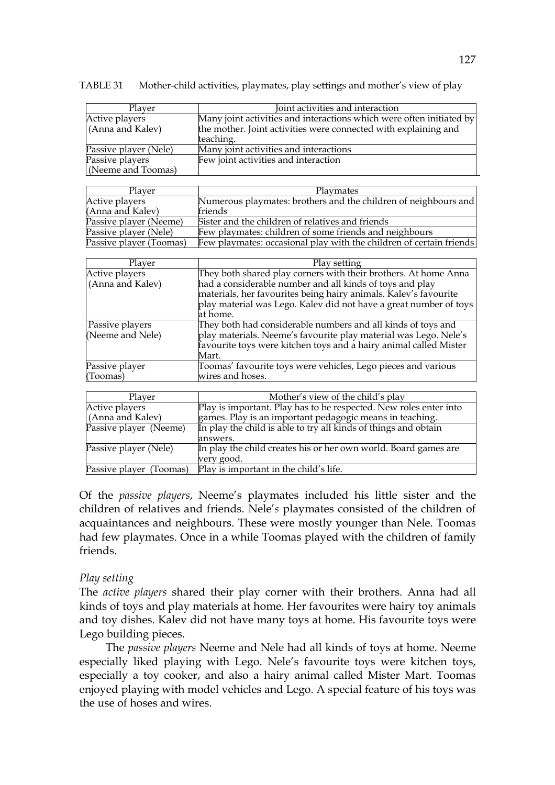| Player                | Joint activities and interaction                                     |  |  |
|-----------------------|----------------------------------------------------------------------|--|--|
| Active players        | Many joint activities and interactions which were often initiated by |  |  |
| (Anna and Kalev)      | the mother. Joint activities were connected with explaining and      |  |  |
|                       | teaching.                                                            |  |  |
| Passive player (Nele) | Many joint activities and interactions                               |  |  |
| Passive players       | Few joint activities and interaction                                 |  |  |
| (Neeme and Toomas)    |                                                                      |  |  |

TABLE 31 Mother-child activities, playmates, play settings and mother's view of play

| Plaver                  | Playmates                                                           |
|-------------------------|---------------------------------------------------------------------|
| Active players          | Numerous playmates: brothers and the children of neighbours and     |
| (Anna and Kalev)        | friends                                                             |
| Passive player (Neeme)  | Sister and the children of relatives and friends                    |
| Passive player (Nele)   | Few playmates: children of some friends and neighbours              |
| Passive player (Toomas) | Few playmates: occasional play with the children of certain friends |

| Player           | Play setting                                                      |
|------------------|-------------------------------------------------------------------|
| Active players   | They both shared play corners with their brothers. At home Anna   |
| (Anna and Kalev) | had a considerable number and all kinds of toys and play          |
|                  | materials, her favourites being hairy animals. Kalev's favourite  |
|                  | play material was Lego. Kalev did not have a great number of toys |
|                  | at home.                                                          |
| Passive players  | They both had considerable numbers and all kinds of toys and      |
| (Neeme and Nele) | play materials. Neeme's favourite play material was Lego. Nele's  |
|                  | favourite toys were kitchen toys and a hairy animal called Mister |
|                  | Mart.                                                             |
| Passive player   | Toomas' favourite toys were vehicles, Lego pieces and various     |
| (Toomas)         | wires and hoses.                                                  |

| Player                  | Mother's view of the child's play                                 |
|-------------------------|-------------------------------------------------------------------|
| Active players          | Play is important. Play has to be respected. New roles enter into |
| (Anna and Kalev)        | games. Play is an important pedagogic means in teaching.          |
| Passive player (Neeme)  | In play the child is able to try all kinds of things and obtain   |
|                         | answers.                                                          |
| Passive player (Nele)   | In play the child creates his or her own world. Board games are   |
|                         | very good.                                                        |
| Passive player (Toomas) | Play is important in the child's life.                            |

Of the *passive players*, Neeme's playmates included his little sister and the children of relatives and friends. Nele'*s* playmates consisted of the children of acquaintances and neighbours. These were mostly younger than Nele. Toomas had few playmates. Once in a while Toomas played with the children of family friends.

### *Play setting*

The *active players* shared their play corner with their brothers. Anna had all kinds of toys and play materials at home. Her favourites were hairy toy animals and toy dishes. Kalev did not have many toys at home. His favourite toys were Lego building pieces.

 The *passive players* Neeme and Nele had all kinds of toys at home. Neeme especially liked playing with Lego. Nele's favourite toys were kitchen toys, especially a toy cooker, and also a hairy animal called Mister Mart. Toomas enjoyed playing with model vehicles and Lego. A special feature of his toys was the use of hoses and wires.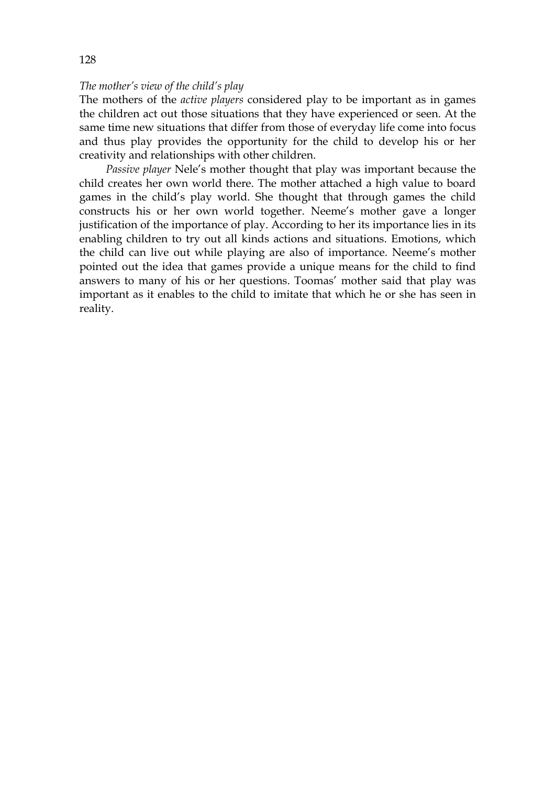#### *The mother's view of the child's play*

The mothers of the *active players* considered play to be important as in games the children act out those situations that they have experienced or seen. At the same time new situations that differ from those of everyday life come into focus and thus play provides the opportunity for the child to develop his or her creativity and relationships with other children.

 *Passive player* Nele's mother thought that play was important because the child creates her own world there. The mother attached a high value to board games in the child's play world. She thought that through games the child constructs his or her own world together. Neeme's mother gave a longer justification of the importance of play. According to her its importance lies in its enabling children to try out all kinds actions and situations. Emotions, which the child can live out while playing are also of importance. Neeme's mother pointed out the idea that games provide a unique means for the child to find answers to many of his or her questions. Toomas' mother said that play was important as it enables to the child to imitate that which he or she has seen in reality.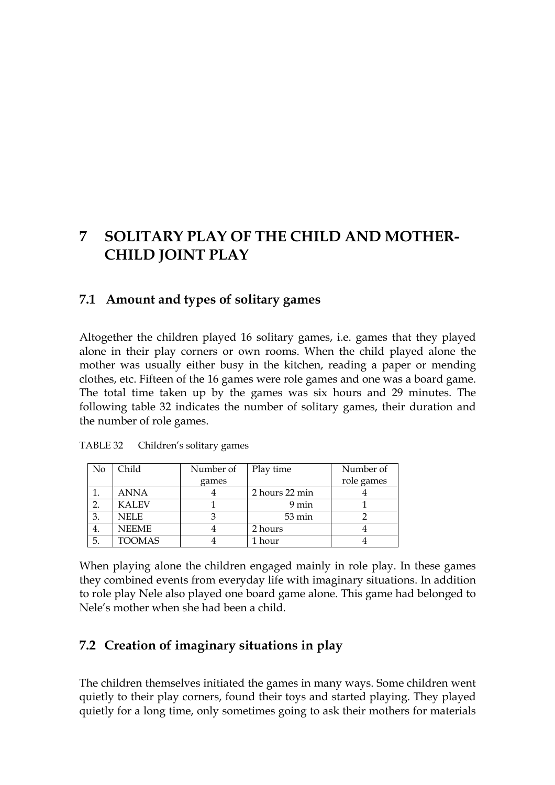# **7 SOLITARY PLAY OF THE CHILD AND MOTHER-CHILD JOINT PLAY**

# **7.1 Amount and types of solitary games**

Altogether the children played 16 solitary games, i.e. games that they played alone in their play corners or own rooms. When the child played alone the mother was usually either busy in the kitchen, reading a paper or mending clothes, etc. Fifteen of the 16 games were role games and one was a board game. The total time taken up by the games was six hours and 29 minutes. The following table 32 indicates the number of solitary games, their duration and the number of role games.

| No | Child         | Number of | Play time      | Number of  |
|----|---------------|-----------|----------------|------------|
|    |               | games     |                | role games |
|    | <b>ANNA</b>   |           | 2 hours 22 min |            |
|    | <b>KALEV</b>  |           | 9 min          |            |
| 3. | <b>NELE</b>   |           | 53 min         |            |
| 4. | <b>NEEME</b>  |           | 2 hours        |            |
| 5. | <b>TOOMAS</b> |           | hour           |            |

TABLE 32 Children's solitary games

When playing alone the children engaged mainly in role play. In these games they combined events from everyday life with imaginary situations. In addition to role play Nele also played one board game alone. This game had belonged to Nele's mother when she had been a child.

# **7.2 Creation of imaginary situations in play**

The children themselves initiated the games in many ways. Some children went quietly to their play corners, found their toys and started playing. They played quietly for a long time, only sometimes going to ask their mothers for materials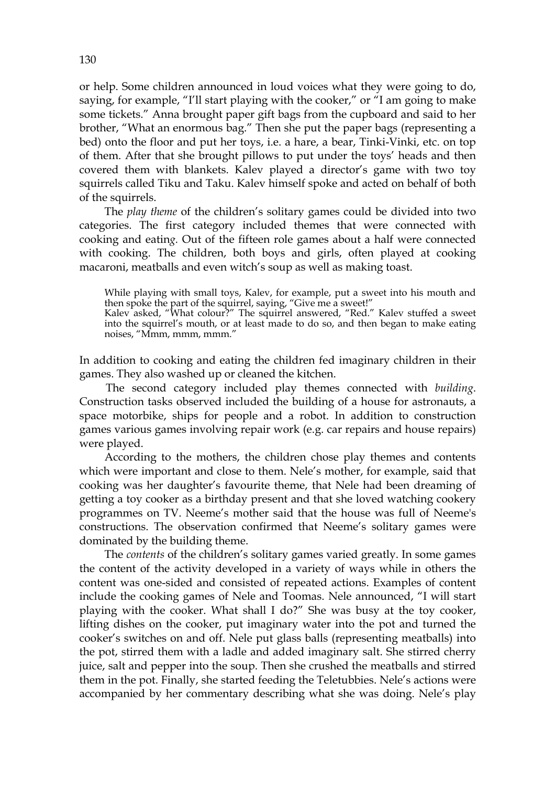or help. Some children announced in loud voices what they were going to do, saying, for example, "I'll start playing with the cooker," or "I am going to make some tickets." Anna brought paper gift bags from the cupboard and said to her brother, "What an enormous bag." Then she put the paper bags (representing a bed) onto the floor and put her toys, i.e. a hare, a bear, Tinki-Vinki, etc. on top of them. After that she brought pillows to put under the toys' heads and then covered them with blankets. Kalev played a director's game with two toy squirrels called Tiku and Taku. Kalev himself spoke and acted on behalf of both of the squirrels.

The *play theme* of the children's solitary games could be divided into two categories. The first category included themes that were connected with cooking and eatin*g.* Out of the fifteen role games about a half were connected with cooking. The children, both boys and girls, often played at cooking macaroni, meatballs and even witch's soup as well as making toast.

While playing with small toys, Kalev, for example, put a sweet into his mouth and then spoke the part of the squirrel, saying, "Give me a sweet!"

Kalev asked, "What colour?" The squirrel answered, "Red." Kalev stuffed a sweet into the squirrel's mouth, or at least made to do so, and then began to make eating noises, "Mmm, mmm, mmm."

In addition to cooking and eating the children fed imaginary children in their games. They also washed up or cleaned the kitchen.

The second category included play themes connected with *building*. Construction tasks observed included the building of a house for astronauts, a space motorbike, ships for people and a robot. In addition to construction games various games involving repair work (e.g. car repairs and house repairs) were played.

 According to the mothers, the children chose play themes and contents which were important and close to them. Nele's mother, for example, said that cooking was her daughter's favourite theme, that Nele had been dreaming of getting a toy cooker as a birthday present and that she loved watching cookery programmes on TV. Neeme's mother said that the house was full of Neeme's constructions. The observation confirmed that Neeme's solitary games were dominated by the building theme.

 The *contents* of the children's solitary games varied greatly. In some games the content of the activity developed in a variety of ways while in others the content was one-sided and consisted of repeated actions. Examples of content include the cooking games of Nele and Toomas. Nele announced, "I will start playing with the cooker. What shall I do?" She was busy at the toy cooker, lifting dishes on the cooker, put imaginary water into the pot and turned the cooker's switches on and off. Nele put glass balls (representing meatballs) into the pot, stirred them with a ladle and added imaginary salt. She stirred cherry juice, salt and pepper into the soup. Then she crushed the meatballs and stirred them in the pot. Finally, she started feeding the Teletubbies. Nele's actions were accompanied by her commentary describing what she was doing. Nele's play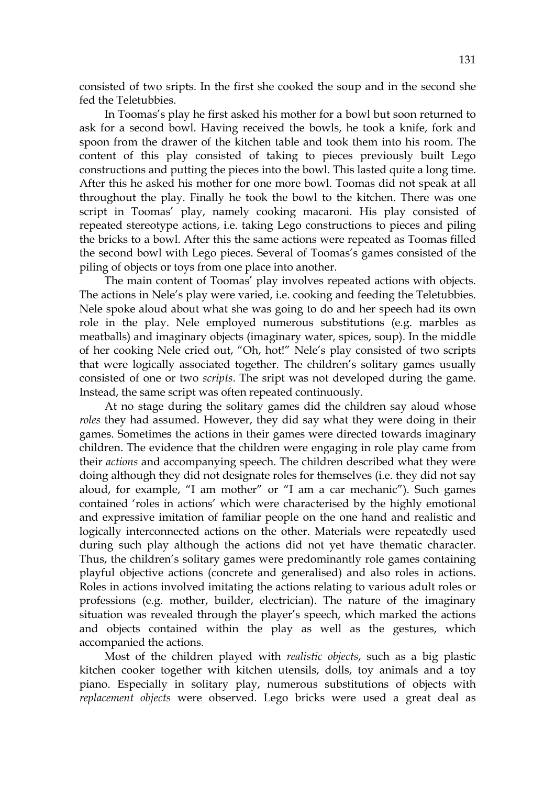consisted of two sripts. In the first she cooked the soup and in the second she fed the Teletubbies.

In Toomas's play he first asked his mother for a bowl but soon returned to ask for a second bowl. Having received the bowls, he took a knife, fork and spoon from the drawer of the kitchen table and took them into his room. The content of this play consisted of taking to pieces previously built Lego constructions and putting the pieces into the bowl. This lasted quite a long time. After this he asked his mother for one more bowl. Toomas did not speak at all throughout the play. Finally he took the bowl to the kitchen. There was one script in Toomas' play, namely cooking macaroni. His play consisted of repeated stereotype actions, i.e. taking Lego constructions to pieces and piling the bricks to a bowl. After this the same actions were repeated as Toomas filled the second bowl with Lego pieces. Several of Toomas's games consisted of the piling of objects or toys from one place into another.

 The main content of Toomas' play involves repeated actions with objects. The actions in Nele's play were varied, i.e. cooking and feeding the Teletubbies. Nele spoke aloud about what she was going to do and her speech had its own role in the play. Nele employed numerous substitutions (e.g. marbles as meatballs) and imaginary objects (imaginary water, spices, soup). In the middle of her cooking Nele cried out, "Oh, hot!" Nele's play consisted of two scripts that were logically associated together. The children's solitary games usually consisted of one or two *scripts*. The sript was not developed during the game. Instead, the same script was often repeated continuously.

At no stage during the solitary games did the children say aloud whose *roles* they had assumed. However, they did say what they were doing in their games. Sometimes the actions in their games were directed towards imaginary children. The evidence that the children were engaging in role play came from their *actions* and accompanying speech. The children described what they were doing although they did not designate roles for themselves (i.e. they did not say aloud, for example, "I am mother" or "I am a car mechanic"). Such games contained 'roles in actions' which were characterised by the highly emotional and expressive imitation of familiar people on the one hand and realistic and logically interconnected actions on the other. Materials were repeatedly used during such play although the actions did not yet have thematic character. Thus, the children's solitary games were predominantly role games containing playful objective actions (concrete and generalised) and also roles in actions. Roles in actions involved imitating the actions relating to various adult roles or professions (e.g. mother, builder, electrician). The nature of the imaginary situation was revealed through the player's speech, which marked the actions and objects contained within the play as well as the gestures, which accompanied the actions.

Most of the children played with *realistic objects*, such as a big plastic kitchen cooker together with kitchen utensils, dolls, toy animals and a toy piano. Especially in solitary play, numerous substitutions of objects with *replacement objects* were observed. Lego bricks were used a great deal as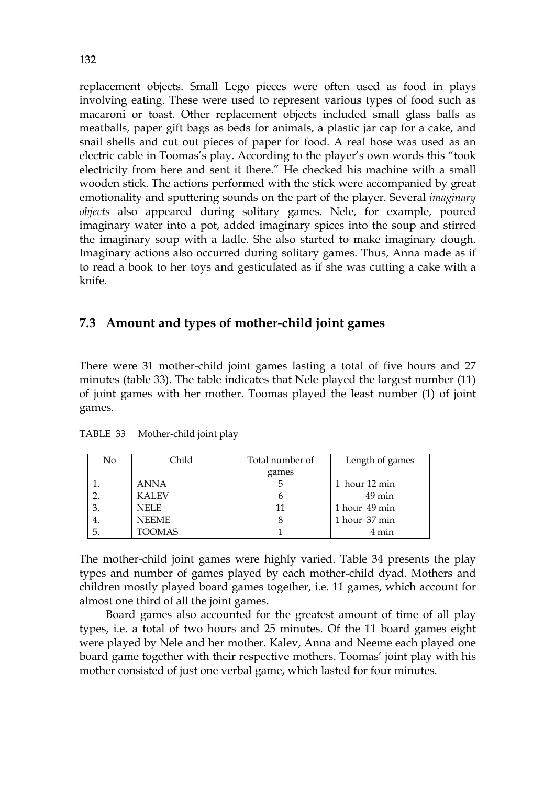replacement objects. Small Lego pieces were often used as food in plays involving eating. These were used to represent various types of food such as macaroni or toast. Other replacement objects included small glass balls as meatballs, paper gift bags as beds for animals, a plastic jar cap for a cake, and snail shells and cut out pieces of paper for food. A real hose was used as an electric cable in Toomas's play. According to the player's own words this "took electricity from here and sent it there." He checked his machine with a small wooden stick. The actions performed with the stick were accompanied by great emotionality and sputtering sounds on the part of the player. Several *imaginary objects* also appeared during solitary games. Nele, for example, poured imaginary water into a pot, added imaginary spices into the soup and stirred the imaginary soup with a ladle. She also started to make imaginary dough. Imaginary actions also occurred during solitary games. Thus, Anna made as if to read a book to her toys and gesticulated as if she was cutting a cake with a knife.

# **7.3 Amount and types of mother-child joint games**

There were 31 mother-child joint games lasting a total of five hours and 27 minutes (table 33). The table indicates that Nele played the largest number (11) of joint games with her mother. Toomas played the least number (1) of joint games.

| No  | Child         | Total number of | Length of games     |
|-----|---------------|-----------------|---------------------|
|     |               | games           |                     |
|     | ANNA          |                 | 1 hour 12 min       |
|     | <b>KALEV</b>  |                 | $49 \,\mathrm{min}$ |
|     | NELE          | 11              | 1 hour 49 min       |
| 4.  | <b>NEEME</b>  |                 | 1 hour 37 min       |
| -5. | <b>TOOMAS</b> |                 | 4 min               |

TABLE33Mother-child joint play

The mother-child joint games were highly varied. Table 34 presents the play types and number of games played by each mother-child dyad. Mothers and children mostly played board games together, i.e. 11 games, which account for almost one third of all the joint games.

Board games also accounted for the greatest amount of time of all play types, i.e. a total of two hours and 25 minutes. Of the 11 board games eight were played by Nele and her mother. Kalev, Anna and Neeme each played one board game together with their respective mothers. Toomas' joint play with his mother consisted of just one verbal game, which lasted for four minutes.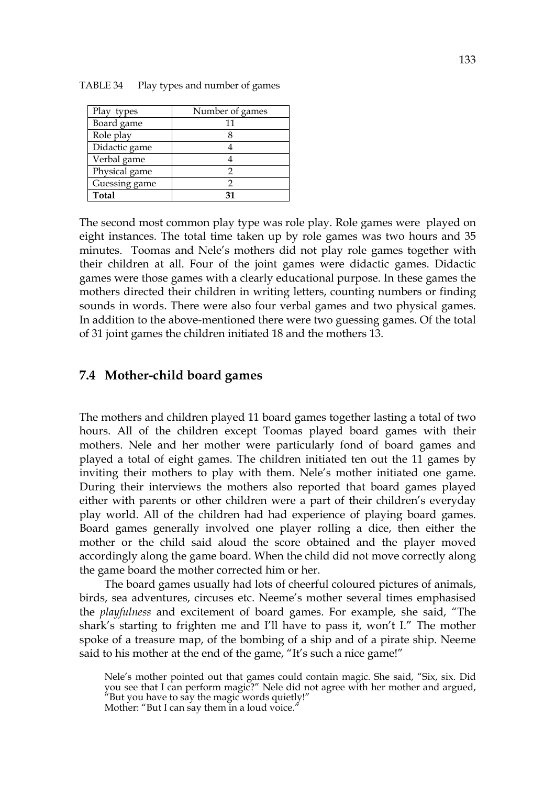| Play types    | Number of games |
|---------------|-----------------|
| Board game    | 11              |
| Role play     |                 |
| Didactic game |                 |
| Verbal game   |                 |
| Physical game |                 |
| Guessing game |                 |
| <b>Total</b>  |                 |

TABLE 34 Play types and number of games

The second most common play type was role play. Role games were played on eight instances. The total time taken up by role games was two hours and 35 minutes. Toomas and Nele's mothers did not play role games together with their children at all. Four of the joint games were didactic games. Didactic games were those games with a clearly educational purpose. In these games the mothers directed their children in writing letters, counting numbers or finding sounds in words. There were also four verbal games and two physical games. In addition to the above-mentioned there were two guessing games. Of the total of 31 joint games the children initiated 18 and the mothers 13.

### **7.4 Mother-child board games**

The mothers and children played 11 board games together lasting a total of two hours. All of the children except Toomas played board games with their mothers. Nele and her mother were particularly fond of board games and played a total of eight games. The children initiated ten out the 11 games by inviting their mothers to play with them. Nele's mother initiated one game. During their interviews the mothers also reported that board games played either with parents or other children were a part of their children's everyday play world. All of the children had had experience of playing board games. Board games generally involved one player rolling a dice, then either the mother or the child said aloud the score obtained and the player moved accordingly along the game board. When the child did not move correctly along the game board the mother corrected him or her.

The board games usually had lots of cheerful coloured pictures of animals, birds, sea adventures, circuses etc. Neeme's mother several times emphasised the *playfulness* and excitement of board games. For example, she said, "The shark's starting to frighten me and I'll have to pass it, won't I." The mother spoke of a treasure map, of the bombing of a ship and of a pirate ship. Neeme said to his mother at the end of the game, "It's such a nice game!"

Nele's mother pointed out that games could contain magic. She said, "Six, six. Did you see that I can perform magic?" Nele did not agree with her mother and argued, "But you have to say the magic words quietly!"

Mother: "But I can say them in a loud voice."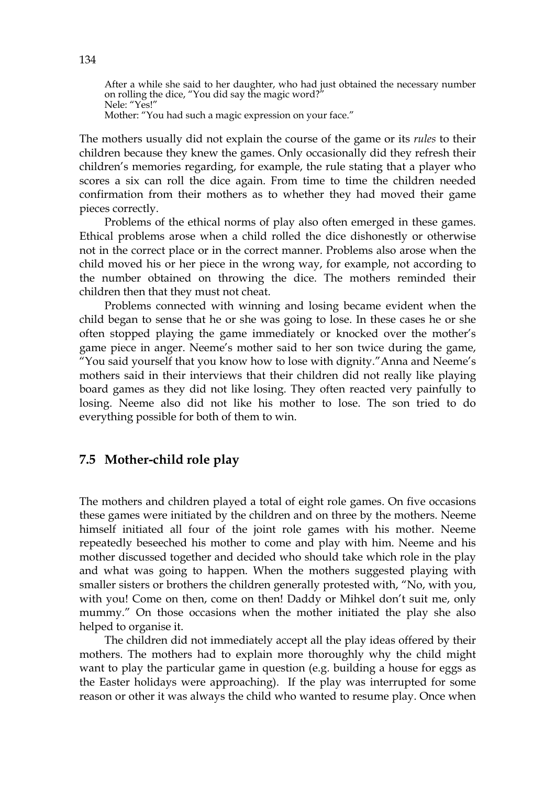After a while she said to her daughter, who had just obtained the necessary number on rolling the dice, "You did say the magic word?" Nele: "Yes!"

Mother: "You had such a magic expression on your face."

The mothers usually did not explain the course of the game or its *rules* to their children because they knew the games. Only occasionally did they refresh their children's memories regarding, for example, the rule stating that a player who scores a six can roll the dice again. From time to time the children needed confirmation from their mothers as to whether they had moved their game pieces correctly.

Problems of the ethical norms of play also often emerged in these games. Ethical problems arose when a child rolled the dice dishonestly or otherwise not in the correct place or in the correct manner. Problems also arose when the child moved his or her piece in the wrong way, for example, not according to the number obtained on throwing the dice. The mothers reminded their children then that they must not cheat.

 Problems connected with winning and losing became evident when the child began to sense that he or she was going to lose. In these cases he or she often stopped playing the game immediately or knocked over the mother's game piece in anger. Neeme's mother said to her son twice during the game, "You said yourself that you know how to lose with dignity."Anna and Neeme's mothers said in their interviews that their children did not really like playing board games as they did not like losing. They often reacted very painfully to losing. Neeme also did not like his mother to lose. The son tried to do everything possible for both of them to win.

# **7.5 Mother-child role play**

The mothers and children played a total of eight role games. On five occasions these games were initiated by the children and on three by the mothers. Neeme himself initiated all four of the joint role games with his mother. Neeme repeatedly beseeched his mother to come and play with him. Neeme and his mother discussed together and decided who should take which role in the play and what was going to happen. When the mothers suggested playing with smaller sisters or brothers the children generally protested with, "No, with you, with you! Come on then, come on then! Daddy or Mihkel don't suit me, only mummy." On those occasions when the mother initiated the play she also helped to organise it.

 The children did not immediately accept all the play ideas offered by their mothers. The mothers had to explain more thoroughly why the child might want to play the particular game in question (e.g. building a house for eggs as the Easter holidays were approaching). If the play was interrupted for some reason or other it was always the child who wanted to resume play. Once when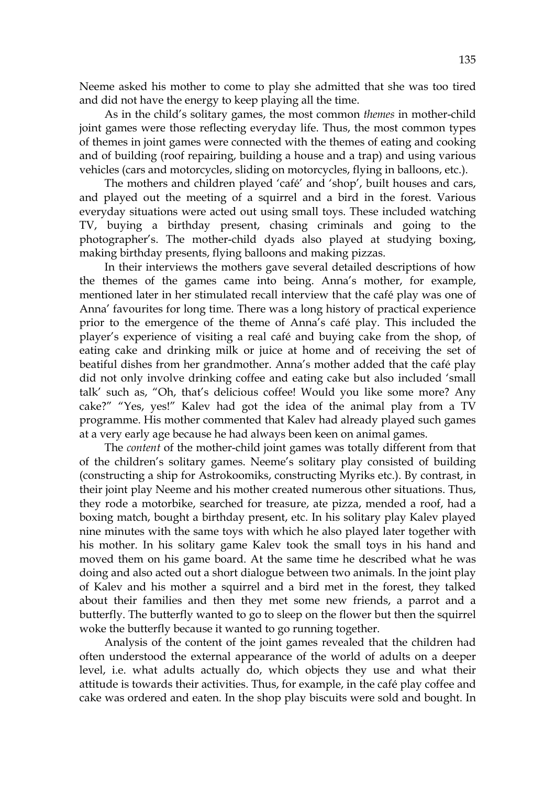Neeme asked his mother to come to play she admitted that she was too tired and did not have the energy to keep playing all the time.

As in the child's solitary games, the most common *themes* in mother-child joint games were those reflecting everyday life. Thus, the most common types of themes in joint games were connected with the themes of eating and cooking and of building (roof repairing, building a house and a trap) and using various vehicles (cars and motorcycles, sliding on motorcycles, flying in balloons, etc.).

The mothers and children played 'café' and 'shop', built houses and cars, and played out the meeting of a squirrel and a bird in the forest. Various everyday situations were acted out using small toys. These included watching TV, buying a birthday present, chasing criminals and going to the photographer's. The mother-child dyads also played at studying boxing, making birthday presents, flying balloons and making pizzas.

In their interviews the mothers gave several detailed descriptions of how the themes of the games came into being. Anna's mother, for example, mentioned later in her stimulated recall interview that the café play was one of Anna' favourites for long time. There was a long history of practical experience prior to the emergence of the theme of Anna's café play. This included the player's experience of visiting a real café and buying cake from the shop, of eating cake and drinking milk or juice at home and of receiving the set of beatiful dishes from her grandmother. Anna's mother added that the café play did not only involve drinking coffee and eating cake but also included 'small talk' such as, "Oh, that's delicious coffee! Would you like some more? Any cake?" "Yes, yes!" Kalev had got the idea of the animal play from a TV programme. His mother commented that Kalev had already played such games at a very early age because he had always been keen on animal games.

The *content* of the mother-child joint games was totally different from that of the children's solitary games. Neeme's solitary play consisted of building (constructing a ship for Astrokoomiks, constructing Myriks etc.). By contrast, in their joint play Neeme and his mother created numerous other situations. Thus, they rode a motorbike, searched for treasure, ate pizza, mended a roof, had a boxing match, bought a birthday present, etc. In his solitary play Kalev played nine minutes with the same toys with which he also played later together with his mother. In his solitary game Kalev took the small toys in his hand and moved them on his game board. At the same time he described what he was doing and also acted out a short dialogue between two animals. In the joint play of Kalev and his mother a squirrel and a bird met in the forest, they talked about their families and then they met some new friends, a parrot and a butterfly. The butterfly wanted to go to sleep on the flower but then the squirrel woke the butterfly because it wanted to go running together.

Analysis of the content of the joint games revealed that the children had often understood the external appearance of the world of adults on a deeper level, i.e. what adults actually do, which objects they use and what their attitude is towards their activities. Thus, for example, in the café play coffee and cake was ordered and eaten. In the shop play biscuits were sold and bought. In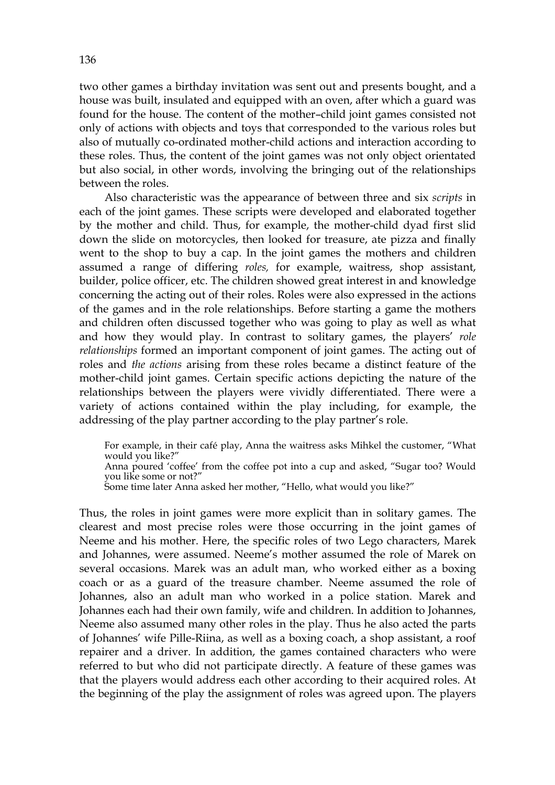two other games a birthday invitation was sent out and presents bought, and a house was built, insulated and equipped with an oven, after which a guard was found for the house. The content of the mother–child joint games consisted not only of actions with objects and toys that corresponded to the various roles but also of mutually co-ordinated mother-child actions and interaction according to these roles. Thus, the content of the joint games was not only object orientated but also social, in other words, involving the bringing out of the relationships between the roles.

Also characteristic was the appearance of between three and six *scripts* in each of the joint games. These scripts were developed and elaborated together by the mother and child. Thus, for example, the mother-child dyad first slid down the slide on motorcycles, then looked for treasure, ate pizza and finally went to the shop to buy a cap. In the joint games the mothers and children assumed a range of differing *roles,* for example, waitress, shop assistant, builder, police officer, etc. The children showed great interest in and knowledge concerning the acting out of their roles. Roles were also expressed in the actions of the games and in the role relationships. Before starting a game the mothers and children often discussed together who was going to play as well as what and how they would play. In contrast to solitary games, the players' *role relationships* formed an important component of joint games. The acting out of roles and *the actions* arising from these roles became a distinct feature of the mother-child joint games. Certain specific actions depicting the nature of the relationships between the players were vividly differentiated. There were a variety of actions contained within the play including, for example, the addressing of the play partner according to the play partner's role.

For example, in their café play, Anna the waitress asks Mihkel the customer, "What would you like?"

Anna poured 'coffee' from the coffee pot into a cup and asked, "Sugar too? Would you like some or not?"

Some time later Anna asked her mother, "Hello, what would you like?"

Thus, the roles in joint games were more explicit than in solitary games. The clearest and most precise roles were those occurring in the joint games of Neeme and his mother. Here, the specific roles of two Lego characters, Marek and Johannes, were assumed. Neeme's mother assumed the role of Marek on several occasions. Marek was an adult man, who worked either as a boxing coach or as a guard of the treasure chamber. Neeme assumed the role of Johannes, also an adult man who worked in a police station. Marek and Johannes each had their own family, wife and children. In addition to Johannes, Neeme also assumed many other roles in the play. Thus he also acted the parts of Johannes' wife Pille-Riina, as well as a boxing coach, a shop assistant, a roof repairer and a driver. In addition, the games contained characters who were referred to but who did not participate directly. A feature of these games was that the players would address each other according to their acquired roles. At the beginning of the play the assignment of roles was agreed upon. The players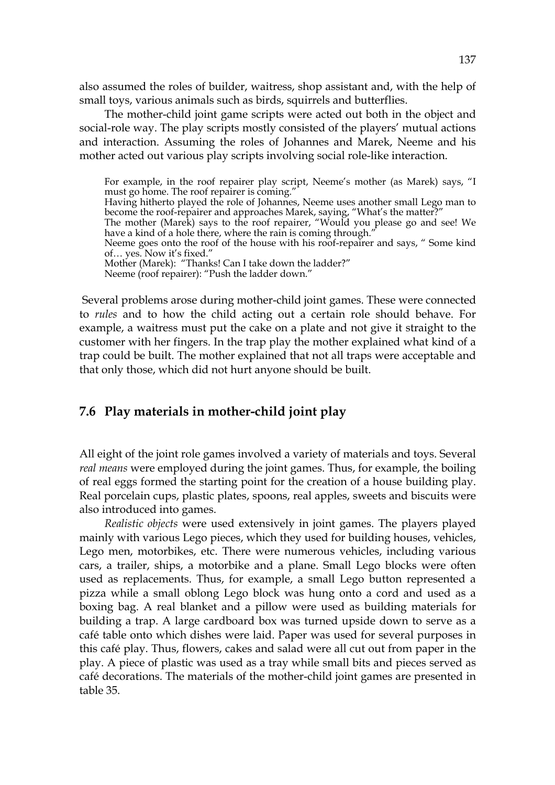also assumed the roles of builder, waitress, shop assistant and, with the help of small toys, various animals such as birds, squirrels and butterflies.

 The mother-child joint game scripts were acted out both in the object and social-role way. The play scripts mostly consisted of the players' mutual actions and interaction. Assuming the roles of Johannes and Marek, Neeme and his mother acted out various play scripts involving social role-like interaction.

For example, in the roof repairer play script, Neeme's mother (as Marek) says, "I must go home. The roof repairer is coming. Having hitherto played the role of Johannes, Neeme uses another small Lego man to become the roof-repairer and approaches Marek, saying, "What's the matter?" The mother (Marek) says to the roof repairer, "Would you please go and see! We have a kind of a hole there, where the rain is coming through." Neeme goes onto the roof of the house with his roof-repairer and says, " Some kind of… yes. Now it's fixed." Mother (Marek): "Thanks! Can I take down the ladder?" Neeme (roof repairer): "Push the ladder down."

 Several problems arose during mother-child joint games. These were connected to *rules* and to how the child acting out a certain role should behave. For example, a waitress must put the cake on a plate and not give it straight to the customer with her fingers. In the trap play the mother explained what kind of a trap could be built. The mother explained that not all traps were acceptable and that only those, which did not hurt anyone should be built.

## **7.6 Play materials in mother-child joint play**

All eight of the joint role games involved a variety of materials and toys. Several *real means* were employed during the joint games. Thus, for example, the boiling of real eggs formed the starting point for the creation of a house building play. Real porcelain cups, plastic plates, spoons, real apples, sweets and biscuits were also introduced into games.

*Realistic objects* were used extensively in joint games. The players played mainly with various Lego pieces, which they used for building houses, vehicles, Lego men, motorbikes, etc. There were numerous vehicles, including various cars, a trailer, ships, a motorbike and a plane. Small Lego blocks were often used as replacements. Thus, for example, a small Lego button represented a pizza while a small oblong Lego block was hung onto a cord and used as a boxing bag. A real blanket and a pillow were used as building materials for building a trap. A large cardboard box was turned upside down to serve as a café table onto which dishes were laid. Paper was used for several purposes in this café play. Thus, flowers, cakes and salad were all cut out from paper in the play. A piece of plastic was used as a tray while small bits and pieces served as café decorations. The materials of the mother-child joint games are presented in table 35.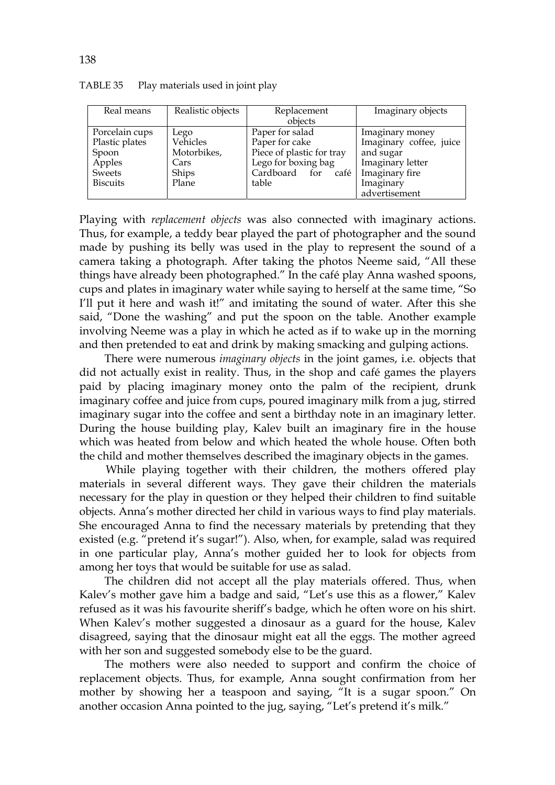| Real means      | Realistic objects | Replacement               | Imaginary objects       |
|-----------------|-------------------|---------------------------|-------------------------|
|                 |                   | objects                   |                         |
| Porcelain cups  | Lego              | Paper for salad           | Imaginary money         |
| Plastic plates  | Vehicles          | Paper for cake            | Imaginary coffee, juice |
| Spoon           | Motorbikes,       | Piece of plastic for tray | and sugar               |
| Apples          | Cars              | Lego for boxing bag       | Imaginary letter        |
| Sweets          | Ships             | Cardboard for<br>café     | Imaginary fire          |
| <b>Biscuits</b> | Plane             | table                     | Imaginary               |
|                 |                   |                           | advertisement           |

TABLE 35 Play materials used in joint play

Playing with *replacement objects* was also connected with imaginary actions. Thus, for example, a teddy bear played the part of photographer and the sound made by pushing its belly was used in the play to represent the sound of a camera taking a photograph. After taking the photos Neeme said, "All these things have already been photographed." In the café play Anna washed spoons, cups and plates in imaginary water while saying to herself at the same time, "So I'll put it here and wash it!" and imitating the sound of water. After this she said, "Done the washing" and put the spoon on the table. Another example involving Neeme was a play in which he acted as if to wake up in the morning and then pretended to eat and drink by making smacking and gulping actions.

 There were numerous *imaginary objects* in the joint games, i.e. objects that did not actually exist in reality. Thus, in the shop and café games the players paid by placing imaginary money onto the palm of the recipient, drunk imaginary coffee and juice from cups, poured imaginary milk from a jug, stirred imaginary sugar into the coffee and sent a birthday note in an imaginary letter. During the house building play, Kalev built an imaginary fire in the house which was heated from below and which heated the whole house. Often both the child and mother themselves described the imaginary objects in the games.

 While playing together with their children, the mothers offered play materials in several different ways. They gave their children the materials necessary for the play in question or they helped their children to find suitable objects. Anna's mother directed her child in various ways to find play materials. She encouraged Anna to find the necessary materials by pretending that they existed (e.g. "pretend it's sugar!"). Also, when, for example, salad was required in one particular play, Anna's mother guided her to look for objects from among her toys that would be suitable for use as salad.

The children did not accept all the play materials offered. Thus, when Kalev's mother gave him a badge and said, "Let's use this as a flower," Kalev refused as it was his favourite sheriff's badge, which he often wore on his shirt. When Kalev's mother suggested a dinosaur as a guard for the house, Kalev disagreed, saying that the dinosaur might eat all the eggs. The mother agreed with her son and suggested somebody else to be the guard.

The mothers were also needed to support and confirm the choice of replacement objects. Thus, for example, Anna sought confirmation from her mother by showing her a teaspoon and saying, "It is a sugar spoon." On another occasion Anna pointed to the jug, saying, "Let's pretend it's milk."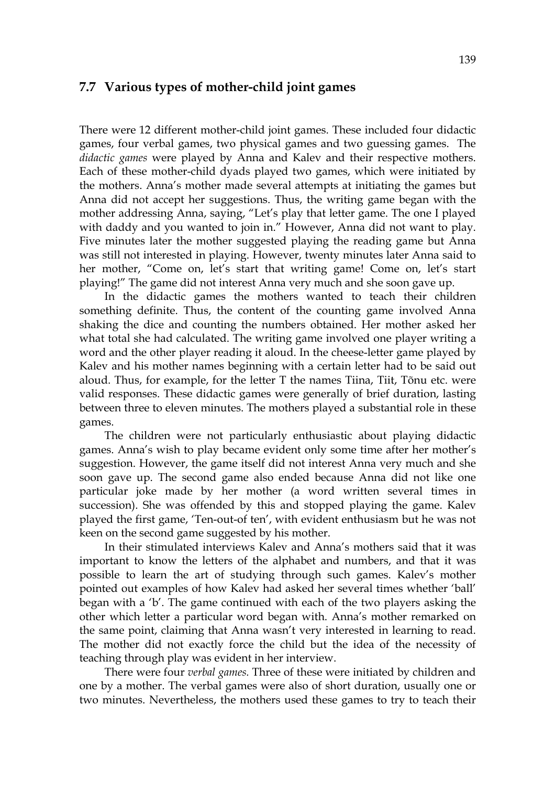### **7.7 Various types of mother-child joint games**

There were 12 different mother-child joint games. These included four didactic games, four verbal games, two physical games and two guessing games. The *didactic games* were played by Anna and Kalev and their respective mothers. Each of these mother-child dyads played two games, which were initiated by the mothers. Anna's mother made several attempts at initiating the games but Anna did not accept her suggestions. Thus, the writing game began with the mother addressing Anna, saying, "Let's play that letter game. The one I played with daddy and you wanted to join in." However, Anna did not want to play. Five minutes later the mother suggested playing the reading game but Anna was still not interested in playing. However, twenty minutes later Anna said to her mother, "Come on, let's start that writing game! Come on, let's start playing!" The game did not interest Anna very much and she soon gave up.

In the didactic games the mothers wanted to teach their children something definite. Thus, the content of the counting game involved Anna shaking the dice and counting the numbers obtained. Her mother asked her what total she had calculated. The writing game involved one player writing a word and the other player reading it aloud. In the cheese-letter game played by Kalev and his mother names beginning with a certain letter had to be said out aloud. Thus, for example, for the letter T the names Tiina, Tiit, Tõnu etc. were valid responses. These didactic games were generally of brief duration, lasting between three to eleven minutes. The mothers played a substantial role in these games.

The children were not particularly enthusiastic about playing didactic games. Anna's wish to play became evident only some time after her mother's suggestion. However, the game itself did not interest Anna very much and she soon gave up. The second game also ended because Anna did not like one particular joke made by her mother (a word written several times in succession). She was offended by this and stopped playing the game. Kalev played the first game, 'Ten-out-of ten', with evident enthusiasm but he was not keen on the second game suggested by his mother.

In their stimulated interviews Kalev and Anna's mothers said that it was important to know the letters of the alphabet and numbers, and that it was possible to learn the art of studying through such games. Kalev's mother pointed out examples of how Kalev had asked her several times whether 'ball' began with a 'b'. The game continued with each of the two players asking the other which letter a particular word began with. Anna's mother remarked on the same point, claiming that Anna wasn't very interested in learning to read. The mother did not exactly force the child but the idea of the necessity of teaching through play was evident in her interview.

There were four *verbal games.* Three of these were initiated by children and one by a mother. The verbal games were also of short duration, usually one or two minutes. Nevertheless, the mothers used these games to try to teach their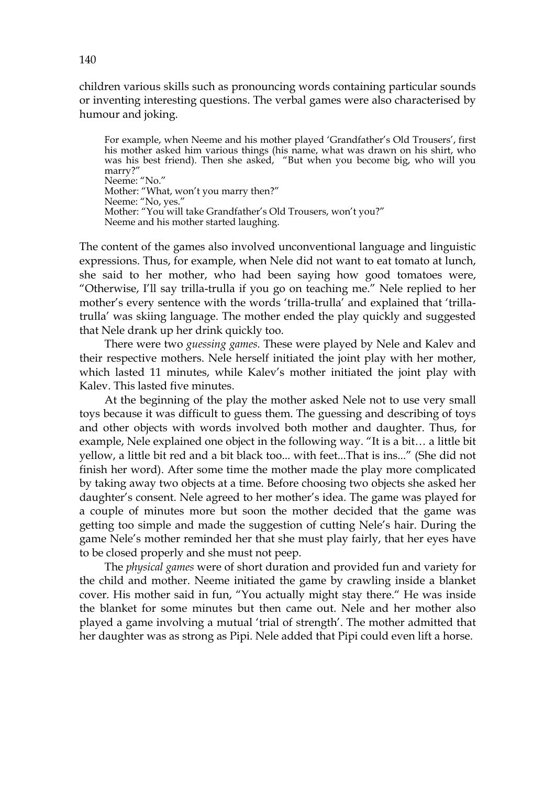children various skills such as pronouncing words containing particular sounds or inventing interesting questions. The verbal games were also characterised by humour and joking.

For example, when Neeme and his mother played 'Grandfather's Old Trousers', first his mother asked him various things (his name, what was drawn on his shirt, who was his best friend). Then she asked, "But when you become big, who will you marry?" Neeme: "No." Mother: "What, won't you marry then?" Neeme: "No, yes." Mother: "You will take Grandfather's Old Trousers, won't you?" Neeme and his mother started laughing.

The content of the games also involved unconventional language and linguistic expressions. Thus, for example, when Nele did not want to eat tomato at lunch, she said to her mother, who had been saying how good tomatoes were, "Otherwise, I'll say trilla-trulla if you go on teaching me." Nele replied to her mother's every sentence with the words 'trilla-trulla' and explained that 'trillatrulla' was skiing language. The mother ended the play quickly and suggested that Nele drank up her drink quickly too.

 There were two *guessing games.* These were played by Nele and Kalev and their respective mothers. Nele herself initiated the joint play with her mother, which lasted 11 minutes, while Kalev's mother initiated the joint play with Kalev. This lasted five minutes.

At the beginning of the play the mother asked Nele not to use very small toys because it was difficult to guess them. The guessing and describing of toys and other objects with words involved both mother and daughter. Thus, for example, Nele explained one object in the following way. "It is a bit… a little bit yellow, a little bit red and a bit black too... with feet...That is ins..." (She did not finish her word). After some time the mother made the play more complicated by taking away two objects at a time. Before choosing two objects she asked her daughter's consent. Nele agreed to her mother's idea. The game was played for a couple of minutes more but soon the mother decided that the game was getting too simple and made the suggestion of cutting Nele's hair. During the game Nele's mother reminded her that she must play fairly, that her eyes have to be closed properly and she must not peep.

The *physical games* were of short duration and provided fun and variety for the child and mother. Neeme initiated the game by crawling inside a blanket cover. His mother said in fun, "You actually might stay there." He was inside the blanket for some minutes but then came out. Nele and her mother also played a game involving a mutual 'trial of strength'. The mother admitted that her daughter was as strong as Pipi. Nele added that Pipi could even lift a horse.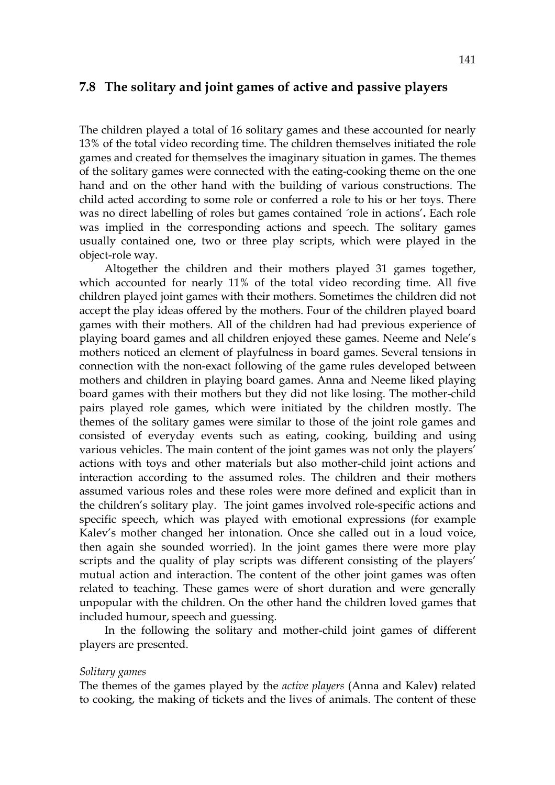## **7.8 The solitary and joint games of active and passive players**

The children played a total of 16 solitary games and these accounted for nearly 13% of the total video recording time. The children themselves initiated the role games and created for themselves the imaginary situation in games. The themes of the solitary games were connected with the eating-cooking theme on the one hand and on the other hand with the building of various constructions. The child acted according to some role or conferred a role to his or her toys. There was no direct labelling of roles but games contained ´role in actions'**.** Each role was implied in the corresponding actions and speech. The solitary games usually contained one, two or three play scripts, which were played in the object-role way.

 Altogether the children and their mothers played 31 games together, which accounted for nearly 11% of the total video recording time. All five children played joint games with their mothers. Sometimes the children did not accept the play ideas offered by the mothers. Four of the children played board games with their mothers. All of the children had had previous experience of playing board games and all children enjoyed these games. Neeme and Nele's mothers noticed an element of playfulness in board games. Several tensions in connection with the non-exact following of the game rules developed between mothers and children in playing board games. Anna and Neeme liked playing board games with their mothers but they did not like losing. The mother-child pairs played role games, which were initiated by the children mostly. The themes of the solitary games were similar to those of the joint role games and consisted of everyday events such as eating, cooking, building and using various vehicles. The main content of the joint games was not only the players' actions with toys and other materials but also mother-child joint actions and interaction according to the assumed roles. The children and their mothers assumed various roles and these roles were more defined and explicit than in the children's solitary play. The joint games involved role-specific actions and specific speech, which was played with emotional expressions (for example Kalev's mother changed her intonation. Once she called out in a loud voice, then again she sounded worried). In the joint games there were more play scripts and the quality of play scripts was different consisting of the players' mutual action and interaction. The content of the other joint games was often related to teaching. These games were of short duration and were generally unpopular with the children. On the other hand the children loved games that included humour, speech and guessing.

 In the following the solitary and mother-child joint games of different players are presented.

#### *Solitary games*

The themes of the games played by the *active players* (Anna and Kalev**)** related to cooking, the making of tickets and the lives of animals. The content of these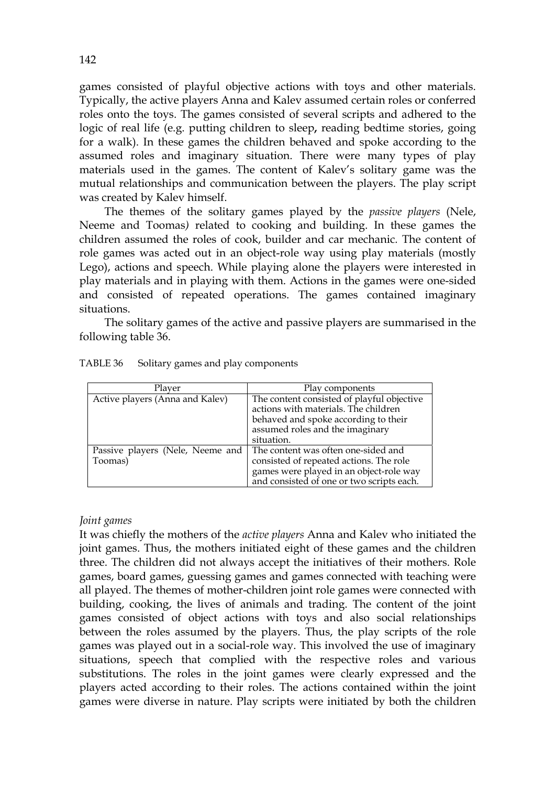games consisted of playful objective actions with toys and other materials. Typically, the active players Anna and Kalev assumed certain roles or conferred roles onto the toys. The games consisted of several scripts and adhered to the logic of real life (e.g. putting children to sleep**,** reading bedtime stories, going for a walk). In these games the children behaved and spoke according to the assumed roles and imaginary situation. There were many types of play materials used in the games. The content of Kalev's solitary game was the mutual relationships and communication between the players. The play script was created by Kalev himself.

The themes of the solitary games played by the *passive players* (Nele, Neeme and Toomas*)* related to cooking and building. In these games the children assumed the roles of cook, builder and car mechanic*.* The content of role games was acted out in an object-role way using play materials (mostly Lego), actions and speech. While playing alone the players were interested in play materials and in playing with them. Actions in the games were one-sided and consisted of repeated operations. The games contained imaginary situations.

 The solitary games of the active and passive players are summarised in the following table 36.

| Plaver                                      | Play components                                                                                                                                                             |
|---------------------------------------------|-----------------------------------------------------------------------------------------------------------------------------------------------------------------------------|
| Active players (Anna and Kalev)             | The content consisted of playful objective<br>actions with materials. The children<br>behaved and spoke according to their<br>assumed roles and the imaginary<br>situation. |
| Passive players (Nele, Neeme and<br>Toomas) | The content was often one-sided and<br>consisted of repeated actions. The role<br>games were played in an object-role way<br>and consisted of one or two scripts each.      |

| TABLE 36 |  | Solitary games and play components |
|----------|--|------------------------------------|
|----------|--|------------------------------------|

### *Joint games*

It was chiefly the mothers of the *active players* Anna and Kalev who initiated the joint games. Thus, the mothers initiated eight of these games and the children three. The children did not always accept the initiatives of their mothers. Role games, board games, guessing games and games connected with teaching were all played. The themes of mother-children joint role games were connected with building, cooking, the lives of animals and trading. The content of the joint games consisted of object actions with toys and also social relationships between the roles assumed by the players. Thus, the play scripts of the role games was played out in a social-role way. This involved the use of imaginary situations, speech that complied with the respective roles and various substitutions. The roles in the joint games were clearly expressed and the players acted according to their roles. The actions contained within the joint games were diverse in nature. Play scripts were initiated by both the children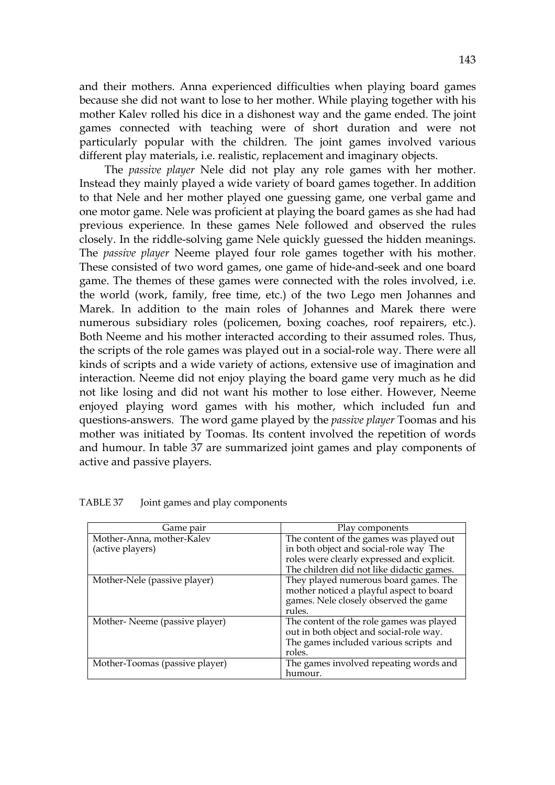and their mothers. Anna experienced difficulties when playing board games because she did not want to lose to her mother. While playing together with his mother Kalev rolled his dice in a dishonest way and the game ended. The joint games connected with teaching were of short duration and were not particularly popular with the children. The joint games involved various different play materials, i.e. realistic, replacement and imaginary objects.

 The *passive player* Nele did not play any role games with her mother. Instead they mainly played a wide variety of board games together. In addition to that Nele and her mother played one guessing game, one verbal game and one motor game. Nele was proficient at playing the board games as she had had previous experience. In these games Nele followed and observed the rules closely. In the riddle-solving game Nele quickly guessed the hidden meanings. The *passive player* Neeme played four role games together with his mother. These consisted of two word games, one game of hide-and-seek and one board game. The themes of these games were connected with the roles involved, i.e. the world (work, family, free time, etc.) of the two Lego men Johannes and Marek. In addition to the main roles of Johannes and Marek there were numerous subsidiary roles (policemen, boxing coaches, roof repairers, etc.). Both Neeme and his mother interacted according to their assumed roles. Thus, the scripts of the role games was played out in a social-role way. There were all kinds of scripts and a wide variety of actions, extensive use of imagination and interaction. Neeme did not enjoy playing the board game very much as he did not like losing and did not want his mother to lose either. However, Neeme enjoyed playing word games with his mother, which included fun and questions-answers. The word game played by the *passive player* Toomas and his mother was initiated by Toomas. Its content involved the repetition of words and humour. In table 37 are summarized joint games and play components of active and passive players.

| Game pair                      | Play components                            |  |
|--------------------------------|--------------------------------------------|--|
| Mother-Anna, mother-Kalev      | The content of the games was played out    |  |
| (active players)               | in both object and social-role way The     |  |
|                                | roles were clearly expressed and explicit. |  |
|                                | The children did not like didactic games.  |  |
| Mother-Nele (passive player)   | They played numerous board games. The      |  |
|                                | mother noticed a playful aspect to board   |  |
|                                | games. Nele closely observed the game      |  |
|                                | rules.                                     |  |
| Mother-Neeme (passive player)  | The content of the role games was played   |  |
|                                | out in both object and social-role way.    |  |
|                                | The games included various scripts and     |  |
|                                | roles.                                     |  |
| Mother-Toomas (passive player) | The games involved repeating words and     |  |
|                                | humour.                                    |  |

TABLE 37 Joint games and play components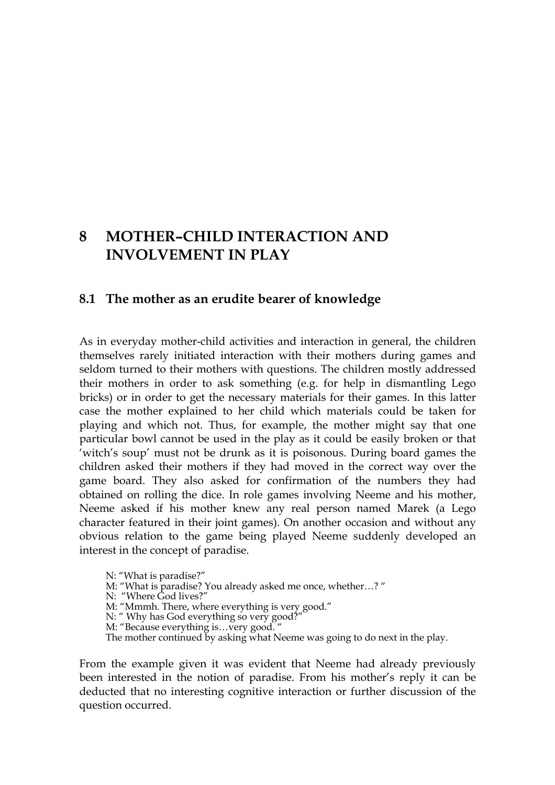# **8 MOTHER–CHILD INTERACTION AND INVOLVEMENT IN PLAY**

## **8.1 The mother as an erudite bearer of knowledge**

As in everyday mother-child activities and interaction in general, the children themselves rarely initiated interaction with their mothers during games and seldom turned to their mothers with questions. The children mostly addressed their mothers in order to ask something (e.g. for help in dismantling Lego bricks) or in order to get the necessary materials for their games. In this latter case the mother explained to her child which materials could be taken for playing and which not. Thus, for example, the mother might say that one particular bowl cannot be used in the play as it could be easily broken or that 'witch's soup' must not be drunk as it is poisonous. During board games the children asked their mothers if they had moved in the correct way over the game board. They also asked for confirmation of the numbers they had obtained on rolling the dice. In role games involving Neeme and his mother, Neeme asked if his mother knew any real person named Marek (a Lego character featured in their joint games). On another occasion and without any obvious relation to the game being played Neeme suddenly developed an interest in the concept of paradise.

N: "What is paradise?"

M: "What is paradise? You already asked me once, whether…? "

N: "Where God lives?"

M: "Mmmh. There, where everything is very good."

- N: " Why has God everything so very good?
- M: "Because everything is…very good. "

The mother continued by asking what Neeme was going to do next in the play.

From the example given it was evident that Neeme had already previously been interested in the notion of paradise. From his mother's reply it can be deducted that no interesting cognitive interaction or further discussion of the question occurred.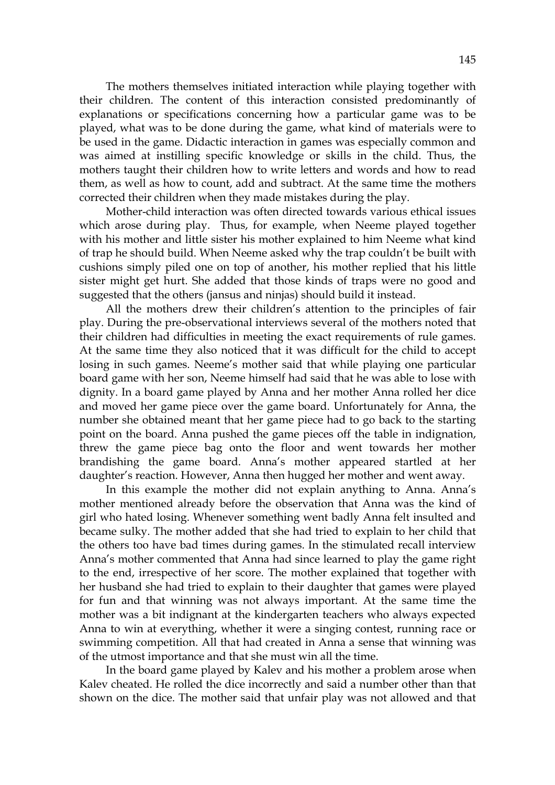The mothers themselves initiated interaction while playing together with their children. The content of this interaction consisted predominantly of explanations or specifications concerning how a particular game was to be played, what was to be done during the game, what kind of materials were to be used in the game. Didactic interaction in games was especially common and was aimed at instilling specific knowledge or skills in the child. Thus, the mothers taught their children how to write letters and words and how to read them, as well as how to count, add and subtract. At the same time the mothers corrected their children when they made mistakes during the play.

 Mother-child interaction was often directed towards various ethical issues which arose during play. Thus, for example, when Neeme played together with his mother and little sister his mother explained to him Neeme what kind of trap he should build. When Neeme asked why the trap couldn't be built with cushions simply piled one on top of another, his mother replied that his little sister might get hurt. She added that those kinds of traps were no good and suggested that the others (jansus and ninjas) should build it instead.

 All the mothers drew their children's attention to the principles of fair play. During the pre-observational interviews several of the mothers noted that their children had difficulties in meeting the exact requirements of rule games. At the same time they also noticed that it was difficult for the child to accept losing in such games. Neeme's mother said that while playing one particular board game with her son, Neeme himself had said that he was able to lose with dignity. In a board game played by Anna and her mother Anna rolled her dice and moved her game piece over the game board. Unfortunately for Anna, the number she obtained meant that her game piece had to go back to the starting point on the board. Anna pushed the game pieces off the table in indignation, threw the game piece bag onto the floor and went towards her mother brandishing the game board. Anna's mother appeared startled at her daughter's reaction. However, Anna then hugged her mother and went away.

 In this example the mother did not explain anything to Anna. Anna's mother mentioned already before the observation that Anna was the kind of girl who hated losing. Whenever something went badly Anna felt insulted and became sulky. The mother added that she had tried to explain to her child that the others too have bad times during games. In the stimulated recall interview Anna's mother commented that Anna had since learned to play the game right to the end, irrespective of her score. The mother explained that together with her husband she had tried to explain to their daughter that games were played for fun and that winning was not always important. At the same time the mother was a bit indignant at the kindergarten teachers who always expected Anna to win at everything, whether it were a singing contest, running race or swimming competition. All that had created in Anna a sense that winning was of the utmost importance and that she must win all the time.

 In the board game played by Kalev and his mother a problem arose when Kalev cheated. He rolled the dice incorrectly and said a number other than that shown on the dice. The mother said that unfair play was not allowed and that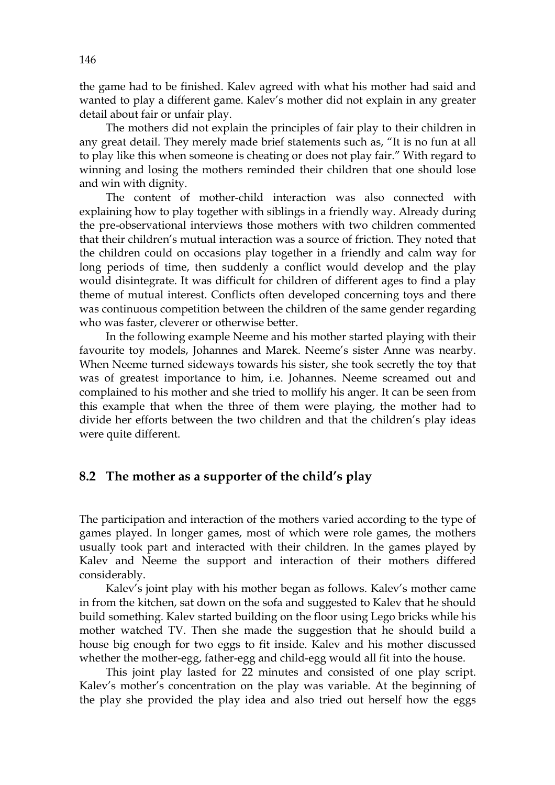the game had to be finished. Kalev agreed with what his mother had said and wanted to play a different game. Kalev's mother did not explain in any greater detail about fair or unfair play.

 The mothers did not explain the principles of fair play to their children in any great detail. They merely made brief statements such as, "It is no fun at all to play like this when someone is cheating or does not play fair." With regard to winning and losing the mothers reminded their children that one should lose and win with dignity.

 The content of mother-child interaction was also connected with explaining how to play together with siblings in a friendly way. Already during the pre-observational interviews those mothers with two children commented that their children's mutual interaction was a source of friction. They noted that the children could on occasions play together in a friendly and calm way for long periods of time, then suddenly a conflict would develop and the play would disintegrate. It was difficult for children of different ages to find a play theme of mutual interest. Conflicts often developed concerning toys and there was continuous competition between the children of the same gender regarding who was faster, cleverer or otherwise better.

 In the following example Neeme and his mother started playing with their favourite toy models, Johannes and Marek. Neeme's sister Anne was nearby. When Neeme turned sideways towards his sister, she took secretly the toy that was of greatest importance to him, i.e. Johannes. Neeme screamed out and complained to his mother and she tried to mollify his anger. It can be seen from this example that when the three of them were playing, the mother had to divide her efforts between the two children and that the children's play ideas were quite different.

## **8.2 The mother as a supporter of the child's play**

The participation and interaction of the mothers varied according to the type of games played. In longer games, most of which were role games, the mothers usually took part and interacted with their children. In the games played by Kalev and Neeme the support and interaction of their mothers differed considerably.

 Kalev's joint play with his mother began as follows. Kalev's mother came in from the kitchen, sat down on the sofa and suggested to Kalev that he should build something. Kalev started building on the floor using Lego bricks while his mother watched TV. Then she made the suggestion that he should build a house big enough for two eggs to fit inside. Kalev and his mother discussed whether the mother-egg, father-egg and child-egg would all fit into the house.

This joint play lasted for 22 minutes and consisted of one play script. Kalev's mother's concentration on the play was variable. At the beginning of the play she provided the play idea and also tried out herself how the eggs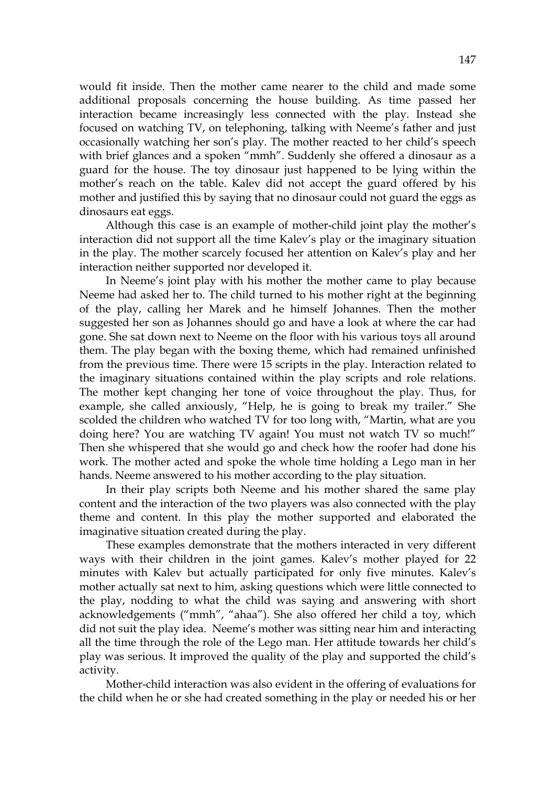would fit inside. Then the mother came nearer to the child and made some additional proposals concerning the house building. As time passed her interaction became increasingly less connected with the play. Instead she focused on watching TV, on telephoning, talking with Neeme's father and just occasionally watching her son's play. The mother reacted to her child's speech with brief glances and a spoken "mmh". Suddenly she offered a dinosaur as a guard for the house. The toy dinosaur just happened to be lying within the mother's reach on the table. Kalev did not accept the guard offered by his mother and justified this by saying that no dinosaur could not guard the eggs as dinosaurs eat eggs.

Although this case is an example of mother-child joint play the mother's interaction did not support all the time Kalev's play or the imaginary situation in the play. The mother scarcely focused her attention on Kalev's play and her interaction neither supported nor developed it.

 In Neeme's joint play with his mother the mother came to play because Neeme had asked her to. The child turned to his mother right at the beginning of the play, calling her Marek and he himself Johannes. Then the mother suggested her son as Johannes should go and have a look at where the car had gone. She sat down next to Neeme on the floor with his various toys all around them. The play began with the boxing theme, which had remained unfinished from the previous time. There were 15 scripts in the play. Interaction related to the imaginary situations contained within the play scripts and role relations. The mother kept changing her tone of voice throughout the play. Thus, for example, she called anxiously, "Help, he is going to break my trailer." She scolded the children who watched TV for too long with, "Martin, what are you doing here? You are watching TV again! You must not watch TV so much!" Then she whispered that she would go and check how the roofer had done his work. The mother acted and spoke the whole time holding a Lego man in her hands. Neeme answered to his mother according to the play situation.

 In their play scripts both Neeme and his mother shared the same play content and the interaction of the two players was also connected with the play theme and content. In this play the mother supported and elaborated the imaginative situation created during the play.

 These examples demonstrate that the mothers interacted in very different ways with their children in the joint games. Kalev's mother played for 22 minutes with Kalev but actually participated for only five minutes. Kalev's mother actually sat next to him, asking questions which were little connected to the play, nodding to what the child was saying and answering with short acknowledgements ("mmh", "ahaa"). She also offered her child a toy, which did not suit the play idea. Neeme's mother was sitting near him and interacting all the time through the role of the Lego man. Her attitude towards her child's play was serious. It improved the quality of the play and supported the child's activity.

 Mother-child interaction was also evident in the offering of evaluations for the child when he or she had created something in the play or needed his or her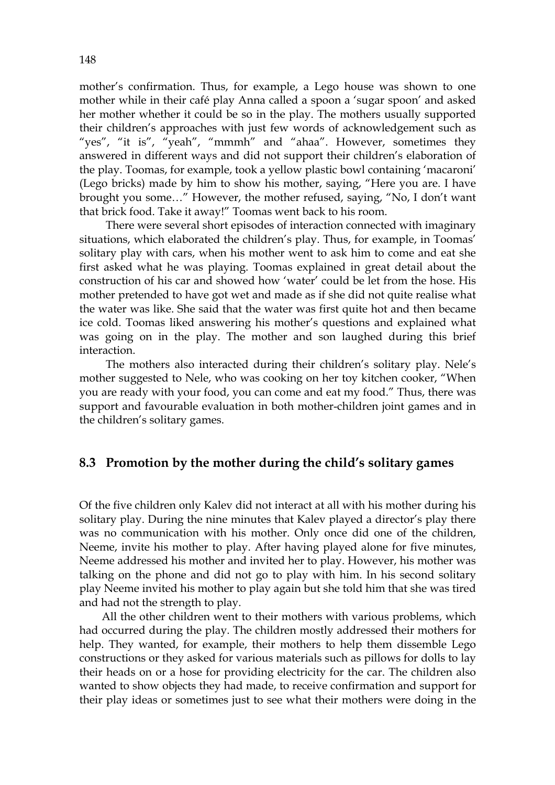mother's confirmation. Thus, for example, a Lego house was shown to one mother while in their café play Anna called a spoon a 'sugar spoon' and asked her mother whether it could be so in the play. The mothers usually supported their children's approaches with just few words of acknowledgement such as "yes", "it is", "yeah", "mmmh" and "ahaa". However, sometimes they answered in different ways and did not support their children's elaboration of the play. Toomas, for example, took a yellow plastic bowl containing 'macaroni' (Lego bricks) made by him to show his mother, saying, "Here you are. I have brought you some…" However, the mother refused, saying, "No, I don't want that brick food. Take it away!" Toomas went back to his room.

 There were several short episodes of interaction connected with imaginary situations, which elaborated the children's play. Thus, for example, in Toomas' solitary play with cars, when his mother went to ask him to come and eat she first asked what he was playing. Toomas explained in great detail about the construction of his car and showed how 'water' could be let from the hose. His mother pretended to have got wet and made as if she did not quite realise what the water was like. She said that the water was first quite hot and then became ice cold. Toomas liked answering his mother's questions and explained what was going on in the play. The mother and son laughed during this brief interaction.

 The mothers also interacted during their children's solitary play. Nele's mother suggested to Nele, who was cooking on her toy kitchen cooker, "When you are ready with your food, you can come and eat my food." Thus, there was support and favourable evaluation in both mother-children joint games and in the children's solitary games.

## **8.3 Promotion by the mother during the child's solitary games**

Of the five children only Kalev did not interact at all with his mother during his solitary play. During the nine minutes that Kalev played a director's play there was no communication with his mother. Only once did one of the children, Neeme, invite his mother to play. After having played alone for five minutes, Neeme addressed his mother and invited her to play. However, his mother was talking on the phone and did not go to play with him. In his second solitary play Neeme invited his mother to play again but she told him that she was tired and had not the strength to play.

 All the other children went to their mothers with various problems, which had occurred during the play. The children mostly addressed their mothers for help. They wanted, for example, their mothers to help them dissemble Lego constructions or they asked for various materials such as pillows for dolls to lay their heads on or a hose for providing electricity for the car. The children also wanted to show objects they had made, to receive confirmation and support for their play ideas or sometimes just to see what their mothers were doing in the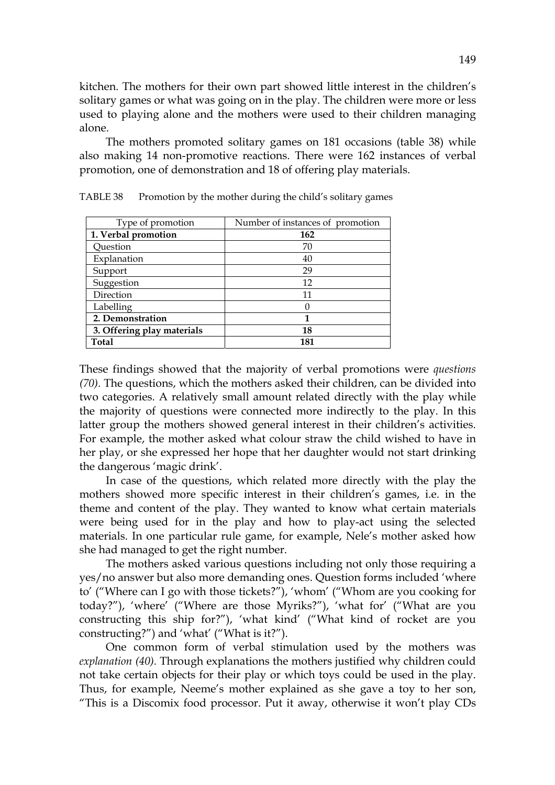kitchen. The mothers for their own part showed little interest in the children's solitary games or what was going on in the play. The children were more or less used to playing alone and the mothers were used to their children managing alone.

 The mothers promoted solitary games on 181 occasions (table 38) while also making 14 non-promotive reactions. There were 162 instances of verbal promotion, one of demonstration and 18 of offering play materials.

| Type of promotion          | Number of instances of promotion |
|----------------------------|----------------------------------|
| 1. Verbal promotion        | 162                              |
| Question                   | 70                               |
| Explanation                | 40                               |
| Support                    | 29                               |
| Suggestion                 | 12                               |
| Direction                  | 11                               |
| Labelling                  | 0                                |
| 2. Demonstration           | 1                                |
| 3. Offering play materials | 18                               |
| Total                      | 181                              |

TABLE 38 Promotion by the mother during the child's solitary games

These findings showed that the majority of verbal promotions were *questions (70).* The questions, which the mothers asked their children, can be divided into two categories. A relatively small amount related directly with the play while the majority of questions were connected more indirectly to the play. In this latter group the mothers showed general interest in their children's activities. For example, the mother asked what colour straw the child wished to have in her play, or she expressed her hope that her daughter would not start drinking the dangerous 'magic drink'.

In case of the questions, which related more directly with the play the mothers showed more specific interest in their children's games, i.e. in the theme and content of the play. They wanted to know what certain materials were being used for in the play and how to play-act using the selected materials. In one particular rule game, for example, Nele's mother asked how she had managed to get the right number.

The mothers asked various questions including not only those requiring a yes/no answer but also more demanding ones. Question forms included 'where to' ("Where can I go with those tickets?"), 'whom' ("Whom are you cooking for today?"), 'where' ("Where are those Myriks?"), 'what for' ("What are you constructing this ship for?"), 'what kind' ("What kind of rocket are you constructing?") and 'what' ("What is it?").

 One common form of verbal stimulation used by the mothers was *explanation (40).* Through explanations the mothers justified why children could not take certain objects for their play or which toys could be used in the play. Thus, for example, Neeme's mother explained as she gave a toy to her son, "This is a Discomix food processor. Put it away, otherwise it won't play CDs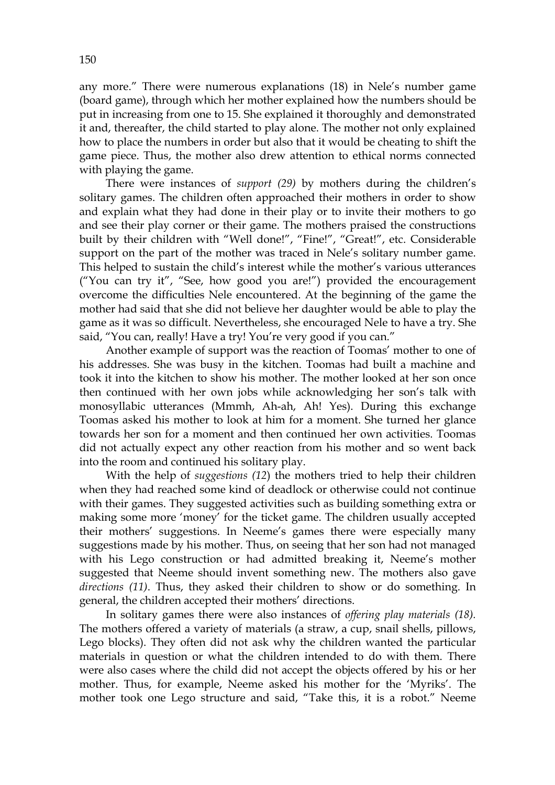any more." There were numerous explanations (18) in Nele's number game (board game), through which her mother explained how the numbers should be put in increasing from one to 15. She explained it thoroughly and demonstrated it and, thereafter, the child started to play alone. The mother not only explained how to place the numbers in order but also that it would be cheating to shift the game piece. Thus, the mother also drew attention to ethical norms connected with playing the game.

There were instances of *support (29)* by mothers during the children's solitary games. The children often approached their mothers in order to show and explain what they had done in their play or to invite their mothers to go and see their play corner or their game. The mothers praised the constructions built by their children with "Well done!", "Fine!", "Great!", etc. Considerable support on the part of the mother was traced in Nele's solitary number game. This helped to sustain the child's interest while the mother's various utterances ("You can try it", "See, how good you are!") provided the encouragement overcome the difficulties Nele encountered. At the beginning of the game the mother had said that she did not believe her daughter would be able to play the game as it was so difficult. Nevertheless, she encouraged Nele to have a try. She said, "You can, really! Have a try! You're very good if you can."

 Another example of support was the reaction of Toomas' mother to one of his addresses. She was busy in the kitchen. Toomas had built a machine and took it into the kitchen to show his mother. The mother looked at her son once then continued with her own jobs while acknowledging her son's talk with monosyllabic utterances (Mmmh, Ah-ah, Ah! Yes). During this exchange Toomas asked his mother to look at him for a moment. She turned her glance towards her son for a moment and then continued her own activities. Toomas did not actually expect any other reaction from his mother and so went back into the room and continued his solitary play.

 With the help of *suggestions (12*) the mothers tried to help their children when they had reached some kind of deadlock or otherwise could not continue with their games. They suggested activities such as building something extra or making some more 'money' for the ticket game. The children usually accepted their mothers' suggestions. In Neeme's games there were especially many suggestions made by his mother. Thus, on seeing that her son had not managed with his Lego construction or had admitted breaking it, Neeme's mother suggested that Neeme should invent something new. The mothers also gave *directions (11)*. Thus, they asked their children to show or do something. In general, the children accepted their mothers' directions.

In solitary games there were also instances of *offering play materials (18).*  The mothers offered a variety of materials (a straw, a cup, snail shells, pillows, Lego blocks). They often did not ask why the children wanted the particular materials in question or what the children intended to do with them. There were also cases where the child did not accept the objects offered by his or her mother. Thus, for example, Neeme asked his mother for the 'Myriks'. The mother took one Lego structure and said, "Take this, it is a robot." Neeme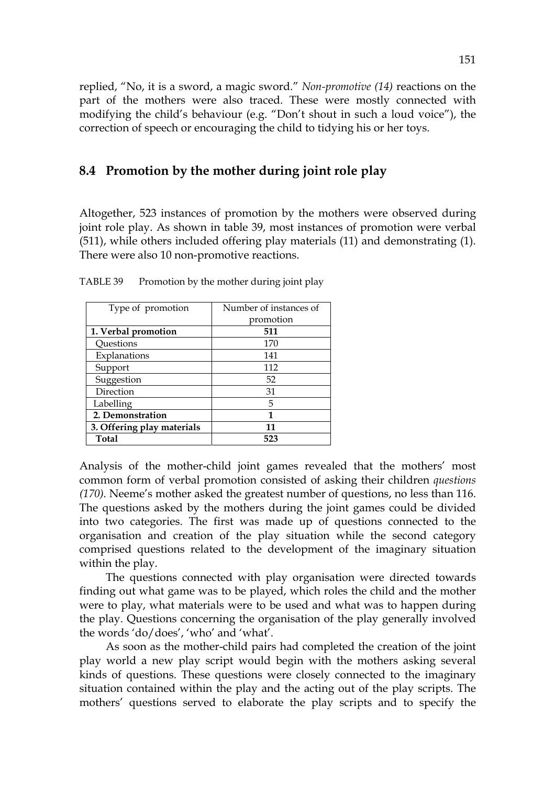replied, "No, it is a sword, a magic sword." *Non-promotive (14)* reactions on the part of the mothers were also traced. These were mostly connected with modifying the child's behaviour (e.g. "Don't shout in such a loud voice"), the correction of speech or encouraging the child to tidying his or her toys.

## **8.4 Promotion by the mother during joint role play**

Altogether, 523 instances of promotion by the mothers were observed during joint role play. As shown in table 39, most instances of promotion were verbal (511), while others included offering play materials (11) and demonstrating (1). There were also 10 non-promotive reactions.

| Type of promotion          | Number of instances of |
|----------------------------|------------------------|
|                            | promotion              |
| 1. Verbal promotion        | 511                    |
| Questions                  | 170                    |
| Explanations               | 141                    |
| Support                    | 112                    |
| Suggestion                 | 52                     |
| Direction                  | 31                     |
| Labelling                  | 5                      |
| 2. Demonstration           | 1                      |
| 3. Offering play materials | 11                     |
| <b>Total</b>               | 523                    |

TABLE 39 Promotion by the mother during joint play

Analysis of the mother-child joint games revealed that the mothers' most common form of verbal promotion consisted of asking their children *questions (170).* Neeme's mother asked the greatest number of questions, no less than 116. The questions asked by the mothers during the joint games could be divided into two categories. The first was made up of questions connected to the organisation and creation of the play situation while the second category comprised questions related to the development of the imaginary situation within the play.

 The questions connected with play organisation were directed towards finding out what game was to be played, which roles the child and the mother were to play, what materials were to be used and what was to happen during the play. Questions concerning the organisation of the play generally involved the words 'do/does', 'who' and 'what'.

 As soon as the mother-child pairs had completed the creation of the joint play world a new play script would begin with the mothers asking several kinds of questions. These questions were closely connected to the imaginary situation contained within the play and the acting out of the play scripts. The mothers' questions served to elaborate the play scripts and to specify the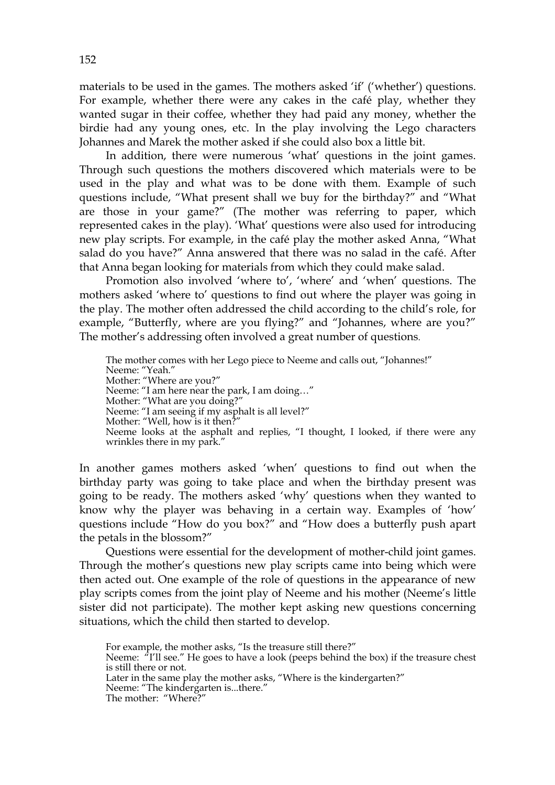materials to be used in the games. The mothers asked 'if' ('whether') questions. For example, whether there were any cakes in the café play, whether they wanted sugar in their coffee, whether they had paid any money, whether the birdie had any young ones, etc. In the play involving the Lego characters Johannes and Marek the mother asked if she could also box a little bit.

 In addition, there were numerous 'what' questions in the joint games. Through such questions the mothers discovered which materials were to be used in the play and what was to be done with them. Example of such questions include, "What present shall we buy for the birthday?" and "What are those in your game?" (The mother was referring to paper, which represented cakes in the play). 'What' questions were also used for introducing new play scripts. For example, in the café play the mother asked Anna, "What salad do you have?" Anna answered that there was no salad in the café. After that Anna began looking for materials from which they could make salad.

 Promotion also involved 'where to', 'where' and 'when' questions. The mothers asked 'where to' questions to find out where the player was going in the play. The mother often addressed the child according to the child's role, for example, "Butterfly, where are you flying?" and "Johannes, where are you?" The mother's addressing often involved a great number of questions.

The mother comes with her Lego piece to Neeme and calls out, "Johannes!" Neeme: "Yeah." Mother: "Where are you?" Neeme: "I am here near the park, I am doing…" Mother: "What are you doing?" Neeme: "I am seeing if my asphalt is all level?" Mother: "Well, how is it then?" Neeme looks at the asphalt and replies, "I thought, I looked, if there were any wrinkles there in my park."

In another games mothers asked 'when' questions to find out when the birthday party was going to take place and when the birthday present was going to be ready. The mothers asked 'why' questions when they wanted to know why the player was behaving in a certain way. Examples of 'how' questions include "How do you box?" and "How does a butterfly push apart the petals in the blossom?"

Questions were essential for the development of mother-child joint games. Through the mother's questions new play scripts came into being which were then acted out. One example of the role of questions in the appearance of new play scripts comes from the joint play of Neeme and his mother (Neeme's little sister did not participate). The mother kept asking new questions concerning situations, which the child then started to develop.

For example, the mother asks, "Is the treasure still there?" Neeme:  $\pi$ <sup>'</sup>I'll see." He goes to have a look (peeps behind the box) if the treasure chest is still there or not. Later in the same play the mother asks, "Where is the kindergarten?" Neeme: "The kindergarten is...there." The mother: "Where?"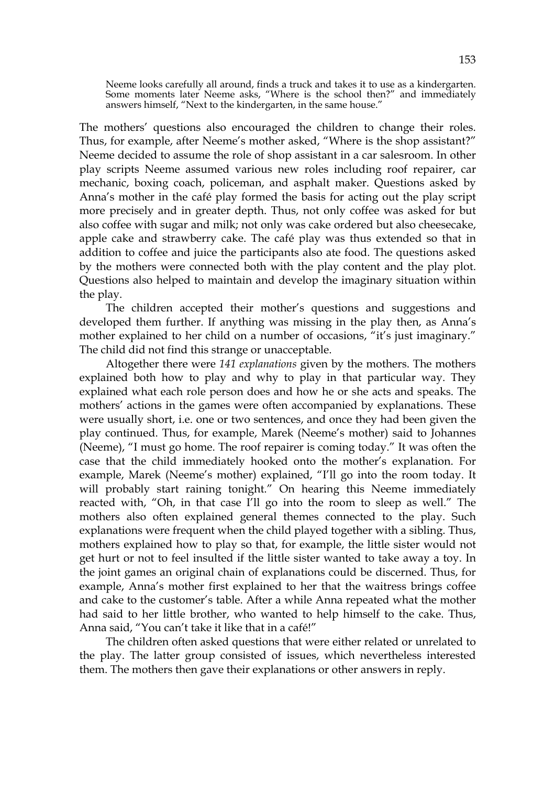Neeme looks carefully all around, finds a truck and takes it to use as a kindergarten. Some moments later Neeme asks, "Where is the school then?" and immediately answers himself, "Next to the kindergarten, in the same house."

The mothers' questions also encouraged the children to change their roles. Thus, for example, after Neeme's mother asked, "Where is the shop assistant?" Neeme decided to assume the role of shop assistant in a car salesroom. In other play scripts Neeme assumed various new roles including roof repairer, car mechanic, boxing coach, policeman, and asphalt maker. Questions asked by Anna's mother in the café play formed the basis for acting out the play script more precisely and in greater depth. Thus, not only coffee was asked for but also coffee with sugar and milk; not only was cake ordered but also cheesecake, apple cake and strawberry cake. The café play was thus extended so that in addition to coffee and juice the participants also ate food. The questions asked by the mothers were connected both with the play content and the play plot. Questions also helped to maintain and develop the imaginary situation within the play.

 The children accepted their mother's questions and suggestions and developed them further. If anything was missing in the play then, as Anna's mother explained to her child on a number of occasions, "it's just imaginary." The child did not find this strange or unacceptable.

 Altogether there were *141 explanations* given by the mothers. The mothers explained both how to play and why to play in that particular way. They explained what each role person does and how he or she acts and speaks. The mothers' actions in the games were often accompanied by explanations. These were usually short, i.e. one or two sentences, and once they had been given the play continued. Thus, for example, Marek (Neeme's mother) said to Johannes (Neeme), "I must go home. The roof repairer is coming today." It was often the case that the child immediately hooked onto the mother's explanation. For example, Marek (Neeme's mother) explained, "I'll go into the room today. It will probably start raining tonight." On hearing this Neeme immediately reacted with, "Oh, in that case I'll go into the room to sleep as well." The mothers also often explained general themes connected to the play. Such explanations were frequent when the child played together with a sibling. Thus, mothers explained how to play so that, for example, the little sister would not get hurt or not to feel insulted if the little sister wanted to take away a toy. In the joint games an original chain of explanations could be discerned. Thus, for example, Anna's mother first explained to her that the waitress brings coffee and cake to the customer's table. After a while Anna repeated what the mother had said to her little brother, who wanted to help himself to the cake. Thus, Anna said, "You can't take it like that in a café!"

The children often asked questions that were either related or unrelated to the play. The latter group consisted of issues, which nevertheless interested them. The mothers then gave their explanations or other answers in reply.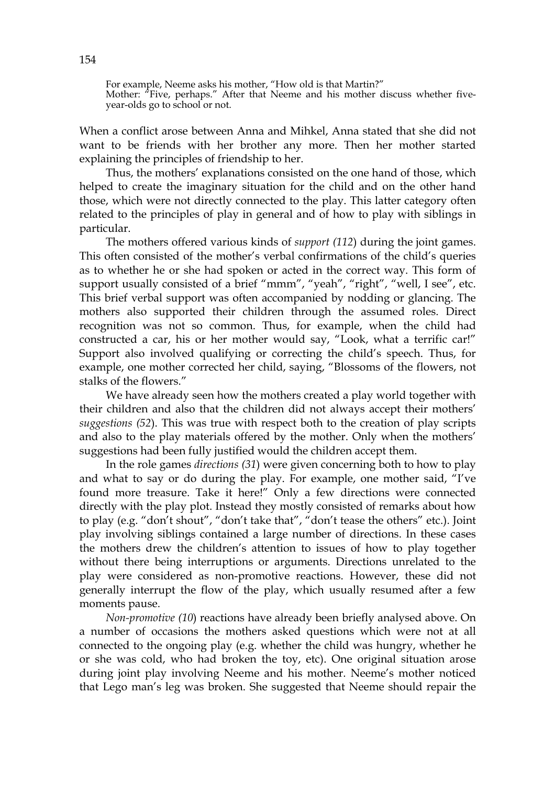For example, Neeme asks his mother, "How old is that Martin?" Mother: "Five, perhaps." After that Neeme and his mother discuss whether fiveyear-olds go to school or not.

When a conflict arose between Anna and Mihkel, Anna stated that she did not want to be friends with her brother any more. Then her mother started explaining the principles of friendship to her.

 Thus, the mothers' explanations consisted on the one hand of those, which helped to create the imaginary situation for the child and on the other hand those, which were not directly connected to the play. This latter category often related to the principles of play in general and of how to play with siblings in particular.

 The mothers offered various kinds of *support (112*) during the joint games. This often consisted of the mother's verbal confirmations of the child's queries as to whether he or she had spoken or acted in the correct way. This form of support usually consisted of a brief "mmm", "yeah", "right", "well, I see", etc. This brief verbal support was often accompanied by nodding or glancing. The mothers also supported their children through the assumed roles. Direct recognition was not so common. Thus, for example, when the child had constructed a car, his or her mother would say, "Look, what a terrific car!" Support also involved qualifying or correcting the child's speech. Thus, for example, one mother corrected her child, saying, "Blossoms of the flowers, not stalks of the flowers."

 We have already seen how the mothers created a play world together with their children and also that the children did not always accept their mothers' *suggestions (52*). This was true with respect both to the creation of play scripts and also to the play materials offered by the mother. Only when the mothers' suggestions had been fully justified would the children accept them.

 In the role games *directions (31*) were given concerning both to how to play and what to say or do during the play. For example, one mother said, "I've found more treasure. Take it here!" Only a few directions were connected directly with the play plot. Instead they mostly consisted of remarks about how to play (e.g. "don't shout", "don't take that", "don't tease the others" etc.). Joint play involving siblings contained a large number of directions. In these cases the mothers drew the children's attention to issues of how to play together without there being interruptions or arguments. Directions unrelated to the play were considered as non-promotive reactions. However, these did not generally interrupt the flow of the play, which usually resumed after a few moments pause.

 *Non-promotive (10*) reactions have already been briefly analysed above. On a number of occasions the mothers asked questions which were not at all connected to the ongoing play (e.g. whether the child was hungry, whether he or she was cold, who had broken the toy, etc). One original situation arose during joint play involving Neeme and his mother. Neeme's mother noticed that Lego man's leg was broken. She suggested that Neeme should repair the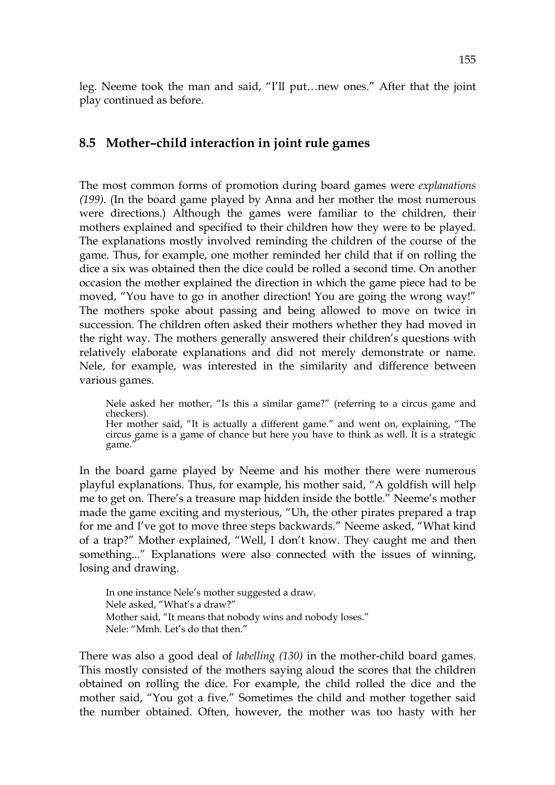leg. Neeme took the man and said, "I'll put…new ones." After that the joint play continued as before.

# **8.5 Mother–child interaction in joint rule games**

The most common forms of promotion during board games were *explanations (199).* (In the board game played by Anna and her mother the most numerous were directions.) Although the games were familiar to the children, their mothers explained and specified to their children how they were to be played. The explanations mostly involved reminding the children of the course of the game. Thus, for example, one mother reminded her child that if on rolling the dice a six was obtained then the dice could be rolled a second time. On another occasion the mother explained the direction in which the game piece had to be moved, "You have to go in another direction! You are going the wrong way!" The mothers spoke about passing and being allowed to move on twice in succession. The children often asked their mothers whether they had moved in the right way. The mothers generally answered their children's questions with relatively elaborate explanations and did not merely demonstrate or name. Nele, for example, was interested in the similarity and difference between various games.

Nele asked her mother, "Is this a similar game?" (referring to a circus game and checkers). Her mother said, "It is actually a different game." and went on, explaining, "The circus game is a game of chance but here you have to think as well. It is a strategic game.

In the board game played by Neeme and his mother there were numerous playful explanations. Thus, for example, his mother said, "A goldfish will help me to get on. There's a treasure map hidden inside the bottle." Neeme's mother made the game exciting and mysterious, "Uh, the other pirates prepared a trap for me and I've got to move three steps backwards." Neeme asked, "What kind of a trap?" Mother explained, "Well, I don't know. They caught me and then something..." Explanations were also connected with the issues of winning, losing and drawing.

In one instance Nele's mother suggested a draw. Nele asked, "What's a draw?" Mother said, "It means that nobody wins and nobody loses." Nele: "Mmh. Let's do that then."

There was also a good deal of *labelling (130)* in the mother-child board games. This mostly consisted of the mothers saying aloud the scores that the children obtained on rolling the dice. For example, the child rolled the dice and the mother said, "You got a five." Sometimes the child and mother together said the number obtained. Often, however, the mother was too hasty with her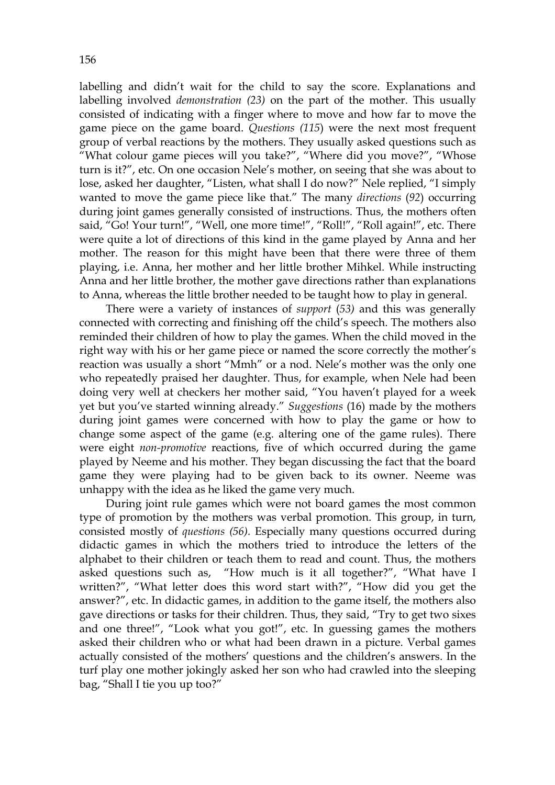labelling and didn't wait for the child to say the score. Explanations and labelling involved *demonstration (23)* on the part of the mother. This usually consisted of indicating with a finger where to move and how far to move the game piece on the game board. *Questions (115*) were the next most frequent group of verbal reactions by the mothers. They usually asked questions such as "What colour game pieces will you take?", "Where did you move?", "Whose turn is it?", etc. On one occasion Nele's mother, on seeing that she was about to lose, asked her daughter, "Listen, what shall I do now?" Nele replied, "I simply wanted to move the game piece like that." The many *directions* (*92*) occurring during joint games generally consisted of instructions. Thus, the mothers often said, "Go! Your turn!", "Well, one more time!", "Roll!", "Roll again!", etc. There were quite a lot of directions of this kind in the game played by Anna and her mother. The reason for this might have been that there were three of them playing, i.e. Anna, her mother and her little brother Mihkel. While instructing Anna and her little brother, the mother gave directions rather than explanations to Anna, whereas the little brother needed to be taught how to play in general.

 There were a variety of instances of *support* (*53)* and this was generally connected with correcting and finishing off the child's speech. The mothers also reminded their children of how to play the games. When the child moved in the right way with his or her game piece or named the score correctly the mother's reaction was usually a short "Mmh" or a nod. Nele's mother was the only one who repeatedly praised her daughter. Thus, for example, when Nele had been doing very well at checkers her mother said, "You haven't played for a week yet but you've started winning already." *Suggestions* (16) made by the mothers during joint games were concerned with how to play the game or how to change some aspect of the game (e.g. altering one of the game rules). There were eight *non-promotive* reactions, five of which occurred during the game played by Neeme and his mother. They began discussing the fact that the board game they were playing had to be given back to its owner. Neeme was unhappy with the idea as he liked the game very much.

 During joint rule games which were not board games the most common type of promotion by the mothers was verbal promotion. This group, in turn, consisted mostly of *questions (56).* Especially many questions occurred during didactic games in which the mothers tried to introduce the letters of the alphabet to their children or teach them to read and count. Thus, the mothers asked questions such as, "How much is it all together?", "What have I written?", "What letter does this word start with?", "How did you get the answer?", etc. In didactic games, in addition to the game itself, the mothers also gave directions or tasks for their children. Thus, they said, "Try to get two sixes and one three!", "Look what you got!", etc. In guessing games the mothers asked their children who or what had been drawn in a picture. Verbal games actually consisted of the mothers' questions and the children's answers. In the turf play one mother jokingly asked her son who had crawled into the sleeping bag, "Shall I tie you up too?"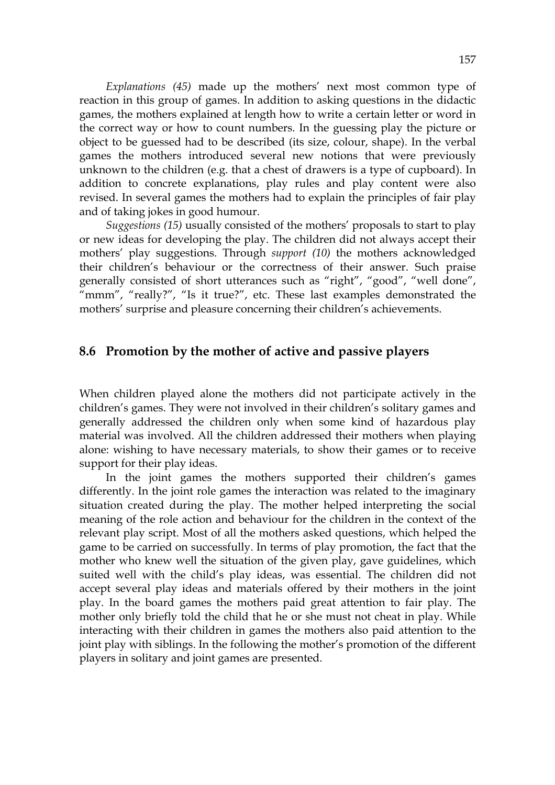*Explanations (45)* made up the mothers' next most common type of reaction in this group of games. In addition to asking questions in the didactic games, the mothers explained at length how to write a certain letter or word in the correct way or how to count numbers. In the guessing play the picture or object to be guessed had to be described (its size, colour, shape). In the verbal games the mothers introduced several new notions that were previously unknown to the children (e.g. that a chest of drawers is a type of cupboard). In addition to concrete explanations, play rules and play content were also revised. In several games the mothers had to explain the principles of fair play and of taking jokes in good humour.

 *Suggestions (15)* usually consisted of the mothers' proposals to start to play or new ideas for developing the play. The children did not always accept their mothers' play suggestions. Through *support (10)* the mothers acknowledged their children's behaviour or the correctness of their answer. Such praise generally consisted of short utterances such as "right", "good", "well done", "mmm", "really?", "Is it true?", etc. These last examples demonstrated the mothers' surprise and pleasure concerning their children's achievements.

# **8.6 Promotion by the mother of active and passive players**

When children played alone the mothers did not participate actively in the children's games. They were not involved in their children's solitary games and generally addressed the children only when some kind of hazardous play material was involved. All the children addressed their mothers when playing alone: wishing to have necessary materials, to show their games or to receive support for their play ideas.

In the joint games the mothers supported their children's games differently. In the joint role games the interaction was related to the imaginary situation created during the play. The mother helped interpreting the social meaning of the role action and behaviour for the children in the context of the relevant play script. Most of all the mothers asked questions, which helped the game to be carried on successfully. In terms of play promotion, the fact that the mother who knew well the situation of the given play, gave guidelines, which suited well with the child's play ideas, was essential. The children did not accept several play ideas and materials offered by their mothers in the joint play. In the board games the mothers paid great attention to fair play. The mother only briefly told the child that he or she must not cheat in play. While interacting with their children in games the mothers also paid attention to the joint play with siblings. In the following the mother's promotion of the different players in solitary and joint games are presented.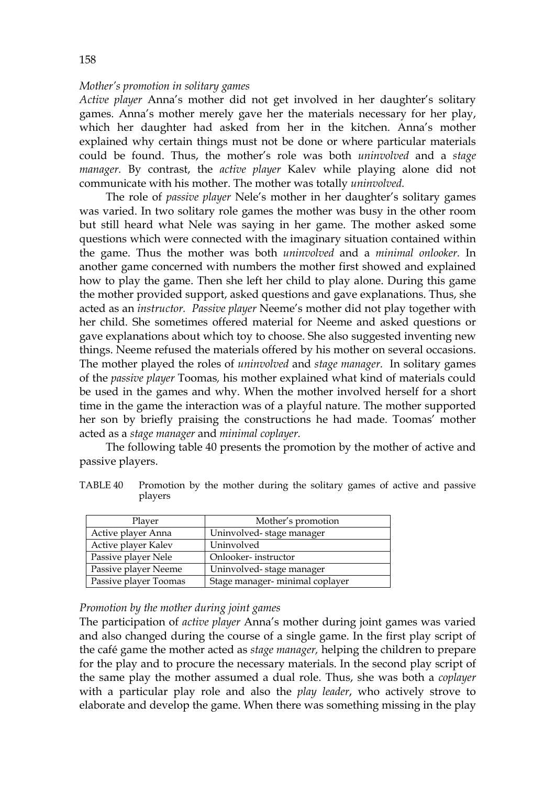### *Mother's promotion in solitary games*

*Active player* Anna's mother did not get involved in her daughter's solitary games. Anna's mother merely gave her the materials necessary for her play, which her daughter had asked from her in the kitchen. Anna's mother explained why certain things must not be done or where particular materials could be found. Thus, the mother's role was both *uninvolved* and a *stage manager.* By contrast, the *active player* Kalev while playing alone did not communicate with his mother. The mother was totally *uninvolved.* 

The role of *passive player* Nele's mother in her daughter's solitary games was varied. In two solitary role games the mother was busy in the other room but still heard what Nele was saying in her game. The mother asked some questions which were connected with the imaginary situation contained within the game. Thus the mother was both *uninvolved* and a *minimal onlooker.* In another game concerned with numbers the mother first showed and explained how to play the game. Then she left her child to play alone. During this game the mother provided support, asked questions and gave explanations. Thus, she acted as an *instructor. Passive player* Neeme's mother did not play together with her child. She sometimes offered material for Neeme and asked questions or gave explanations about which toy to choose. She also suggested inventing new things. Neeme refused the materials offered by his mother on several occasions. The mother played the roles of *uninvolved* and *stage manager.* In solitary games of the *passive player* Toomas*,* his mother explained what kind of materials could be used in the games and why. When the mother involved herself for a short time in the game the interaction was of a playful nature. The mother supported her son by briefly praising the constructions he had made. Toomas' mother acted as a *stage manager* and *minimal coplayer.* 

 The following table 40 presents the promotion by the mother of active and passive players.

| Player                | Mother's promotion             |
|-----------------------|--------------------------------|
| Active player Anna    | Uninvolved-stage manager       |
| Active player Kalev   | Uninvolved                     |
| Passive player Nele   | Onlooker-instructor            |
| Passive player Neeme  | Uninvolved-stage manager       |
| Passive player Toomas | Stage manager-minimal coplayer |

TABLE 40 Promotion by the mother during the solitary games of active and passive players

### *Promotion by the mother during joint games*

The participation of *active player* Anna's mother during joint games was varied and also changed during the course of a single game. In the first play script of the café game the mother acted as *stage manager,* helping the children to prepare for the play and to procure the necessary materials. In the second play script of the same play the mother assumed a dual role. Thus, she was both a *coplayer* with a particular play role and also the *play leader*, who actively strove to elaborate and develop the game. When there was something missing in the play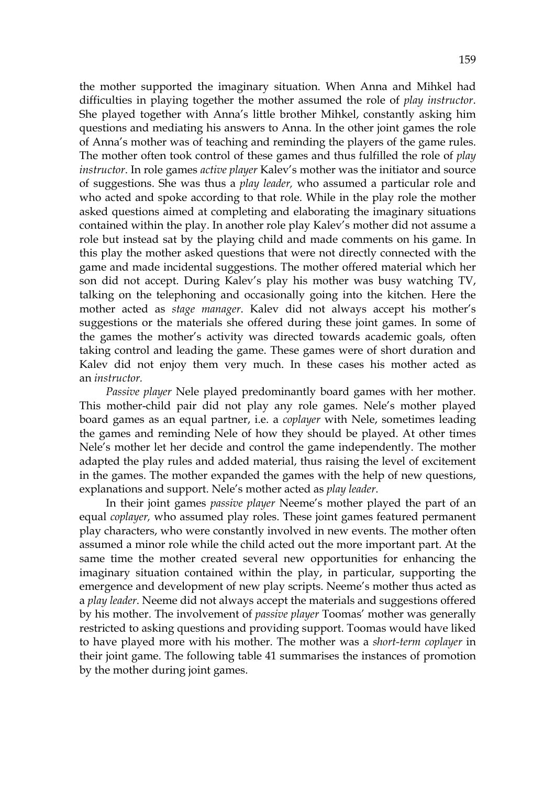the mother supported the imaginary situation. When Anna and Mihkel had difficulties in playing together the mother assumed the role of *play instructor*. She played together with Anna's little brother Mihkel, constantly asking him questions and mediating his answers to Anna. In the other joint games the role of Anna's mother was of teaching and reminding the players of the game rules. The mother often took control of these games and thus fulfilled the role of *play instructor*. In role games *active player* Kalev's mother was the initiator and source of suggestions. She was thus a *play leader,* who assumed a particular role and who acted and spoke according to that role. While in the play role the mother asked questions aimed at completing and elaborating the imaginary situations contained within the play. In another role play Kalev's mother did not assume a role but instead sat by the playing child and made comments on his game. In this play the mother asked questions that were not directly connected with the game and made incidental suggestions. The mother offered material which her son did not accept. During Kalev's play his mother was busy watching TV, talking on the telephoning and occasionally going into the kitchen. Here the mother acted as *stage manager*. Kalev did not always accept his mother's suggestions or the materials she offered during these joint games. In some of the games the mother's activity was directed towards academic goals, often taking control and leading the game. These games were of short duration and Kalev did not enjoy them very much. In these cases his mother acted as an *instructor.* 

 *Passive player* Nele played predominantly board games with her mother. This mother-child pair did not play any role games. Nele's mother played board games as an equal partner, i.e. a *coplayer* with Nele, sometimes leading the games and reminding Nele of how they should be played. At other times Nele's mother let her decide and control the game independently. The mother adapted the play rules and added material, thus raising the level of excitement in the games. The mother expanded the games with the help of new questions, explanations and support. Nele's mother acted as *play leader*.

In their joint games *passive player* Neeme's mother played the part of an equal *coplayer,* who assumed play roles. These joint games featured permanent play characters, who were constantly involved in new events. The mother often assumed a minor role while the child acted out the more important part. At the same time the mother created several new opportunities for enhancing the imaginary situation contained within the play, in particular, supporting the emergence and development of new play scripts. Neeme's mother thus acted as a *play leader*. Neeme did not always accept the materials and suggestions offered by his mother. The involvement of *passive player* Toomas' mother was generally restricted to asking questions and providing support. Toomas would have liked to have played more with his mother. The mother was a *short-term coplayer* in their joint game. The following table 41 summarises the instances of promotion by the mother during joint games.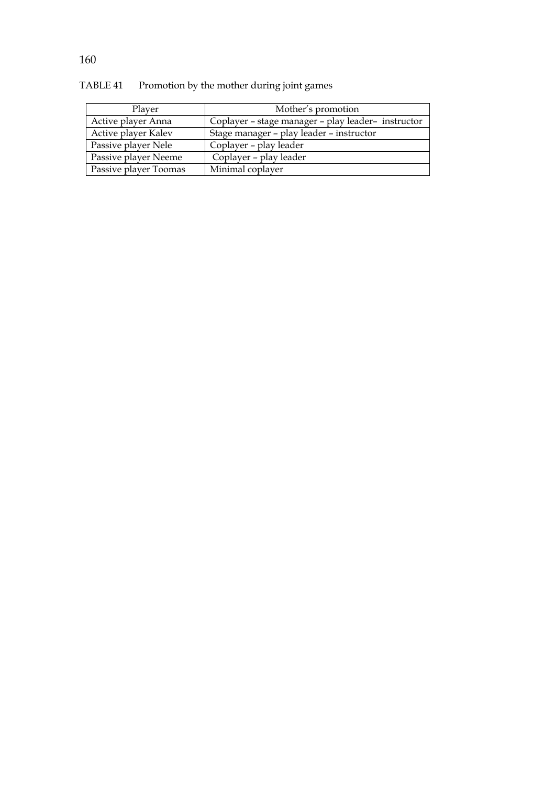| Plaver                | Mother's promotion                                 |
|-----------------------|----------------------------------------------------|
| Active player Anna    | Coplayer - stage manager - play leader- instructor |
| Active player Kalev   | Stage manager – play leader – instructor           |
| Passive player Nele   | Coplayer – play leader                             |
| Passive player Neeme  | Coplayer – play leader                             |
| Passive player Toomas | Minimal coplayer                                   |

TABLE 41 Promotion by the mother during joint games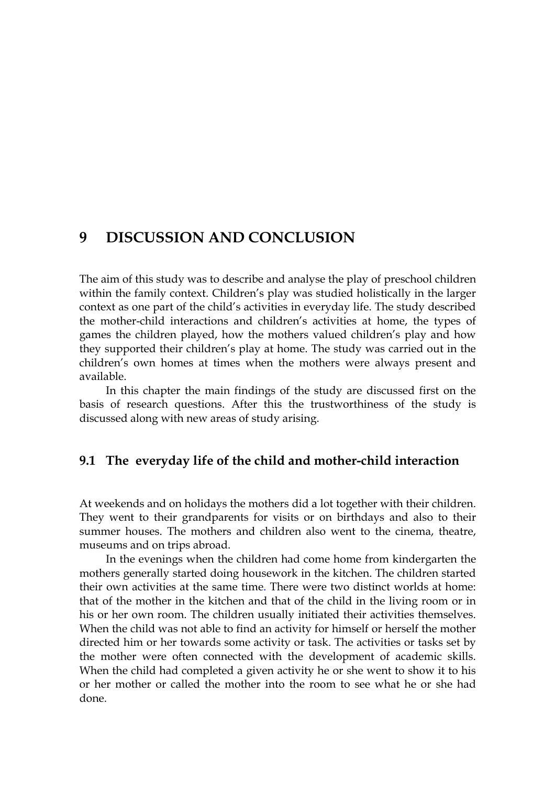# **9 DISCUSSION AND CONCLUSION**

The aim of this study was to describe and analyse the play of preschool children within the family context. Children's play was studied holistically in the larger context as one part of the child's activities in everyday life. The study described the mother-child interactions and children's activities at home, the types of games the children played, how the mothers valued children's play and how they supported their children's play at home. The study was carried out in the children's own homes at times when the mothers were always present and available.

In this chapter the main findings of the study are discussed first on the basis of research questions. After this the trustworthiness of the study is discussed along with new areas of study arising.

# **9.1 The everyday life of the child and mother-child interaction**

At weekends and on holidays the mothers did a lot together with their children. They went to their grandparents for visits or on birthdays and also to their summer houses. The mothers and children also went to the cinema, theatre, museums and on trips abroad.

In the evenings when the children had come home from kindergarten the mothers generally started doing housework in the kitchen. The children started their own activities at the same time. There were two distinct worlds at home: that of the mother in the kitchen and that of the child in the living room or in his or her own room. The children usually initiated their activities themselves. When the child was not able to find an activity for himself or herself the mother directed him or her towards some activity or task. The activities or tasks set by the mother were often connected with the development of academic skills. When the child had completed a given activity he or she went to show it to his or her mother or called the mother into the room to see what he or she had done.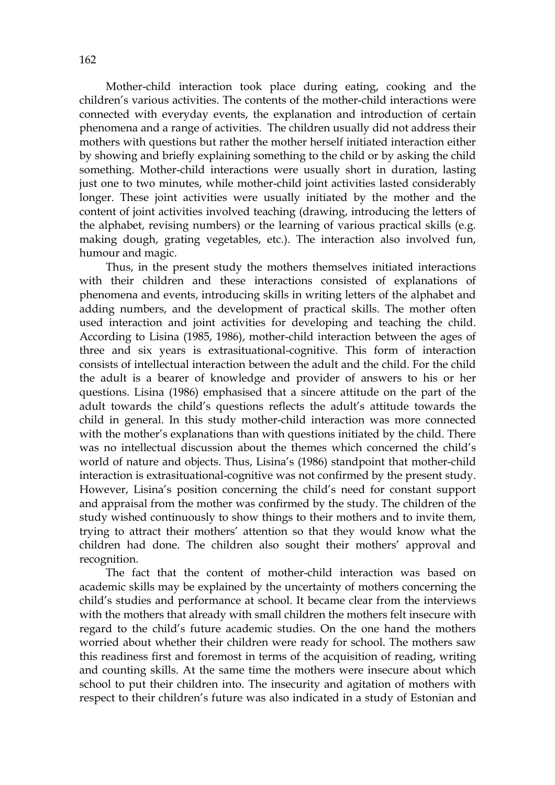Mother-child interaction took place during eating, cooking and the children's various activities. The contents of the mother-child interactions were connected with everyday events, the explanation and introduction of certain phenomena and a range of activities. The children usually did not address their mothers with questions but rather the mother herself initiated interaction either by showing and briefly explaining something to the child or by asking the child something. Mother-child interactions were usually short in duration, lasting just one to two minutes, while mother-child joint activities lasted considerably longer. These joint activities were usually initiated by the mother and the content of joint activities involved teaching (drawing, introducing the letters of the alphabet, revising numbers) or the learning of various practical skills (e.g. making dough, grating vegetables, etc.). The interaction also involved fun, humour and magic.

Thus, in the present study the mothers themselves initiated interactions with their children and these interactions consisted of explanations of phenomena and events, introducing skills in writing letters of the alphabet and adding numbers, and the development of practical skills. The mother often used interaction and joint activities for developing and teaching the child. According to Lisina (1985, 1986), mother-child interaction between the ages of three and six years is extrasituational-cognitive. This form of interaction consists of intellectual interaction between the adult and the child. For the child the adult is a bearer of knowledge and provider of answers to his or her questions. Lisina (1986) emphasised that a sincere attitude on the part of the adult towards the child's questions reflects the adult's attitude towards the child in general. In this study mother-child interaction was more connected with the mother's explanations than with questions initiated by the child. There was no intellectual discussion about the themes which concerned the child's world of nature and objects. Thus, Lisina's (1986) standpoint that mother-child interaction is extrasituational-cognitive was not confirmed by the present study. However, Lisina's position concerning the child's need for constant support and appraisal from the mother was confirmed by the study. The children of the study wished continuously to show things to their mothers and to invite them, trying to attract their mothers' attention so that they would know what the children had done. The children also sought their mothers' approval and recognition.

The fact that the content of mother-child interaction was based on academic skills may be explained by the uncertainty of mothers concerning the child's studies and performance at school. It became clear from the interviews with the mothers that already with small children the mothers felt insecure with regard to the child's future academic studies. On the one hand the mothers worried about whether their children were ready for school. The mothers saw this readiness first and foremost in terms of the acquisition of reading, writing and counting skills. At the same time the mothers were insecure about which school to put their children into. The insecurity and agitation of mothers with respect to their children's future was also indicated in a study of Estonian and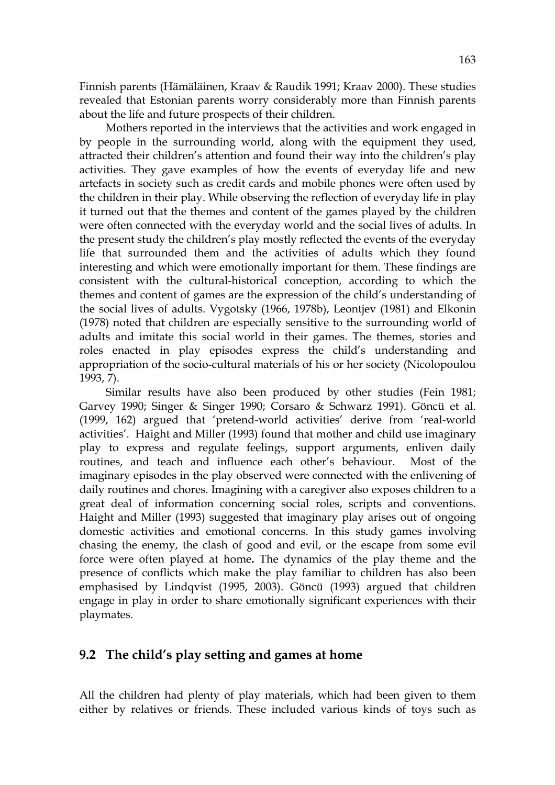Finnish parents (Hämäläinen, Kraav & Raudik 1991; Kraav 2000). These studies revealed that Estonian parents worry considerably more than Finnish parents about the life and future prospects of their children.

Mothers reported in the interviews that the activities and work engaged in by people in the surrounding world, along with the equipment they used, attracted their children's attention and found their way into the children's play activities. They gave examples of how the events of everyday life and new artefacts in society such as credit cards and mobile phones were often used by the children in their play. While observing the reflection of everyday life in play it turned out that the themes and content of the games played by the children were often connected with the everyday world and the social lives of adults. In the present study the children's play mostly reflected the events of the everyday life that surrounded them and the activities of adults which they found interesting and which were emotionally important for them. These findings are consistent with the cultural-historical conception, according to which the themes and content of games are the expression of the child's understanding of the social lives of adults. Vygotsky (1966, 1978b), Leontjev (1981) and Elkonin (1978) noted that children are especially sensitive to the surrounding world of adults and imitate this social world in their games. The themes, stories and roles enacted in play episodes express the child's understanding and appropriation of the socio-cultural materials of his or her society (Nicolopoulou 1993, 7).

Similar results have also been produced by other studies (Fein 1981; Garvey 1990; Singer & Singer 1990; Corsaro & Schwarz 1991). Göncü et al. (1999, 162) argued that 'pretend-world activities' derive from 'real-world activities'. Haight and Miller (1993) found that mother and child use imaginary play to express and regulate feelings, support arguments, enliven daily routines, and teach and influence each other's behaviour. Most of the imaginary episodes in the play observed were connected with the enlivening of daily routines and chores. Imagining with a caregiver also exposes children to a great deal of information concerning social roles, scripts and conventions. Haight and Miller (1993) suggested that imaginary play arises out of ongoing domestic activities and emotional concerns. In this study games involving chasing the enemy, the clash of good and evil, or the escape from some evil force were often played at home**.** The dynamics of the play theme and the presence of conflicts which make the play familiar to children has also been emphasised by Lindqvist (1995, 2003). Göncü (1993) argued that children engage in play in order to share emotionally significant experiences with their playmates.

## **9.2 The child's play setting and games at home**

All the children had plenty of play materials, which had been given to them either by relatives or friends. These included various kinds of toys such as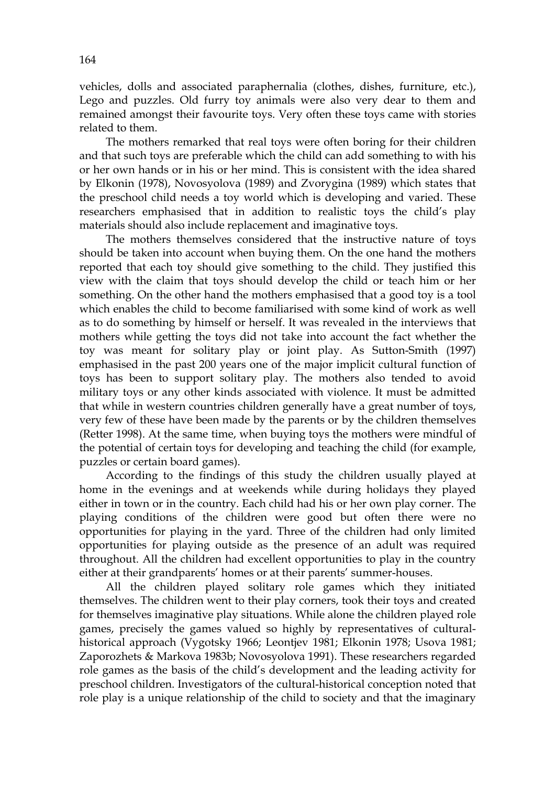vehicles, dolls and associated paraphernalia (clothes, dishes, furniture, etc.), Lego and puzzles. Old furry toy animals were also very dear to them and remained amongst their favourite toys. Very often these toys came with stories related to them.

The mothers remarked that real toys were often boring for their children and that such toys are preferable which the child can add something to with his or her own hands or in his or her mind. This is consistent with the idea shared by Elkonin (1978), Novosyolova (1989) and Zvorygina (1989) which states that the preschool child needs a toy world which is developing and varied. These researchers emphasised that in addition to realistic toys the child's play materials should also include replacement and imaginative toys.

The mothers themselves considered that the instructive nature of toys should be taken into account when buying them. On the one hand the mothers reported that each toy should give something to the child. They justified this view with the claim that toys should develop the child or teach him or her something. On the other hand the mothers emphasised that a good toy is a tool which enables the child to become familiarised with some kind of work as well as to do something by himself or herself. It was revealed in the interviews that mothers while getting the toys did not take into account the fact whether the toy was meant for solitary play or joint play. As Sutton-Smith (1997) emphasised in the past 200 years one of the major implicit cultural function of toys has been to support solitary play. The mothers also tended to avoid military toys or any other kinds associated with violence. It must be admitted that while in western countries children generally have a great number of toys, very few of these have been made by the parents or by the children themselves (Retter 1998). At the same time, when buying toys the mothers were mindful of the potential of certain toys for developing and teaching the child (for example, puzzles or certain board games).

According to the findings of this study the children usually played at home in the evenings and at weekends while during holidays they played either in town or in the country. Each child had his or her own play corner. The playing conditions of the children were good but often there were no opportunities for playing in the yard. Three of the children had only limited opportunities for playing outside as the presence of an adult was required throughout. All the children had excellent opportunities to play in the country either at their grandparents' homes or at their parents' summer-houses.

 All the children played solitary role games which they initiated themselves. The children went to their play corners, took their toys and created for themselves imaginative play situations. While alone the children played role games, precisely the games valued so highly by representatives of culturalhistorical approach (Vygotsky 1966; Leontjev 1981; Elkonin 1978; Usova 1981; Zaporozhets & Markova 1983b; Novosyolova 1991). These researchers regarded role games as the basis of the child's development and the leading activity for preschool children. Investigators of the cultural-historical conception noted that role play is a unique relationship of the child to society and that the imaginary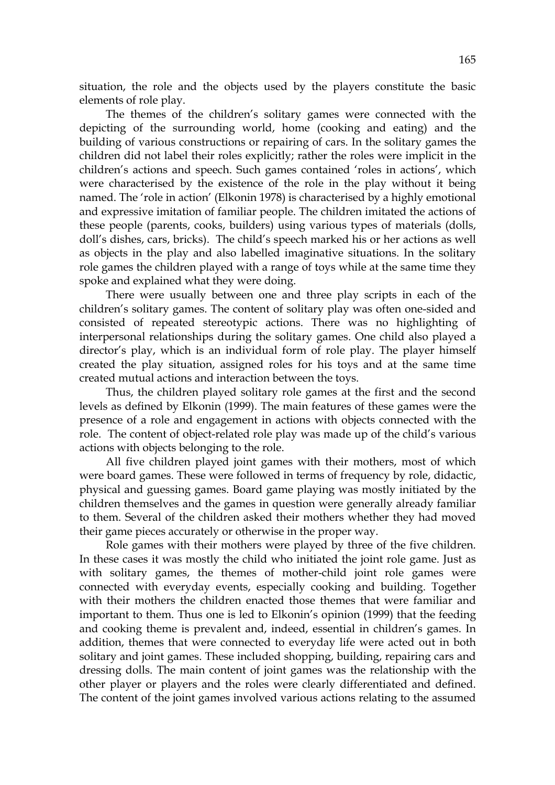situation, the role and the objects used by the players constitute the basic elements of role play.

The themes of the children's solitary games were connected with the depicting of the surrounding world, home (cooking and eating) and the building of various constructions or repairing of cars. In the solitary games the children did not label their roles explicitly; rather the roles were implicit in the children's actions and speech. Such games contained 'roles in actions', which were characterised by the existence of the role in the play without it being named. The 'role in action' (Elkonin 1978) is characterised by a highly emotional and expressive imitation of familiar people. The children imitated the actions of these people (parents, cooks, builders) using various types of materials (dolls, doll's dishes, cars, bricks). The child's speech marked his or her actions as well as objects in the play and also labelled imaginative situations. In the solitary role games the children played with a range of toys while at the same time they spoke and explained what they were doing.

There were usually between one and three play scripts in each of the children's solitary games. The content of solitary play was often one-sided and consisted of repeated stereotypic actions. There was no highlighting of interpersonal relationships during the solitary games. One child also played a director's play, which is an individual form of role play. The player himself created the play situation, assigned roles for his toys and at the same time created mutual actions and interaction between the toys.

Thus, the children played solitary role games at the first and the second levels as defined by Elkonin (1999). The main features of these games were the presence of a role and engagement in actions with objects connected with the role. The content of object-related role play was made up of the child's various actions with objects belonging to the role.

All five children played joint games with their mothers, most of which were board games. These were followed in terms of frequency by role, didactic, physical and guessing games. Board game playing was mostly initiated by the children themselves and the games in question were generally already familiar to them. Several of the children asked their mothers whether they had moved their game pieces accurately or otherwise in the proper way.

 Role games with their mothers were played by three of the five children. In these cases it was mostly the child who initiated the joint role game. Just as with solitary games, the themes of mother-child joint role games were connected with everyday events, especially cooking and building. Together with their mothers the children enacted those themes that were familiar and important to them. Thus one is led to Elkonin's opinion (1999) that the feeding and cooking theme is prevalent and, indeed, essential in children's games. In addition, themes that were connected to everyday life were acted out in both solitary and joint games. These included shopping, building, repairing cars and dressing dolls. The main content of joint games was the relationship with the other player or players and the roles were clearly differentiated and defined. The content of the joint games involved various actions relating to the assumed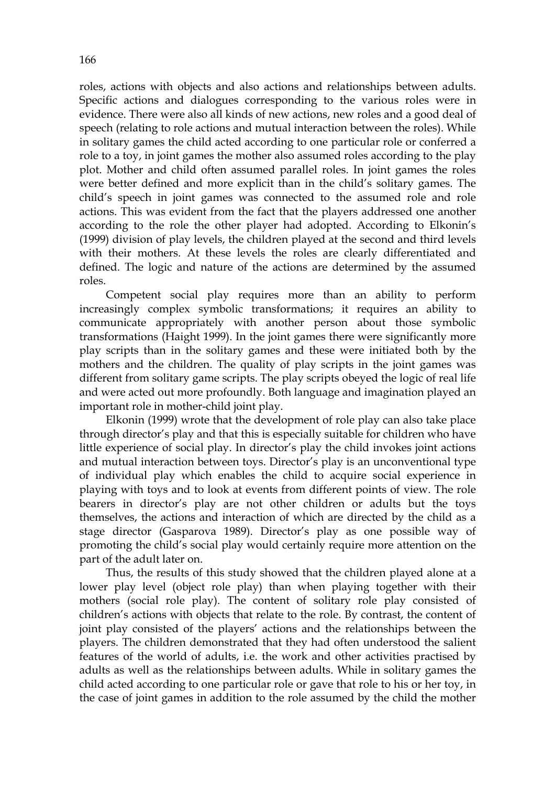roles, actions with objects and also actions and relationships between adults. Specific actions and dialogues corresponding to the various roles were in evidence. There were also all kinds of new actions, new roles and a good deal of speech (relating to role actions and mutual interaction between the roles). While in solitary games the child acted according to one particular role or conferred a role to a toy, in joint games the mother also assumed roles according to the play plot. Mother and child often assumed parallel roles. In joint games the roles were better defined and more explicit than in the child's solitary games. The child's speech in joint games was connected to the assumed role and role actions. This was evident from the fact that the players addressed one another according to the role the other player had adopted. According to Elkonin's (1999) division of play levels, the children played at the second and third levels with their mothers. At these levels the roles are clearly differentiated and defined. The logic and nature of the actions are determined by the assumed roles.

Competent social play requires more than an ability to perform increasingly complex symbolic transformations; it requires an ability to communicate appropriately with another person about those symbolic transformations (Haight 1999). In the joint games there were significantly more play scripts than in the solitary games and these were initiated both by the mothers and the children. The quality of play scripts in the joint games was different from solitary game scripts. The play scripts obeyed the logic of real life and were acted out more profoundly. Both language and imagination played an important role in mother-child joint play.

 Elkonin (1999) wrote that the development of role play can also take place through director's play and that this is especially suitable for children who have little experience of social play. In director's play the child invokes joint actions and mutual interaction between toys. Director's play is an unconventional type of individual play which enables the child to acquire social experience in playing with toys and to look at events from different points of view. The role bearers in director's play are not other children or adults but the toys themselves, the actions and interaction of which are directed by the child as a stage director (Gasparova 1989). Director's play as one possible way of promoting the child's social play would certainly require more attention on the part of the adult later on.

 Thus, the results of this study showed that the children played alone at a lower play level (object role play) than when playing together with their mothers (social role play). The content of solitary role play consisted of children's actions with objects that relate to the role. By contrast, the content of joint play consisted of the players' actions and the relationships between the players. The children demonstrated that they had often understood the salient features of the world of adults, i.e. the work and other activities practised by adults as well as the relationships between adults. While in solitary games the child acted according to one particular role or gave that role to his or her toy, in the case of joint games in addition to the role assumed by the child the mother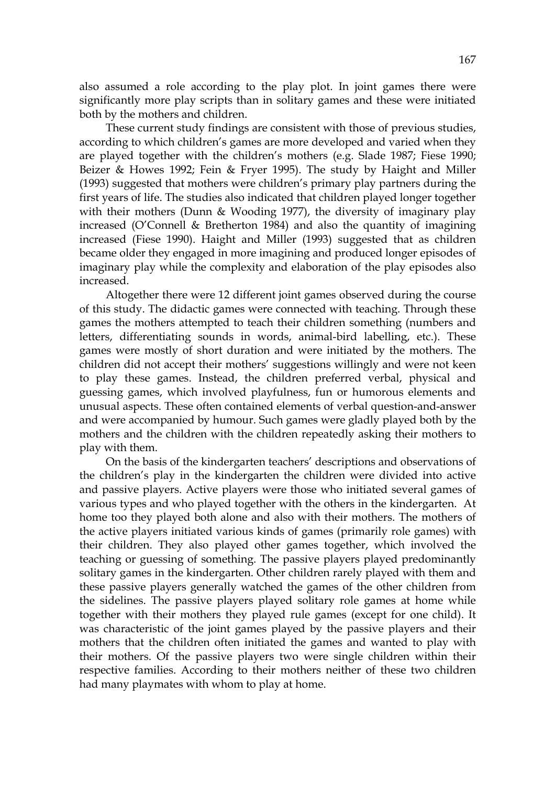also assumed a role according to the play plot. In joint games there were significantly more play scripts than in solitary games and these were initiated both by the mothers and children.

These current study findings are consistent with those of previous studies, according to which children's games are more developed and varied when they are played together with the children's mothers (e.g. Slade 1987; Fiese 1990; Beizer & Howes 1992; Fein & Fryer 1995). The study by Haight and Miller (1993) suggested that mothers were children's primary play partners during the first years of life. The studies also indicated that children played longer together with their mothers (Dunn & Wooding 1977), the diversity of imaginary play increased (O'Connell & Bretherton 1984) and also the quantity of imagining increased (Fiese 1990). Haight and Miller (1993) suggested that as children became older they engaged in more imagining and produced longer episodes of imaginary play while the complexity and elaboration of the play episodes also increased.

 Altogether there were 12 different joint games observed during the course of this study. The didactic games were connected with teaching. Through these games the mothers attempted to teach their children something (numbers and letters, differentiating sounds in words, animal-bird labelling, etc.). These games were mostly of short duration and were initiated by the mothers. The children did not accept their mothers' suggestions willingly and were not keen to play these games. Instead, the children preferred verbal, physical and guessing games, which involved playfulness, fun or humorous elements and unusual aspects. These often contained elements of verbal question-and-answer and were accompanied by humour. Such games were gladly played both by the mothers and the children with the children repeatedly asking their mothers to play with them.

 On the basis of the kindergarten teachers' descriptions and observations of the children's play in the kindergarten the children were divided into active and passive players. Active players were those who initiated several games of various types and who played together with the others in the kindergarten. At home too they played both alone and also with their mothers. The mothers of the active players initiated various kinds of games (primarily role games) with their children. They also played other games together, which involved the teaching or guessing of something. The passive players played predominantly solitary games in the kindergarten. Other children rarely played with them and these passive players generally watched the games of the other children from the sidelines. The passive players played solitary role games at home while together with their mothers they played rule games (except for one child). It was characteristic of the joint games played by the passive players and their mothers that the children often initiated the games and wanted to play with their mothers. Of the passive players two were single children within their respective families. According to their mothers neither of these two children had many playmates with whom to play at home.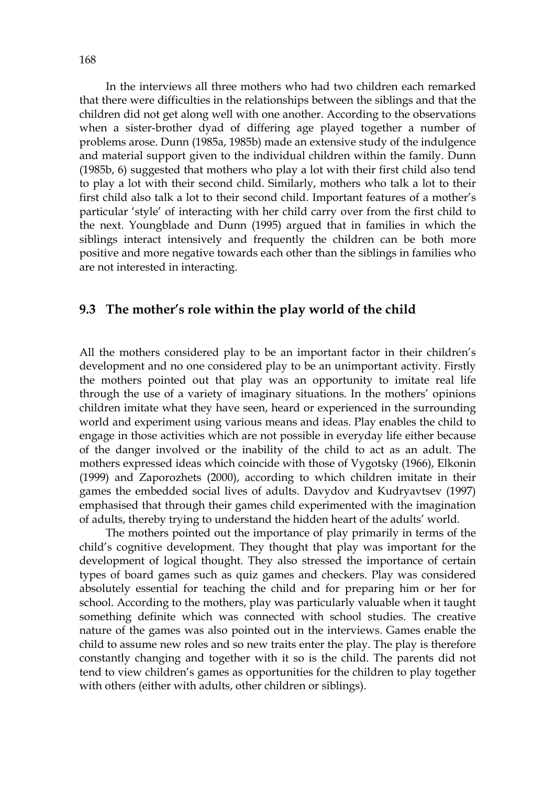In the interviews all three mothers who had two children each remarked that there were difficulties in the relationships between the siblings and that the children did not get along well with one another. According to the observations when a sister-brother dyad of differing age played together a number of problems arose. Dunn (1985a, 1985b) made an extensive study of the indulgence and material support given to the individual children within the family. Dunn (1985b, 6) suggested that mothers who play a lot with their first child also tend to play a lot with their second child. Similarly, mothers who talk a lot to their first child also talk a lot to their second child. Important features of a mother's particular 'style' of interacting with her child carry over from the first child to the next. Youngblade and Dunn (1995) argued that in families in which the siblings interact intensively and frequently the children can be both more positive and more negative towards each other than the siblings in families who are not interested in interacting.

## **9.3 The mother's role within the play world of the child**

All the mothers considered play to be an important factor in their children's development and no one considered play to be an unimportant activity. Firstly the mothers pointed out that play was an opportunity to imitate real life through the use of a variety of imaginary situations. In the mothers' opinions children imitate what they have seen, heard or experienced in the surrounding world and experiment using various means and ideas. Play enables the child to engage in those activities which are not possible in everyday life either because of the danger involved or the inability of the child to act as an adult. The mothers expressed ideas which coincide with those of Vygotsky (1966), Elkonin (1999) and Zaporozhets (2000), according to which children imitate in their games the embedded social lives of adults. Davydov and Kudryavtsev (1997) emphasised that through their games child experimented with the imagination of adults, thereby trying to understand the hidden heart of the adults' world.

 The mothers pointed out the importance of play primarily in terms of the child's cognitive development. They thought that play was important for the development of logical thought. They also stressed the importance of certain types of board games such as quiz games and checkers. Play was considered absolutely essential for teaching the child and for preparing him or her for school. According to the mothers, play was particularly valuable when it taught something definite which was connected with school studies. The creative nature of the games was also pointed out in the interviews. Games enable the child to assume new roles and so new traits enter the play. The play is therefore constantly changing and together with it so is the child. The parents did not tend to view children's games as opportunities for the children to play together with others (either with adults, other children or siblings).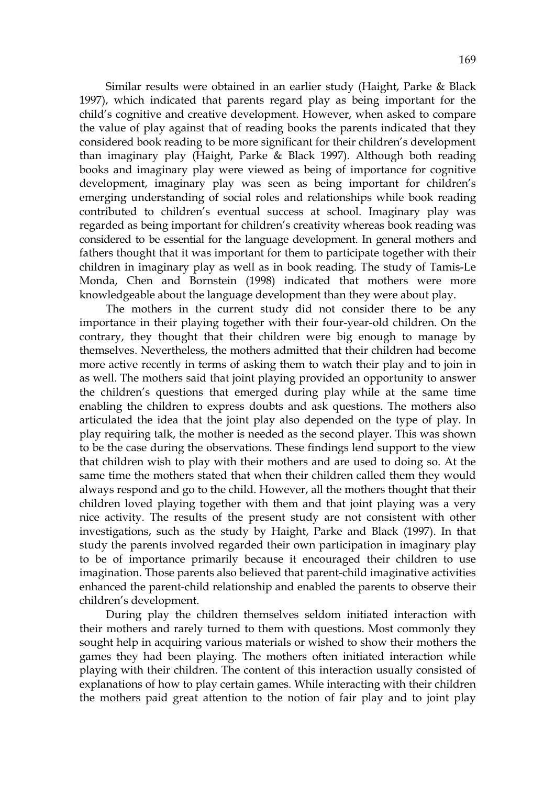Similar results were obtained in an earlier study (Haight, Parke & Black 1997), which indicated that parents regard play as being important for the child's cognitive and creative development. However, when asked to compare the value of play against that of reading books the parents indicated that they considered book reading to be more significant for their children's development than imaginary play (Haight, Parke & Black 1997). Although both reading books and imaginary play were viewed as being of importance for cognitive development, imaginary play was seen as being important for children's emerging understanding of social roles and relationships while book reading contributed to children's eventual success at school. Imaginary play was regarded as being important for children's creativity whereas book reading was considered to be essential for the language development. In general mothers and fathers thought that it was important for them to participate together with their children in imaginary play as well as in book reading. The study of Tamis-Le Monda, Chen and Bornstein (1998) indicated that mothers were more knowledgeable about the language development than they were about play.

 The mothers in the current study did not consider there to be any importance in their playing together with their four-year-old children. On the contrary, they thought that their children were big enough to manage by themselves. Nevertheless, the mothers admitted that their children had become more active recently in terms of asking them to watch their play and to join in as well. The mothers said that joint playing provided an opportunity to answer the children's questions that emerged during play while at the same time enabling the children to express doubts and ask questions. The mothers also articulated the idea that the joint play also depended on the type of play. In play requiring talk, the mother is needed as the second player. This was shown to be the case during the observations. These findings lend support to the view that children wish to play with their mothers and are used to doing so. At the same time the mothers stated that when their children called them they would always respond and go to the child. However, all the mothers thought that their children loved playing together with them and that joint playing was a very nice activity. The results of the present study are not consistent with other investigations, such as the study by Haight, Parke and Black (1997). In that study the parents involved regarded their own participation in imaginary play to be of importance primarily because it encouraged their children to use imagination. Those parents also believed that parent-child imaginative activities enhanced the parent-child relationship and enabled the parents to observe their children's development.

 During play the children themselves seldom initiated interaction with their mothers and rarely turned to them with questions. Most commonly they sought help in acquiring various materials or wished to show their mothers the games they had been playing. The mothers often initiated interaction while playing with their children. The content of this interaction usually consisted of explanations of how to play certain games. While interacting with their children the mothers paid great attention to the notion of fair play and to joint play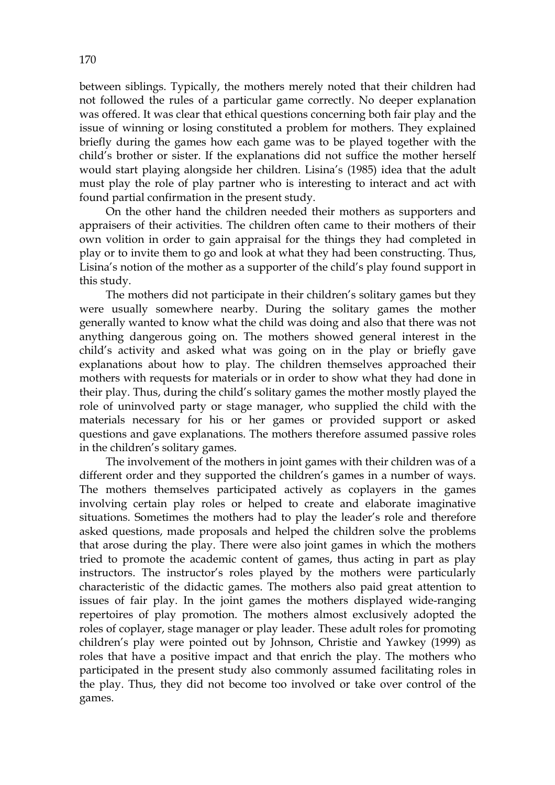between siblings. Typically, the mothers merely noted that their children had not followed the rules of a particular game correctly. No deeper explanation was offered. It was clear that ethical questions concerning both fair play and the issue of winning or losing constituted a problem for mothers. They explained briefly during the games how each game was to be played together with the child's brother or sister. If the explanations did not suffice the mother herself would start playing alongside her children. Lisina's (1985) idea that the adult must play the role of play partner who is interesting to interact and act with found partial confirmation in the present study.

 On the other hand the children needed their mothers as supporters and appraisers of their activities. The children often came to their mothers of their own volition in order to gain appraisal for the things they had completed in play or to invite them to go and look at what they had been constructing. Thus, Lisina's notion of the mother as a supporter of the child's play found support in this study.

The mothers did not participate in their children's solitary games but they were usually somewhere nearby. During the solitary games the mother generally wanted to know what the child was doing and also that there was not anything dangerous going on. The mothers showed general interest in the child's activity and asked what was going on in the play or briefly gave explanations about how to play. The children themselves approached their mothers with requests for materials or in order to show what they had done in their play. Thus, during the child's solitary games the mother mostly played the role of uninvolved party or stage manager, who supplied the child with the materials necessary for his or her games or provided support or asked questions and gave explanations. The mothers therefore assumed passive roles in the children's solitary games.

 The involvement of the mothers in joint games with their children was of a different order and they supported the children's games in a number of ways. The mothers themselves participated actively as coplayers in the games involving certain play roles or helped to create and elaborate imaginative situations. Sometimes the mothers had to play the leader's role and therefore asked questions, made proposals and helped the children solve the problems that arose during the play. There were also joint games in which the mothers tried to promote the academic content of games, thus acting in part as play instructors. The instructor's roles played by the mothers were particularly characteristic of the didactic games. The mothers also paid great attention to issues of fair play. In the joint games the mothers displayed wide-ranging repertoires of play promotion. The mothers almost exclusively adopted the roles of coplayer, stage manager or play leader. These adult roles for promoting children's play were pointed out by Johnson, Christie and Yawkey (1999) as roles that have a positive impact and that enrich the play. The mothers who participated in the present study also commonly assumed facilitating roles in the play. Thus, they did not become too involved or take over control of the games.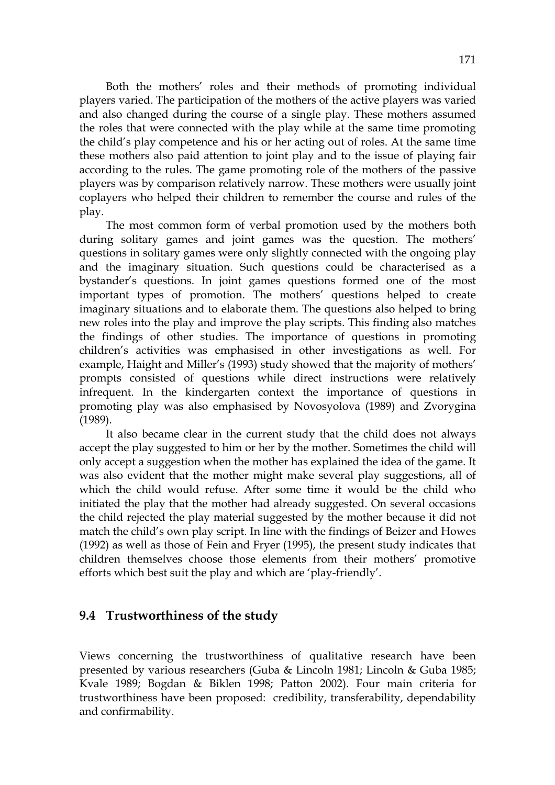Both the mothers' roles and their methods of promoting individual players varied. The participation of the mothers of the active players was varied and also changed during the course of a single play. These mothers assumed the roles that were connected with the play while at the same time promoting the child's play competence and his or her acting out of roles. At the same time these mothers also paid attention to joint play and to the issue of playing fair according to the rules. The game promoting role of the mothers of the passive players was by comparison relatively narrow. These mothers were usually joint coplayers who helped their children to remember the course and rules of the play.

 The most common form of verbal promotion used by the mothers both during solitary games and joint games was the question. The mothers' questions in solitary games were only slightly connected with the ongoing play and the imaginary situation. Such questions could be characterised as a bystander's questions. In joint games questions formed one of the most important types of promotion. The mothers' questions helped to create imaginary situations and to elaborate them. The questions also helped to bring new roles into the play and improve the play scripts. This finding also matches the findings of other studies. The importance of questions in promoting children's activities was emphasised in other investigations as well. For example, Haight and Miller's (1993) study showed that the majority of mothers' prompts consisted of questions while direct instructions were relatively infrequent. In the kindergarten context the importance of questions in promoting play was also emphasised by Novosyolova (1989) and Zvorygina (1989).

 It also became clear in the current study that the child does not always accept the play suggested to him or her by the mother. Sometimes the child will only accept a suggestion when the mother has explained the idea of the game. It was also evident that the mother might make several play suggestions, all of which the child would refuse. After some time it would be the child who initiated the play that the mother had already suggested. On several occasions the child rejected the play material suggested by the mother because it did not match the child's own play script. In line with the findings of Beizer and Howes (1992) as well as those of Fein and Fryer (1995), the present study indicates that children themselves choose those elements from their mothers' promotive efforts which best suit the play and which are 'play-friendly'.

# **9.4 Trustworthiness of the study**

Views concerning the trustworthiness of qualitative research have been presented by various researchers (Guba & Lincoln 1981; Lincoln & Guba 1985; Kvale 1989; Bogdan & Biklen 1998; Patton 2002). Four main criteria for trustworthiness have been proposed: credibility, transferability, dependability and confirmability.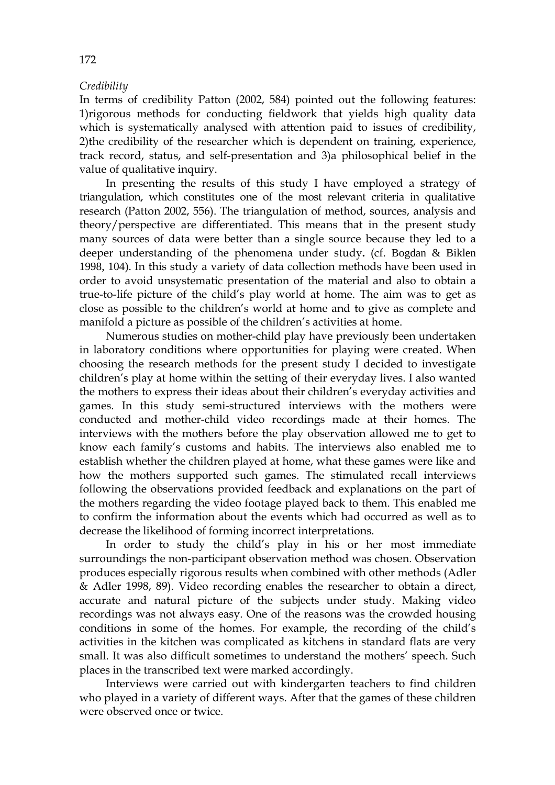### *Credibility*

In terms of credibility Patton (2002, 584) pointed out the following features: 1)rigorous methods for conducting fieldwork that yields high quality data which is systematically analysed with attention paid to issues of credibility, 2)the credibility of the researcher which is dependent on training, experience, track record, status, and self-presentation and 3)a philosophical belief in the value of qualitative inquiry.

In presenting the results of this study I have employed a strategy of triangulation, which constitutes one of the most relevant criteria in qualitative research (Patton 2002, 556). The triangulation of method, sources, analysis and theory/perspective are differentiated. This means that in the present study many sources of data were better than a single source because they led to a deeper understanding of the phenomena under study**.** (cf. Bogdan & Biklen 1998, 104). In this study a variety of data collection methods have been used in order to avoid unsystematic presentation of the material and also to obtain a true-to-life picture of the child's play world at home. The aim was to get as close as possible to the children's world at home and to give as complete and manifold a picture as possible of the children's activities at home.

 Numerous studies on mother-child play have previously been undertaken in laboratory conditions where opportunities for playing were created. When choosing the research methods for the present study I decided to investigate children's play at home within the setting of their everyday lives. I also wanted the mothers to express their ideas about their children's everyday activities and games. In this study semi-structured interviews with the mothers were conducted and mother-child video recordings made at their homes. The interviews with the mothers before the play observation allowed me to get to know each family's customs and habits. The interviews also enabled me to establish whether the children played at home, what these games were like and how the mothers supported such games. The stimulated recall interviews following the observations provided feedback and explanations on the part of the mothers regarding the video footage played back to them. This enabled me to confirm the information about the events which had occurred as well as to decrease the likelihood of forming incorrect interpretations.

In order to study the child's play in his or her most immediate surroundings the non-participant observation method was chosen. Observation produces especially rigorous results when combined with other methods (Adler & Adler 1998, 89). Video recording enables the researcher to obtain a direct, accurate and natural picture of the subjects under study. Making video recordings was not always easy. One of the reasons was the crowded housing conditions in some of the homes. For example, the recording of the child's activities in the kitchen was complicated as kitchens in standard flats are very small. It was also difficult sometimes to understand the mothers' speech. Such places in the transcribed text were marked accordingly.

 Interviews were carried out with kindergarten teachers to find children who played in a variety of different ways. After that the games of these children were observed once or twice.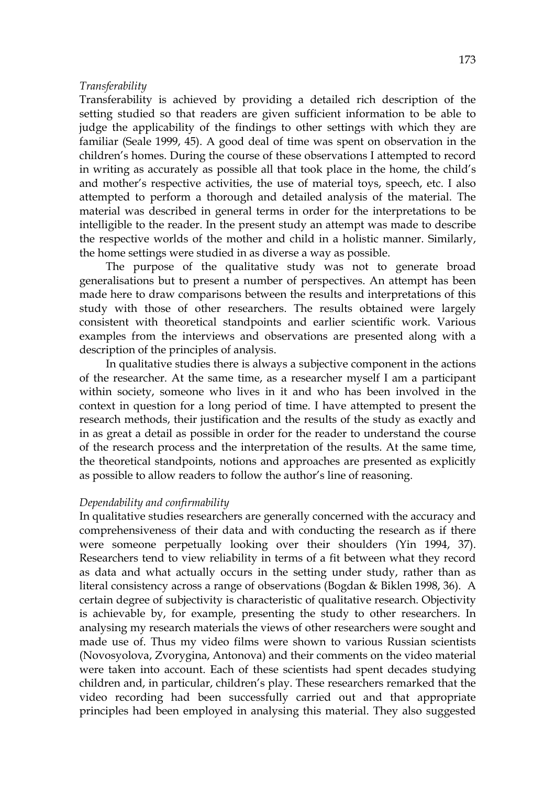#### *Transferability*

Transferability is achieved by providing a detailed rich description of the setting studied so that readers are given sufficient information to be able to judge the applicability of the findings to other settings with which they are familiar (Seale 1999, 45). A good deal of time was spent on observation in the children's homes. During the course of these observations I attempted to record in writing as accurately as possible all that took place in the home, the child's and mother's respective activities, the use of material toys, speech, etc. I also attempted to perform a thorough and detailed analysis of the material. The material was described in general terms in order for the interpretations to be intelligible to the reader. In the present study an attempt was made to describe the respective worlds of the mother and child in a holistic manner. Similarly, the home settings were studied in as diverse a way as possible.

 The purpose of the qualitative study was not to generate broad generalisations but to present a number of perspectives. An attempt has been made here to draw comparisons between the results and interpretations of this study with those of other researchers. The results obtained were largely consistent with theoretical standpoints and earlier scientific work. Various examples from the interviews and observations are presented along with a description of the principles of analysis.

 In qualitative studies there is always a subjective component in the actions of the researcher. At the same time, as a researcher myself I am a participant within society, someone who lives in it and who has been involved in the context in question for a long period of time. I have attempted to present the research methods, their justification and the results of the study as exactly and in as great a detail as possible in order for the reader to understand the course of the research process and the interpretation of the results. At the same time, the theoretical standpoints, notions and approaches are presented as explicitly as possible to allow readers to follow the author's line of reasoning.

#### *Dependability and confirmability*

In qualitative studies researchers are generally concerned with the accuracy and comprehensiveness of their data and with conducting the research as if there were someone perpetually looking over their shoulders (Yin 1994, 37). Researchers tend to view reliability in terms of a fit between what they record as data and what actually occurs in the setting under study, rather than as literal consistency across a range of observations (Bogdan & Biklen 1998, 36). A certain degree of subjectivity is characteristic of qualitative research. Objectivity is achievable by, for example, presenting the study to other researchers. In analysing my research materials the views of other researchers were sought and made use of. Thus my video films were shown to various Russian scientists (Novosyolova, Zvorygina, Antonova) and their comments on the video material were taken into account. Each of these scientists had spent decades studying children and, in particular, children's play. These researchers remarked that the video recording had been successfully carried out and that appropriate principles had been employed in analysing this material. They also suggested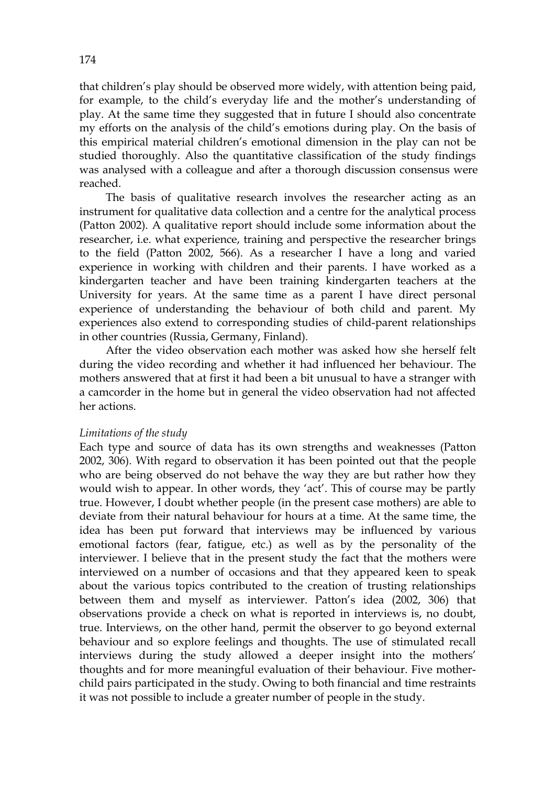that children's play should be observed more widely, with attention being paid, for example, to the child's everyday life and the mother's understanding of play. At the same time they suggested that in future I should also concentrate my efforts on the analysis of the child's emotions during play. On the basis of this empirical material children's emotional dimension in the play can not be studied thoroughly. Also the quantitative classification of the study findings was analysed with a colleague and after a thorough discussion consensus were reached.

 The basis of qualitative research involves the researcher acting as an instrument for qualitative data collection and a centre for the analytical process (Patton 2002). A qualitative report should include some information about the researcher, i.e. what experience, training and perspective the researcher brings to the field (Patton 2002, 566). As a researcher I have a long and varied experience in working with children and their parents. I have worked as a kindergarten teacher and have been training kindergarten teachers at the University for years. At the same time as a parent I have direct personal experience of understanding the behaviour of both child and parent. My experiences also extend to corresponding studies of child-parent relationships in other countries (Russia, Germany, Finland).

 After the video observation each mother was asked how she herself felt during the video recording and whether it had influenced her behaviour. The mothers answered that at first it had been a bit unusual to have a stranger with a camcorder in the home but in general the video observation had not affected her actions.

#### *Limitations of the study*

Each type and source of data has its own strengths and weaknesses (Patton 2002, 306). With regard to observation it has been pointed out that the people who are being observed do not behave the way they are but rather how they would wish to appear. In other words, they 'act'. This of course may be partly true. However, I doubt whether people (in the present case mothers) are able to deviate from their natural behaviour for hours at a time. At the same time, the idea has been put forward that interviews may be influenced by various emotional factors (fear, fatigue, etc.) as well as by the personality of the interviewer. I believe that in the present study the fact that the mothers were interviewed on a number of occasions and that they appeared keen to speak about the various topics contributed to the creation of trusting relationships between them and myself as interviewer. Patton's idea (2002, 306) that observations provide a check on what is reported in interviews is, no doubt, true. Interviews, on the other hand, permit the observer to go beyond external behaviour and so explore feelings and thoughts. The use of stimulated recall interviews during the study allowed a deeper insight into the mothers' thoughts and for more meaningful evaluation of their behaviour. Five motherchild pairs participated in the study. Owing to both financial and time restraints it was not possible to include a greater number of people in the study.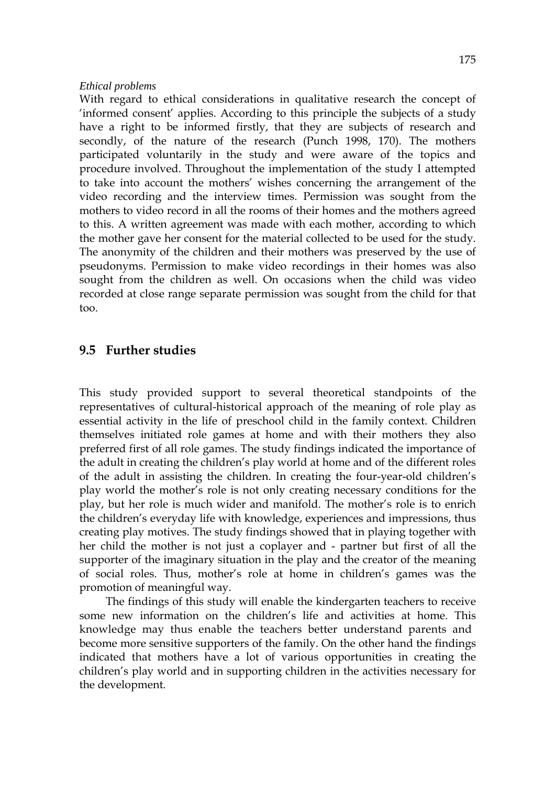#### *Ethical problems*

With regard to ethical considerations in qualitative research the concept of 'informed consent' applies. According to this principle the subjects of a study have a right to be informed firstly, that they are subjects of research and secondly, of the nature of the research (Punch 1998, 170). The mothers participated voluntarily in the study and were aware of the topics and procedure involved. Throughout the implementation of the study I attempted to take into account the mothers' wishes concerning the arrangement of the video recording and the interview times. Permission was sought from the mothers to video record in all the rooms of their homes and the mothers agreed to this. A written agreement was made with each mother, according to which the mother gave her consent for the material collected to be used for the study. The anonymity of the children and their mothers was preserved by the use of pseudonyms. Permission to make video recordings in their homes was also sought from the children as well. On occasions when the child was video recorded at close range separate permission was sought from the child for that too.

## **9.5 Further studies**

This study provided support to several theoretical standpoints of the representatives of cultural-historical approach of the meaning of role play as essential activity in the life of preschool child in the family context. Children themselves initiated role games at home and with their mothers they also preferred first of all role games. The study findings indicated the importance of the adult in creating the children's play world at home and of the different roles of the adult in assisting the children. In creating the four-year-old children's play world the mother's role is not only creating necessary conditions for the play, but her role is much wider and manifold. The mother's role is to enrich the children's everyday life with knowledge, experiences and impressions, thus creating play motives. The study findings showed that in playing together with her child the mother is not just a coplayer and - partner but first of all the supporter of the imaginary situation in the play and the creator of the meaning of social roles. Thus, mother's role at home in children's games was the promotion of meaningful way.

The findings of this study will enable the kindergarten teachers to receive some new information on the children's life and activities at home. This knowledge may thus enable the teachers better understand parents and become more sensitive supporters of the family. On the other hand the findings indicated that mothers have a lot of various opportunities in creating the children's play world and in supporting children in the activities necessary for the development.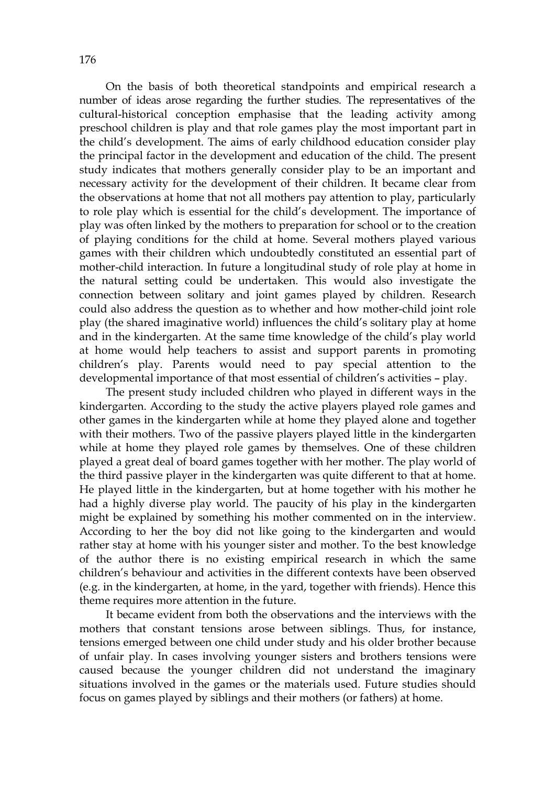On the basis of both theoretical standpoints and empirical research a number of ideas arose regarding the further studies. The representatives of the cultural-historical conception emphasise that the leading activity among preschool children is play and that role games play the most important part in the child's development. The aims of early childhood education consider play the principal factor in the development and education of the child. The present study indicates that mothers generally consider play to be an important and necessary activity for the development of their children. It became clear from the observations at home that not all mothers pay attention to play, particularly to role play which is essential for the child's development. The importance of play was often linked by the mothers to preparation for school or to the creation of playing conditions for the child at home. Several mothers played various games with their children which undoubtedly constituted an essential part of mother-child interaction. In future a longitudinal study of role play at home in the natural setting could be undertaken. This would also investigate the connection between solitary and joint games played by children. Research could also address the question as to whether and how mother-child joint role play (the shared imaginative world) influences the child's solitary play at home and in the kindergarten. At the same time knowledge of the child's play world at home would help teachers to assist and support parents in promoting children's play. Parents would need to pay special attention to the developmental importance of that most essential of children's activities – play.

 The present study included children who played in different ways in the kindergarten. According to the study the active players played role games and other games in the kindergarten while at home they played alone and together with their mothers. Two of the passive players played little in the kindergarten while at home they played role games by themselves. One of these children played a great deal of board games together with her mother. The play world of the third passive player in the kindergarten was quite different to that at home. He played little in the kindergarten, but at home together with his mother he had a highly diverse play world. The paucity of his play in the kindergarten might be explained by something his mother commented on in the interview. According to her the boy did not like going to the kindergarten and would rather stay at home with his younger sister and mother. To the best knowledge of the author there is no existing empirical research in which the same children's behaviour and activities in the different contexts have been observed (e.g. in the kindergarten, at home, in the yard, together with friends). Hence this theme requires more attention in the future.

 It became evident from both the observations and the interviews with the mothers that constant tensions arose between siblings. Thus, for instance, tensions emerged between one child under study and his older brother because of unfair play. In cases involving younger sisters and brothers tensions were caused because the younger children did not understand the imaginary situations involved in the games or the materials used. Future studies should focus on games played by siblings and their mothers (or fathers) at home.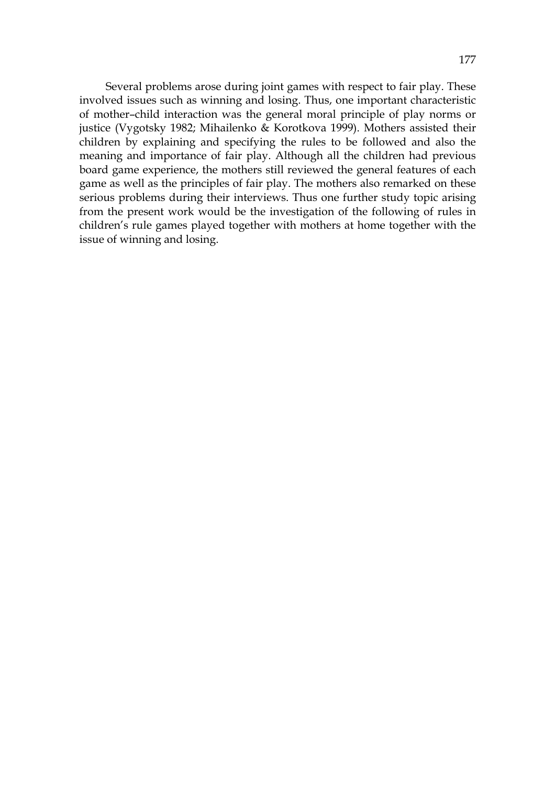Several problems arose during joint games with respect to fair play. These involved issues such as winning and losing. Thus, one important characteristic of mother–child interaction was the general moral principle of play norms or justice (Vygotsky 1982; Mihailenko & Korotkova 1999). Mothers assisted their children by explaining and specifying the rules to be followed and also the meaning and importance of fair play. Although all the children had previous board game experience, the mothers still reviewed the general features of each game as well as the principles of fair play. The mothers also remarked on these serious problems during their interviews. Thus one further study topic arising from the present work would be the investigation of the following of rules in children's rule games played together with mothers at home together with the issue of winning and losing.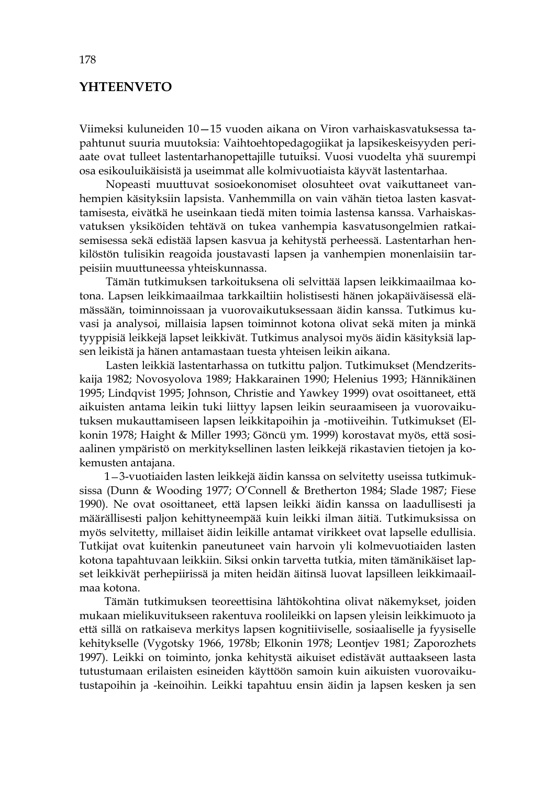# **YHTEENVETO**

Viimeksi kuluneiden 10—15 vuoden aikana on Viron varhaiskasvatuksessa tapahtunut suuria muutoksia: Vaihtoehtopedagogiikat ja lapsikeskeisyyden periaate ovat tulleet lastentarhanopettajille tutuiksi. Vuosi vuodelta yhä suurempi osa esikouluikäisistä ja useimmat alle kolmivuotiaista käyvät lastentarhaa.

Nopeasti muuttuvat sosioekonomiset olosuhteet ovat vaikuttaneet vanhempien käsityksiin lapsista. Vanhemmilla on vain vähän tietoa lasten kasvattamisesta, eivätkä he useinkaan tiedä miten toimia lastensa kanssa. Varhaiskasvatuksen yksiköiden tehtävä on tukea vanhempia kasvatusongelmien ratkaisemisessa sekä edistää lapsen kasvua ja kehitystä perheessä. Lastentarhan henkilöstön tulisikin reagoida joustavasti lapsen ja vanhempien monenlaisiin tarpeisiin muuttuneessa yhteiskunnassa.

Tämän tutkimuksen tarkoituksena oli selvittää lapsen leikkimaailmaa kotona. Lapsen leikkimaailmaa tarkkailtiin holistisesti hänen jokapäiväisessä elämässään, toiminnoissaan ja vuorovaikutuksessaan äidin kanssa. Tutkimus kuvasi ja analysoi, millaisia lapsen toiminnot kotona olivat sekä miten ja minkä tyyppisiä leikkejä lapset leikkivät. Tutkimus analysoi myös äidin käsityksiä lapsen leikistä ja hänen antamastaan tuesta yhteisen leikin aikana.

 Lasten leikkiä lastentarhassa on tutkittu paljon. Tutkimukset (Mendzeritskaija 1982; Novosyolova 1989; Hakkarainen 1990; Helenius 1993; Hännikäinen 1995; Lindqvist 1995; Johnson, Christie and Yawkey 1999) ovat osoittaneet, että aikuisten antama leikin tuki liittyy lapsen leikin seuraamiseen ja vuorovaikutuksen mukauttamiseen lapsen leikkitapoihin ja -motiiveihin. Tutkimukset (Elkonin 1978; Haight & Miller 1993; Göncü ym. 1999) korostavat myös, että sosiaalinen ympäristö on merkityksellinen lasten leikkejä rikastavien tietojen ja kokemusten antajana.

 1—3-vuotiaiden lasten leikkejä äidin kanssa on selvitetty useissa tutkimuksissa (Dunn & Wooding 1977; O'Connell & Bretherton 1984; Slade 1987; Fiese 1990). Ne ovat osoittaneet, että lapsen leikki äidin kanssa on laadullisesti ja määrällisesti paljon kehittyneempää kuin leikki ilman äitiä. Tutkimuksissa on myös selvitetty, millaiset äidin leikille antamat virikkeet ovat lapselle edullisia. Tutkijat ovat kuitenkin paneutuneet vain harvoin yli kolmevuotiaiden lasten kotona tapahtuvaan leikkiin. Siksi onkin tarvetta tutkia, miten tämänikäiset lapset leikkivät perhepiirissä ja miten heidän äitinsä luovat lapsilleen leikkimaailmaa kotona.

Tämän tutkimuksen teoreettisina lähtökohtina olivat näkemykset, joiden mukaan mielikuvitukseen rakentuva roolileikki on lapsen yleisin leikkimuoto ja että sillä on ratkaiseva merkitys lapsen kognitiiviselle, sosiaaliselle ja fyysiselle kehitykselle (Vygotsky 1966, 1978b; Elkonin 1978; Leontjev 1981; Zaporozhets 1997). Leikki on toiminto, jonka kehitystä aikuiset edistävät auttaakseen lasta tutustumaan erilaisten esineiden käyttöön samoin kuin aikuisten vuorovaikutustapoihin ja -keinoihin. Leikki tapahtuu ensin äidin ja lapsen kesken ja sen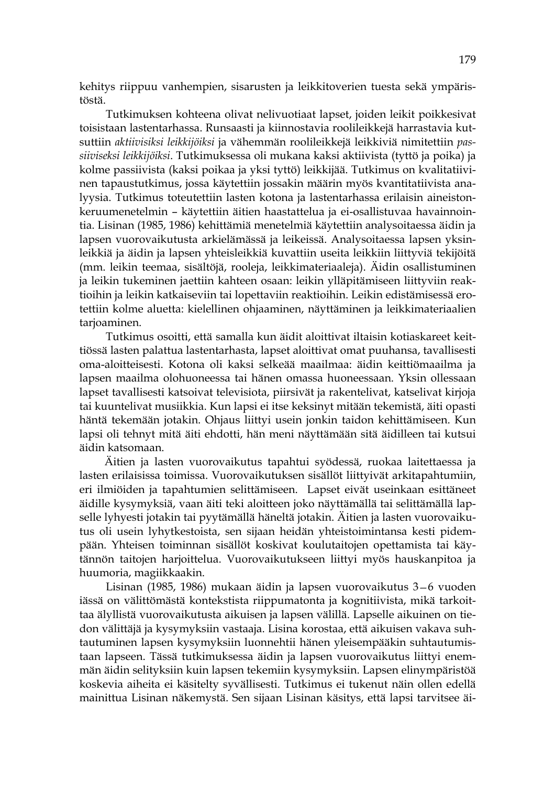kehitys riippuu vanhempien, sisarusten ja leikkitoverien tuesta sekä ympäristöstä.

 Tutkimuksen kohteena olivat nelivuotiaat lapset, joiden leikit poikkesivat toisistaan lastentarhassa. Runsaasti ja kiinnostavia roolileikkejä harrastavia kutsuttiin *aktiivisiksi leikkijöiksi* ja vähemmän roolileikkejä leikkiviä nimitettiin *passiiviseksi leikkijöiksi*. Tutkimuksessa oli mukana kaksi aktiivista (tyttö ja poika) ja kolme passiivista (kaksi poikaa ja yksi tyttö) leikkijää. Tutkimus on kvalitatiivinen tapaustutkimus, jossa käytettiin jossakin määrin myös kvantitatiivista analyysia. Tutkimus toteutettiin lasten kotona ja lastentarhassa erilaisin aineistonkeruumenetelmin – käytettiin äitien haastattelua ja ei-osallistuvaa havainnointia. Lisinan (1985, 1986) kehittämiä menetelmiä käytettiin analysoitaessa äidin ja lapsen vuorovaikutusta arkielämässä ja leikeissä. Analysoitaessa lapsen yksinleikkiä ja äidin ja lapsen yhteisleikkiä kuvattiin useita leikkiin liittyviä tekijöitä (mm. leikin teemaa, sisältöjä, rooleja, leikkimateriaaleja). Äidin osallistuminen ja leikin tukeminen jaettiin kahteen osaan: leikin ylläpitämiseen liittyviin reaktioihin ja leikin katkaiseviin tai lopettaviin reaktioihin. Leikin edistämisessä erotettiin kolme aluetta: kielellinen ohjaaminen, näyttäminen ja leikkimateriaalien tarjoaminen.

 Tutkimus osoitti, että samalla kun äidit aloittivat iltaisin kotiaskareet keittiössä lasten palattua lastentarhasta, lapset aloittivat omat puuhansa, tavallisesti oma-aloitteisesti. Kotona oli kaksi selkeää maailmaa: äidin keittiömaailma ja lapsen maailma olohuoneessa tai hänen omassa huoneessaan. Yksin ollessaan lapset tavallisesti katsoivat televisiota, piirsivät ja rakentelivat, katselivat kirjoja tai kuuntelivat musiikkia. Kun lapsi ei itse keksinyt mitään tekemistä, äiti opasti häntä tekemään jotakin. Ohjaus liittyi usein jonkin taidon kehittämiseen. Kun lapsi oli tehnyt mitä äiti ehdotti, hän meni näyttämään sitä äidilleen tai kutsui äidin katsomaan.

 Äitien ja lasten vuorovaikutus tapahtui syödessä, ruokaa laitettaessa ja lasten erilaisissa toimissa. Vuorovaikutuksen sisällöt liittyivät arkitapahtumiin, eri ilmiöiden ja tapahtumien selittämiseen. Lapset eivät useinkaan esittäneet äidille kysymyksiä, vaan äiti teki aloitteen joko näyttämällä tai selittämällä lapselle lyhyesti jotakin tai pyytämällä häneltä jotakin. Äitien ja lasten vuorovaikutus oli usein lyhytkestoista, sen sijaan heidän yhteistoimintansa kesti pidempään. Yhteisen toiminnan sisällöt koskivat koulutaitojen opettamista tai käytännön taitojen harjoittelua. Vuorovaikutukseen liittyi myös hauskanpitoa ja huumoria, magiikkaakin.

Lisinan (1985, 1986) mukaan äidin ja lapsen vuorovaikutus 3—6 vuoden iässä on välittömästä kontekstista riippumatonta ja kognitiivista, mikä tarkoittaa älyllistä vuorovaikutusta aikuisen ja lapsen välillä. Lapselle aikuinen on tiedon välittäjä ja kysymyksiin vastaaja. Lisina korostaa, että aikuisen vakava suhtautuminen lapsen kysymyksiin luonnehtii hänen yleisempääkin suhtautumistaan lapseen. Tässä tutkimuksessa äidin ja lapsen vuorovaikutus liittyi enemmän äidin selityksiin kuin lapsen tekemiin kysymyksiin. Lapsen elinympäristöä koskevia aiheita ei käsitelty syvällisesti. Tutkimus ei tukenut näin ollen edellä mainittua Lisinan näkemystä. Sen sijaan Lisinan käsitys, että lapsi tarvitsee äi-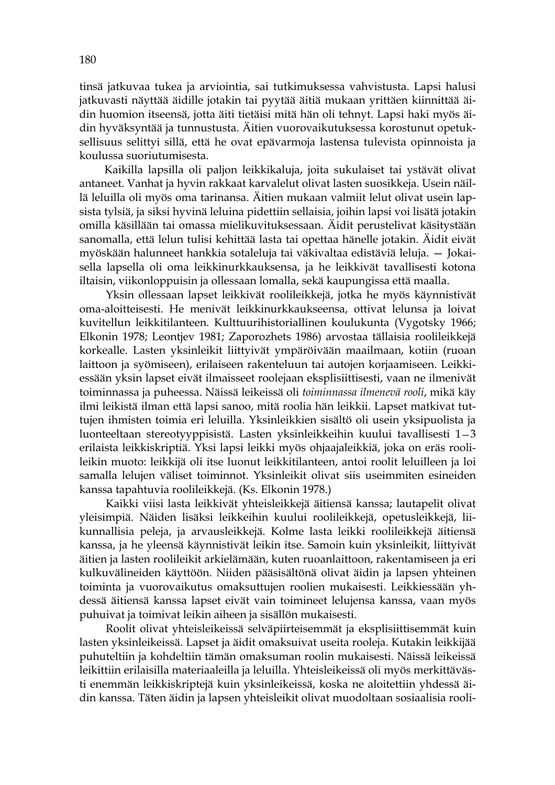tinsä jatkuvaa tukea ja arviointia, sai tutkimuksessa vahvistusta. Lapsi halusi jatkuvasti näyttää äidille jotakin tai pyytää äitiä mukaan yrittäen kiinnittää äidin huomion itseensä, jotta äiti tietäisi mitä hän oli tehnyt. Lapsi haki myös äidin hyväksyntää ja tunnustusta. Äitien vuorovaikutuksessa korostunut opetuksellisuus selittyi sillä, että he ovat epävarmoja lastensa tulevista opinnoista ja koulussa suoriutumisesta.

 Kaikilla lapsilla oli paljon leikkikaluja, joita sukulaiset tai ystävät olivat antaneet. Vanhat ja hyvin rakkaat karvalelut olivat lasten suosikkeja. Usein näillä leluilla oli myös oma tarinansa. Äitien mukaan valmiit lelut olivat usein lapsista tylsiä, ja siksi hyvinä leluina pidettiin sellaisia, joihin lapsi voi lisätä jotakin omilla käsillään tai omassa mielikuvituksessaan. Äidit perustelivat käsitystään sanomalla, että lelun tulisi kehittää lasta tai opettaa hänelle jotakin. Äidit eivät myöskään halunneet hankkia sotaleluja tai väkivaltaa edistäviä leluja. — Jokaisella lapsella oli oma leikkinurkkauksensa, ja he leikkivät tavallisesti kotona iltaisin, viikonloppuisin ja ollessaan lomalla, sekä kaupungissa että maalla.

Yksin ollessaan lapset leikkivät roolileikkejä, jotka he myös käynnistivät oma-aloitteisesti. He menivät leikkinurkkaukseensa, ottivat lelunsa ja loivat kuvitellun leikkitilanteen. Kulttuurihistoriallinen koulukunta (Vygotsky 1966; Elkonin 1978; Leontjev 1981; Zaporozhets 1986) arvostaa tällaisia roolileikkejä korkealle. Lasten yksinleikit liittyivät ympäröivään maailmaan, kotiin (ruoan laittoon ja syömiseen), erilaiseen rakenteluun tai autojen korjaamiseen. Leikkiessään yksin lapset eivät ilmaisseet roolejaan eksplisiittisesti, vaan ne ilmenivät toiminnassa ja puheessa. Näissä leikeissä oli *toiminnassa ilmenevä rooli*, mikä käy ilmi leikistä ilman että lapsi sanoo, mitä roolia hän leikkii. Lapset matkivat tuttujen ihmisten toimia eri leluilla. Yksinleikkien sisältö oli usein yksipuolista ja luonteeltaan stereotyyppisistä. Lasten yksinleikkeihin kuului tavallisesti 1—3 erilaista leikkiskriptiä. Yksi lapsi leikki myös ohjaajaleikkiä, joka on eräs roolileikin muoto: leikkijä oli itse luonut leikkitilanteen, antoi roolit leluilleen ja loi samalla lelujen väliset toiminnot. Yksinleikit olivat siis useimmiten esineiden kanssa tapahtuvia roolileikkejä. (Ks. Elkonin 1978.)

Kaikki viisi lasta leikkivät yhteisleikkejä äitiensä kanssa; lautapelit olivat yleisimpiä. Näiden lisäksi leikkeihin kuului roolileikkejä, opetusleikkejä, liikunnallisia peleja, ja arvausleikkejä. Kolme lasta leikki roolileikkejä äitiensä kanssa, ja he yleensä käynnistivät leikin itse. Samoin kuin yksinleikit, liittyivät äitien ja lasten roolileikit arkielämään, kuten ruoanlaittoon, rakentamiseen ja eri kulkuvälineiden käyttöön. Niiden pääsisältönä olivat äidin ja lapsen yhteinen toiminta ja vuorovaikutus omaksuttujen roolien mukaisesti. Leikkiessään yhdessä äitiensä kanssa lapset eivät vain toimineet lelujensa kanssa, vaan myös puhuivat ja toimivat leikin aiheen ja sisällön mukaisesti.

Roolit olivat yhteisleikeissä selväpiirteisemmät ja eksplisiittisemmät kuin lasten yksinleikeissä. Lapset ja äidit omaksuivat useita rooleja. Kutakin leikkijää puhuteltiin ja kohdeltiin tämän omaksuman roolin mukaisesti. Näissä leikeissä leikittiin erilaisilla materiaaleilla ja leluilla. Yhteisleikeissä oli myös merkittävästi enemmän leikkiskriptejä kuin yksinleikeissä, koska ne aloitettiin yhdessä äidin kanssa. Täten äidin ja lapsen yhteisleikit olivat muodoltaan sosiaalisia rooli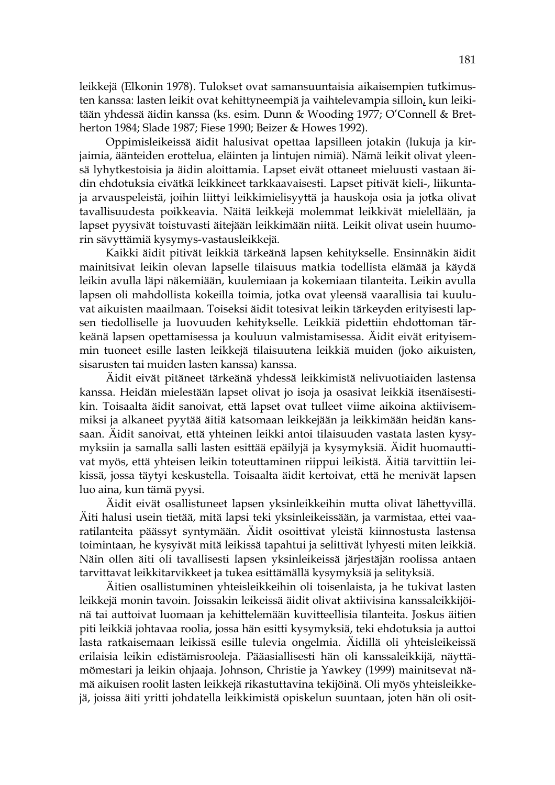leikkejä (Elkonin 1978). Tulokset ovat samansuuntaisia aikaisempien tutkimusten kanssa: lasten leikit ovat kehittyneempiä ja vaihtelevampia silloin, kun leikitään yhdessä äidin kanssa (ks. esim. Dunn & Wooding 1977; O'Connell & Bretherton 1984; Slade 1987; Fiese 1990; Beizer & Howes 1992).

Oppimisleikeissä äidit halusivat opettaa lapsilleen jotakin (lukuja ja kirjaimia, äänteiden erottelua, eläinten ja lintujen nimiä). Nämä leikit olivat yleensä lyhytkestoisia ja äidin aloittamia. Lapset eivät ottaneet mieluusti vastaan äidin ehdotuksia eivätkä leikkineet tarkkaavaisesti. Lapset pitivät kieli-, liikuntaja arvauspeleistä, joihin liittyi leikkimielisyyttä ja hauskoja osia ja jotka olivat tavallisuudesta poikkeavia. Näitä leikkejä molemmat leikkivät mielellään, ja lapset pyysivät toistuvasti äitejään leikkimään niitä. Leikit olivat usein huumorin sävyttämiä kysymys-vastausleikkejä.

 Kaikki äidit pitivät leikkiä tärkeänä lapsen kehitykselle. Ensinnäkin äidit mainitsivat leikin olevan lapselle tilaisuus matkia todellista elämää ja käydä leikin avulla läpi näkemiään, kuulemiaan ja kokemiaan tilanteita. Leikin avulla lapsen oli mahdollista kokeilla toimia, jotka ovat yleensä vaarallisia tai kuuluvat aikuisten maailmaan. Toiseksi äidit totesivat leikin tärkeyden erityisesti lapsen tiedolliselle ja luovuuden kehitykselle. Leikkiä pidettiin ehdottoman tärkeänä lapsen opettamisessa ja kouluun valmistamisessa. Äidit eivät erityisemmin tuoneet esille lasten leikkejä tilaisuutena leikkiä muiden (joko aikuisten, sisarusten tai muiden lasten kanssa) kanssa.

 Äidit eivät pitäneet tärkeänä yhdessä leikkimistä nelivuotiaiden lastensa kanssa. Heidän mielestään lapset olivat jo isoja ja osasivat leikkiä itsenäisestikin. Toisaalta äidit sanoivat, että lapset ovat tulleet viime aikoina aktiivisemmiksi ja alkaneet pyytää äitiä katsomaan leikkejään ja leikkimään heidän kanssaan. Äidit sanoivat, että yhteinen leikki antoi tilaisuuden vastata lasten kysymyksiin ja samalla salli lasten esittää epäilyjä ja kysymyksiä. Äidit huomauttivat myös, että yhteisen leikin toteuttaminen riippui leikistä. Äitiä tarvittiin leikissä, jossa täytyi keskustella. Toisaalta äidit kertoivat, että he menivät lapsen luo aina, kun tämä pyysi.

 Äidit eivät osallistuneet lapsen yksinleikkeihin mutta olivat lähettyvillä. Äiti halusi usein tietää, mitä lapsi teki yksinleikeissään, ja varmistaa, ettei vaaratilanteita päässyt syntymään. Äidit osoittivat yleistä kiinnostusta lastensa toimintaan, he kysyivät mitä leikissä tapahtui ja selittivät lyhyesti miten leikkiä. Näin ollen äiti oli tavallisesti lapsen yksinleikeissä järjestäjän roolissa antaen tarvittavat leikkitarvikkeet ja tukea esittämällä kysymyksiä ja selityksiä.

 Äitien osallistuminen yhteisleikkeihin oli toisenlaista, ja he tukivat lasten leikkejä monin tavoin. Joissakin leikeissä äidit olivat aktiivisina kanssaleikkijöinä tai auttoivat luomaan ja kehittelemään kuvitteellisia tilanteita. Joskus äitien piti leikkiä johtavaa roolia, jossa hän esitti kysymyksiä, teki ehdotuksia ja auttoi lasta ratkaisemaan leikissä esille tulevia ongelmia. Äidillä oli yhteisleikeissä erilaisia leikin edistämisrooleja. Pääasiallisesti hän oli kanssaleikkijä, näyttämömestari ja leikin ohjaaja. Johnson, Christie ja Yawkey (1999) mainitsevat nämä aikuisen roolit lasten leikkejä rikastuttavina tekijöinä. Oli myös yhteisleikkejä, joissa äiti yritti johdatella leikkimistä opiskelun suuntaan, joten hän oli osit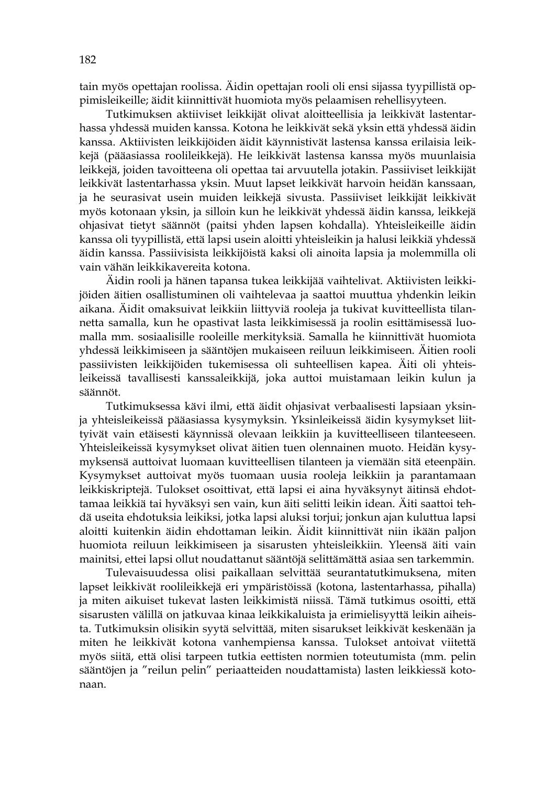tain myös opettajan roolissa. Äidin opettajan rooli oli ensi sijassa tyypillistä oppimisleikeille; äidit kiinnittivät huomiota myös pelaamisen rehellisyyteen.

Tutkimuksen aktiiviset leikkijät olivat aloitteellisia ja leikkivät lastentarhassa yhdessä muiden kanssa. Kotona he leikkivät sekä yksin että yhdessä äidin kanssa. Aktiivisten leikkijöiden äidit käynnistivät lastensa kanssa erilaisia leikkejä (pääasiassa roolileikkejä). He leikkivät lastensa kanssa myös muunlaisia leikkejä, joiden tavoitteena oli opettaa tai arvuutella jotakin. Passiiviset leikkijät leikkivät lastentarhassa yksin. Muut lapset leikkivät harvoin heidän kanssaan, ja he seurasivat usein muiden leikkejä sivusta. Passiiviset leikkijät leikkivät myös kotonaan yksin, ja silloin kun he leikkivät yhdessä äidin kanssa, leikkejä ohjasivat tietyt säännöt (paitsi yhden lapsen kohdalla). Yhteisleikeille äidin kanssa oli tyypillistä, että lapsi usein aloitti yhteisleikin ja halusi leikkiä yhdessä äidin kanssa. Passiivisista leikkijöistä kaksi oli ainoita lapsia ja molemmilla oli vain vähän leikkikavereita kotona.

Äidin rooli ja hänen tapansa tukea leikkijää vaihtelivat. Aktiivisten leikkijöiden äitien osallistuminen oli vaihtelevaa ja saattoi muuttua yhdenkin leikin aikana. Äidit omaksuivat leikkiin liittyviä rooleja ja tukivat kuvitteellista tilannetta samalla, kun he opastivat lasta leikkimisessä ja roolin esittämisessä luomalla mm. sosiaalisille rooleille merkityksiä. Samalla he kiinnittivät huomiota yhdessä leikkimiseen ja sääntöjen mukaiseen reiluun leikkimiseen. Äitien rooli passiivisten leikkijöiden tukemisessa oli suhteellisen kapea. Äiti oli yhteisleikeissä tavallisesti kanssaleikkijä, joka auttoi muistamaan leikin kulun ja säännöt.

 Tutkimuksessa kävi ilmi, että äidit ohjasivat verbaalisesti lapsiaan yksinja yhteisleikeissä pääasiassa kysymyksin. Yksinleikeissä äidin kysymykset liittyivät vain etäisesti käynnissä olevaan leikkiin ja kuvitteelliseen tilanteeseen. Yhteisleikeissä kysymykset olivat äitien tuen olennainen muoto. Heidän kysymyksensä auttoivat luomaan kuvitteellisen tilanteen ja viemään sitä eteenpäin. Kysymykset auttoivat myös tuomaan uusia rooleja leikkiin ja parantamaan leikkiskriptejä. Tulokset osoittivat, että lapsi ei aina hyväksynyt äitinsä ehdottamaa leikkiä tai hyväksyi sen vain, kun äiti selitti leikin idean. Äiti saattoi tehdä useita ehdotuksia leikiksi, jotka lapsi aluksi torjui; jonkun ajan kuluttua lapsi aloitti kuitenkin äidin ehdottaman leikin. Äidit kiinnittivät niin ikään paljon huomiota reiluun leikkimiseen ja sisarusten yhteisleikkiin. Yleensä äiti vain mainitsi, ettei lapsi ollut noudattanut sääntöjä selittämättä asiaa sen tarkemmin.

 Tulevaisuudessa olisi paikallaan selvittää seurantatutkimuksena, miten lapset leikkivät roolileikkejä eri ympäristöissä (kotona, lastentarhassa, pihalla) ja miten aikuiset tukevat lasten leikkimistä niissä. Tämä tutkimus osoitti, että sisarusten välillä on jatkuvaa kinaa leikkikaluista ja erimielisyyttä leikin aiheista. Tutkimuksin olisikin syytä selvittää, miten sisarukset leikkivät keskenään ja miten he leikkivät kotona vanhempiensa kanssa. Tulokset antoivat viitettä myös siitä, että olisi tarpeen tutkia eettisten normien toteutumista (mm. pelin sääntöjen ja "reilun pelin" periaatteiden noudattamista) lasten leikkiessä kotonaan.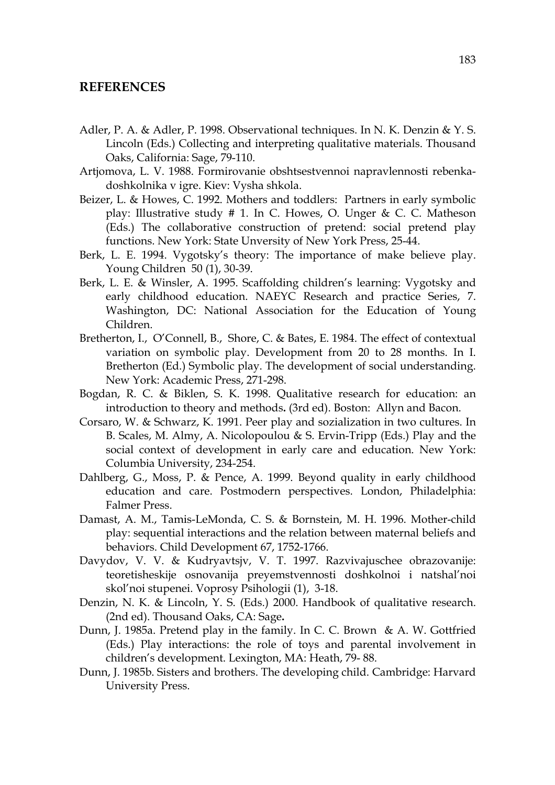### **REFERENCES**

- Adler, P. A. & Adler, P. 1998. Observational techniques. In N. K. Denzin & Y. S. Lincoln (Eds.) Collecting and interpreting qualitative materials. Thousand Oaks, California: Sage, 79-110.
- Artjomova, L. V. 1988. Formirovanie obshtsestvennoi napravlennosti rebenkadoshkolnika v igre. Kiev: Vysha shkola.
- Beizer, L. & Howes, C. 1992. Mothers and toddlers: Partners in early symbolic play: Illustrative study # 1. In C. Howes, O. Unger & C. C. Matheson (Eds.) The collaborative construction of pretend: social pretend play functions. New York: State Unversity of New York Press, 25-44.
- Berk, L. E. 1994. Vygotsky's theory: The importance of make believe play. Young Children 50 (1), 30-39.
- Berk, L. E. & Winsler, A. 1995. Scaffolding children's learning: Vygotsky and early childhood education. NAEYC Research and practice Series, 7. Washington, DC: National Association for the Education of Young Children.
- Bretherton, I., O'Connell, B., Shore, C. & Bates, E. 1984. The effect of contextual variation on symbolic play. Development from 20 to 28 months. In I. Bretherton (Ed.) Symbolic play. The development of social understanding. New York: Academic Press, 271-298.
- Bogdan, R. C. & Biklen, S. K. 1998. Qualitative research for education: an introduction to theory and methods**.** (3rd ed). Boston: Allyn and Bacon.
- Corsaro, W. & Schwarz, K. 1991. Peer play and sozialization in two cultures. In B. Scales, M. Almy, A. Nicolopoulou & S. Ervin-Tripp (Eds.) Play and the social context of development in early care and education. New York: Columbia University, 234-254.
- Dahlberg, G., Moss, P. & Pence, A. 1999. Beyond quality in early childhood education and care. Postmodern perspectives. London, Philadelphia: Falmer Press.
- Damast, A. M., Tamis-LeMonda, C. S. & Bornstein, M. H. 1996. Mother-child play: sequential interactions and the relation between maternal beliefs and behaviors. Child Development 67, 1752-1766.
- Davydov, V. V. & Kudryavtsjv, V. T. 1997. Razvivajuschee obrazovanije: teoretisheskije osnovanija preyemstvennosti doshkolnoi i natshal'noi skol'noi stupenei. Voprosy Psihologii (1), 3-18.
- Denzin, N. K. & Lincoln, Y. S. (Eds.) 2000. Handbook of qualitative research. (2nd ed). Thousand Oaks, CA: Sage**.**
- Dunn, J. 1985a. Pretend play in the family. In C. C. Brown & A. W. Gottfried (Eds.) Play interactions: the role of toys and parental involvement in children's development. Lexington, MA: Heath, 79- 88.
- Dunn, J. 1985b. Sisters and brothers. The developing child. Cambridge: Harvard University Press.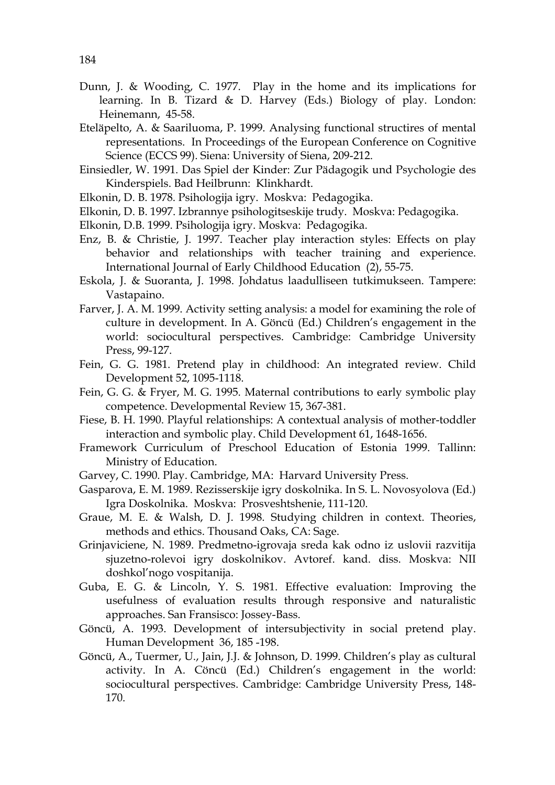- Dunn, J. & Wooding, C. 1977. Play in the home and its implications for learning. In B. Tizard & D. Harvey (Eds.) Biology of play. London: Heinemann, 45-58.
- Eteläpelto, A. & Saariluoma, P. 1999. Analysing functional structires of mental representations. In Proceedings of the European Conference on Cognitive Science (ECCS 99). Siena: University of Siena, 209-212.
- Einsiedler, W. 1991. Das Spiel der Kinder: Zur Pädagogik und Psychologie des Kinderspiels. Bad Heilbrunn: Klinkhardt.
- Elkonin, D. B. 1978. Psihologija igry. Moskva: Pedagogika.
- Elkonin, D. B. 1997. Izbrannye psihologitseskije trudy. Moskva: Pedagogika.
- Elkonin, D.B. 1999. Psihologija igry. Moskva: Pedagogika.
- Enz, B. & Christie, J. 1997. Teacher play interaction styles: Effects on play behavior and relationships with teacher training and experience. International Journal of Early Childhood Education (2), 55-75.
- Eskola, J. & Suoranta, J. 1998. Johdatus laadulliseen tutkimukseen. Tampere: Vastapaino.
- Farver, J. A. M. 1999. Activity setting analysis: a model for examining the role of culture in development. In A. Göncü (Ed.) Children's engagement in the world: sociocultural perspectives. Cambridge: Cambridge University Press, 99-127.
- Fein, G. G. 1981. Pretend play in childhood: An integrated review. Child Development 52, 1095-1118.
- Fein, G. G. & Fryer, M. G. 1995. Maternal contributions to early symbolic play competence. Developmental Review 15, 367-381.
- Fiese, B. H. 1990. Playful relationships: A contextual analysis of mother-toddler interaction and symbolic play. Child Development 61, 1648-1656.
- Framework Curriculum of Preschool Education of Estonia 1999. Tallinn: Ministry of Education.
- Garvey, C. 1990. Play. Cambridge, MA: Harvard University Press.
- Gasparova, E. M. 1989. Rezisserskije igry doskolnika. In S. L. Novosyolova (Ed.) Igra Doskolnika. Moskva: Prosveshtshenie, 111-120.
- Graue, M. E. & Walsh, D. J. 1998. Studying children in context. Theories, methods and ethics. Thousand Oaks, CA: Sage.
- Grinjaviciene, N. 1989. Predmetno-igrovaja sreda kak odno iz uslovii razvitija sjuzetno-rolevoi igry doskolnikov. Avtoref. kand. diss. Moskva: NII doshkol'nogo vospitanija.
- Guba, E. G. & Lincoln, Y. S. 1981. Effective evaluation: Improving the usefulness of evaluation results through responsive and naturalistic approaches. San Fransisco: Jossey-Bass.
- Göncü, A. 1993. Development of intersubjectivity in social pretend play. Human Development 36, 185 -198.
- Göncü, A., Tuermer, U., Jain, J.J. & Johnson, D. 1999. Children's play as cultural activity. In A. Cöncü (Ed.) Children's engagement in the world: sociocultural perspectives. Cambridge: Cambridge University Press, 148- 170.

184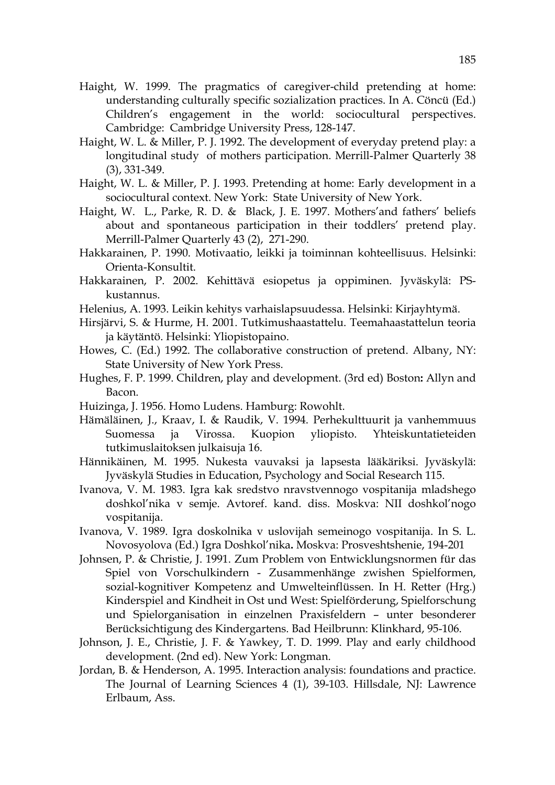- Haight, W. 1999. The pragmatics of caregiver-child pretending at home: understanding culturally specific sozialization practices. In A. Cöncü (Ed.) Children's engagement in the world: sociocultural perspectives. Cambridge: Cambridge University Press, 128-147.
- Haight, W. L. & Miller, P. J. 1992. The development of everyday pretend play: a longitudinal study of mothers participation. Merrill-Palmer Quarterly 38 (3), 331-349.
- Haight, W. L. & Miller, P. J. 1993. Pretending at home: Early development in a sociocultural context. New York: State University of New York.
- Haight, W. L., Parke, R. D. & Black, J. E. 1997. Mothers'and fathers' beliefs about and spontaneous participation in their toddlers' pretend play. Merrill-Palmer Quarterly 43 (2), 271-290.
- Hakkarainen, P. 1990. Motivaatio, leikki ja toiminnan kohteellisuus. Helsinki: Orienta-Konsultit.
- Hakkarainen, P. 2002. Kehittävä esiopetus ja oppiminen. Jyväskylä: PSkustannus.
- Helenius, A. 1993. Leikin kehitys varhaislapsuudessa. Helsinki: Kirjayhtymä.
- Hirsjärvi, S. & Hurme, H. 2001. Tutkimushaastattelu. Teemahaastattelun teoria ja käytäntö. Helsinki: Yliopistopaino.
- Howes, C. (Ed.) 1992. The collaborative construction of pretend. Albany, NY: State University of New York Press.
- Hughes, F. P. 1999. Children, play and development. (3rd ed) Boston**:** Allyn and Bacon.
- Huizinga, J. 1956. Homo Ludens. Hamburg: Rowohlt.
- Hämäläinen, J., Kraav, I. & Raudik, V. 1994. Perhekulttuurit ja vanhemmuus Suomessa ja Virossa. Kuopion yliopisto. Yhteiskuntatieteiden tutkimuslaitoksen julkaisuja 16.
- Hännikäinen, M. 1995. Nukesta vauvaksi ja lapsesta lääkäriksi. Jyväskylä: Jyväskylä Studies in Education, Psychology and Social Research 115.
- Ivanova, V. M. 1983. Igra kak sredstvo nravstvennogo vospitanija mladshego doshkol'nika v semje. Avtoref. kand. diss. Moskva: NII doshkol'nogo vospitanija.
- Ivanova, V. 1989. Igra doskolnika v uslovijah semeinogo vospitanija. In S. L. Novosyolova (Ed.) Igra Doshkol'nika**.** Moskva: Prosveshtshenie, 194-201
- Johnsen, P. & Christie, J. 1991. Zum Problem von Entwicklungsnormen für das Spiel von Vorschulkindern - Zusammenhänge zwishen Spielformen, sozial-kognitiver Kompetenz and Umwelteinflüssen. In H. Retter (Hrg.) Kinderspiel and Kindheit in Ost und West: Spielförderung, Spielforschung und Spielorganisation in einzelnen Praxisfeldern – unter besonderer Berücksichtigung des Kindergartens. Bad Heilbrunn: Klinkhard, 95-106.
- Johnson, J. E., Christie, J. F. & Yawkey, T. D. 1999. Play and early childhood development. (2nd ed). New York: Longman.
- Jordan, B. & Henderson, A. 1995. Interaction analysis: foundations and practice. The Journal of Learning Sciences 4 (1), 39-103. Hillsdale, NJ: Lawrence Erlbaum, Ass.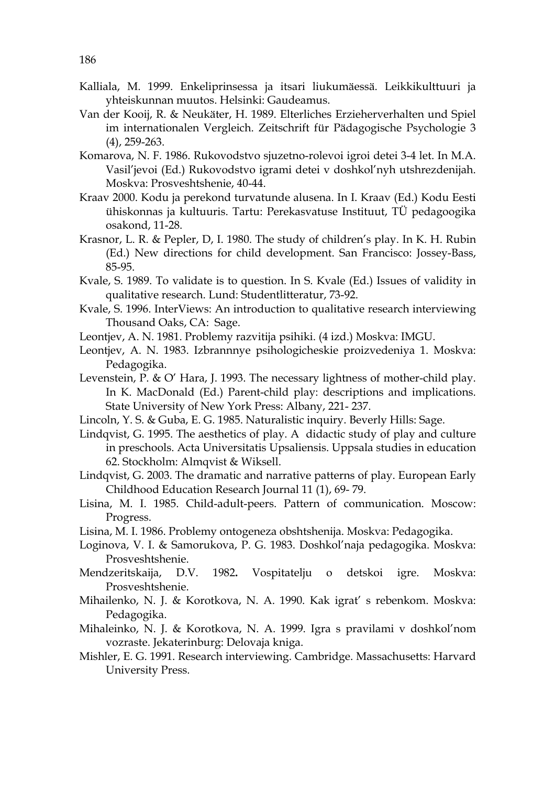- Kalliala, M. 1999. Enkeliprinsessa ja itsari liukumäessä. Leikkikulttuuri ja yhteiskunnan muutos. Helsinki: Gaudeamus.
- Van der Kooij, R. & Neukäter, H. 1989. Elterliches Erzieherverhalten und Spiel im internationalen Vergleich. Zeitschrift für Pädagogische Psychologie 3 (4), 259-263.
- Komarova, N. F. 1986. Rukovodstvo sjuzetno-rolevoi igroi detei 3-4 let. In M.A. Vasil'jevoi (Ed.) Rukovodstvo igrami detei v doshkol'nyh utshrezdenijah. Moskva: Prosveshtshenie, 40-44.
- Kraav 2000. Kodu ja perekond turvatunde alusena. In I. Kraav (Ed.) Kodu Eesti ühiskonnas ja kultuuris. Tartu: Perekasvatuse Instituut, TÜ pedagoogika osakond, 11-28.
- Krasnor, L. R. & Pepler, D, I. 1980. The study of children's play. In K. H. Rubin (Ed.) New directions for child development. San Francisco: Jossey-Bass, 85-95.
- Kvale, S. 1989. To validate is to question. In S. Kvale (Ed.) Issues of validity in qualitative research. Lund: Studentlitteratur, 73-92.
- Kvale, S. 1996. InterViews: An introduction to qualitative research interviewing Thousand Oaks, CA: Sage.
- Leontjev, A. N. 1981. Problemy razvitija psihiki. (4 izd.) Moskva: IMGU.
- Leontjev, A. N. 1983. Izbrannnye psihologicheskie proizvedeniya 1. Moskva: Pedagogika.
- Levenstein, P. & O' Hara, J. 1993. The necessary lightness of mother-child play. In K. MacDonald (Ed.) Parent-child play: descriptions and implications. State University of New York Press: Albany, 221- 237.
- Lincoln, Y. S. & Guba, E. G. 1985. Naturalistic inquiry. Beverly Hills: Sage.
- Lindqvist, G. 1995. The aesthetics of play. A didactic study of play and culture in preschools. Acta Universitatis Upsaliensis. Uppsala studies in education 62. Stockholm: Almqvist & Wiksell.
- Lindqvist, G. 2003. The dramatic and narrative patterns of play. European Early Childhood Education Research Journal 11 (1), 69- 79.
- Lisina, M. I. 1985. Child-adult-peers. Pattern of communication. Moscow: Progress.
- Lisina, M. I. 1986. Problemy ontogeneza obshtshenija. Moskva: Pedagogika.
- Loginova, V. I. & Samorukova, P. G. 1983. Doshkol'naja pedagogika. Moskva: Prosveshtshenie.
- Mendzeritskaija, D.V. 1982**.** Vospitatelju o detskoi igre. Moskva: Prosveshtshenie.
- Mihailenko, N. J. & Korotkova, N. A. 1990. Kak igrat' s rebenkom. Moskva: Pedagogika.
- Mihaleinko, N. J. & Korotkova, N. A. 1999. Igra s pravilami v doshkol'nom vozraste. Jekaterinburg: Delovaja kniga.
- Mishler, E. G. 1991. Research interviewing. Cambridge. Massachusetts: Harvard University Press.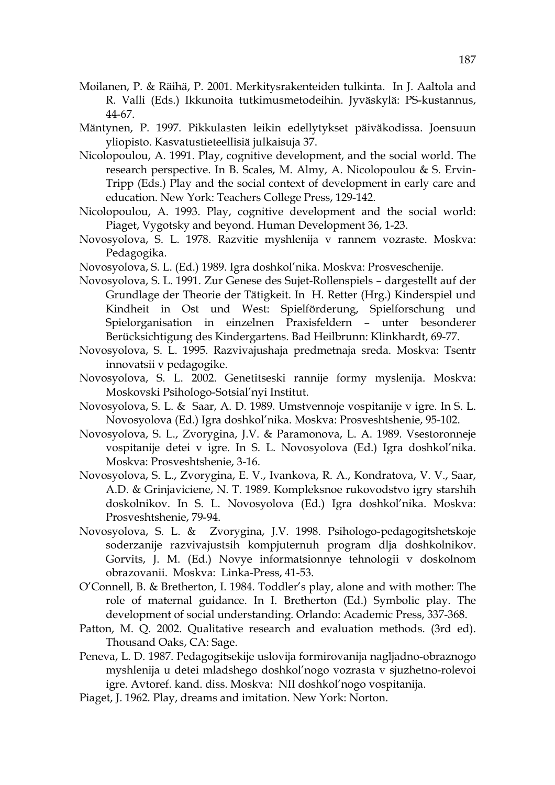- Moilanen, P. & Räihä, P. 2001. Merkitysrakenteiden tulkinta. In J. Aaltola and R. Valli (Eds.) Ikkunoita tutkimusmetodeihin. Jyväskylä: PS-kustannus, 44-67.
- Mäntynen, P. 1997. Pikkulasten leikin edellytykset päiväkodissa. Joensuun yliopisto. Kasvatustieteellisiä julkaisuja 37.
- Nicolopoulou, A. 1991. Play, cognitive development, and the social world. The research perspective. In B. Scales, M. Almy, A. Nicolopoulou & S. Ervin-Tripp (Eds.) Play and the social context of development in early care and education. New York: Teachers College Press, 129-142.
- Nicolopoulou, A. 1993. Play, cognitive development and the social world: Piaget, Vygotsky and beyond. Human Development 36, 1-23.
- Novosyolova, S. L. 1978. Razvitie myshlenija v rannem vozraste. Moskva: Pedagogika.
- Novosyolova, S. L. (Ed.) 1989. Igra doshkol'nika. Moskva: Prosveschenije.
- Novosyolova, S. L. 1991. Zur Genese des Sujet-Rollenspiels dargestellt auf der Grundlage der Theorie der Tätigkeit. In H. Retter (Hrg.) Kinderspiel und Kindheit in Ost und West: Spielförderung, Spielforschung und Spielorganisation in einzelnen Praxisfeldern – unter besonderer Berücksichtigung des Kindergartens. Bad Heilbrunn: Klinkhardt, 69-77.
- Novosyolova, S. L. 1995. Razvivajushaja predmetnaja sreda. Moskva: Tsentr innovatsii v pedagogike.
- Novosyolova, S. L. 2002. Genetitseski rannije formy myslenija. Moskva: Moskovski Psihologo-Sotsial'nyi Institut.
- Novosyolova, S. L. & Saar, A. D. 1989. Umstvennoje vospitanije v igre. In S. L. Novosyolova (Ed.) Igra doshkol'nika. Moskva: Prosveshtshenie, 95-102.
- Novosyolova, S. L., Zvorygina, J.V. & Paramonova, L. A. 1989. Vsestoronneje vospitanije detei v igre. In S. L. Novosyolova (Ed.) Igra doshkol'nika. Moskva: Prosveshtshenie, 3-16.
- Novosyolova, S. L., Zvorygina, E. V., Ivankova, R. A., Kondratova, V. V., Saar, A.D. & Grinjaviciene, N. T. 1989. Kompleksnoe rukovodstvo igry starshih doskolnikov. In S. L. Novosyolova (Ed.) Igra doshkol'nika. Moskva: Prosveshtshenie, 79-94.
- Novosyolova, S. L. & Zvorygina, J.V. 1998. Psihologo-pedagogitshetskoje soderzanije razvivajustsih kompjuternuh program dlja doshkolnikov. Gorvits, J. M. (Ed.) Novye informatsionnye tehnologii v doskolnom obrazovanii. Moskva: Linka-Press, 41-53.
- O'Connell, B. & Bretherton, I. 1984. Toddler's play, alone and with mother: The role of maternal guidance. In I. Bretherton (Ed.) Symbolic play. The development of social understanding. Orlando: Academic Press, 337-368.
- Patton, M. Q. 2002. Qualitative research and evaluation methods. (3rd ed). Thousand Oaks, CA: Sage.
- Peneva, L. D. 1987. Pedagogitsekije uslovija formirovanija nagljadno-obraznogo myshlenija u detei mladshego doshkol'nogo vozrasta v sjuzhetno-rolevoi igre. Avtoref. kand. diss. Moskva: NII doshkol'nogo vospitanija.
- Piaget, J. 1962. Play, dreams and imitation. New York: Norton.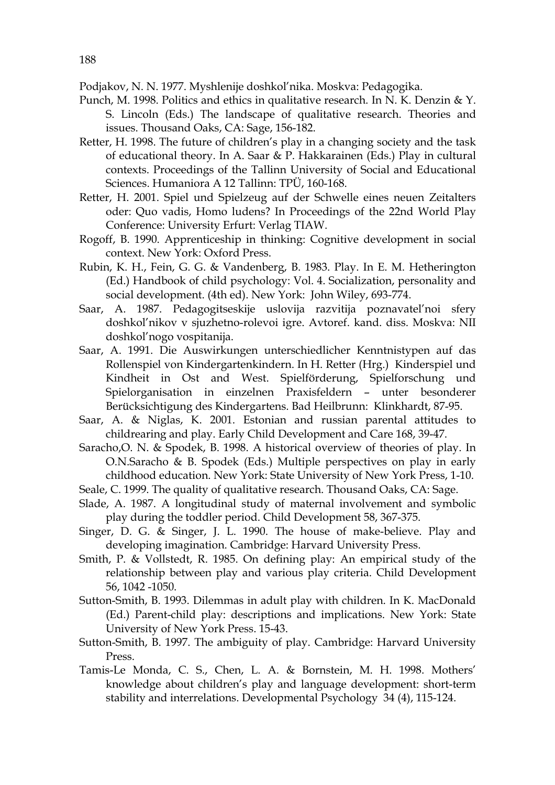Podjakov, N. N. 1977. Myshlenije doshkol'nika. Moskva: Pedagogika.

- Punch, M. 1998. Politics and ethics in qualitative research. In N. K. Denzin & Y. S. Lincoln (Eds.) The landscape of qualitative research. Theories and issues. Thousand Oaks, CA: Sage, 156-182.
- Retter, H. 1998. The future of children's play in a changing society and the task of educational theory. In A. Saar & P. Hakkarainen (Eds.) Play in cultural contexts. Proceedings of the Tallinn University of Social and Educational Sciences. Humaniora A 12 Tallinn: TPÜ, 160-168.
- Retter, H. 2001. Spiel und Spielzeug auf der Schwelle eines neuen Zeitalters oder: Quo vadis, Homo ludens? In Proceedings of the 22nd World Play Conference: University Erfurt: Verlag TIAW.
- Rogoff, B. 1990. Apprenticeship in thinking: Cognitive development in social context. New York: Oxford Press.
- Rubin, K. H., Fein, G. G. & Vandenberg, B. 1983. Play. In E. M. Hetherington (Ed.) Handbook of child psychology: Vol. 4. Socialization, personality and social development. (4th ed). New York: John Wiley, 693-774.
- Saar, A. 1987. Pedagogitseskije uslovija razvitija poznavatel'noi sfery doshkol'nikov v sjuzhetno-rolevoi igre. Avtoref. kand. diss. Moskva: NII doshkol'nogo vospitanija.
- Saar, A. 1991. Die Auswirkungen unterschiedlicher Kenntnistypen auf das Rollenspiel von Kindergartenkindern. In H. Retter (Hrg.) Kinderspiel und Kindheit in Ost and West. Spielförderung, Spielforschung und Spielorganisation in einzelnen Praxisfeldern – unter besonderer Berücksichtigung des Kindergartens. Bad Heilbrunn: Klinkhardt, 87-95.
- Saar, A. & Niglas, K. 2001. Estonian and russian parental attitudes to childrearing and play. Early Child Development and Care 168, 39-47.
- Saracho,O. N. & Spodek, B. 1998. A historical overview of theories of play. In O.N.Saracho & B. Spodek (Eds.) Multiple perspectives on play in early childhood education. New York: State University of New York Press, 1-10.
- Seale, C. 1999. The quality of qualitative research. Thousand Oaks, CA: Sage.
- Slade, A. 1987. A longitudinal study of maternal involvement and symbolic play during the toddler period. Child Development 58, 367-375.
- Singer, D. G. & Singer, J. L. 1990. The house of make-believe. Play and developing imagination. Cambridge: Harvard University Press.
- Smith, P. & Vollstedt, R. 1985. On defining play: An empirical study of the relationship between play and various play criteria. Child Development 56, 1042 -1050.
- Sutton-Smith, B. 1993. Dilemmas in adult play with children. In K. MacDonald (Ed.) Parent-child play: descriptions and implications. New York: State University of New York Press. 15-43.
- Sutton-Smith, B. 1997. The ambiguity of play. Cambridge: Harvard University Press.
- Tamis-Le Monda, C. S., Chen, L. A. & Bornstein, M. H. 1998. Mothers' knowledge about children's play and language development: short-term stability and interrelations. Developmental Psychology 34 (4), 115-124.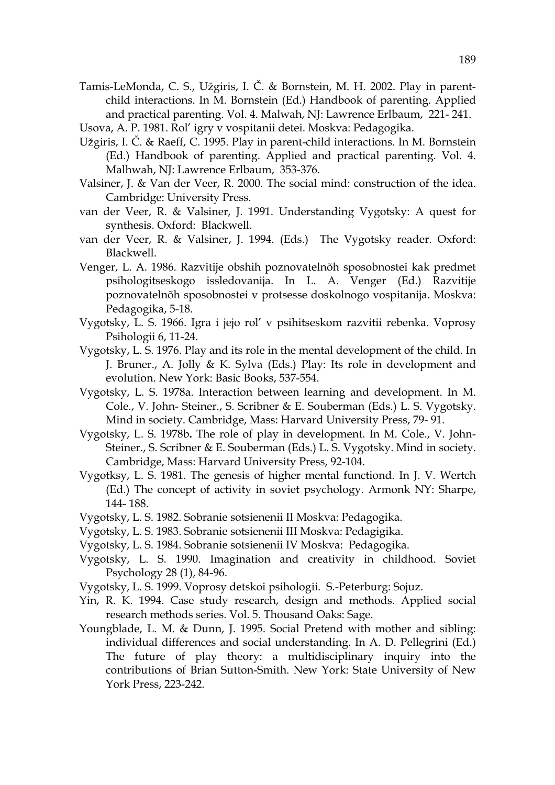- Tamis-LeMonda, C. S., Užgiris, I. Č. & Bornstein, M. H. 2002. Play in parentchild interactions. In M. Bornstein (Ed.) Handbook of parenting. Applied and practical parenting. Vol. 4. Malwah, NJ: Lawrence Erlbaum, 221- 241.
- Usova, A. P. 1981. Rol' igry v vospitanii detei. Moskva: Pedagogika.
- Užgiris, I. Č. & Raeff, C. 1995. Play in parent-child interactions. In M. Bornstein (Ed.) Handbook of parenting. Applied and practical parenting. Vol. 4. Malhwah, NJ: Lawrence Erlbaum, 353-376.
- Valsiner, J. & Van der Veer, R. 2000. The social mind: construction of the idea. Cambridge: University Press.
- van der Veer, R. & Valsiner, J. 1991. Understanding Vygotsky: A quest for synthesis. Oxford: Blackwell.
- van der Veer, R. & Valsiner, J. 1994. (Eds.) The Vygotsky reader. Oxford: Blackwell.
- Venger, L. A. 1986. Razvitije obshih poznovatelnõh sposobnostei kak predmet psihologitseskogo issledovanija. In L. A. Venger (Ed.) Razvitije poznovatelnõh sposobnostei v protsesse doskolnogo vospitanija. Moskva: Pedagogika, 5-18.
- Vygotsky, L. S. 1966. Igra i jejo rol' v psihitseskom razvitii rebenka. Voprosy Psihologii 6, 11-24.
- Vygotsky, L. S. 1976. Play and its role in the mental development of the child. In J. Bruner., A. Jolly & K. Sylva (Eds.) Play: Its role in development and evolution. New York: Basic Books, 537-554.
- Vygotsky, L. S. 1978a. Interaction between learning and development. In M. Cole., V. John- Steiner., S. Scribner & E. Souberman (Eds.) L. S. Vygotsky. Mind in society. Cambridge, Mass: Harvard University Press, 79- 91.
- Vygotsky, L. S. 1978b**.** The role of play in development. In M. Cole., V. John-Steiner., S. Scribner & E. Souberman (Eds.) L. S. Vygotsky. Mind in society. Cambridge, Mass: Harvard University Press, 92-104.
- Vygotksy, L. S. 1981. The genesis of higher mental functiond. In J. V. Wertch (Ed.) The concept of activity in soviet psychology. Armonk NY: Sharpe, 144- 188.
- Vygotsky, L. S. 1982. Sobranie sotsienenii II Moskva: Pedagogika.
- Vygotsky, L. S. 1983. Sobranie sotsienenii III Moskva: Pedagigika.
- Vygotsky, L. S. 1984. Sobranie sotsienenii IV Moskva: Pedagogika.
- Vygotsky, L. S. 1990. Imagination and creativity in childhood. Soviet Psychology 28 (1), 84-96.
- Vygotsky, L. S. 1999. Voprosy detskoi psihologii. S.-Peterburg: Sojuz.
- Yin, R. K. 1994. Case study research, design and methods. Applied social research methods series. Vol. 5. Thousand Oaks: Sage.
- Youngblade, L. M. & Dunn, J. 1995. Social Pretend with mother and sibling: individual differences and social understanding. In A. D. Pellegrini (Ed.) The future of play theory: a multidisciplinary inquiry into the contributions of Brian Sutton-Smith. New York: State University of New York Press, 223-242.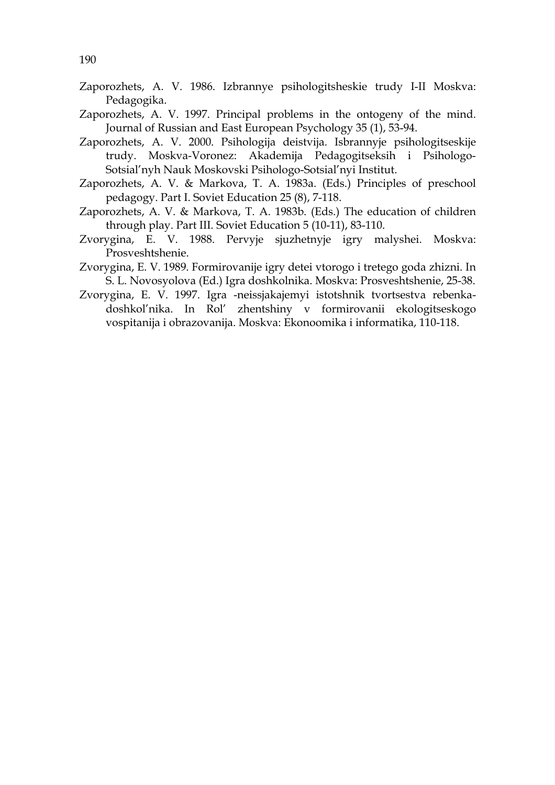- Zaporozhets, A. V. 1986. Izbrannye psihologitsheskie trudy I-II Moskva: Pedagogika.
- Zaporozhets, A. V. 1997. Principal problems in the ontogeny of the mind. Journal of Russian and East European Psychology 35 (1), 53-94.
- Zaporozhets, A. V. 2000. Psihologija deistvija. Isbrannyje psihologitseskije trudy. Moskva-Voronez: Akademija Pedagogitseksih i Psihologo-Sotsial'nyh Nauk Moskovski Psihologo-Sotsial'nyi Institut.
- Zaporozhets, A. V. & Markova, T. A. 1983a. (Eds.) Principles of preschool pedagogy. Part I. Soviet Education 25 (8), 7-118.
- Zaporozhets, A. V. & Markova, T. A. 1983b. (Eds.) The education of children through play. Part III. Soviet Education 5 (10-11), 83-110.
- Zvorygina, E. V. 1988. Pervyje sjuzhetnyje igry malyshei. Moskva: Prosveshtshenie.
- Zvorygina, E. V. 1989. Formirovanije igry detei vtorogo i tretego goda zhizni. In S. L. Novosyolova (Ed.) Igra doshkolnika. Moskva: Prosveshtshenie, 25-38.
- Zvorygina, E. V. 1997. Igra -neissjakajemyi istotshnik tvortsestva rebenkadoshkol'nika. In Rol' zhentshiny v formirovanii ekologitseskogo vospitanija i obrazovanija. Moskva: Ekonoomika i informatika, 110-118.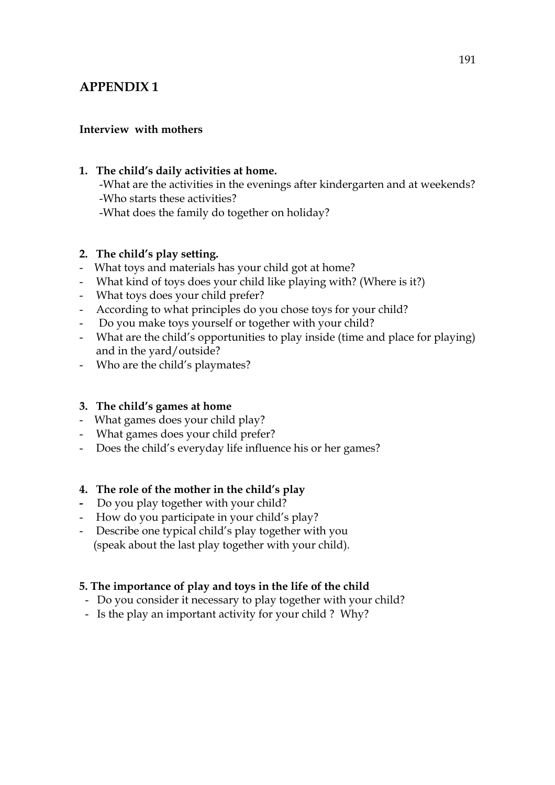### **Interview with mothers**

#### **1. The child's daily activities at home.**

-What are the activities in the evenings after kindergarten and at weekends? -Who starts these activities? -What does the family do together on holiday?

#### **2. The child's play setting.**

- What toys and materials has your child got at home?
- What kind of toys does your child like playing with? (Where is it?)
- What toys does your child prefer?
- According to what principles do you chose toys for your child?
- Do you make toys yourself or together with your child?
- What are the child's opportunities to play inside (time and place for playing) and in the yard/outside?
- Who are the child's playmates?

### **3. The child's games at home**

- What games does your child play?
- What games does your child prefer?
- Does the child's everyday life influence his or her games?

#### **4. The role of the mother in the child's play**

- Do you play together with your child?
- How do you participate in your child's play?
- Describe one typical child's play together with you (speak about the last play together with your child).

### **5. The importance of play and toys in the life of the child**

- Do you consider it necessary to play together with your child?
- Is the play an important activity for your child ? Why?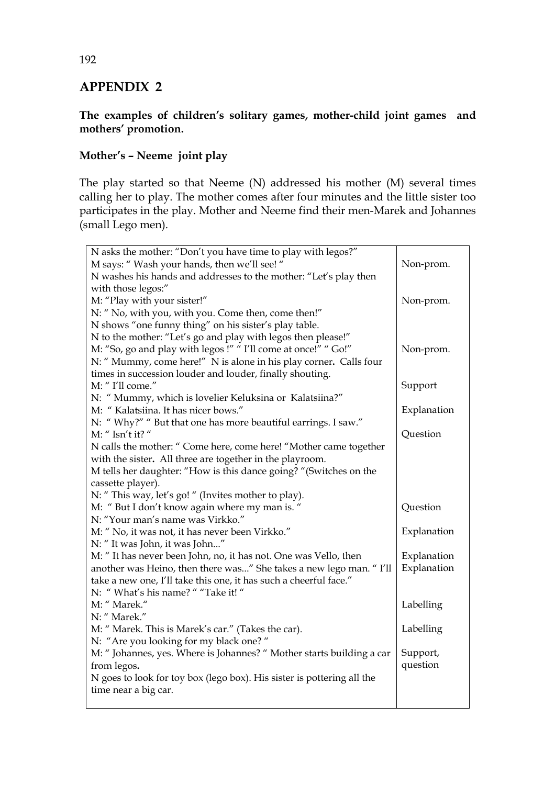## **The examples of children's solitary games, mother-child joint games and mothers' promotion.**

## **Mother's – Neeme joint play**

The play started so that Neeme (N) addressed his mother (M) several times calling her to play. The mother comes after four minutes and the little sister too participates in the play. Mother and Neeme find their men-Marek and Johannes (small Lego men).

| N asks the mother: "Don't you have time to play with legos?"           |             |
|------------------------------------------------------------------------|-------------|
| M says: "Wash your hands, then we'll see!"                             | Non-prom.   |
| N washes his hands and addresses to the mother: "Let's play then       |             |
| with those legos:"                                                     |             |
| M: "Play with your sister!"                                            | Non-prom.   |
| N: " No, with you, with you. Come then, come then!"                    |             |
| N shows "one funny thing" on his sister's play table.                  |             |
| N to the mother: "Let's go and play with legos then please!"           |             |
| M: "So, go and play with legos!" " I'll come at once!" " Go!"          | Non-prom.   |
| N: " Mummy, come here!" N is alone in his play corner. Calls four      |             |
| times in succession louder and louder, finally shouting.               |             |
| M: "I'll come."                                                        | Support     |
| N: " Mummy, which is lovelier Keluksina or Kalatsiina?"                |             |
| M: "Kalatsiina. It has nicer bows."                                    | Explanation |
| N: "Why?" " But that one has more beautiful earrings. I saw."          |             |
| M: " Isn't it? "                                                       | Question    |
| N calls the mother: " Come here, come here! "Mother came together      |             |
| with the sister. All three are together in the playroom.               |             |
| M tells her daughter: "How is this dance going? "(Switches on the      |             |
| cassette player).                                                      |             |
| N: " This way, let's go! " (Invites mother to play).                   |             |
| M: "But I don't know again where my man is. "                          | Question    |
| N: "Your man's name was Virkko."                                       |             |
| M: " No, it was not, it has never been Virkko."                        | Explanation |
| N: "It was John, it was John"                                          |             |
| M: "It has never been John, no, it has not. One was Vello, then        | Explanation |
| another was Heino, then there was" She takes a new lego man. "I'll     | Explanation |
| take a new one, I'll take this one, it has such a cheerful face."      |             |
| N: "What's his name? " "Take it! "                                     |             |
| M: " Marek."                                                           | Labelling   |
| N: " Marek."                                                           |             |
| M: " Marek. This is Marek's car." (Takes the car).                     | Labelling   |
| N: "Are you looking for my black one?"                                 |             |
| M: "Johannes, yes. Where is Johannes? " Mother starts building a car   | Support,    |
| from legos.                                                            | question    |
| N goes to look for toy box (lego box). His sister is pottering all the |             |
| time near a big car.                                                   |             |
|                                                                        |             |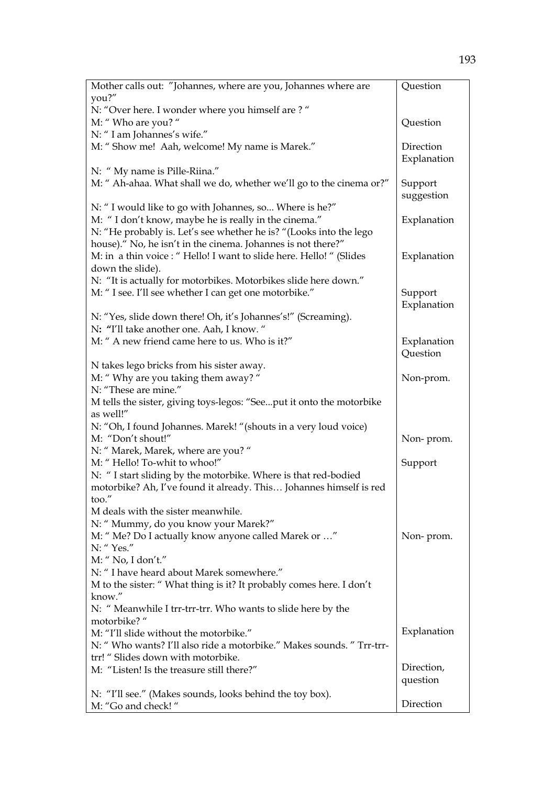| Mother calls out: "Johannes, where are you, Johannes where are                    | Question    |
|-----------------------------------------------------------------------------------|-------------|
| you?"                                                                             |             |
| N: "Over here. I wonder where you himself are?"                                   |             |
| M: "Who are you? "                                                                | Question    |
| N: " I am Johannes's wife."                                                       |             |
| M: "Show me! Aah, welcome! My name is Marek."                                     | Direction   |
|                                                                                   | Explanation |
| N: " My name is Pille-Riina."                                                     |             |
| M: " Ah-ahaa. What shall we do, whether we'll go to the cinema or?"               | Support     |
|                                                                                   | suggestion  |
| N: " I would like to go with Johannes, so Where is he?"                           |             |
| M: "I don't know, maybe he is really in the cinema."                              | Explanation |
| N: "He probably is. Let's see whether he is? "(Looks into the lego                |             |
| house)." No, he isn't in the cinema. Johannes is not there?"                      |             |
| M: in a thin voice : " Hello! I want to slide here. Hello! " (Slides              | Explanation |
| down the slide).                                                                  |             |
| N: "It is actually for motorbikes. Motorbikes slide here down."                   |             |
| M: "I see. I'll see whether I can get one motorbike."                             | Support     |
|                                                                                   | Explanation |
| N: "Yes, slide down there! Oh, it's Johannes's!" (Screaming).                     |             |
| N: "I'll take another one. Aah, I know."                                          |             |
| M: " A new friend came here to us. Who is it?"                                    | Explanation |
|                                                                                   | Question    |
| N takes lego bricks from his sister away.                                         |             |
| M: " Why are you taking them away? "                                              | Non-prom.   |
| N: "These are mine."                                                              |             |
| M tells the sister, giving toys-legos: "Seeput it onto the motorbike<br>as well!" |             |
| N: "Oh, I found Johannes. Marek! "(shouts in a very loud voice)                   |             |
| M: "Don't shout!"                                                                 | Non-prom.   |
| N: " Marek, Marek, where are you? "                                               |             |
| M: "Hello! To-whit to whoo!"                                                      | Support     |
| N: "I start sliding by the motorbike. Where is that red-bodied                    |             |
| motorbike? Ah, I've found it already. This Johannes himself is red                |             |
| too.                                                                              |             |
| M deals with the sister meanwhile.                                                |             |
| N: " Mummy, do you know your Marek?"                                              |             |
| M: " Me? Do I actually know anyone called Marek or "                              | Non-prom.   |
| N: "Yes."                                                                         |             |
| M: "No, I don't."                                                                 |             |
| N: " I have heard about Marek somewhere."                                         |             |
| M to the sister: " What thing is it? It probably comes here. I don't              |             |
| know."                                                                            |             |
| N: " Meanwhile I trr-trr-trr. Who wants to slide here by the                      |             |
| motorbike?"                                                                       |             |
| M: "I'll slide without the motorbike."                                            | Explanation |
| N: " Who wants? I'll also ride a motorbike." Makes sounds. " Trr-trr-             |             |
| trr!" Slides down with motorbike.                                                 |             |
| M: "Listen! Is the treasure still there?"                                         | Direction,  |
|                                                                                   | question    |
| N: "I'll see." (Makes sounds, looks behind the toy box).                          |             |
| M: "Go and check!"                                                                | Direction   |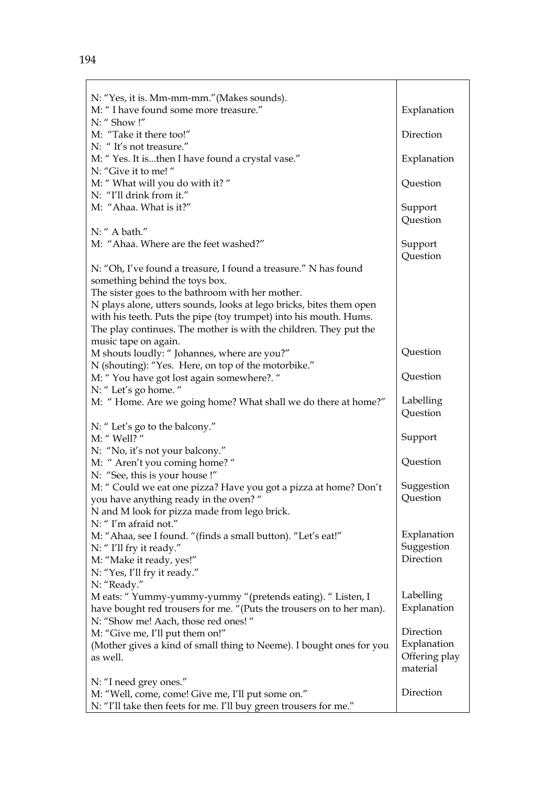| N: "Yes, it is. Mm-mm-mm." (Makes sounds).                           |                        |
|----------------------------------------------------------------------|------------------------|
| M: " I have found some more treasure."                               | Explanation            |
| N: "Show!"                                                           |                        |
| M: "Take it there too!"                                              | Direction              |
| N: "It's not treasure."                                              |                        |
| M: "Yes. It isthen I have found a crystal vase."                     | Explanation            |
| N: "Give it to me!"                                                  | Question               |
| M: " What will you do with it? "<br>N: "I'll drink from it."         |                        |
| M: "Ahaa. What is it?"                                               |                        |
|                                                                      | Support<br>Question    |
| N: " A bath."                                                        |                        |
| M: "Ahaa. Where are the feet washed?"                                | Support                |
|                                                                      | Question               |
| N: "Oh, I've found a treasure, I found a treasure." N has found      |                        |
| something behind the toys box.                                       |                        |
| The sister goes to the bathroom with her mother.                     |                        |
| N plays alone, utters sounds, looks at lego bricks, bites them open  |                        |
| with his teeth. Puts the pipe (toy trumpet) into his mouth. Hums.    |                        |
| The play continues. The mother is with the children. They put the    |                        |
| music tape on again.                                                 |                        |
| M shouts loudly: " Johannes, where are you?"                         | Question               |
| N (shouting): "Yes. Here, on top of the motorbike."                  |                        |
| M: "You have got lost again somewhere?. "                            | Question               |
| N: "Let's go home. "                                                 |                        |
| M: "Home. Are we going home? What shall we do there at home?"        | Labelling              |
|                                                                      | Question               |
| N: "Let's go to the balcony."                                        |                        |
| M: " Well? "                                                         | Support                |
| N: "No, it's not your balcony."                                      |                        |
| M: " Aren't you coming home? "                                       | Question               |
| N: "See, this is your house!"                                        |                        |
| M: " Could we eat one pizza? Have you got a pizza at home? Don't     | Suggestion<br>Question |
| you have anything ready in the oven? "                               |                        |
| N and M look for pizza made from lego brick.<br>N: "I'm afraid not." |                        |
| M: "Ahaa, see I found. "(finds a small button). "Let's eat!"         | Explanation            |
| N: "I'll fry it ready."                                              | Suggestion             |
| M: "Make it ready, yes!"                                             | Direction              |
| N: "Yes, I'll fry it ready."                                         |                        |
| N: "Ready."                                                          |                        |
| M eats: "Yummy-yummy-yummy "(pretends eating). "Listen, I            | Labelling              |
| have bought red trousers for me. "(Puts the trousers on to her man). | Explanation            |
| N: "Show me! Aach, those red ones!"                                  |                        |
| M: "Give me, I'll put them on!"                                      | Direction              |
| (Mother gives a kind of small thing to Neeme). I bought ones for you | Explanation            |
| as well.                                                             | Offering play          |
|                                                                      | material               |
| N: "I need grey ones."                                               |                        |
| M: "Well, come, come! Give me, I'll put some on."                    | Direction              |
| N: "I'll take then feets for me. I'll buy green trousers for me."    |                        |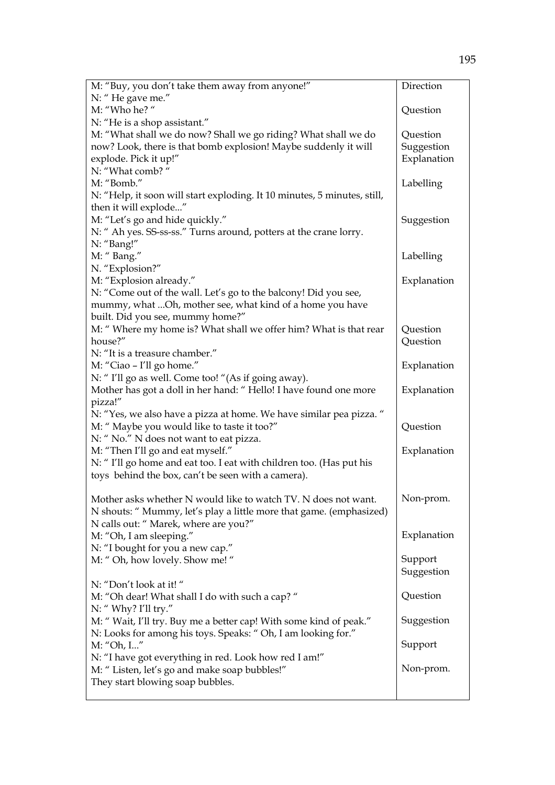| M: "Buy, you don't take them away from anyone!"                          | Direction   |
|--------------------------------------------------------------------------|-------------|
| N: "He gave me."                                                         |             |
| M: "Who he? "                                                            | Question    |
| N: "He is a shop assistant."                                             |             |
| M: "What shall we do now? Shall we go riding? What shall we do           | Question    |
| now? Look, there is that bomb explosion! Maybe suddenly it will          | Suggestion  |
| explode. Pick it up!"                                                    | Explanation |
| N: "What comb?"                                                          |             |
| M: "Bomb."                                                               | Labelling   |
| N: "Help, it soon will start exploding. It 10 minutes, 5 minutes, still, |             |
| then it will explode"                                                    |             |
| M: "Let's go and hide quickly."                                          | Suggestion  |
| N: " Ah yes. SS-ss-ss." Turns around, potters at the crane lorry.        |             |
| N: "Bang!"                                                               |             |
| M: "Bang."                                                               | Labelling   |
| N. "Explosion?"                                                          |             |
| M: "Explosion already."                                                  | Explanation |
| N: "Come out of the wall. Let's go to the balcony! Did you see,          |             |
| mummy, what  Oh, mother see, what kind of a home you have                |             |
| built. Did you see, mummy home?"                                         |             |
| M: "Where my home is? What shall we offer him? What is that rear         | Question    |
| house?"                                                                  | Question    |
| N: "It is a treasure chamber."                                           |             |
| M: "Ciao - I'll go home."                                                | Explanation |
| N: "I'll go as well. Come too! "(As if going away).                      |             |
| Mother has got a doll in her hand: "Hello! I have found one more         | Explanation |
| pizza!"                                                                  |             |
| N: "Yes, we also have a pizza at home. We have similar pea pizza. "      |             |
| M: " Maybe you would like to taste it too?"                              | Question    |
| N: " No." N does not want to eat pizza.                                  |             |
| M: "Then I'll go and eat myself."                                        | Explanation |
| N: "I'll go home and eat too. I eat with children too. (Has put his      |             |
| toys behind the box, can't be seen with a camera).                       |             |
|                                                                          |             |
| Mother asks whether N would like to watch TV. N does not want.           | Non-prom.   |
| N shouts: " Mummy, let's play a little more that game. (emphasized)      |             |
| N calls out: " Marek, where are you?"                                    |             |
| M: "Oh, I am sleeping."                                                  | Explanation |
| N: "I bought for you a new cap."                                         |             |
| M: " Oh, how lovely. Show me! "                                          | Support     |
|                                                                          | Suggestion  |
| N: "Don't look at it!"                                                   |             |
| M: "Oh dear! What shall I do with such a cap?"                           | Question    |
| N: " Why? I'll try."                                                     |             |
| M: "Wait, I'll try. Buy me a better cap! With some kind of peak."        | Suggestion  |
| N: Looks for among his toys. Speaks: " Oh, I am looking for."            |             |
| M: "Oh, I"                                                               | Support     |
| N: "I have got everything in red. Look how red I am!"                    |             |
| M: "Listen, let's go and make soap bubbles!"                             | Non-prom.   |
| They start blowing soap bubbles.                                         |             |
|                                                                          |             |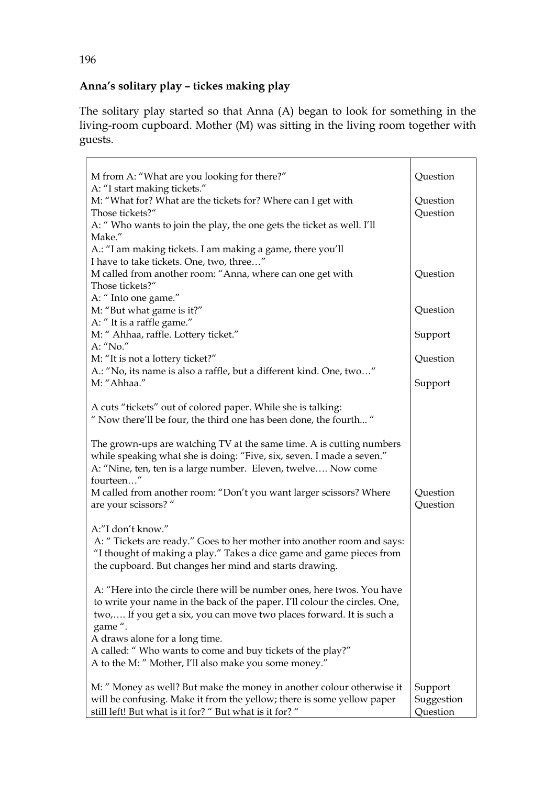## **Anna's solitary play – tickes making play**

The solitary play started so that Anna (A) began to look for something in the living-room cupboard. Mother (M) was sitting in the living room together with guests.

| M from A: "What are you looking for there?"                                                                                                                                                                                             | Question                          |
|-----------------------------------------------------------------------------------------------------------------------------------------------------------------------------------------------------------------------------------------|-----------------------------------|
| A: "I start making tickets."<br>M: "What for? What are the tickets for? Where can I get with<br>Those tickets?"                                                                                                                         | Question<br>Question              |
| A: "Who wants to join the play, the one gets the ticket as well. I'll<br>Make."                                                                                                                                                         |                                   |
| A.: "I am making tickets. I am making a game, there you'll<br>I have to take tickets. One, two, three"                                                                                                                                  |                                   |
| M called from another room: "Anna, where can one get with<br>Those tickets?"                                                                                                                                                            | Question                          |
| A: " Into one game."<br>M: "But what game is it?"                                                                                                                                                                                       | Question                          |
| A: "It is a raffle game."<br>M: " Ahhaa, raffle. Lottery ticket."                                                                                                                                                                       | Support                           |
| A: "No."<br>M: "It is not a lottery ticket?"                                                                                                                                                                                            | Question                          |
| A.: "No, its name is also a raffle, but a different kind. One, two"<br>M: "Ahhaa."                                                                                                                                                      | Support                           |
| A cuts "tickets" out of colored paper. While she is talking:<br>" Now there'll be four, the third one has been done, the fourth"                                                                                                        |                                   |
| The grown-ups are watching TV at the same time. A is cutting numbers<br>while speaking what she is doing: "Five, six, seven. I made a seven."<br>A: "Nine, ten, ten is a large number. Eleven, twelve Now come<br>fourteen"             |                                   |
| M called from another room: "Don't you want larger scissors? Where<br>are your scissors? "                                                                                                                                              | Question<br>Question              |
| A:"I don't know."<br>A: "Tickets are ready." Goes to her mother into another room and says:<br>"I thought of making a play." Takes a dice game and game pieces from<br>the cupboard. But changes her mind and starts drawing.           |                                   |
| A: "Here into the circle there will be number ones, here twos. You have<br>to write your name in the back of the paper. I'll colour the circles. One,<br>two, If you get a six, you can move two places forward. It is such a<br>game". |                                   |
| A draws alone for a long time.<br>A called: " Who wants to come and buy tickets of the play?"<br>A to the M: " Mother, I'll also make you some money."                                                                                  |                                   |
| M: " Money as well? But make the money in another colour otherwise it<br>will be confusing. Make it from the yellow; there is some yellow paper<br>still left! But what is it for? " But what is it for? "                              | Support<br>Suggestion<br>Question |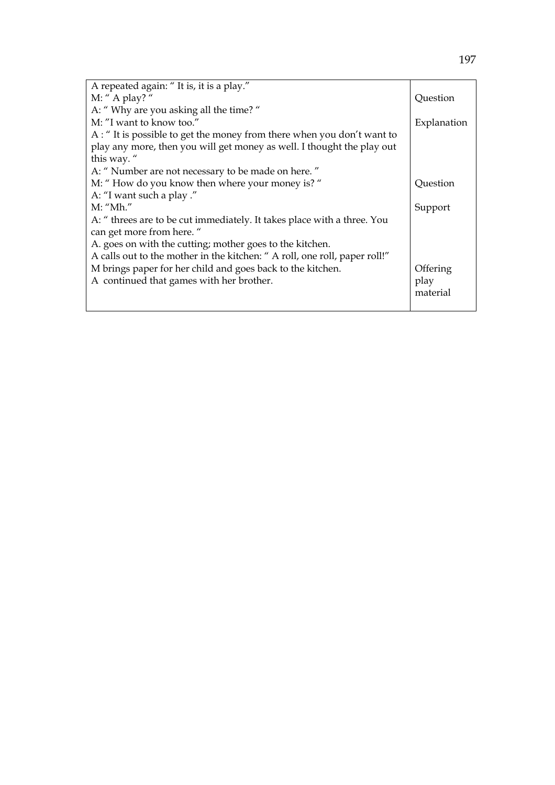| A repeated again: "It is, it is a play."                                  |             |
|---------------------------------------------------------------------------|-------------|
| M: " A play? "                                                            | Question    |
| A: "Why are you asking all the time?"                                     |             |
| M: "I want to know too."                                                  | Explanation |
| A : " It is possible to get the money from there when you don't want to   |             |
| play any more, then you will get money as well. I thought the play out    |             |
| this way."                                                                |             |
| A: " Number are not necessary to be made on here."                        |             |
| M: "How do you know then where your money is? "                           | Ouestion    |
| A: "I want such a play ."                                                 |             |
| $M:$ "Mh."                                                                | Support     |
| A: " threes are to be cut immediately. It takes place with a three. You   |             |
| can get more from here."                                                  |             |
| A. goes on with the cutting; mother goes to the kitchen.                  |             |
| A calls out to the mother in the kitchen: "A roll, one roll, paper roll!" |             |
| M brings paper for her child and goes back to the kitchen.                | Offering    |
| A continued that games with her brother.                                  | play        |
|                                                                           | material    |
|                                                                           |             |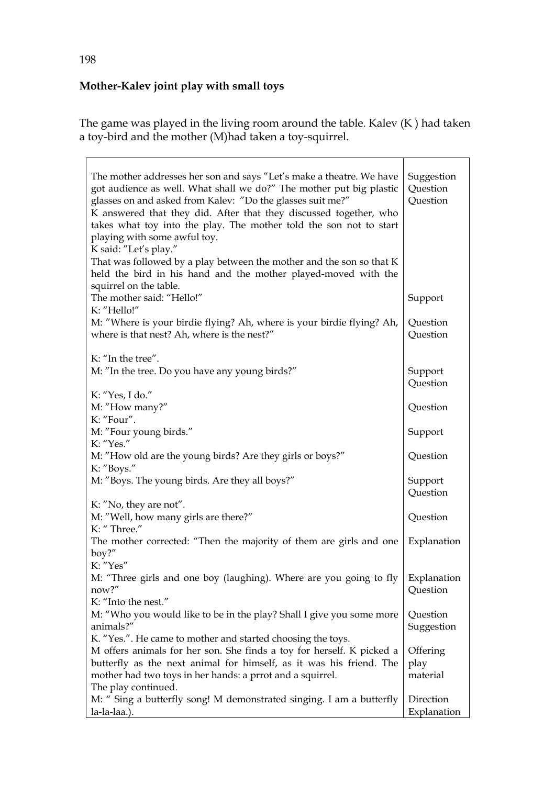# **Mother-Kalev joint play with small toys**

The game was played in the living room around the table. Kalev (K ) had taken a toy-bird and the mother (M)had taken a toy-squirrel.

| The mother addresses her son and says "Let's make a theatre. We have<br>got audience as well. What shall we do?" The mother put big plastic<br>glasses on and asked from Kalev: "Do the glasses suit me?"<br>K answered that they did. After that they discussed together, who<br>takes what toy into the play. The mother told the son not to start<br>playing with some awful toy. | Suggestion<br>Question<br>Question |
|--------------------------------------------------------------------------------------------------------------------------------------------------------------------------------------------------------------------------------------------------------------------------------------------------------------------------------------------------------------------------------------|------------------------------------|
| K said: "Let's play."<br>That was followed by a play between the mother and the son so that K<br>held the bird in his hand and the mother played-moved with the<br>squirrel on the table.                                                                                                                                                                                            |                                    |
| The mother said: "Hello!"<br>K: "Hello!"                                                                                                                                                                                                                                                                                                                                             | Support                            |
| M: "Where is your birdie flying? Ah, where is your birdie flying? Ah,<br>where is that nest? Ah, where is the nest?"                                                                                                                                                                                                                                                                 | Question<br>Question               |
| K: "In the tree".                                                                                                                                                                                                                                                                                                                                                                    |                                    |
| M: "In the tree. Do you have any young birds?"                                                                                                                                                                                                                                                                                                                                       | Support<br>Question                |
| K: "Yes, I do."<br>M: "How many?"                                                                                                                                                                                                                                                                                                                                                    | Question                           |
| K: "Four".<br>M: "Four young birds."                                                                                                                                                                                                                                                                                                                                                 | Support                            |
| K: "Yes."                                                                                                                                                                                                                                                                                                                                                                            |                                    |
| M: "How old are the young birds? Are they girls or boys?"<br>K: "Boys."                                                                                                                                                                                                                                                                                                              | Question                           |
| M: "Boys. The young birds. Are they all boys?"                                                                                                                                                                                                                                                                                                                                       | Support<br>Question                |
| K: "No, they are not".                                                                                                                                                                                                                                                                                                                                                               |                                    |
| M: "Well, how many girls are there?"<br>K: "Three."                                                                                                                                                                                                                                                                                                                                  | Question                           |
| The mother corrected: "Then the majority of them are girls and one<br>$boy?$ "                                                                                                                                                                                                                                                                                                       | Explanation                        |
| K: "Yes"<br>M: "Three girls and one boy (laughing). Where are you going to fly   Explanation<br>now?"                                                                                                                                                                                                                                                                                | Question                           |
| K: "Into the nest."                                                                                                                                                                                                                                                                                                                                                                  |                                    |
| M: "Who you would like to be in the play? Shall I give you some more<br>animals?"                                                                                                                                                                                                                                                                                                    | Question<br>Suggestion             |
| K. "Yes.". He came to mother and started choosing the toys.<br>M offers animals for her son. She finds a toy for herself. K picked a<br>butterfly as the next animal for himself, as it was his friend. The<br>mother had two toys in her hands: a prrot and a squirrel.<br>The play continued.                                                                                      | Offering<br>play<br>material       |
| M: " Sing a butterfly song! M demonstrated singing. I am a butterfly<br>la-la-laa.).                                                                                                                                                                                                                                                                                                 | Direction<br>Explanation           |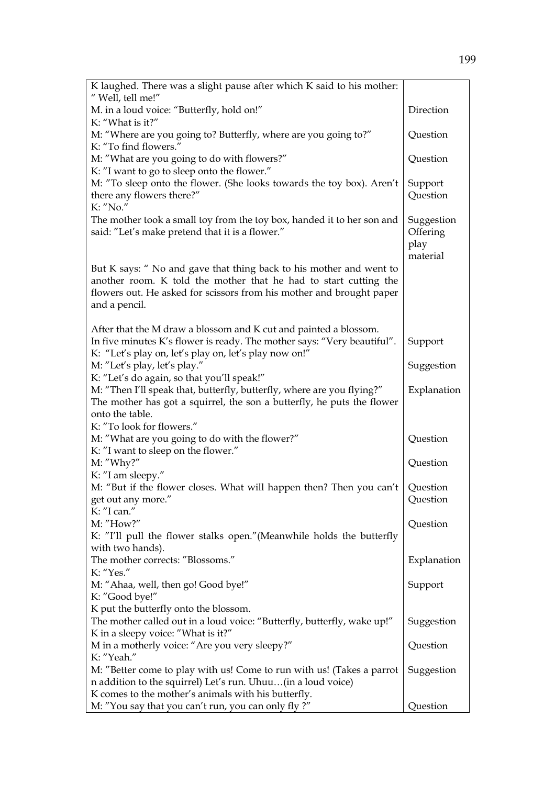| K laughed. There was a slight pause after which K said to his mother:   |             |
|-------------------------------------------------------------------------|-------------|
| " Well, tell me!"                                                       | Direction   |
| M. in a loud voice: "Butterfly, hold on!"<br>K: "What is it?"           |             |
| M: "Where are you going to? Butterfly, where are you going to?"         | Question    |
| K: "To find flowers."                                                   |             |
| M: "What are you going to do with flowers?"                             | Question    |
| K: "I want to go to sleep onto the flower."                             |             |
| M: "To sleep onto the flower. (She looks towards the toy box). Aren't   | Support     |
| there any flowers there?"<br>K: "No."                                   | Question    |
| The mother took a small toy from the toy box, handed it to her son and  | Suggestion  |
| said: "Let's make pretend that it is a flower."                         | Offering    |
|                                                                         | play        |
|                                                                         | material    |
| But K says: " No and gave that thing back to his mother and went to     |             |
| another room. K told the mother that he had to start cutting the        |             |
| flowers out. He asked for scissors from his mother and brought paper    |             |
| and a pencil.                                                           |             |
|                                                                         |             |
| After that the M draw a blossom and K cut and painted a blossom.        |             |
| In five minutes K's flower is ready. The mother says: "Very beautiful". | Support     |
| K: "Let's play on, let's play on, let's play now on!"                   |             |
| M: "Let's play, let's play."                                            | Suggestion  |
| K: "Let's do again, so that you'll speak!"                              |             |
| M: "Then I'll speak that, butterfly, butterfly, where are you flying?"  | Explanation |
| The mother has got a squirrel, the son a butterfly, he puts the flower  |             |
| onto the table.                                                         |             |
| K: "To look for flowers."                                               |             |
| M: "What are you going to do with the flower?"                          | Question    |
| K: "I want to sleep on the flower."                                     |             |
| M: "Why?"                                                               | Question    |
| K: "I am sleepy."                                                       |             |
| M: "But if the flower closes. What will happen then? Then you can't     | Question    |
| get out any more."<br>K: "I can."                                       | Question    |
| M: "How?"                                                               | Question    |
| K: "I'll pull the flower stalks open." (Meanwhile holds the butterfly   |             |
| with two hands).                                                        |             |
| The mother corrects: "Blossoms."                                        | Explanation |
| K: "Yes."                                                               |             |
| M: "Ahaa, well, then go! Good bye!"                                     | Support     |
| K: "Good bye!"                                                          |             |
| K put the butterfly onto the blossom.                                   |             |
| The mother called out in a loud voice: "Butterfly, butterfly, wake up!" | Suggestion  |
| K in a sleepy voice: "What is it?"                                      |             |
| M in a motherly voice: "Are you very sleepy?"                           | Question    |
| K: "Yeah."                                                              |             |
| M: "Better come to play with us! Come to run with us! (Takes a parrot   | Suggestion  |
| n addition to the squirrel) Let's run. Uhuu(in a loud voice)            |             |
| K comes to the mother's animals with his butterfly.                     |             |
| M: "You say that you can't run, you can only fly?"                      | Question    |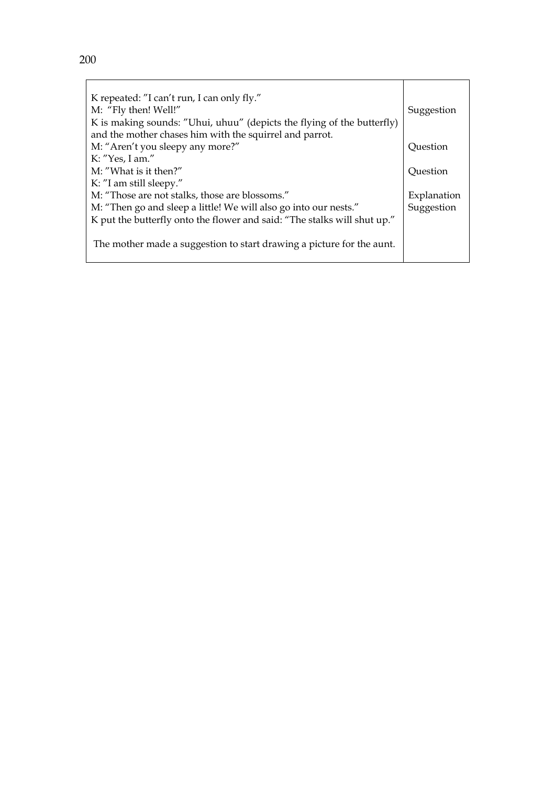| K repeated: "I can't run, I can only fly."                               |             |
|--------------------------------------------------------------------------|-------------|
| M: "Fly then! Well!"                                                     | Suggestion  |
| K is making sounds: "Uhui, uhuu" (depicts the flying of the butterfly)   |             |
| and the mother chases him with the squirrel and parrot.                  |             |
| M: "Aren't you sleepy any more?"                                         | Question    |
| K: $"Yes, I am."$                                                        |             |
| M: "What is it then?"                                                    | Ouestion    |
| K: "I am still sleepy."                                                  |             |
| M: "Those are not stalks, those are blossoms."                           | Explanation |
| M: "Then go and sleep a little! We will also go into our nests."         | Suggestion  |
| K put the butterfly onto the flower and said: "The stalks will shut up." |             |
| The mother made a suggestion to start drawing a picture for the aunt.    |             |
|                                                                          |             |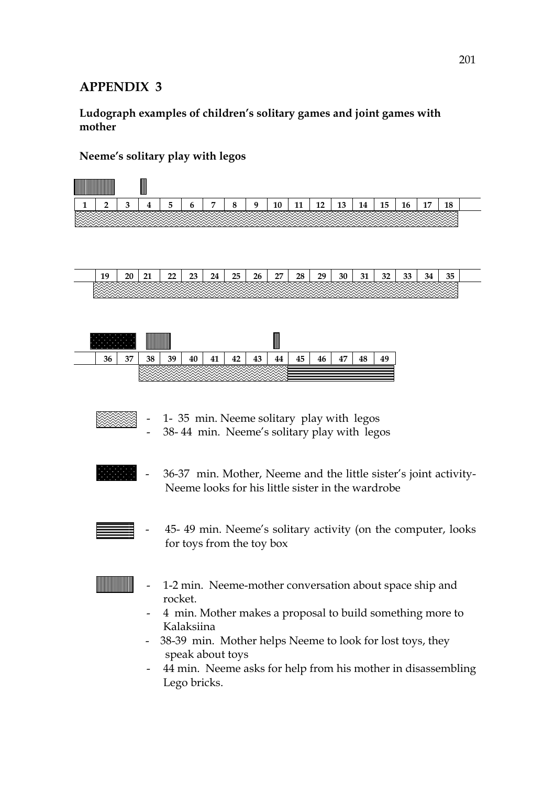**Ludograph examples of children's solitary games and joint games with mother** 

# **Neeme's solitary play with legos**

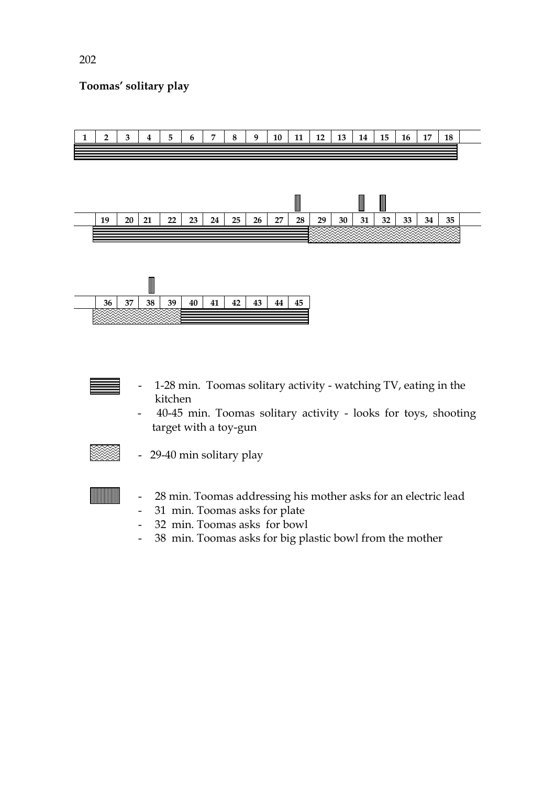## **Toomas' solitary play**



- 1-28 min. Toomas solitary activity watching TV, eating in the kitchen
- 40-45 min. Toomas solitary activity looks for toys, shooting target with a toy-gun



- 29-40 min solitary play
- 28 min. Toomas addressing his mother asks for an electric lead
- 31 min. Toomas asks for plate
- 32 min. Toomas asks for bowl
- 38 min. Toomas asks for big plastic bowl from the mother

202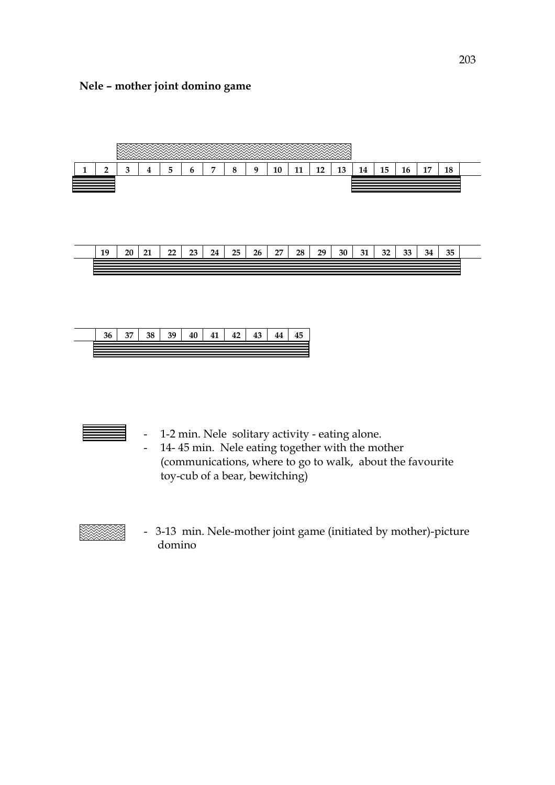#### **Nele – mother joint domino game**





- 1-2 min. Nele solitary activity eating alone.
- 14- 45 min. Nele eating together with the mother (communications, where to go to walk, about the favourite toy-cub of a bear, bewitching)



 - 3-13 min. Nele-mother joint game (initiated by mother)-picture domino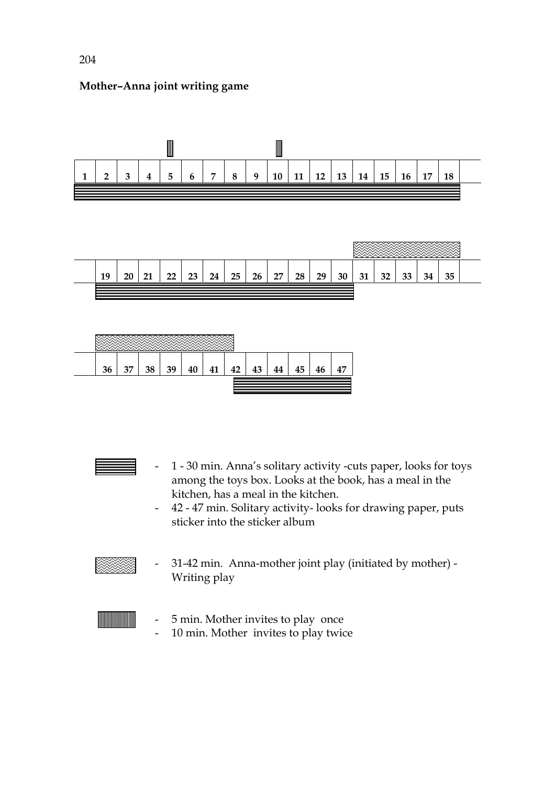





- 1 30 min. Anna's solitary activity -cuts paper, looks for toys among the toys box. Looks at the book, has a meal in the kitchen, has a meal in the kitchen.
- 42 47 min. Solitary activity- looks for drawing paper, puts sticker into the sticker album



- 31-42 min. Anna-mother joint play (initiated by mother) - Writing play



- 5 min. Mother invites to play once
- 10 min. Mother invites to play twice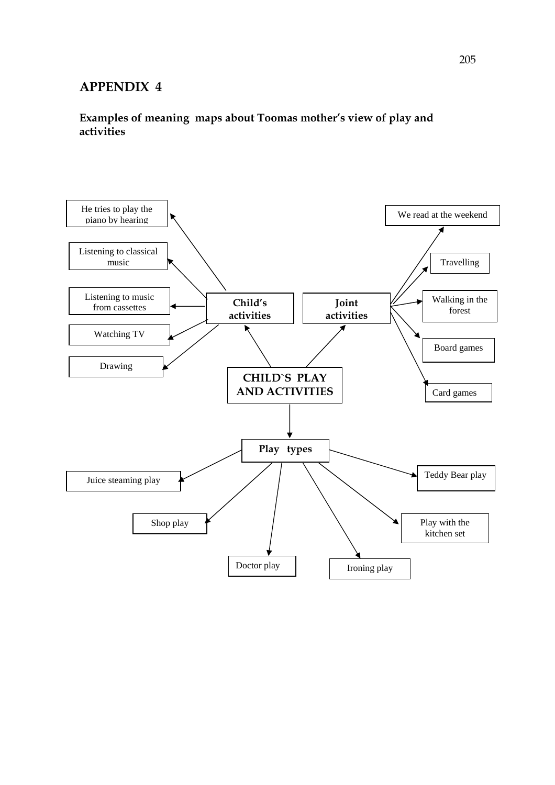## **Examples of meaning maps about Toomas mother's view of play and activities**

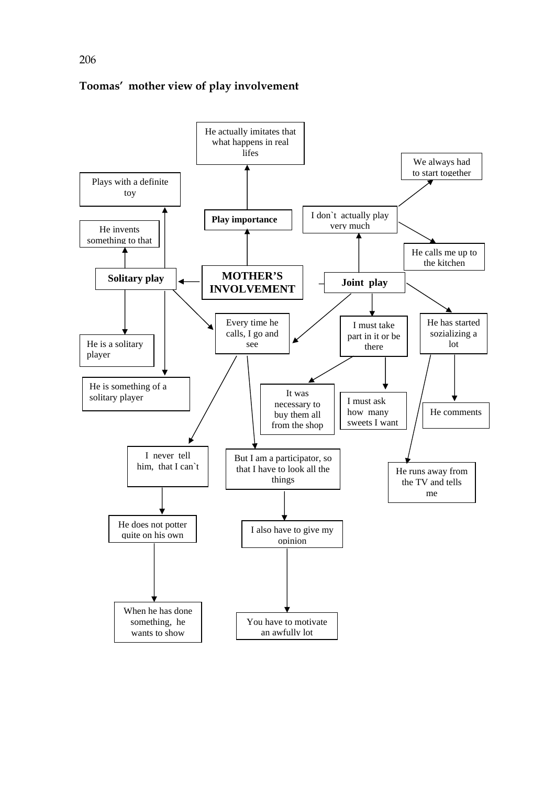

#### **Toomas' mother view of play involvement**

206